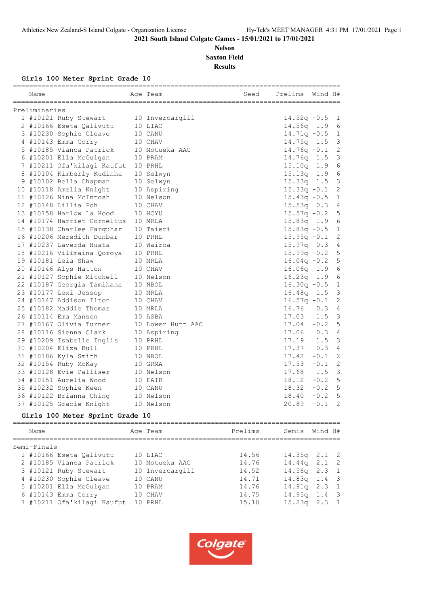#### **Nelson Saxton Field Results**

**Girls 100 Meter Sprint Grade 10**

| Name          | =====================       | Age Team          | Seed | Prelims        | Wind H# |                 |
|---------------|-----------------------------|-------------------|------|----------------|---------|-----------------|
| Preliminaries |                             |                   |      |                |         |                 |
|               | 1 #10121 Ruby Stewart       | 10 Invercargill   |      | $14.52q - 0.5$ |         | 1               |
|               | 2 #10166 Eseta Oalivutu     | 10 LIAC           |      | $14.56q$ 1.9   |         | 6               |
|               | 3 #10230 Sophie Cleave      | 10 CANU           |      | $14.71q - 0.5$ |         | 1               |
|               | 4 #10143 Emma Corry         | 10 CHAV           |      | $14.75q$ 1.5   |         | 3               |
|               | 5 #10185 Vianca Patrick     | 10 Motueka AAC    |      | $14.76q - 0.1$ |         | $\overline{c}$  |
|               | 6 #10201 Ella McGuigan      | 10 PRAM           |      | $14.76q$ 1.5   |         | $\mathfrak{Z}$  |
|               | 7 #10211 Ofa'kilagi Kaufut  | 10 PRHL           |      | 15.10q 1.9     |         | $\sqrt{6}$      |
|               | 8 #10104 Kimberly Kudinha   | 10 Selwyn         |      | 15.13q         | 1.9     | $\epsilon$      |
|               | 9 #10102 Bella Chapman      | 10 Selwyn         |      | 15.33q         | 1.5     | $\mathsf 3$     |
|               | 10 #10118 Amelia Knight     | 10 Aspiring       |      | $15.33q -0.1$  |         | $\mathbf{2}$    |
|               | 11 #10126 Nina McIntosh     | 10 Nelson         |      | $15.43q -0.5$  |         | 1               |
|               | 12 #10148 Lillia Poh        | 10 CHAV           |      | $15.53q$ 0.3   |         | $\overline{4}$  |
|               | 13 #10158 Harlow La Hood    | 10 HCYU           |      | $15.57q - 0.2$ |         | 5               |
|               | 14 #10174 Harriet Cornelius | 10 MRLA           |      | 15.83q 1.9     |         | $\epsilon$      |
|               | 15 #10138 Charlee Farquhar  | 10 Taieri         |      | $15.83q - 0.5$ |         | $\mathbf 1$     |
|               | 16 #10206 Meredith Dunbar   | 10 PRHL           |      | $15.95q -0.1$  |         | $\mathbf{2}$    |
|               | 17 #10237 Laverda Huata     | 10 Wairoa         |      | 15.97q 0.3     |         | $\overline{4}$  |
|               | 18 #10216 Vilimaina Qoroya  | 10 PRHL           |      | $15.99q - 0.2$ |         | 5               |
|               | 19 #10181 Leia Shaw         | 10 MRLA           |      | $16.04q - 0.2$ |         | 5               |
|               | 20 #10146 Alys Hatton       | 10 CHAV           |      | $16.06q$ 1.9   |         | 6               |
|               | 21 #10127 Sophie Mitchell   | 10 Nelson         |      | $16.23q$ 1.9   |         | $6\phantom{1}6$ |
|               | 22 #10187 Georgia Tamihana  | 10 NBOL           |      | $16.30q - 0.5$ |         | $\mathbf{1}$    |
|               | 23 #10177 Lexi Jessop       | 10 MRLA           |      | $16.48q$ 1.5   |         | 3               |
|               | 24 #10147 Addison Ilton     | 10 CHAV           |      | $16.57q - 0.1$ |         | $\sqrt{2}$      |
|               | 25 #10182 Maddie Thomas     | 10 MRLA           |      | 16.76          | 0.3     | $\overline{4}$  |
|               | 26 #10114 Ema Manson        | 10 ASBA           |      | 17.03          | 1.5     | $\mathcal{E}$   |
|               | 27 #10167 Olivia Turner     | 10 Lower Hutt AAC |      | $17.04 - 0.2$  |         | 5               |
|               | 28 #10116 Sienna Clark      | 10 Aspiring       |      | 17.06 0.3      |         | $\overline{4}$  |
|               | 29 #10209 Isabelle Inglis   | 10 PRHL           |      | 17.19          | 1.5     | $\mathbf{3}$    |
|               | 30 #10204 Eliza Bull        | 10 PRHL           |      | 17.37          | 0.3     | 4               |
|               | 31 #10186 Kyla Smith        | 10 NBOL           |      | 17.42          | $-0.1$  | $\mathbf{2}$    |
|               | 32 #10154 Ruby McKay        | 10 GRMA           |      | 17.53          | $-0.1$  | $\overline{c}$  |
|               | 33 #10128 Evie Palliser     | 10 Nelson         |      | 17.68          | 1.5     | $\mathcal{E}$   |
|               | 34 #10151 Aurelia Wood      | 10 FAIR           |      | 18.12          | $-0.2$  | 5               |
|               | 35 #10232 Sophie Keen       | 10 CANU           |      | 18.32          | $-0.2$  | 5               |
|               | 36 #10122 Brianna Ching     | 10 Nelson         |      | 18.40          | $-0.2$  | 5               |
|               | 37 #10125 Gracie Knight     | 10 Nelson         |      | 20.89          | $-0.1$  | $\overline{2}$  |
|               |                             |                   |      |                |         |                 |

## **Girls 100 Meter Sprint Grade 10**

| Name        |                            | Age Team        | Prelims | Semis            | Wind H# |  |
|-------------|----------------------------|-----------------|---------|------------------|---------|--|
| Semi-Finals |                            |                 |         |                  |         |  |
|             | 1 #10166 Eseta Oalivutu    | 10 LIAC         | 14.56   | $14.35q$ $2.1$ 2 |         |  |
|             | 2 #10185 Vianca Patrick    | 10 Motueka AAC  | 14.76   | $14.44q$ 2.1 2   |         |  |
|             | 3 #10121 Ruby Stewart      | 10 Invercargill | 14.52   | $14.56q$ 2.3 1   |         |  |
|             | 4 #10230 Sophie Cleave     | 10 CANU         | 14.71   | $14.83q$ 1.4 3   |         |  |
|             | 5 #10201 Ella McGuigan     | 10 PRAM         | 14.76   | $14.91q$ $2.3$ 1 |         |  |
|             | $6$ #10143 Emma Corry      | 10 CHAV         | 14.75   | $14.95q$ 1.4 3   |         |  |
|             | 7 #10211 Ofa'kilagi Kaufut | 10 PRHL         | 15.10   | $15.23q$ $2.3$ 1 |         |  |
|             |                            |                 |         |                  |         |  |

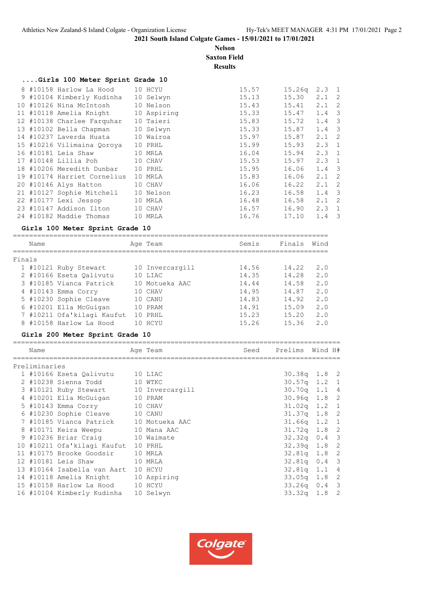**Nelson Saxton Field Results**

| Girls 100 Meter Sprint Grade 10 |  |
|---------------------------------|--|
|---------------------------------|--|

|  | 8 #10158 Harlow La Hood 10 HCYU     |           | 15.57 | 15.26q | $2.3 \quad 1$ |  |
|--|-------------------------------------|-----------|-------|--------|---------------|--|
|  | 9 #10104 Kimberly Kudinha           | 10 Selwyn | 15.13 | 15.30  | $2.1$ 2       |  |
|  | 10 #10126 Nina McIntosh             | 10 Nelson | 15.43 | 15.41  | $2.1$ 2       |  |
|  | 11 #10118 Amelia Knight 10 Aspiring |           | 15.33 | 15.47  | $1.4-3$       |  |
|  | 12 #10138 Charlee Farquhar          | 10 Taieri | 15.83 | 15.72  | $1.4-3$       |  |
|  | 13 #10102 Bella Chapman             | 10 Selwyn | 15.33 | 15.87  | $1.4-3$       |  |
|  | 14 #10237 Laverda Huata             | 10 Wairoa | 15.97 | 15.87  | $2.1$ 2       |  |
|  | 15 #10216 Vilimaina Qoroya          | 10 PRHL   | 15.99 | 15.93  | $2.3 \t1$     |  |
|  | 16 #10181 Leia Shaw                 | 10 MRLA   | 16.04 | 15.94  | $2.3 \t1$     |  |
|  | 17 #10148 Lillia Poh 10 CHAV        |           | 15.53 | 15.97  | $2.3 \t1$     |  |
|  | 18 #10206 Meredith Dunbar           | 10 PRHL   | 15.95 | 16.06  | $1.4-3$       |  |
|  | 19 #10174 Harriet Cornelius         | 10 MRLA   | 15.83 | 16.06  | $2.1$ 2       |  |
|  | 20 #10146 Alys Hatton               | 10 CHAV   | 16.06 | 16.22  | $2.1$ 2       |  |
|  | 21 #10127 Sophie Mitchell 10 Nelson |           | 16.23 | 16.58  | $1.4-3$       |  |
|  | 22 #10177 Lexi Jessop 10 MRLA       |           | 16.48 | 16.58  | $2.1$ 2       |  |
|  | 23 #10147 Addison Ilton             | 10 CHAV   | 16.57 | 16.90  | $2.3 \quad 1$ |  |
|  | 24 #10182 Maddie Thomas             | 10 MRLA   | 16.76 | 17.10  | $1.4-3$       |  |

#### **Girls 100 Meter Sprint Grade 10**

|        | Name |                            | Age Team        | Semis | Finals | Wind |
|--------|------|----------------------------|-----------------|-------|--------|------|
| Finals |      |                            |                 |       |        |      |
|        |      | 1 #10121 Ruby Stewart      | 10 Invercargill | 14.56 | 14.22  | 2.0  |
|        |      | 2 #10166 Eseta Oalivutu    | 10 LIAC         | 14.35 | 14.28  | 2.0  |
|        |      | 3 #10185 Vianca Patrick    | 10 Motueka AAC  | 14.44 | 14.58  | 2.0  |
|        |      | 4 #10143 Emma Corry        | 10 CHAV         | 14.95 | 14.87  | 2.0  |
|        |      | 5 #10230 Sophie Cleave     | 10 CANU         | 14.83 | 14.92  | 2.0  |
|        |      | 6 #10201 Ella McGuigan     | 10 PRAM         | 14.91 | 15.09  | 2.0  |
|        |      | 7 #10211 Ofa'kilagi Kaufut | 10 PRHT.        | 15.23 | 15.20  | 2.0  |
|        |      | 8 #10158 Harlow La Hood    | HCYU            | 15.26 | 15.36  | 2.0  |

#### **Girls 200 Meter Sprint Grade 10**

| GILIS ZVV MECEL OPIINC GIAGE IV |                                        |  |          |      |                 |  |  |  |  |  |  |  |
|---------------------------------|----------------------------------------|--|----------|------|-----------------|--|--|--|--|--|--|--|
| Name                            |                                        |  | Age Team | Seed | Prelims Wind H# |  |  |  |  |  |  |  |
| Preliminaries                   |                                        |  |          |      |                 |  |  |  |  |  |  |  |
|                                 | 1 #10166 Eseta Qalivutu                |  | 10 LIAC  |      | $30.38q$ 1.8 2  |  |  |  |  |  |  |  |
|                                 | 2 #10238 Sienna Todd 10 WTKC           |  |          |      | $30.57q$ 1.2 1  |  |  |  |  |  |  |  |
|                                 | 3 #10121 Ruby Stewart 10 Invercargill  |  |          |      | 30.70q 1.1 4    |  |  |  |  |  |  |  |
|                                 | 4 #10201 Ella McGuigan 10 PRAM         |  |          |      | 30.96q 1.8 2    |  |  |  |  |  |  |  |
|                                 | 5 #10143 Emma Corry 10 CHAV            |  |          |      | $31.02q$ 1.2 1  |  |  |  |  |  |  |  |
|                                 | 6 #10230 Sophie Cleave 10 CANU         |  |          |      | $31.37q$ 1.8 2  |  |  |  |  |  |  |  |
|                                 | 7 #10185 Vianca Patrick 10 Motueka AAC |  |          |      | $31.66q$ 1.2 1  |  |  |  |  |  |  |  |
|                                 | 8 #10171 Keira Weepu 10 Mana AAC       |  |          |      | $31.72q$ 1.8 2  |  |  |  |  |  |  |  |
|                                 | 9 #10236 Briar Craig 10 Waimate        |  |          |      | $32.32q$ 0.4 3  |  |  |  |  |  |  |  |
|                                 | 10 #10211 Ofa'kilagi Kaufut 10 PRHL    |  |          |      | $32.39q$ 1.8 2  |  |  |  |  |  |  |  |
|                                 | 11 #10175 Brooke Goodsir               |  | 10 MRLA  |      | $32.81q$ 1.8 2  |  |  |  |  |  |  |  |
|                                 | 12 #10181 Leia Shaw                    |  | 10 MRLA  |      | $32.81q$ 0.4 3  |  |  |  |  |  |  |  |
|                                 | 13 #10164 Isabella van Aart 10 HCYU    |  |          |      | $32.81q$ 1.1 4  |  |  |  |  |  |  |  |
|                                 | 14 #10118 Amelia Knight 10 Aspiring    |  |          |      | $33.05q$ 1.8 2  |  |  |  |  |  |  |  |
|                                 | 15 #10158 Harlow La Hood 10 HCYU       |  |          |      | $33.26q$ 0.4 3  |  |  |  |  |  |  |  |
|                                 | 16 #10104 Kimberly Kudinha 10 Selwyn   |  |          |      | $33.32q$ 1.8 2  |  |  |  |  |  |  |  |

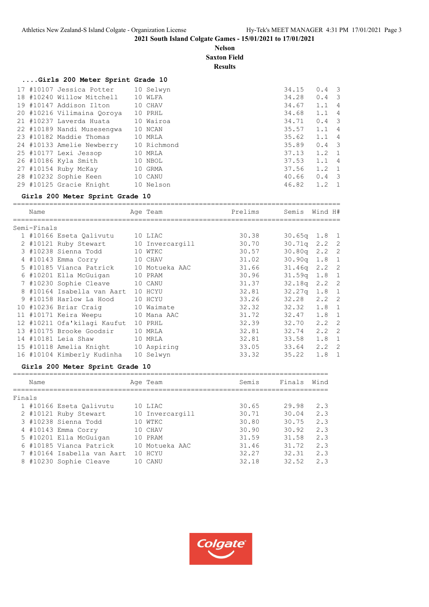#### **Nelson Saxton Field**

**Results**

## **....Girls 200 Meter Sprint Grade 10**

|  | 17 #10107 Jessica Potter   | 10 Selwyn   | 34.15 | $0.4 \quad 3$ |                |
|--|----------------------------|-------------|-------|---------------|----------------|
|  | 18 #10240 Willow Mitchell  | 10 WLFA     | 34.28 | $0.4 \quad 3$ |                |
|  | 19 #10147 Addison Ilton    | 10 CHAV     | 34.67 | 1.1           | $\overline{4}$ |
|  | 20 #10216 Vilimaina Qoroya | 10 PRHL     | 34.68 | $1.1 \quad 4$ |                |
|  | 21 #10237 Laverda Huata    | 10 Wairoa   | 34.71 | $0.4 \quad 3$ |                |
|  | 22 #10189 Nandi Musesengwa | 10 NCAN     | 35.57 | $1.1 \quad 4$ |                |
|  | 23 #10182 Maddie Thomas    | 10 MRLA     | 35.62 | 1.1 4         |                |
|  | 24 #10133 Amelie Newberry  | 10 Richmond | 35.89 | $0.4 \quad 3$ |                |
|  | 25 #10177 Lexi Jessop      | 10 MRLA     | 37.13 | $1.2 \quad 1$ |                |
|  | 26 #10186 Kyla Smith       | 10 NBOL     | 37.53 | $1.1 \quad 4$ |                |
|  | 27 #10154 Ruby McKay       | 10 GRMA     | 37.56 | $1.2 \quad 1$ |                |
|  | 28 #10232 Sophie Keen      | 10 CANU     | 40.66 | $0.4 \quad 3$ |                |
|  | 29 #10125 Gracie Knight    | 10 Nelson   | 46.82 | $1.2 \quad 1$ |                |

#### **Girls 200 Meter Sprint Grade 10**

| Name |                                                                                                                           |                                                                                                                                                                                                                                           | Prelims                                                                                                                                                                                                                                                                                  | Semis                            |                |                                                                                                                                                                                                                                                                                                                    |
|------|---------------------------------------------------------------------------------------------------------------------------|-------------------------------------------------------------------------------------------------------------------------------------------------------------------------------------------------------------------------------------------|------------------------------------------------------------------------------------------------------------------------------------------------------------------------------------------------------------------------------------------------------------------------------------------|----------------------------------|----------------|--------------------------------------------------------------------------------------------------------------------------------------------------------------------------------------------------------------------------------------------------------------------------------------------------------------------|
|      |                                                                                                                           |                                                                                                                                                                                                                                           |                                                                                                                                                                                                                                                                                          |                                  |                |                                                                                                                                                                                                                                                                                                                    |
|      |                                                                                                                           |                                                                                                                                                                                                                                           | 30.38                                                                                                                                                                                                                                                                                    |                                  |                |                                                                                                                                                                                                                                                                                                                    |
|      |                                                                                                                           |                                                                                                                                                                                                                                           |                                                                                                                                                                                                                                                                                          |                                  |                |                                                                                                                                                                                                                                                                                                                    |
|      |                                                                                                                           |                                                                                                                                                                                                                                           | 30.57                                                                                                                                                                                                                                                                                    |                                  |                |                                                                                                                                                                                                                                                                                                                    |
|      |                                                                                                                           |                                                                                                                                                                                                                                           | 31.02                                                                                                                                                                                                                                                                                    |                                  |                |                                                                                                                                                                                                                                                                                                                    |
|      |                                                                                                                           |                                                                                                                                                                                                                                           | 31.66                                                                                                                                                                                                                                                                                    |                                  |                |                                                                                                                                                                                                                                                                                                                    |
|      |                                                                                                                           |                                                                                                                                                                                                                                           | 30.96                                                                                                                                                                                                                                                                                    |                                  |                |                                                                                                                                                                                                                                                                                                                    |
|      |                                                                                                                           |                                                                                                                                                                                                                                           | 31.37                                                                                                                                                                                                                                                                                    |                                  |                |                                                                                                                                                                                                                                                                                                                    |
|      |                                                                                                                           |                                                                                                                                                                                                                                           | 32.81                                                                                                                                                                                                                                                                                    |                                  |                |                                                                                                                                                                                                                                                                                                                    |
|      |                                                                                                                           |                                                                                                                                                                                                                                           | 33.26                                                                                                                                                                                                                                                                                    |                                  |                | -2                                                                                                                                                                                                                                                                                                                 |
|      |                                                                                                                           |                                                                                                                                                                                                                                           | 32.32                                                                                                                                                                                                                                                                                    |                                  |                |                                                                                                                                                                                                                                                                                                                    |
|      |                                                                                                                           |                                                                                                                                                                                                                                           | 31.72                                                                                                                                                                                                                                                                                    |                                  |                | $\mathbf{1}$                                                                                                                                                                                                                                                                                                       |
|      |                                                                                                                           |                                                                                                                                                                                                                                           | 32.39                                                                                                                                                                                                                                                                                    | 32.70                            |                |                                                                                                                                                                                                                                                                                                                    |
|      |                                                                                                                           |                                                                                                                                                                                                                                           |                                                                                                                                                                                                                                                                                          |                                  |                |                                                                                                                                                                                                                                                                                                                    |
|      |                                                                                                                           |                                                                                                                                                                                                                                           |                                                                                                                                                                                                                                                                                          |                                  |                |                                                                                                                                                                                                                                                                                                                    |
|      |                                                                                                                           |                                                                                                                                                                                                                                           |                                                                                                                                                                                                                                                                                          |                                  |                |                                                                                                                                                                                                                                                                                                                    |
|      |                                                                                                                           |                                                                                                                                                                                                                                           | 33.32                                                                                                                                                                                                                                                                                    | 35.22                            |                | - 1                                                                                                                                                                                                                                                                                                                |
|      | Semi-Finals<br>6 #10201 Ella McGuigan<br>7 #10230 Sophie Cleave<br>13 #10175 Brooke Goodsir<br>16 #10104 Kimberly Kudinha | 2 #10121 Ruby Stewart<br>3 #10238 Sienna Todd<br>8 #10164 Isabella van Aart<br>9 #10158 Harlow La Hood<br>10 #10236 Briar Craig<br>11 #10171 Keira Weepu<br>12 #10211 Ofa'kilagi Kaufut<br>14 #10181 Leia Shaw<br>15 #10118 Amelia Knight | Age Team<br>1 #10166 Eseta Qalivutu 10 LIAC<br>10 Invercargill<br>10 WTKC<br>4 #10143 Emma Corry 10 CHAV<br>5 #10185 Vianca Patrick 10 Motueka AAC<br>10 PRAM<br>10 CANU<br>10 HCYU<br>10 HCYU<br>10 Waimate<br>10 Mana AAC<br>10 PRHL<br>10 MRLA<br>10 MRLA<br>10 Aspiring<br>10 Selwyn | 30.70<br>32.81<br>32.81<br>33.05 | 32.74<br>33.64 | Wind H#<br>$30.65q$ 1.8 1<br>$30.71q$ 2.2 2<br>$30.80q$ 2.2 2<br>$30.90q$ 1.8 1<br>$2.2 \quad 2$<br>31.46a<br>$31.59q$ 1.8 1<br>$32.18q$ 2.2 2<br>$32.27q$ 1.8 1<br>32.28<br>2, 2<br>$32.32 \quad 1.8 \quad 1$<br>1.8<br>32.47<br>$2.2 \quad 2$<br>$2.2 \quad 2$<br>33.58<br>$1.8 \quad 1$<br>$2.2 \quad 2$<br>1.8 |

## **Girls 200 Meter Sprint Grade 10**

|        | Name |                            |    | Age Team        | Semis | Finals | Wind |  |  |  |  |
|--------|------|----------------------------|----|-----------------|-------|--------|------|--|--|--|--|
| Finals |      |                            |    |                 |       |        |      |  |  |  |  |
|        |      | 1 #10166 Eseta Oalivutu    |    | 10 LIAC         | 30.65 | 29.98  | 2.3  |  |  |  |  |
|        |      | 2 #10121 Ruby Stewart      |    | 10 Invercargill | 30.71 | 30.04  | 2.3  |  |  |  |  |
|        |      | 3 #10238 Sienna Todd       | 10 | WTKC            | 30.80 | 30.75  | 2.3  |  |  |  |  |
|        |      | 4 #10143 Emma Corry        | 10 | CHAV            | 30.90 | 30.92  | 2.3  |  |  |  |  |
|        |      | 5 #10201 Ella McGuigan     | 10 | PRAM            | 31.59 | 31.58  | 2.3  |  |  |  |  |
|        |      | 6 #10185 Vianca Patrick    |    | 10 Motueka AAC  | 31.46 | 31.72  | 2.3  |  |  |  |  |
|        |      | 7 #10164 Isabella van Aart |    | 10 HCYU         | 32.27 | 32.31  | 2.3  |  |  |  |  |
|        |      | 8 #10230 Sophie Cleave     |    | CANU            | 32.18 | 32.52  | 2.3  |  |  |  |  |

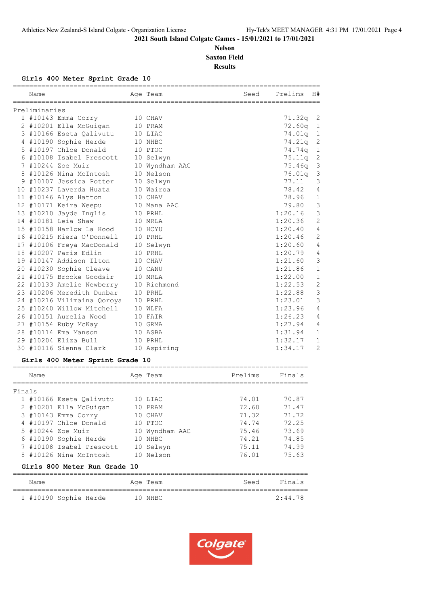#### **Nelson Saxton Field Results**

#### **Girls 400 Meter Sprint Grade 10**

| Name                            |                            |  | Age Team       | Seed | Prelims | H#             |  |  |  |  |
|---------------------------------|----------------------------|--|----------------|------|---------|----------------|--|--|--|--|
| Preliminaries                   |                            |  |                |      |         |                |  |  |  |  |
|                                 | 1 #10143 Emma Corry        |  | 10 CHAV        |      | 71.32q  | 2              |  |  |  |  |
|                                 | 2 #10201 Ella McGuigan     |  | 10 PRAM        |      | 72.60q  | $\mathbf 1$    |  |  |  |  |
|                                 | 3 #10166 Eseta Oalivutu    |  | 10 LIAC        |      | 74.01q  | $\mathbf 1$    |  |  |  |  |
|                                 | 4 #10190 Sophie Herde      |  | 10 NHBC        |      | 74.21q  | $\mathbf{2}$   |  |  |  |  |
|                                 | 5 #10197 Chloe Donald      |  | 10 PTOC        |      | 74.74q  | $\mathbf{1}$   |  |  |  |  |
|                                 | 6 #10108 Isabel Prescott   |  | 10 Selwyn      |      | 75.11q  | $\mathbf{2}$   |  |  |  |  |
|                                 | 7 #10244 Zoe Muir          |  | 10 Wyndham AAC |      | 75.46q  | 3              |  |  |  |  |
|                                 | 8 #10126 Nina McIntosh     |  | 10 Nelson      |      | 76.01q  | $\mathsf 3$    |  |  |  |  |
|                                 | 9 #10107 Jessica Potter    |  | 10 Selwyn      |      | 77.11   | 3              |  |  |  |  |
|                                 | 10 #10237 Laverda Huata    |  | 10 Wairoa      |      | 78.42   | 4              |  |  |  |  |
|                                 | 11 #10146 Alys Hatton      |  | 10 CHAV        |      | 78.96   | $\mathbf{1}$   |  |  |  |  |
|                                 | 12 #10171 Keira Weepu      |  | 10 Mana AAC    |      | 79.80   | 3              |  |  |  |  |
|                                 | 13 #10210 Jayde Inglis     |  | 10 PRHL        |      | 1:20.16 | 3              |  |  |  |  |
|                                 | 14 #10181 Leia Shaw        |  | 10 MRLA        |      | 1:20.36 | $\overline{c}$ |  |  |  |  |
|                                 | 15 #10158 Harlow La Hood   |  | 10 HCYU        |      | 1:20.40 | $\overline{4}$ |  |  |  |  |
|                                 | 16 #10215 Kiera O'Donnell  |  | 10 PRHL        |      | 1:20.46 | $\mathbf{2}$   |  |  |  |  |
|                                 | 17 #10106 Freya MacDonald  |  | 10 Selwyn      |      | 1:20.60 | $\overline{4}$ |  |  |  |  |
|                                 | 18 #10207 Paris Edlin      |  | 10 PRHL        |      | 1:20.79 | 4              |  |  |  |  |
|                                 | 19 #10147 Addison Ilton    |  | 10 CHAV        |      | 1:21.60 | 3              |  |  |  |  |
|                                 | 20 #10230 Sophie Cleave    |  | 10 CANU        |      | 1:21.86 | $\mathbf{1}$   |  |  |  |  |
|                                 | 21 #10175 Brooke Goodsir   |  | 10 MRLA        |      | 1:22.00 | $\mathbf{1}$   |  |  |  |  |
|                                 | 22 #10133 Amelie Newberry  |  | 10 Richmond    |      | 1:22.53 | $\overline{2}$ |  |  |  |  |
|                                 | 23 #10206 Meredith Dunbar  |  | 10 PRHL        |      | 1:22.88 | 3              |  |  |  |  |
|                                 | 24 #10216 Vilimaina Qoroya |  | 10 PRHL        |      | 1:23.01 | 3              |  |  |  |  |
|                                 | 25 #10240 Willow Mitchell  |  | 10 WLFA        |      | 1:23.96 | 4              |  |  |  |  |
|                                 | 26 #10151 Aurelia Wood     |  | 10 FAIR        |      | 1:26.23 | 4              |  |  |  |  |
|                                 | 27 #10154 Ruby McKay       |  | 10 GRMA        |      | 1:27.94 | 4              |  |  |  |  |
|                                 | 28 #10114 Ema Manson       |  | 10 ASBA        |      | 1:31.94 | $\mathbf{1}$   |  |  |  |  |
|                                 | 29 #10204 Eliza Bull       |  | 10 PRHL        |      | 1:32.17 | $\mathbf{1}$   |  |  |  |  |
|                                 | 30 #10116 Sienna Clark     |  | 10 Aspiring    |      | 1:34.17 | 2              |  |  |  |  |
| Girls 400 Meter Sprint Grade 10 |                            |  |                |      |         |                |  |  |  |  |

|        | Name |                              |    | Age Team       | Prelims | Finals |
|--------|------|------------------------------|----|----------------|---------|--------|
| Finals |      |                              |    |                |         |        |
|        |      | 1 #10166 Eseta Oalivutu      |    | 10 LIAC        | 74.01   | 70.87  |
|        |      | 2 #10201 Ella McGuigan       |    | 10 PRAM        | 72.60   | 71.47  |
|        |      | 3 #10143 Emma Corry          |    | 10 CHAV        | 71.32   | 71.72  |
|        |      | 4 #10197 Chloe Donald        |    | 10 PTOC        | 74.74   | 72.25  |
|        |      | 5 #10244 Zoe Muir            |    | 10 Wyndham AAC | 75.46   | 73.69  |
|        |      | 6 #10190 Sophie Herde        | 10 | NHBC           | 74.21   | 74.85  |
|        |      | 7 #10108 Isabel Prescott     |    | 10 Selwyn      | 75.11   | 74.99  |
|        |      | 8 #10126 Nina McIntosh       |    | 10 Nelson      | 76.01   | 75.63  |
|        |      | Girls 800 Meter Run Grade 10 |    |                |         |        |

| Name                  |  | Age Team | Seed | Finals  |  |
|-----------------------|--|----------|------|---------|--|
|                       |  |          |      |         |  |
| 1 #10190 Sophie Herde |  | 10 NHBC  |      | 2:44.78 |  |

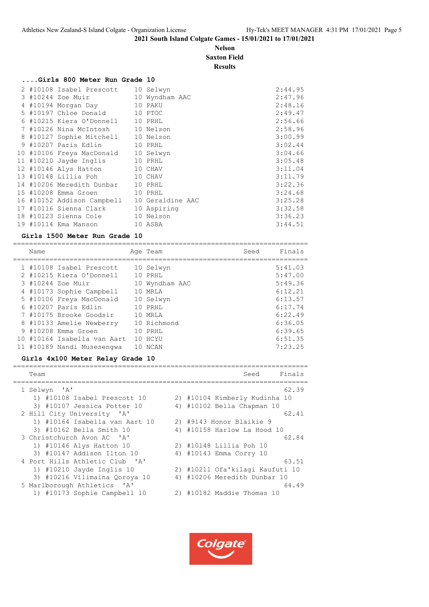## **Nelson Saxton Field**

**Results**

|  | Girls 800 Meter Run Grade 10                |  |         |
|--|---------------------------------------------|--|---------|
|  | 2 #10108 Isabel Prescott 10 Selwyn          |  | 2:44.95 |
|  | 3 #10244 Zoe Muir 10 Wyndham AAC            |  | 2:47.96 |
|  | 4 #10194 Morgan Day 10 PAKU                 |  | 2:48.16 |
|  | 5 #10197 Chloe Donald 10 PTOC               |  | 2:49.47 |
|  | 6 #10215 Kiera O'Donnell 10 PRHL            |  | 2:56.66 |
|  | 7 #10126 Nina McIntosh 10 Nelson            |  | 2:58.96 |
|  | 8 #10127 Sophie Mitchell 10 Nelson          |  | 3:00.99 |
|  | 9 #10207 Paris Edlin 10 PRHL                |  | 3:02.44 |
|  | 10 #10106 Freya MacDonald 10 Selwyn         |  | 3:04.66 |
|  | 11 #10210 Jayde Inglis 10 PRHL              |  | 3:05.48 |
|  | 12 #10146 Alys Hatton 10 CHAV               |  | 3:11.04 |
|  | 13 #10148 Lillia Poh 10 CHAV                |  | 3:11.79 |
|  | 14 #10206 Meredith Dunbar 10 PRHL           |  | 3:22.36 |
|  | 15 #10208 Emma Groen 10 PRHL                |  | 3:24.68 |
|  | 16 #10152 Addison Campbell 10 Geraldine AAC |  | 3:25.28 |
|  | 17 #10116 Sienna Clark 10 Aspiring          |  | 3:32.58 |
|  | 18 #10123 Sienna Cole 10 Nelson             |  | 3:36.23 |
|  | 19 #10114 Ema Manson 10 ASBA                |  | 3:44.51 |
|  |                                             |  |         |

#### **Girls 1500 Meter Run Grade 10**

|     | Name |                            |     | Age Team       | Seed | Finals  |
|-----|------|----------------------------|-----|----------------|------|---------|
|     |      | 1 #10108 Isabel Prescott   |     | 10 Selwyn      |      | 5:41.03 |
|     |      | 2 #10215 Kiera O'Donnell   |     | 10 PRHL        |      | 5:47.00 |
|     |      | 3 #10244 Zoe Muir          |     | 10 Wyndham AAC |      | 5:49.36 |
|     |      | 4 #10173 Sophie Campbell   |     | 10 MRLA        |      | 6:12.21 |
|     |      | 5 #10106 Freya MacDonald   |     | 10 Selwyn      |      | 6:13.57 |
|     |      | 6 #10207 Paris Edlin       |     | 10 PRHL        |      | 6:17.74 |
|     |      | 7 #10175 Brooke Goodsir    |     | 10 MRLA        |      | 6:22.49 |
|     |      | 8 #10133 Amelie Newberry   |     | 10 Richmond    |      | 6:36.05 |
|     |      | 9 #10208 Emma Groen        |     | 10 PRHL        |      | 6:39.65 |
| 1 O |      | #10164 Isabella van Aart   |     | 10 HCYU        |      | 6:51.35 |
|     |      | 11 #10189 Nandi Musesengwa | 1 ∩ | NCAN           |      | 7:23.25 |

## **Girls 4x100 Meter Relay Grade 10**

| Team                           |    | Finals<br>Seed                  |
|--------------------------------|----|---------------------------------|
| 1 Selwyn 'A'                   |    | 62.39                           |
| 1) #10108 Isabel Prescott 10   |    | 2) #10104 Kimberly Kudinha 10   |
| 3) #10107 Jessica Potter 10    |    | 4) #10102 Bella Chapman 10      |
| 2 Hill City University 'A'     |    | 62.41                           |
| 1) #10164 Isabella van Aart 10 |    | 2) #9143 Honor Blaikie 9        |
| 3) #10162 Bella Smith 10       |    | 4) #10158 Harlow La Hood 10     |
| 3 Christchurch Avon AC 'A'     |    | 62.84                           |
| 1) #10146 Alys Hatton 10       |    | 2) #10148 Lillia Poh 10         |
| 3) #10147 Addison Ilton 10     |    | 4) #10143 Emma Corry 10         |
| 4 Port Hills Athletic Club 'A' |    | 63.51                           |
| 1) #10210 Jayde Inglis 10      |    | 2) #10211 Ofa'kilagi Kaufuti 10 |
| 3) #10216 Vilimaina Qoroya 10  | 4) | #10206 Meredith Dunbar 10       |
| 5 Marlborough Athletics 'A'    |    | 64.49                           |
| 1) #10173 Sophie Campbell 10   |    | 2) #10182 Maddie Thomas 10      |

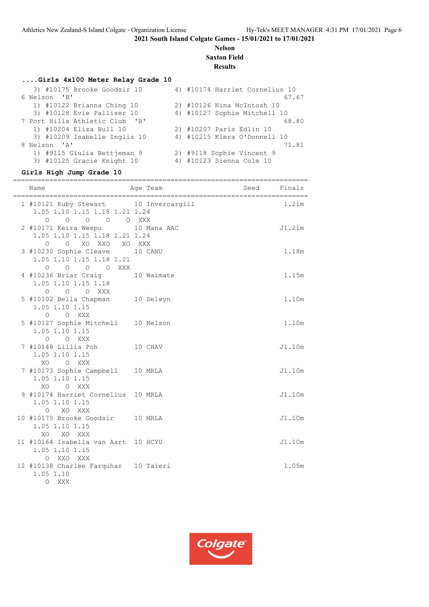#### **Nelson Saxton Field**

## **Results**

## **....Girls 4x100 Meter Relay Grade 10**

| 3) #10175 Brooke Goodsir 10    | 4) #10174 Harriet Cornelius 10 |
|--------------------------------|--------------------------------|
| 6 Nelson 'B'                   | 67.67                          |
| 1) #10122 Brianna Ching 10     | 2) #10126 Nina McIntosh 10     |
| 3) #10128 Evie Palliser 10     | 4) #10127 Sophie Mitchell 10   |
| 7 Port Hills Athletic Club 'B' | 68.80                          |
| 1) #10204 Eliza Bull 10        | 2) #10207 Paris Edlin 10       |
| 3) #10209 Isabelle Inglis 10   | 4) #10215 Kiera O'Donnell 10   |
| 8 Nelson 'A'                   | 71.81                          |
| 1) #9115 Giulia Bettjeman 9    | 2) #9118 Sophie Vincent 9      |
| 3) #10125 Gracie Knight 10     | 4) #10123 Sienna Cole 10       |

## **Girls High Jump Grade 10**

| Name                                                                                                                       | Age Team | Seed Finals |        |
|----------------------------------------------------------------------------------------------------------------------------|----------|-------------|--------|
| 1 #10121 Ruby Stewart 10 Invercargill<br>1.05 1.10 1.15 1.18 1.21 1.24<br>$\overline{O}$<br>O O XXX<br>$\Omega$<br>$\circ$ |          |             | 1.21m  |
| 2 #10171 Keira Weepu 10 Mana AAC<br>1.05 1.10 1.15 1.18 1.21 1.24<br>O XO XXO XO XXX<br>$\circ$                            |          |             | J1.21m |
| 3 #10230 Sophie Cleave 10 CANU<br>1.05 1.10 1.15 1.18 1.21<br>0 0 0 0 XXX                                                  |          |             | 1.18m  |
| 4 #10236 Briar Craig 10 Waimate<br>1.05 1.10 1.15 1.18<br>O O O XXX                                                        |          |             | 1.15m  |
| 5 #10102 Bella Chapman 10 Selwyn<br>1.05 1.10 1.15<br>O O XXX                                                              |          |             | 1.10m  |
| 5 #10127 Sophie Mitchell 10 Nelson<br>1.05 1.10 1.15<br>O O XXX                                                            |          |             | 1.10m  |
| 7 #10148 Lillia Poh 10 CHAV<br>1.05 1.10 1.15<br>XO O XXX                                                                  |          |             | J1.10m |
| 7 #10173 Sophie Campbell 10 MRLA<br>1.05 1.10 1.15<br>XO<br>O XXX                                                          |          |             | J1.10m |
| 9 #10174 Harriet Cornelius 10 MRLA<br>1.05 1.10 1.15<br>O XO XXX                                                           |          |             | J1.10m |
| 10 #10175 Brooke Goodsir 10 MRLA<br>1.05 1.10 1.15<br>XO<br>XO XXX                                                         |          |             | J1.10m |
| 11 #10164 Isabella van Aart 10 HCYU<br>1.05 1.10 1.15<br>O XXO XXX                                                         |          |             | J1.10m |
| 12 #10138 Charlee Farquhar 10 Taieri<br>1.05 1.10<br>O XXX                                                                 |          |             | 1.05m  |

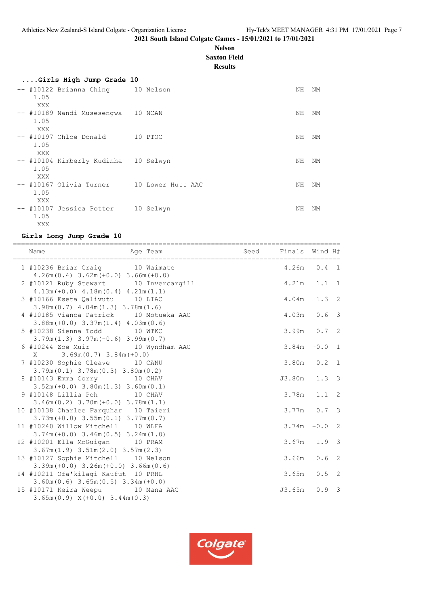#### **Nelson Saxton Field**

**Results**

| Girls High Jump Grade 10                  |         |    |    |
|-------------------------------------------|---------|----|----|
| -- #10122 Brianna Ching 10 Nelson         |         | NH | ΝM |
| 1.05                                      |         |    |    |
| XXX                                       |         |    |    |
| -- #10189 Nandi Musesengwa 10 NCAN        |         | NH | NM |
| 1.05                                      |         |    |    |
|                                           |         |    |    |
| XXX                                       |         |    |    |
| -- #10197 Chloe Donald                    | 10 PTOC | NΗ | ΝM |
| 1.05                                      |         |    |    |
| XXX                                       |         |    |    |
| -- #10104 Kimberly Kudinha 10 Selwyn      |         | NH | ΝM |
| 1.05                                      |         |    |    |
| XXX                                       |         |    |    |
| -- #10167 Olivia Turner 10 Lower Hutt AAC |         | NH | ΝM |
|                                           |         |    |    |
| 1.05                                      |         |    |    |
| XXX                                       |         |    |    |
| -- #10107 Jessica Potter 10 Selwyn        |         | NH | ΝM |
| 1.05                                      |         |    |    |
| XXX                                       |         |    |    |

#### **Girls Long Jump Grade 10**

| Age Team and Seed Finals Wind H#<br>Name                                                                            |             |                          |
|---------------------------------------------------------------------------------------------------------------------|-------------|--------------------------|
| 1 #10236 Briar Craig 10 Waimate<br>$4.26m(0.4)$ 3.62m (+0.0) 3.66m (+0.0)                                           |             | $4.26m$ 0.4 1            |
| 2 #10121 Ruby Stewart 10 Invercargill<br>$4.13m (+0.0)$ $4.18m (0.4)$ $4.21m (1.1)$                                 |             | $4.21m$ $1.1$ 1          |
| 3 #10166 Eseta Qalivutu 10 LIAC<br>$3.98m(0.7)$ 4.04m $(1.3)$ 3.78m $(1.6)$                                         |             | 4.04m 1.3 2              |
| 4 #10185 Vianca Patrick 10 Motueka AAC<br>$3.88m (+0.0)$ $3.37m(1.4)$ $4.03m(0.6)$                                  |             | $4.03m$ 0.6 3            |
| 5 #10238 Sienna Todd 10 WTKC<br>$3.79m(1.3)$ $3.97m(-0.6)$ $3.99m(0.7)$                                             |             | $3.99m$ 0.7 2            |
| 6 #10244 Zoe Muir 10 Wyndham AAC                                                                                    | 3.84m       | $+0.0$<br>$\overline{1}$ |
| $X = 3.69m(0.7) 3.84m(+0.0)$<br>7 #10230 Sophie Cleave 10 CANU                                                      |             | $3.80m$ $0.2$ 1          |
| $3.79m(0.1)$ $3.78m(0.3)$ $3.80m(0.2)$<br>8 #10143 Emma Corry 10 CHAV                                               |             | J3.80m 1.3 3             |
| $3.52m (+0.0) 3.80m (1.3) 3.60m (0.1)$<br>9 #10148 Lillia Poh 10 CHAV                                               |             | $3.78m$ $1.1$ 2          |
| $3.46m(0.2)$ $3.70m(+0.0)$ $3.78m(1.1)$<br>10 #10138 Charlee Farquhar 10 Taieri                                     |             | $3.77m$ 0.7 3            |
| $3.73m (+0.0)$ $3.55m (0.1)$ $3.77m (0.7)$<br>11 #10240 Willow Mitchell 10 WLFA                                     |             | $3.74m + 0.02$           |
| $3.74m (+0.0)$ $3.46m (0.5)$ $3.24m (1.0)$<br>12 #10201 Ella McGuigan 10 PRAM                                       |             | $3.67m$ 1.9 3            |
| $3.67m(1.9)$ $3.51m(2.0)$ $3.57m(2.3)$<br>13 #10127 Sophie Mitchell 10 Nelson                                       | $3.66m$ 0.6 | $\overline{2}$           |
| $3.39m (+0.0)$ $3.26m (+0.0)$ $3.66m (0.6)$<br>14 #10211 Ofa'kilagi Kaufut 10 PRHL                                  |             | $3.65m$ $0.5$ 2          |
| $3.60m(0.6)$ $3.65m(0.5)$ $3.34m(+0.0)$<br>15 #10171 Keira Weepu 10 Mana AAC<br>$3.65m(0.9)$ $X(+0.0)$ $3.44m(0.3)$ | J3.65m      | $0.9 \quad 3$            |

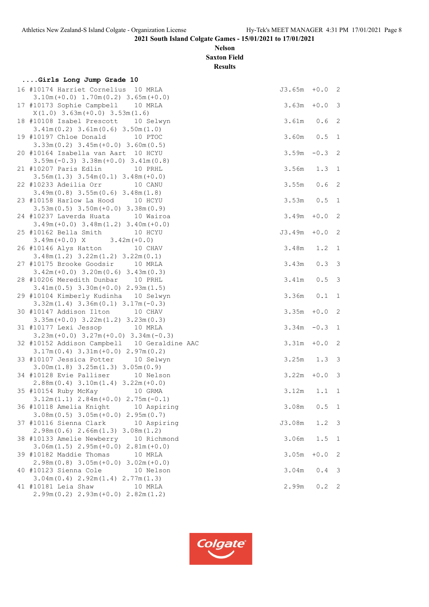**Nelson Saxton Field**

**Results**

| Girls Long Jump Grade 10                                                               |                 |                  |                            |
|----------------------------------------------------------------------------------------|-----------------|------------------|----------------------------|
| 16 #10174 Harriet Cornelius 10 MRLA<br>$3.10m (+0.0) 1.70m (0.2) 3.65m (+0.0)$         | $J3.65m + 0.02$ |                  |                            |
| 17 #10173 Sophie Campbell 10 MRLA<br>$X(1.0)$ 3.63m $(+0.0)$ 3.53m $(1.6)$             | 3.63m           | $+0.0$ 3         |                            |
| 18 #10108 Isabel Prescott 10 Selwyn<br>$3.41m(0.2)$ $3.61m(0.6)$ $3.50m(1.0)$          | 3.61m           | 0.6              | $\overline{2}$             |
| 19 #10197 Chloe Donald 10 PTOC<br>$3.33m(0.2)$ $3.45m(+0.0)$ $3.60m(0.5)$              | $3.60m$ 0.5     |                  | 1                          |
| 20 #10164 Isabella van Aart 10 HCYU<br>$3.59m(-0.3)$ $3.38m(+0.0)$ $3.41m(0.8)$        | $3.59m - 0.3$ 2 |                  |                            |
| 21 #10207 Paris Edlin<br>10 PRHL<br>$3.56m(1.3)$ $3.54m(0.1)$ $3.48m(+0.0)$            | 3.56m           | 1.3 <sub>1</sub> |                            |
| 22 #10233 Adeilia Orr 10 CANU<br>$3.49m(0.8)$ $3.55m(0.6)$ $3.48m(1.8)$                | 3.55m           | $0.6-2$          |                            |
| 23 #10158 Harlow La Hood 10 HCYU<br>$3.53m(0.5)$ $3.50m(+0.0)$ $3.38m(0.9)$            | $3.53m$ 0.5     |                  | 1                          |
| 24 #10237 Laverda Huata 10 Wairoa<br>$3.49m (+0.0)$ $3.48m (1.2)$ $3.40m (+0.0)$       | 3.49m           | $+0.0$ 2         |                            |
| 25 #10162 Bella Smith 10 HCYU<br>$3.49m(+0.0)$ X $3.42m(+0.0)$                         | J3.49m          | $+0.0$           | $\overline{\phantom{0}}^2$ |
| 26 #10146 Alys Hatton 10 CHAV<br>$3.48m(1.2)$ $3.22m(1.2)$ $3.22m(0.1)$                | 3.48m           | $1.2 \quad 1$    |                            |
| 27 #10175 Brooke Goodsir 10 MRLA<br>$3.42m (+0.0)$ $3.20m (0.6)$ $3.43m (0.3)$         | 3.43m           | 0.33             |                            |
| 28 #10206 Meredith Dunbar 10 PRHL<br>$3.41m(0.5)$ $3.30m(+0.0)$ $2.93m(1.5)$           | 3.41m           | $0.5 \quad 3$    |                            |
| 29 #10104 Kimberly Kudinha 10 Selwyn<br>$3.32m(1.4)$ $3.36m(0.1)$ $3.17m(-0.3)$        | $3.36m$ $0.1$   |                  | 1                          |
| 30 #10147 Addison Ilton 10 CHAV<br>$3.35m (+0.0)$ $3.22m (1.2)$ $3.23m (0.3)$          | 3.35m           | $+0.0$           | $\overline{2}$             |
| 31 #10177 Lexi Jessop 10 MRLA<br>$3.23m (+0.0)$ $3.27m (+0.0)$ $3.34m (-0.3)$          | $3.34m - 0.3$   |                  | 1                          |
| 32 #10152 Addison Campbell 10 Geraldine AAC<br>$3.17m(0.4)$ $3.31m(+0.0)$ $2.97m(0.2)$ | 3.31m           | $+0.0$           | 2                          |
| 33 #10107 Jessica Potter 10 Selwyn<br>$3.00m(1.8)$ $3.25m(1.3)$ $3.05m(0.9)$           | $3.25m$ $1.3$ 3 |                  |                            |
| 34 #10128 Evie Palliser 10 Nelson<br>$2.88m(0.4)$ 3.10m(1.4) 3.22m(+0.0)               | $3.22m + 0.0$ 3 |                  |                            |
| 35 #10154 Ruby McKay 10 GRMA<br>$3.12m(1.1)$ $2.84m(+0.0)$ $2.75m(-0.1)$               | $3.12m$ $1.1$ 1 |                  |                            |
| 36 #10118 Amelia Knight 10 Aspiring<br>$3.08m(0.5)$ $3.05m(+0.0)$ $2.95m(0.7)$         | 3.08m           | $0.5 \quad 1$    |                            |
| 37 #10116 Sienna Clark 10 Aspiring<br>$2.98m(0.6)$ $2.66m(1.3)$ $3.08m(1.2)$           | J3.08m          | $1.2 \quad 3$    |                            |
| 38 #10133 Amelie Newberry 10 Richmond<br>$3.06m(1.5)$ $2.95m(+0.0)$ $2.81m(+0.0)$      | 3.06m           | 1.5              | $\mathbf{1}$               |
| 39 #10182 Maddie Thomas<br>10 MRLA<br>$2.98m(0.8)$ 3.05m (+0.0) 3.02m (+0.0)           | 3.05m           | $+0.0$ 2         |                            |
| 40 #10123 Sienna Cole<br>10 Nelson<br>$3.04m(0.4)$ $2.92m(1.4)$ $2.77m(1.3)$           | 3.04m           | 0.4 3            |                            |
| 41 #10181 Leia Shaw<br>10 MRLA<br>$2.99m(0.2)$ $2.93m(+0.0)$ $2.82m(1.2)$              | 2.99m           | $0.2$ 2          |                            |

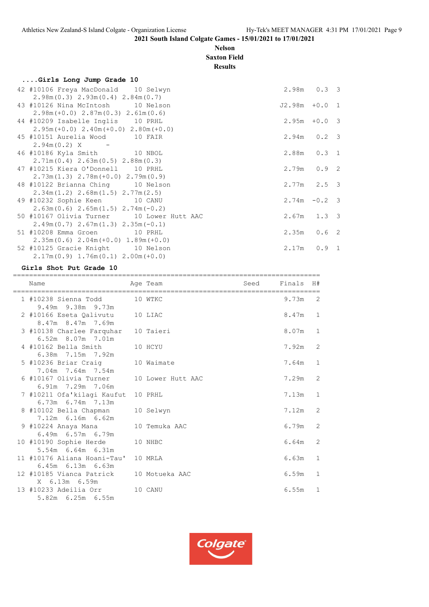#### **Nelson Saxton Field**

**Results**

| Girls Long Jump Grade 10                                                             |                  |  |
|--------------------------------------------------------------------------------------|------------------|--|
| 42 #10106 Freya MacDonald 10 Selwyn                                                  | $2.98m$ $0.3$ 3  |  |
| $2.98m(0.3)$ $2.93m(0.4)$ $2.84m(0.7)$                                               |                  |  |
| 43 #10126 Nina McIntosh 10 Nelson                                                    | $J2.98m + 0.0 1$ |  |
| $2.98m (+0.0) 2.87m (0.3) 2.61m (0.6)$                                               |                  |  |
| 44 #10209 Isabelle Inglis 10 PRHL                                                    | $2.95m + 0.0$ 3  |  |
| $2.95m (+0.0) 2.40m (+0.0) 2.80m (+0.0)$                                             |                  |  |
| 45 #10151 Aurelia Wood 10 FAIR                                                       | $2.94m$ 0.2 3    |  |
| $2.94m(0.2)$ X -                                                                     |                  |  |
| 46 #10186 Kyla Smith 10 NBOL                                                         | 2.88m  0.3  1    |  |
| $2.71m(0.4)$ $2.63m(0.5)$ $2.88m(0.3)$                                               |                  |  |
| 47 #10215 Kiera O'Donnell 10 PRHL                                                    | $2.79m$ 0.9 2    |  |
| $2.73m(1.3)$ $2.78m(+0.0)$ $2.79m(0.9)$                                              |                  |  |
| 48 #10122 Brianna Ching 10 Nelson                                                    | $2.77m$ $2.5$ 3  |  |
| $2.34m(1.2)$ $2.68m(1.5)$ $2.77m(2.5)$                                               |                  |  |
| 49 #10232 Sophie Keen 10 CANU                                                        | $2.74m - 0.2$ 3  |  |
| $2.63m(0.6)$ $2.65m(1.5)$ $2.74m(-0.2)$<br>50 #10167 Olivia Turner 10 Lower Hutt AAC | $2.67m$ 1.3 3    |  |
| $2.49m(0.7)$ $2.67m(1.3)$ $2.35m(-0.1)$                                              |                  |  |
| 51 #10208 Emma Groen 10 PRHL                                                         | $2.35m$ 0.6 2    |  |
| $2.35m(0.6)$ $2.04m(+0.0)$ $1.89m(+0.0)$                                             |                  |  |
| 52 #10125 Gracie Knight 10 Nelson                                                    | $2.17m$ 0.9 1    |  |
| $2.17m(0.9)$ 1.76m $(0.1)$ 2.00m $(+0.0)$                                            |                  |  |
|                                                                                      |                  |  |

#### **Girls Shot Put Grade 10**

============================================================================ Name Age Team Seed Finals H# ============================================================================ 1 #10238 Sienna Todd 10 WTKC 9.73m 2 9.49m 9.38m 9.73m 2 #10166 Eseta Qalivutu 10 LIAC 8.47m 1 8.47m 8.47m 7.69m 3 #10138 Charlee Farquhar 10 Taieri 10 10 8.07m 1 6.52m 8.07m 7.01m 4 #10162 Bella Smith 10 HCYU 7.92m 2 6.38m 7.15m 7.92m 5 #10236 Briar Craig 10 Waimate 7.64m 1 7.04m 7.64m 7.54m 6 #10167 Olivia Turner 10 Lower Hutt AAC 7.29m 2 6.91m 7.29m 7.06m 7 #10211 Ofa'kilagi Kaufut 10 PRHL 7.13m 1 6.73m 6.74m 7.13m 8 #10102 Bella Chapman 10 Selwyn 7.12m 2 7.12m 6.16m 6.62m 9 #10224 Anaya Mana 10 Temuka AAC 6.79m 2 6.49m 6.57m 6.79m 10 #10190 Sophie Herde 10 NHBC 6.64m 2 5.54m 6.64m 6.31m 11 #10176 Aliana Hoani-Tau' 10 MRLA 6.63m 1 6.45m 6.13m 6.63m 12 #10185 Vianca Patrick 10 Motueka AAC 6.59m 1 X 6.13m 6.59m 13 #10233 Adeilia Orr 10 CANU 6.55m 1 5.82m 6.25m 6.55m

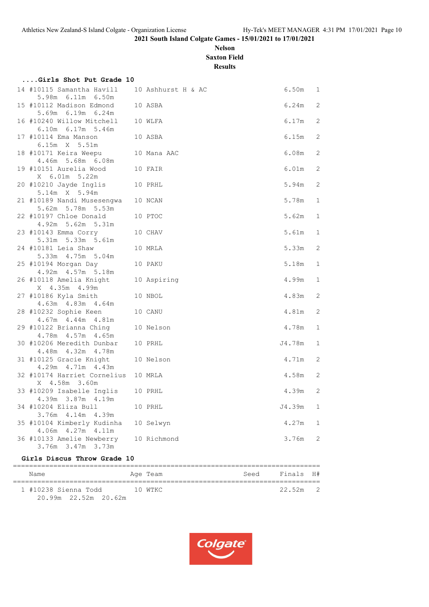## **Nelson Saxton Field**

**Results**

| Girls Shot Put Grade 10                                  |                    |           |             |
|----------------------------------------------------------|--------------------|-----------|-------------|
| 14 #10115 Samantha Havill                                | 10 Ashhurst H & AC | $6.50m$ 1 |             |
| 5.98m 6.11m 6.50m<br>15 #10112 Madison Edmond            | 10 ASBA            | 6.24m     | 2           |
| 5.69m 6.19m 6.24m                                        |                    |           |             |
| 16 #10240 Willow Mitchell<br>6.10m 6.17m 5.46m           | 10 WLFA            | 6.17m     | 2           |
| 17 #10114 Ema Manson<br>6.15m X 5.51m                    | 10 ASBA            | 6.15m     | 2           |
| 18 #10171 Keira Weepu                                    | 10 Mana AAC        | 6.08m     | 2           |
| 4.46m 5.68m 6.08m<br>19 #10151 Aurelia Wood              | 10 FAIR            | $6.01m$ 2 |             |
| X 6.01m 5.22m<br>20 #10210 Jayde Inglis<br>5.14m X 5.94m | 10 PRHL            | 5.94m     | 2           |
| 21 #10189 Nandi Musesengwa<br>5.62m 5.78m 5.53m          | 10 NCAN            | 5.78m     | $\mathbf 1$ |
| 22 #10197 Chloe Donald<br>4.92m 5.62m 5.31m              | 10 PTOC            | 5.62m     | $\mathbf 1$ |
| 23 #10143 Emma Corry<br>5.31m 5.33m 5.61m                | 10 CHAV            | 5.61m     | $\mathbf 1$ |
| 24 #10181 Leia Shaw                                      | 10 MRLA            | 5.33m     | -2          |
| 5.33m  4.75m  5.04m<br>25 #10194 Morgan Day              | 10 PAKU            | 5.18m     | 1           |
| 4.92m  4.57m  5.18m<br>26 #10118 Amelia Knight           | 10 Aspiring        | 4.99m     | $\mathbf 1$ |
| X 4.35m 4.99m<br>27 #10186 Kyla Smith                    | 10 NBOL            | 4.83m     | 2           |
| 4.63m  4.83m  4.64m                                      |                    |           |             |
| 28 #10232 Sophie Keen<br>4.67m  4.44m  4.81m             | 10 CANU            | 4.81m     | 2           |
| 29 #10122 Brianna Ching<br>4.78m  4.57m  4.65m           | 10 Nelson          | 4.78m     | $\mathbf 1$ |
| 30 #10206 Meredith Dunbar                                | 10 PRHL            | J4.78m    | $\mathbf 1$ |
| 4.48m  4.32m  4.78m<br>31 #10125 Gracie Knight           | 10 Nelson          | 4.71m     | 2           |
| 4.29m  4.71m  4.43m                                      |                    |           |             |
| 32 #10174 Harriet Cornelius<br>X 4.58m 3.60m             | 10 MRLA            | 4.58m     | 2           |
| 33 #10209 Isabelle Inglis                                | 10 PRHL            | 4.39m     | 2           |
| 4.39m 3.87m 4.19m                                        |                    |           |             |
| 34 #10204 Eliza Bull<br>3.76m 4.14m 4.39m                | 10 PRHL            | J4.39m    | $\mathbf 1$ |
| 35 #10104 Kimberly Kudinha                               | 10 Selwyn          | 4.27m     | $\mathbf 1$ |
| 4.06m 4.27m 4.11m<br>36 #10133 Amelie Newberry           | 10 Richmond        | 3.76m     | -2          |
| 3.76m 3.47m 3.73m                                        |                    |           |             |

#### **Girls Discus Throw Grade 10**

| Name                 |  | Age Team | Seed | Finals H#  |  |
|----------------------|--|----------|------|------------|--|
| 1 #10238 Sienna Todd |  | 10 WTKC  |      | $22.52m$ 2 |  |
| 20.99m 22.52m 20.62m |  |          |      |            |  |

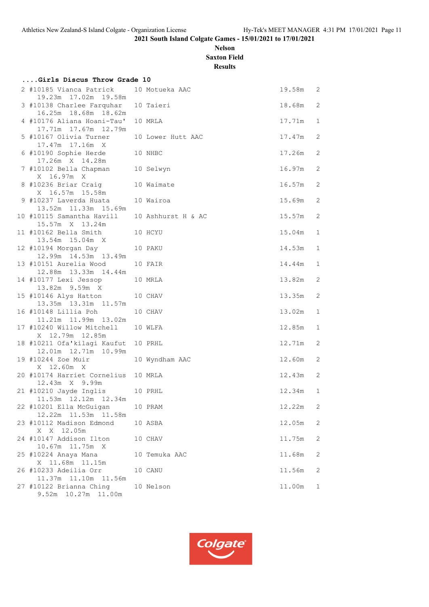## **Nelson Saxton Field**

**Results**

| Girls Discus Throw Grade 10                                     |                |            |              |
|-----------------------------------------------------------------|----------------|------------|--------------|
| 2 #10185 Vianca Patrick<br>19.23m 17.02m 19.58m                 | 10 Motueka AAC | 19.58m 2   |              |
| 3 #10138 Charlee Farquhar 10 Taieri<br>16.25m  18.68m  18.62m   |                | 18.68m     | 2            |
| 4 #10176 Aliana Hoani-Tau' 10 MRLA<br>17.71m  17.67m  12.79m    |                | 17.71m     | 1            |
| 5 #10167 Olivia Turner 10 Lower Hutt AAC<br>17.47m  17.16m  X   |                | 17.47m     | 2            |
| 6 #10190 Sophie Herde<br>10 NHBC<br>17.26m X 14.28m             |                | 17.26m     | 2            |
| 7 #10102 Bella Chapman 10 Selwyn<br>X 16.97m X                  |                | $16.97m$ 2 |              |
| 8 #10236 Briar Craig 10 Waimate<br>X 16.57m 15.58m              |                | 16.57m     | 2            |
| 9 #10237 Laverda Huata 10 Wairoa<br>13.52m  11.33m  15.69m      |                | 15.69m     | 2            |
| 10 #10115 Samantha Havill 10 Ashhurst H & AC<br>15.57m X 13.24m |                | 15.57m     | 2            |
| 11 #10162 Bella Smith<br>10 HCYU<br>13.54m 15.04m X             |                | 15.04m     | $\mathbf 1$  |
| 12 #10194 Morgan Day<br>12.99m  14.53m  13.49m                  | 10 PAKU        | 14.53m     | $\mathbf 1$  |
| 13 #10151 Aurelia Wood<br>12.88m  13.33m  14.44m                | 10 FAIR        | 14.44m     | 1            |
| 14 #10177 Lexi Jessop<br>13.82m 9.59m X                         | 10 MRLA        | 13.82m     | 2            |
| 15 #10146 Alys Hatton<br>13.35m  13.31m  11.57m                 | 10 CHAV        | 13.35m     | 2            |
| 16 #10148 Lillia Poh<br>11.21m  11.99m  13.02m                  | 10 CHAV        | 13.02m     | $\mathbf{1}$ |
| 17 #10240 Willow Mitchell 10 WLFA<br>X 12.79m 12.85m            |                | 12.85m     | $\mathbf 1$  |
| 18 #10211 Ofa'kilagi Kaufut 10 PRHL<br>12.01m  12.71m  10.99m   |                | 12.71m     | 2            |
| 19 #10244 Zoe Muir<br>X 12.60m X                                | 10 Wyndham AAC | 12.60m     | 2            |
| 20 #10174 Harriet Cornelius 10 MRLA<br>12.43m X 9.99m           |                | 12.43m     | 2            |
| 21 #10210 Jayde Inglis 10 PRHL<br>11.53m  12.12m  12.34m        |                | 12.34m     | 1            |
| 22 #10201 Ella McGuigan<br>12.22m  11.53m  11.58m               | 10 PRAM        | 12.22m     | 2            |
| 23 #10112 Madison Edmond<br>X X 12.05m                          | 10 ASBA        | 12.05m     | 2            |
| 24 #10147 Addison Ilton<br>10.67m 11.75m X                      | 10 CHAV        | 11.75m     | 2            |
| 25 #10224 Anaya Mana<br>X 11.68m 11.15m                         | 10 Temuka AAC  | 11.68m     | 2            |
| 26 #10233 Adeilia Orr<br>11.37m  11.10m  11.56m                 | 10 CANU        | 11.56m     | 2            |
| 27 #10122 Brianna Ching<br>9.52m 10.27m 11.00m                  | 10 Nelson      | 11.00m     | 1            |

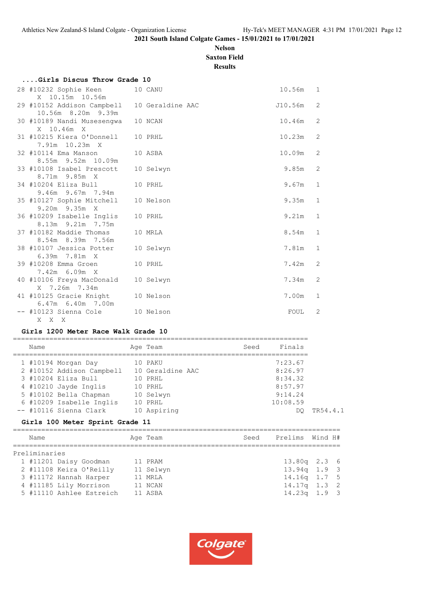## **Nelson Saxton Field**

**Results**

| Girls Discus Throw Grade 10                                         |  |           |         |              |  |  |  |  |  |  |  |
|---------------------------------------------------------------------|--|-----------|---------|--------------|--|--|--|--|--|--|--|
| 28 #10232 Sophie Keen<br>X 10.15m 10.56m                            |  | 10 CANU   | 10.56m  | $\mathbf{1}$ |  |  |  |  |  |  |  |
| 29 #10152 Addison Campbell 10 Geraldine AAC<br>10.56m 8.20m 9.39m   |  |           | J10.56m | 2            |  |  |  |  |  |  |  |
| 30 #10189 Nandi Musesengwa                                          |  | 10 NCAN   | 10.46m  | 2            |  |  |  |  |  |  |  |
| X 10.46m X<br>31 #10215 Kiera O'Donnell<br>7.91m 10.23m X           |  | 10 PRHL   | 10.23m  | 2            |  |  |  |  |  |  |  |
| 32 #10114 Ema Manson<br>8.55m 9.52m 10.09m                          |  | 10 ASBA   | 10.09m  | 2            |  |  |  |  |  |  |  |
| 33 #10108 Isabel Prescott<br>8.71m 9.85m X                          |  | 10 Selwyn | 9.85m   | 2            |  |  |  |  |  |  |  |
| 34 #10204 Eliza Bull<br>9.46m 9.67m 7.94m                           |  | 10 PRHL   | 9.67m   | $\mathbf{1}$ |  |  |  |  |  |  |  |
| 35 #10127 Sophie Mitchell<br>9.20m 9.35m X                          |  | 10 Nelson | 9.35m   | $\mathbf{1}$ |  |  |  |  |  |  |  |
| 36 #10209 Isabelle Inglis<br>8.13m 9.21m 7.75m                      |  | 10 PRHL   | 9.21m   | $\mathbf{1}$ |  |  |  |  |  |  |  |
| 37 #10182 Maddie Thomas<br>8.54m 8.39m 7.56m                        |  | 10 MRLA   | 8.54m   | $\mathbf{1}$ |  |  |  |  |  |  |  |
| 38 #10107 Jessica Potter<br>6.39m 7.81m X                           |  | 10 Selwyn | 7.81m   | $\mathbf{1}$ |  |  |  |  |  |  |  |
| 39 #10208 Emma Groen<br>$7.42m$ 6.09m X                             |  | 10 PRHL   | 7.42m   | 2            |  |  |  |  |  |  |  |
| 40 #10106 Freya MacDonald                                           |  | 10 Selwyn | 7.34m   | 2            |  |  |  |  |  |  |  |
| X 7.26m 7.34m<br>41 #10125 Gracie Knight                            |  | 10 Nelson | 7.00m   | $\mathbf{1}$ |  |  |  |  |  |  |  |
| $6.47m$ $6.40m$ $7.00m$<br>-- #10123 Sienna Cole 10 Nelson<br>X X X |  |           | FOUL    | 2            |  |  |  |  |  |  |  |

#### **Girls 1200 Meter Race Walk Grade 10**

| Name |                           | Age Team         | Seed | Finals   |
|------|---------------------------|------------------|------|----------|
|      | 1 #10194 Morgan Day       | 10 PAKU          |      | 7:23.67  |
|      | 2 #10152 Addison Campbell | 10 Geraldine AAC |      | 8:26.97  |
|      | 3 #10204 Eliza Bull       | 10 PRHL          |      | 8:34.32  |
|      | 4 #10210 Jayde Inglis     | 10 PRHL          |      | 8:57.97  |
|      | 5 #10102 Bella Chapman    | 10 Selwyn        |      | 9:14.24  |
|      | 6 #10209 Isabelle Inglis  | 10 PRHL          |      | 10:08.59 |
|      | -- #10116 Sienna Clark    | 10 Aspiring      |      | DO       |
|      |                           |                  |      |          |

## **Girls 100 Meter Sprint Grade 11**

| Name                     | Age Team  | Seed | Prelims Wind H# |  |
|--------------------------|-----------|------|-----------------|--|
| Preliminaries            |           |      |                 |  |
| 1 #11201 Daisy Goodman   | 11 PRAM   |      | $13.80q$ 2.3 6  |  |
| 2 #11108 Keira O'Reilly  | 11 Selwyn |      | $13.94q$ 1.9 3  |  |
| 3 #11172 Hannah Harper   | 11 MRLA   |      | $14.16q$ 1.7 5  |  |
| 4 #11185 Lily Morrison   | 11 NCAN   |      | $14.17q$ 1.3 2  |  |
| 5 #11110 Ashlee Estreich | 11 ASBA   |      | $14.23q$ 1.9 3  |  |
|                          |           |      |                 |  |

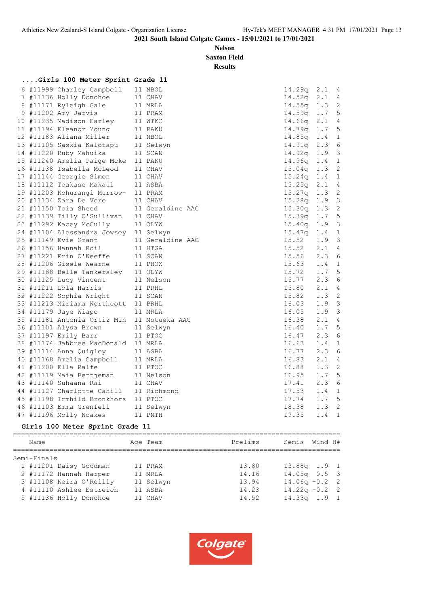**Nelson Saxton Field**

**Results**

## **....Girls 100 Meter Sprint Grade 11**

|  | 6 #11999 Charley Campbell   | 11 NBOL          | 14.29q | 2.1              | - 4                        |
|--|-----------------------------|------------------|--------|------------------|----------------------------|
|  | 7 #11136 Holly Donohoe      | 11 CHAV          | 14.52q | 2.1              | $\overline{4}$             |
|  | 8 #11171 Ryleigh Gale       | 11 MRLA          | 14.55q | 1.3              | $\overline{\phantom{0}}^2$ |
|  | 9 #11202 Amy Jarvis         | 11 PRAM          | 14.59q | 1.75             |                            |
|  | 10 #11235 Madison Earley    | 11 WTKC          | 14.66q | $2 \cdot 1$      | $\overline{4}$             |
|  | 11 #11194 Eleanor Young     | 11 PAKU          | 14.79q | 1.7              | 5                          |
|  | 12 #11183 Aliana Miller     | 11 NBOL          | 14.85q | 1.4              | $\overline{1}$             |
|  | 13 #11105 Saskia Kalotapu   | 11 Selwyn        | 14.91q | 2.3              | 6                          |
|  | 14 #11220 Ruby Mahuika      | 11 SCAN          | 14.92q | 1.9              | $\overline{\mathbf{3}}$    |
|  | 15 #11240 Amelia Paige Mcke | 11 PAKU          | 14.96q | 1.4              | $\mathbf 1$                |
|  | 16 #11138 Isabella McLeod   | 11 CHAV          | 15.04q | 1.3              | $\overline{c}$             |
|  | 17 #11144 Georgie Simon     | 11 CHAV          | 15.24q | 1.4              | $\mathbf{1}$               |
|  | 18 #11112 Toakase Makaui    | 11 ASBA          | 15.25q | 2.1              | $\overline{4}$             |
|  | 19 #11203 Kohurangi Murrow- | 11 PRAM          | 15.27q | 1.3              | $\overline{c}$             |
|  | 20 #11134 Zara De Vere      | 11 CHAV          | 15.28q | 1.9 3            |                            |
|  | 21 #11150 Toia Sheed        | 11 Geraldine AAC | 15.30q | 1.3              | $\overline{c}$             |
|  | 22 #11139 Tilly O'Sullivan  | 11 CHAV          | 15.39q | 1.7 <sub>5</sub> |                            |
|  | 23 #11292 Kacey McCully     | 11 OLYW          | 15.40q | 1.9              | 3                          |
|  | 24 #11104 Alessandra Jowsey | 11 Selwyn        | 15.47q | 1.4              | 1                          |
|  | 25 #11149 Evie Grant        | 11 Geraldine AAC | 15.52  | 1.9              | $\overline{\mathbf{3}}$    |
|  | 26 #11156 Hannah Roil       | 11 HTGA          | 15.52  | 2.14             |                            |
|  | 27 #11221 Erin O'Keeffe     | 11 SCAN          | 15.56  | 2.36             |                            |
|  | 28 #11206 Gisele Wearne     | 11 PHOX          | 15.63  | 1.4              | $\mathbf{1}$               |
|  | 29 #11188 Belle Tankersley  | 11 OLYW          | 15.72  | $1.7-5$          |                            |
|  | 30 #11125 Lucy Vincent      | 11 Nelson        | 15.77  | 2.3              | 6                          |
|  | 31 #11211 Lola Harris       | 11 PRHL          | 15.80  | 2.1              | 4                          |
|  | 32 #11222 Sophia Wright     | 11 SCAN          | 15.82  | 1.3              | $\overline{c}$             |
|  | 33 #11213 Miriama Northcott | 11 PRHL          | 16.03  | 1.9 3            |                            |
|  | 34 #11179 Jaye Wiapo        | 11 MRLA          | 16.05  | 1.9              | $\overline{\mathbf{3}}$    |
|  | 35 #11181 Antonia Ortiz Min | 11 Motueka AAC   | 16.38  | 2.14             |                            |
|  | 36 #11101 Alysa Brown       | 11 Selwyn        | 16.40  | 1.7              | 5                          |
|  | 37 #11197 Emily Barr        | 11 PTOC          | 16.47  | 2.3              | 6                          |
|  | 38 #11174 Jahbree MacDonald | 11 MRLA          | 16.63  | 1.4              | $\mathbf{1}$               |
|  | 39 #11114 Anna Quigley      | 11 ASBA          | 16.77  | 2.3              | 6                          |
|  | 40 #11168 Amelia Campbell   | 11 MRLA          | 16.83  | 2.1              | $\overline{4}$             |
|  | 41 #11200 Ella Ralfe        | 11 PTOC          | 16.88  | 1.3              | $\overline{\phantom{0}}^2$ |
|  | 42 #11119 Maia Bettjeman    | 11 Nelson        | 16.95  | $1.7-5$          |                            |
|  | 43 #11140 Suhaana Rai       | 11 CHAV          | 17.41  | 2.3              | 6                          |
|  | 44 #11127 Charlotte Cahill  | 11 Richmond      | 17.53  | $1.4 \quad 1$    |                            |
|  | 45 #11198 Irmhild Bronkhors | 11 PTOC          | 17.74  | 1.7 <sub>5</sub> |                            |
|  | 46 #11103 Emma Grenfell     | 11 Selwyn        | 18.38  | 1.3              | $\overline{2}$             |
|  | 47 #11196 Molly Noakes      | 11 PNTH          | 19.35  | 1.4              | $\mathbf 1$                |
|  |                             |                  |        |                  |                            |

## **Girls 100 Meter Sprint Grade 11**

| Name                     | Age Team  | Prelims | Semis            | Wind H# |  |
|--------------------------|-----------|---------|------------------|---------|--|
| Semi-Finals              |           |         |                  |         |  |
| 1 #11201 Daisy Goodman   | 11 PRAM   | 13.80   | 13.88q 1.9 1     |         |  |
| 2 #11172 Hannah Harper   | 11 MRLA   | 14.16   | $14.05q$ 0.5 3   |         |  |
| 3 #11108 Keira O'Reilly  | 11 Selwyn | 13.94   | $14.06q - 0.2$ 2 |         |  |
| 4 #11110 Ashlee Estreich | 11 ASBA   | 14.23   | $14.22q - 0.2$ 2 |         |  |
| 5 #11136 Holly Donohoe   | 11 CHAV   | 14.52   | $14.33q$ $1.9$ 1 |         |  |
|                          |           |         |                  |         |  |

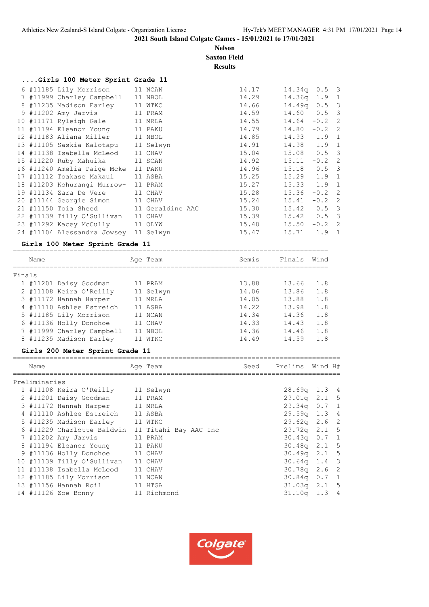**Nelson Saxton Field**

## **Results**

| Girls 100 Meter Sprint Grade 11             |         |       |                 |          |  |
|---------------------------------------------|---------|-------|-----------------|----------|--|
| 6 #11185 Lily Morrison 11 NCAN              |         | 14.17 | $14.34q$ 0.5 3  |          |  |
| 7 #11999 Charley Campbell 11 NBOL           |         | 14.29 | $14.36q$ 1.9 1  |          |  |
| 8 #11235 Madison Earley 11 WTKC             |         | 14.66 | $14.49q$ 0.5 3  |          |  |
| 9 #11202 Amy Jarvis 11 PRAM                 |         | 14.59 | 14.60  0.5  3   |          |  |
| 10 #11171 Ryleigh Gale 11 MRLA              |         | 14.55 | $14.64 - 0.2$ 2 |          |  |
| 11 #11194 Eleanor Young 11 PAKU             |         | 14.79 | $14.80 - 0.2$ 2 |          |  |
| 12 #11183 Aliana Miller 11 NBOL             |         | 14.85 | 14.93 1.9 1     |          |  |
| 13 #11105 Saskia Kalotapu 11 Selwyn         |         | 14.91 | 14.98  1.9  1   |          |  |
| 14 #11138 Isabella McLeod 11 CHAV           |         | 15.04 | 15.08  0.5  3   |          |  |
| 15 #11220 Ruby Mahuika 11 SCAN              |         | 14.92 | 15.11           | $-0.2$ 2 |  |
| 16 #11240 Amelia Paige Mcke                 | 11 PAKU | 14.96 | 15.18  0.5  3   |          |  |
| 17 #11112 Toakase Makaui 11 ASBA            |         | 15.25 | $15.29$ $1.9$ 1 |          |  |
| 18 #11203 Kohurangi Murrow- 11 PRAM         |         | 15.27 | $15.33$ $1.9$ 1 |          |  |
| 19 #11134 Zara De Vere 11 CHAV              |         | 15.28 | 15.36           | $-0.2$ 2 |  |
| 20 #11144 Georgie Simon 11 CHAV             |         | 15.24 | 15.41           | $-0.2$ 2 |  |
| 21 #11150 Toia Sheed 11 Geraldine AAC 15.30 |         |       | $15.42$ 0.5 3   |          |  |
| 22 #11139 Tilly O'Sullivan 11 CHAV          |         | 15.39 | 15.42 0.5 3     |          |  |
| 23 #11292 Kacey McCully 11 OLYW             |         | 15.40 | $15.50 -0.2$ 2  |          |  |
| 24 #11104 Alessandra Jowsey 11 Selwyn       |         | 15.47 | 15.71           | 1.9 1    |  |

#### **Girls 100 Meter Sprint Grade 11**

|        | Name |                           | Age Team  | Semis | Finals | Wind |
|--------|------|---------------------------|-----------|-------|--------|------|
| Finals |      |                           |           |       |        |      |
|        |      | 1 #11201 Daisy Goodman    | 11 PRAM   | 13.88 | 13.66  | 1.8  |
|        |      | 2 #11108 Keira O'Reilly   | 11 Selwyn | 14.06 | 13.86  | 1.8  |
|        |      | 3 #11172 Hannah Harper    | 11 MRLA   | 14.05 | 13.88  | 1.8  |
|        |      | 4 #11110 Ashlee Estreich  | 11 ASBA   | 14.22 | 13.98  | 1.8  |
|        |      | 5 #11185 Lily Morrison    | 11 NCAN   | 14.34 | 14.36  | 1.8  |
|        |      | 6 #11136 Holly Donohoe    | 11 CHAV   | 14.33 | 14.43  | 1.8  |
|        |      | 7 #11999 Charley Campbell | 11 NBOL   | 14.36 | 14.46  | 1.8  |
|        |      | 8 #11235 Madison Earley   | WTKC      | 14.49 | 14.59  | 1.8  |

## **Girls 200 Meter Sprint Grade 11**

| Name          |                                                  | Age Team    | Seed | Prelims          | Wind H# |  |
|---------------|--------------------------------------------------|-------------|------|------------------|---------|--|
| Preliminaries |                                                  |             |      |                  |         |  |
|               | 1 #11108 Keira O'Reilly                          | 11 Selwyn   |      | 28.69q 1.3 4     |         |  |
|               | 2 #11201 Daisy Goodman                           | 11 PRAM     |      | $29.01q$ $2.1$ 5 |         |  |
|               | 3 #11172 Hannah Harper 11 MRLA                   |             |      | $29.34q$ 0.7 1   |         |  |
|               | 4 #11110 Ashlee Estreich                         | 11 ASBA     |      | $29.59q$ 1.3 4   |         |  |
|               | 5 #11235 Madison Earley 11 WTKC                  |             |      | $29.62q$ 2.6 2   |         |  |
|               | 6 #11229 Charlotte Baldwin 11 Titahi Bay AAC Inc |             |      | 29.72q 2.1 5     |         |  |
|               | 7 #11202 Amy Jarvis                              | 11 PRAM     |      | $30.43q$ 0.7 1   |         |  |
|               | 8 #11194 Eleanor Young                           | 11 PAKU     |      | $30.48q$ 2.1 5   |         |  |
|               | 9 #11136 Holly Donohoe 11 CHAV                   |             |      | $30.49q$ 2.1 5   |         |  |
|               | 10 #11139 Tilly O'Sullivan                       | 11 CHAV     |      | $30.64q$ 1.4 3   |         |  |
|               | 11 #11138 Isabella McLeod                        | 11 CHAV     |      | $30.78q$ 2.6 2   |         |  |
|               | 12 #11185 Lily Morrison                          | 11 NCAN     |      | 30.84q 0.7 1     |         |  |
|               | 13 #11156 Hannah Roil                            | 11 HTGA     |      | $31.03q$ 2.1 5   |         |  |
|               | 14 #11126 Zoe Bonny                              | 11 Richmond |      | $31.10q$ 1.3 4   |         |  |

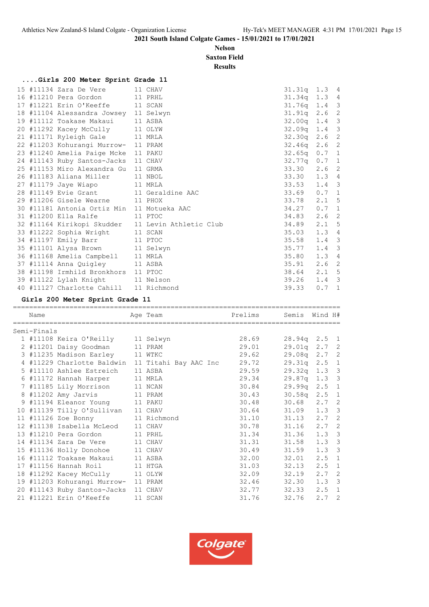#### **Nelson Saxton Field**

**Results**

|  | Girls 200 Meter Sprint Grade 11            |                                                   |                  |                  |  |
|--|--------------------------------------------|---------------------------------------------------|------------------|------------------|--|
|  | 15 #11134 Zara De Vere 11 CHAV             |                                                   | $31.31q$ $1.3$ 4 |                  |  |
|  | 16 #11210 Pera Gordon 11 PRHL              |                                                   | 31.34q 1.3 4     |                  |  |
|  | 17 #11221 Erin O'Keeffe 11 SCAN            |                                                   | $31.76q$ 1.4 3   |                  |  |
|  | 18 #11104 Alessandra Jowsey 11 Selwyn      |                                                   | $31.91q$ 2.6 2   |                  |  |
|  | 19 #11112 Toakase Makaui 11 ASBA           |                                                   | 32.00q 1.4 3     |                  |  |
|  | 20 #11292 Kacey McCully 11 OLYW            |                                                   | $32.09q$ 1.4 3   |                  |  |
|  | 21 #11171 Ryleigh Gale 11 MRLA             |                                                   | 32.30q 2.6 2     |                  |  |
|  | 22 #11203 Kohurangi Murrow- 11 PRAM        |                                                   | 32.46q 2.6 2     |                  |  |
|  | 23 #11240 Amelia Paige Mcke 11 PAKU        |                                                   | $32.65q$ 0.7 1   |                  |  |
|  | 24 #11143 Ruby Santos-Jacks 11 CHAV        |                                                   | $32.77q$ 0.7 1   |                  |  |
|  | 25 #11153 Miro Alexandra Gu 11 GRMA        |                                                   | 33.30 2.6 2      |                  |  |
|  | 26 #11183 Aliana Miller 11 NBOL            |                                                   | 33.30 1.3 4      |                  |  |
|  | 27 #11179 Jaye Wiapo 11 MRLA               |                                                   | $33.53$ 1.4 3    |                  |  |
|  | 28 #11149 Evie Grant 11 Geraldine AAC      |                                                   | $33.69$ 0.7 1    |                  |  |
|  | 29 #11206 Gisele Wearne 11 PHOX            |                                                   | 33.78 2.1 5      |                  |  |
|  | 30 #11181 Antonia Ortiz Min 11 Motueka AAC |                                                   | $34.27$ 0.7 1    |                  |  |
|  | 31 #11200 Ella Ralfe 11 PTOC               |                                                   | 34.83            | 2.6 <sub>2</sub> |  |
|  |                                            | 32 #11164 Kirikopi Skudder 11 Levin Athletic Club | $34.89$ 2.1 5    |                  |  |
|  | 33 #11222 Sophia Wright 11 SCAN            |                                                   | 35.03            | $1.3 \quad 4$    |  |
|  | 34 #11197 Emily Barr 11 PTOC               |                                                   | 35.58            | $1.4 \quad 3$    |  |
|  | 35 #11101 Alysa Brown 11 Selwyn            |                                                   | 35.77            | $1.4$ 3          |  |
|  | 36 #11168 Amelia Campbell 11 MRLA          |                                                   | 35.80            | $1.3 \quad 4$    |  |
|  | 37 #11114 Anna Quigley 11 ASBA             |                                                   | 35.91            | 2.6 <sub>2</sub> |  |
|  | 38 #11198 Irmhild Bronkhors 11 PTOC        |                                                   | 38.64 2.1 5      |                  |  |
|  | 39 #11122 Lylah Knight 11 Nelson           |                                                   | 39.26            | $1.4 \quad 3$    |  |
|  | 40 #11127 Charlotte Cahill 11 Richmond     |                                                   | 39.33            | $0.7 \quad 1$    |  |
|  |                                            |                                                   |                  |                  |  |

## **Girls 200 Meter Sprint Grade 11**

| Name        |                                     | Age Team                                         | Prelims | Semis Wind H#      |               |  |
|-------------|-------------------------------------|--------------------------------------------------|---------|--------------------|---------------|--|
| Semi-Finals |                                     |                                                  |         |                    |               |  |
|             | 1 #11108 Keira O'Reilly 11 Selwyn   |                                                  | 28.69   | $28.94q$ 2.5 1     |               |  |
|             | 2 #11201 Daisy Goodman 11 PRAM      |                                                  | 29.01   | $29.01q$ $2.7$ $2$ |               |  |
|             | 3 #11235 Madison Earley 11 WTKC     |                                                  | 29.62   | 29.08q 2.7 2       |               |  |
|             |                                     | 4 #11229 Charlotte Baldwin 11 Titahi Bay AAC Inc | 29.72   | $29.31q$ $2.5$ 1   |               |  |
|             | 5 #11110 Ashlee Estreich 11 ASBA    |                                                  | 29.59   | $29.32q$ 1.3 3     |               |  |
|             | 6 #11172 Hannah Harper 11 MRLA      |                                                  | 29.34   | 29.87q 1.3 3       |               |  |
|             | 7 #11185 Lily Morrison 11 NCAN      |                                                  | 30.84   | 29.99q 2.5 1       |               |  |
|             | 8 #11202 Amy Jarvis 11 PRAM         |                                                  | 30.43   | $30.58q$ 2.5 1     |               |  |
|             | 9 #11194 Eleanor Young 11 PAKU      |                                                  | 30.48   | $30.68$ 2.7 2      |               |  |
|             | 10 #11139 Tilly O'Sullivan 11 CHAV  |                                                  | 30.64   | $31.09$ 1.3 3      |               |  |
|             | 11 #11126 Zoe Bonny 11 Richmond     |                                                  | 31.10   | $31.13$ $2.7$ 2    |               |  |
|             | 12 #11138 Isabella McLeod 11 CHAV   |                                                  | 30.78   | $31.16$ $2.7$ 2    |               |  |
|             | 13 #11210 Pera Gordon 11 PRHL       |                                                  | 31.34   | 31.36 1.3 3        |               |  |
|             | 14 #11134 Zara De Vere 11 CHAV      |                                                  | 31.31   | 31.58              | $1.3-3$       |  |
|             | 15 #11136 Holly Donohoe 11 CHAV     |                                                  | 30.49   | $31.59$ $1.3$ 3    |               |  |
|             | 16 #11112 Toakase Makaui 11 ASBA    |                                                  | 32.00   | 32.01              | $2.5 \quad 1$ |  |
|             | 17 #11156 Hannah Roil 11 HTGA       |                                                  | 31.03   | $32.13$ $2.5$ 1    |               |  |
|             | 18 #11292 Kacey McCully 11 OLYW     |                                                  | 32.09   | $32.19$ $2.7$ 2    |               |  |
|             | 19 #11203 Kohurangi Murrow- 11 PRAM |                                                  | 32.46   | 32.30 1.3 3        |               |  |
|             | 20 #11143 Ruby Santos-Jacks 11 CHAV |                                                  | 32.77   | 32.33              | $2.5 \quad 1$ |  |
|             | 21 #11221 Erin O'Keeffe             | 11 SCAN                                          | 31.76   | 32.76              | $2.7-2$       |  |

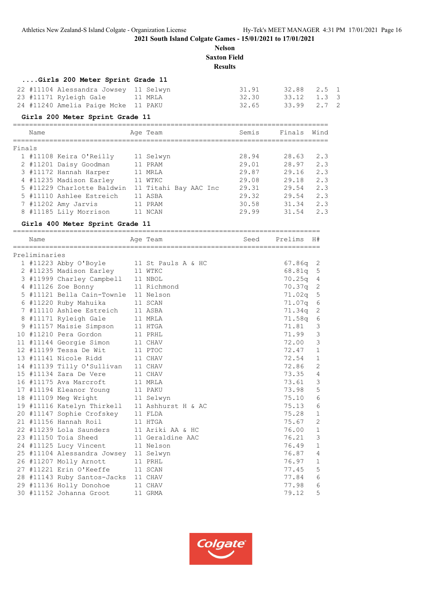**Nelson Saxton Field**

#### **Results**

#### **....Girls 200 Meter Sprint Grade 11**

| 22 #11104 Alessandra Jowsey  11 Selwyn | 31.91 | 32.88 2.5 1 |  |
|----------------------------------------|-------|-------------|--|
| 23 #11171 Ryleigh Gale 11 MRLA         | 32.30 | 33.12 1.3 3 |  |
| 24 #11240 Amelia Paige Mcke 11 PAKU    | 32.65 | 33.99 2.7 2 |  |

#### **Girls 200 Meter Sprint Grade 11**

|        | Name |                            | Age Team              | Semis | Finals | Wind |
|--------|------|----------------------------|-----------------------|-------|--------|------|
| Finals |      |                            |                       |       |        |      |
|        |      | 1 #11108 Keira O'Reilly    | 11 Selwyn             | 28.94 | 28.63  | 2.3  |
|        |      | 2 #11201 Daisy Goodman     | 11 PRAM               | 29.01 | 28.97  | 2.3  |
|        |      | 3 #11172 Hannah Harper     | 11 MRLA               | 29.87 | 29.16  | 2.3  |
|        |      | 4 #11235 Madison Earley    | 11 WTKC               | 29.08 | 29.18  | 2.3  |
|        |      | 5 #11229 Charlotte Baldwin | 11 Titahi Bay AAC Inc | 29.31 | 29.54  | 2.3  |
|        |      | 5 #11110 Ashlee Estreich   | 11 ASBA               | 29.32 | 29.54  | 2.3  |
|        |      | 7 #11202 Amy Jarvis        | 11 PRAM               | 30.58 | 31.34  | 2.3  |
|        |      |                            |                       |       |        |      |

| TILLS CHAILOCC DAIGWIN II IICANI DAY AAC INC                                                    |          |       |                 | ں ، ب          |
|-------------------------------------------------------------------------------------------------|----------|-------|-----------------|----------------|
| 5 #11110 Ashlee Estreich 11 ASBA                                                                |          | 29.32 | 29.54           | 2.3            |
| 7 #11202 Amy Jarvis 11 PRAM                                                                     |          |       | 30.58 31.34 2.3 |                |
| 8 #11185 Lily Morrison 11 NCAN                                                                  |          | 29.99 | $31.54$ 2.3     |                |
| Girls 400 Meter Sprint Grade 11                                                                 |          |       |                 |                |
| Name                                                                                            | Age Team |       | Seed Prelims H# |                |
| Preliminaries                                                                                   |          |       |                 |                |
| 1 #11223 Abby O'Boyle 11 St Pauls A & HC                                                        |          |       | $67.86q$ 2      |                |
| 2 #11235 Madison Earley 11 WTKC                                                                 |          |       | $68.81q$ 5      |                |
| 3 #11999 Charley Campbell 11 NBOL                                                               |          |       | $70.25q$ 4      |                |
| 4 #11126 Zoe Bonny 11 Richmond                                                                  |          |       | 70.37q 2        |                |
| 5 #11121 Bella Cain-Townle 11 Nelson                                                            |          |       | 71.02q 5        |                |
| 6 #11220 Ruby Mahuika 11 SCAN                                                                   |          |       | 71.07q 6        |                |
| 7 #11110 Ashlee Estreich 11 ASBA                                                                |          |       | $71.34q$ 2      |                |
| 8 #11171 Ryleigh Gale 11 MRLA                                                                   |          |       | $71.58q$ 6      |                |
| 9 #11157 Maisie Simpson 11 HTGA                                                                 |          |       | 71.81           | 3              |
| 10 #11210 Pera Gordon 11 PRHL                                                                   |          |       | 71.99           | $\mathbf{3}$   |
| 11 #11144 Georgie Simon 11 CHAV                                                                 |          |       | 72.00           | 3              |
| 12 #11199 Tessa De Wit 11 PTOC                                                                  |          |       | 72.47           | $\mathbf{1}$   |
| 13 #11141 Nicole Ridd 11 CHAV                                                                   |          |       | 72.54           | $\mathbf{1}$   |
| 14 #11139 Tilly O'Sullivan 11 CHAV                                                              |          |       | 72.86           | 2              |
| 15 #11134 Zara De Vere 11 CHAV                                                                  |          |       | 73.35           | $\overline{4}$ |
| 16 #11175 Ava Marcroft                                                                          | 11 MRLA  |       | 73.61           | 3              |
| 17 #11194 Eleanor Young 11 PAKU                                                                 |          |       | 73.98           | 5              |
| 18 #11109 Meg Wright 11 Selwyn                                                                  |          |       | 75.10           | 6              |
| 19 #11116 Katelyn Thirkell 11 Ashhurst H & AC                                                   |          |       | 75.13           | 6              |
| 20 #11147 Sophie Crofskey 11 FLDA                                                               |          |       | 75.28           | 1              |
| 21 #11156 Hannah Roil<br>11 HTGA                                                                |          |       | 75.67           | 2              |
| 22 #11239 Lola Saunders 11 Ariki AA & HC                                                        |          |       | 76.00           | $\mathbf{1}$   |
| 23 #11150 Toia Sheed 11 Geraldine AAC                                                           |          |       | 76.21           | 3              |
| 24 #11125 Lucy Vincent 11 Nelson                                                                |          |       | 76.49           | 1              |
| 25 #11104 Alessandra Jowsey 11 Selwyn                                                           |          |       | 76.87 4         |                |
| 25 #11104 Altoumulation 1.<br>26 #11207 Molly Arnott 11 PRHL<br>27 #11221 Frin O'Keeffe 11 SCAN |          |       | 76.97           | $\mathbf{1}$   |
|                                                                                                 |          |       | 77.45           | 5              |

 28 #11143 Ruby Santos-Jacks 11 CHAV 77.84 6 29 #11136 Holly Donohoe 11 CHAV 77.98 6 30 #11152 Johanna Groot 11 GRMA 79.12 5

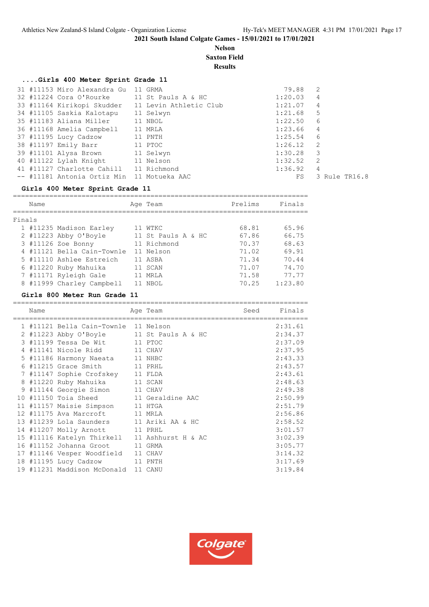#### **Nelson Saxton Field**

**Results**

## **....Girls 400 Meter Sprint Grade 11**

| 31 #11153 Miro Alexandra Gu 11 GRMA               |           | 79.88   | 2             |
|---------------------------------------------------|-----------|---------|---------------|
| 32 #11224 Cora O'Rourke 11 St Pauls A & HC        |           | 1:20.03 | 4             |
| 33 #11164 Kirikopi Skudder 11 Levin Athletic Club |           | 1:21.07 | 4             |
| 34 #11105 Saskia Kalotapu                         | 11 Selwyn | 1:21.68 | 5             |
| 35 #11183 Aliana Miller 11 NBOL                   |           | 1:22.50 | 6             |
| 36 #11168 Amelia Campbell                         | 11 MRLA   | 1:23.66 | 4             |
| 37 #11195 Lucy Cadzow 11 PNTH                     |           | 1:25.54 | 6             |
| 38 #11197 Emily Barr 11 PTOC                      |           | 1:26.12 | - 2           |
| 39 #11101 Alysa Brown 11 Selwyn                   |           | 1:30.28 | 3             |
| 40 #11122 Lylah Knight 11 Nelson                  |           | 1:32.52 | 2             |
| 41 #11127 Charlotte Cahill 11 Richmond            |           | 1:36.92 | 4             |
| -- #11181 Antonia Ortiz Min 11 Motueka AAC        |           | FS      | 3 Rule TR16.8 |
|                                                   |           |         |               |

#### **Girls 400 Meter Sprint Grade 11**

|        | Name |                            | Age Team           | Prelims | Finals  |
|--------|------|----------------------------|--------------------|---------|---------|
| Finals |      |                            |                    |         |         |
|        |      | 1 #11235 Madison Earley    | WTKC               | 68.81   | 65.96   |
|        |      | 2 #11223 Abby O'Boyle      | 11 St Pauls A & HC | 67.86   | 66.75   |
|        |      | 3 #11126 Zoe Bonny         | 11 Richmond        | 70.37   | 68.63   |
|        |      | 4 #11121 Bella Cain-Townle | 11 Nelson          | 71.02   | 69.91   |
|        |      | 5 #11110 Ashlee Estreich   | 11 ASBA            | 71.34   | 70.44   |
|        |      | 6 #11220 Ruby Mahuika      | SCAN               | 71.07   | 74.70   |
|        |      | 7 #11171 Ryleigh Gale      | MRT.A              | 71.58   | 77.77   |
|        |      | 8 #11999 Charley Campbell  | NBOL               | 70.25   | 1:23.80 |

#### **Girls 800 Meter Run Grade 11**

| Name | .================                             | Age Team | Seed | Finals  |
|------|-----------------------------------------------|----------|------|---------|
|      | 1 #11121 Bella Cain-Townle 11 Nelson          |          |      | 2:31.61 |
|      | 2 #11223 Abby O'Boyle 11 St Pauls A & HC      |          |      | 2:34.37 |
|      | 3 #11199 Tessa De Wit 11 PTOC                 |          |      | 2:37.09 |
|      | 4 #11141 Nicole Ridd 11 CHAV                  |          |      | 2:37.95 |
|      | 5 #11186 Harmony Naeata 11 NHBC               |          |      | 2:43.33 |
|      | 6 #11215 Grace Smith 11 PRHL                  |          |      | 2:43.57 |
|      | 7 #11147 Sophie Crofskey 11 FLDA              |          |      | 2:43.61 |
|      | 8 #11220 Ruby Mahuika 11 SCAN                 |          |      | 2:48.63 |
|      | 9 #11144 Georgie Simon 11 CHAV                |          |      | 2:49.38 |
|      | 10 #11150 Toia Sheed 11 Geraldine AAC         |          |      | 2:50.99 |
|      | 11 #11157 Maisie Simpson 11 HTGA              |          |      | 2:51.79 |
|      | 12 #11175 Ava Marcroft 11 MRLA                |          |      | 2:56.86 |
|      | 13 #11239 Lola Saunders 11 Ariki AA & HC      |          |      | 2:58.52 |
|      | 14 #11207 Molly Arnott 11 PRHL                |          |      | 3:01.57 |
|      | 15 #11116 Katelyn Thirkell 11 Ashhurst H & AC |          |      | 3:02.39 |
|      | 16 #11152 Johanna Groot 11 GRMA               |          |      | 3:05.77 |
|      | 17 #11146 Vesper Woodfield 11 CHAV            |          |      | 3:14.32 |
|      | 18 #11195 Lucy Cadzow 11 PNTH                 |          |      | 3:17.69 |
|      | 19 #11231 Maddison McDonald 11 CANU           |          |      | 3:19.84 |

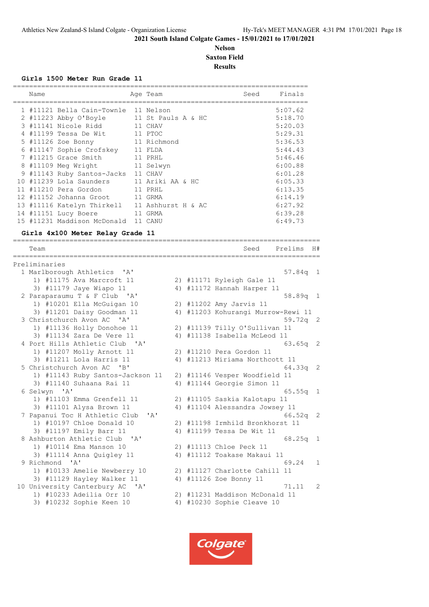#### **Nelson Saxton Field Results**

============================================================================

#### **Girls 1500 Meter Run Grade 11**

| Name |                                      | Age Team           | Seed | Finals  |
|------|--------------------------------------|--------------------|------|---------|
|      | 1 #11121 Bella Cain-Townle 11 Nelson |                    |      | 5:07.62 |
|      | 2 #11223 Abby O'Boyle                | 11 St Pauls A & HC |      | 5:18.70 |
|      | 3 #11141 Nicole Ridd                 | 11 CHAV            |      | 5:20.03 |
|      | 4 #11199 Tessa De Wit                | 11 PTOC            |      | 5:29.31 |
|      | 5 #11126 Zoe Bonny                   | 11 Richmond        |      | 5:36.53 |
|      | 6 #11147 Sophie Crofskey             | 11 FLDA            |      | 5:44.43 |
|      | 7 #11215 Grace Smith                 | 11 PRHL            |      | 5:46.46 |
|      | 8 #11109 Meg Wright                  | 11 Selwyn          |      | 6:00.88 |
|      | 9 #11143 Ruby Santos-Jacks           | 11 CHAV            |      | 6:01.28 |
|      | 10 #11239 Lola Saunders              | 11 Ariki AA & HC   |      | 6:05.33 |
|      | 11 #11210 Pera Gordon                | 11 PRHL            |      | 6:13.35 |
|      | 12 #11152 Johanna Groot              | 11 GRMA            |      | 6:14.19 |
|      | 13 #11116 Katelyn Thirkell           | 11 Ashhurst H & AC |      | 6:27.92 |
|      | 14 #11151 Lucy Boere                 | 11 GRMA            |      | 6:39.28 |
|      | 15 #11231 Maddison McDonald          | 11 CANU            |      | 6:49.73 |
|      |                                      |                    |      |         |

# **Girls 4x100 Meter Relay Grade 11**

| Team                                                      |    | Seed                            | Prelims            | H#             |
|-----------------------------------------------------------|----|---------------------------------|--------------------|----------------|
| Preliminaries                                             |    |                                 |                    |                |
| 1 Marlborough Athletics<br>' A '                          |    |                                 | $57.84q$ 1         |                |
| 1) #11175 Ava Marcroft 11                                 |    | 2) #11171 Ryleigh Gale 11       |                    |                |
| 3) #11179 Jaye Wiapo 11                                   |    | 4) #11172 Hannah Harper 11      |                    |                |
| 2 Paraparaumu T & F Club 'A'                              |    |                                 | 58.89q 1           |                |
| 1) #10201 Ella McGuigan 10                                |    | 2) #11202 Amy Jarvis 11         |                    |                |
| 3) #11201 Daisy Goodman 11                                | 4) | #11203 Kohurangi Murrow-Rewi 11 |                    |                |
| 3 Christchurch Avon AC 'A'                                |    |                                 | $59.72q$ 2         |                |
| 1) #11136 Holly Donohoe 11                                |    | 2) #11139 Tilly O'Sullivan 11   |                    |                |
| 3) #11134 Zara De Vere 11                                 | 4) | #11138 Isabella McLeod 11       |                    |                |
| 4 Port Hills Athletic Club<br>$\mathsf{A}$                |    |                                 | $63.65q$ 2         |                |
| 1) #11207 Molly Arnott 11                                 |    | 2) #11210 Pera Gordon 11        |                    |                |
| 3) #11211 Lola Harris 11                                  |    | 4) #11213 Miriama Northcott 11  |                    |                |
| 5 Christchurch Avon AC<br>$'$ B <sup><math>'</math></sup> |    |                                 | $64.33q$ 2         |                |
| 1) #11143 Ruby Santos-Jackson 11                          |    | 2) #11146 Vesper Woodfield 11   |                    |                |
| 3) #11140 Suhaana Rai 11                                  | 4) | #11144 Georgie Simon 11         |                    |                |
| 6 Selwyn 'A'                                              |    |                                 | 65.55 <sub>a</sub> | $\overline{1}$ |
| 1) #11103 Emma Grenfell 11                                |    | 2) #11105 Saskia Kalotapu 11    |                    |                |
| 3) #11101 Alysa Brown 11                                  | 4) | #11104 Alessandra Jowsey 11     |                    |                |
| 7 Papanui Toc H Athletic Club<br>' A'                     |    |                                 | $66.52q$ 2         |                |
| 1) #10197 Chloe Donald 10                                 |    | 2) #11198 Irmhild Bronkhorst 11 |                    |                |
| 3) #11197 Emily Barr 11                                   | 4) | #11199 Tessa De Wit 11          |                    |                |
| 8 Ashburton Athletic Club<br>$^{\prime}$ A $^{\prime}$    |    |                                 | 68.25q             | $\sqrt{1}$     |
| 1) #10114 Ema Manson 10                                   |    | 2) #11113 Chloe Peck 11         |                    |                |
| 3) #11114 Anna Quigley 11                                 | 4) | #11112 Toakase Makaui 11        |                    |                |
| 9 Richmond 'A'                                            |    |                                 | 69.24              | $\mathbf{1}$   |
| 1) #10133 Amelie Newberry 10                              |    | 2) #11127 Charlotte Cahill 11   |                    |                |
| 3) #11129 Hayley Walker 11                                | 4) | #11126 Zoe Bonny 11             |                    |                |
| 10 University Canterbury AC 'A'                           |    |                                 | 71.11              | $\overline{2}$ |
| 1) #10233 Adeilia Orr 10                                  |    | 2) #11231 Maddison McDonald 11  |                    |                |
| 3) #10232 Sophie Keen 10                                  | 4) | #10230 Sophie Cleave 10         |                    |                |
|                                                           |    |                                 |                    |                |

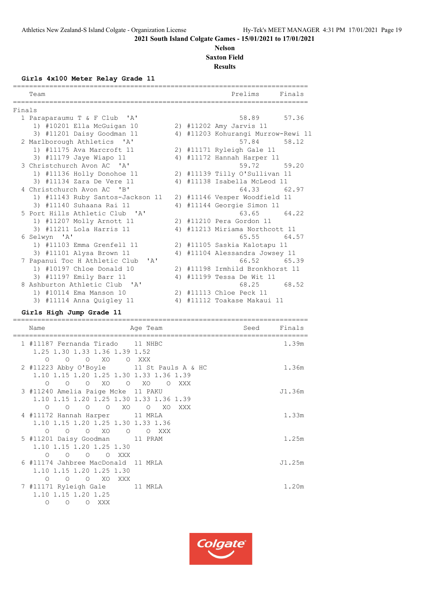#### **Nelson Saxton Field**

**Results**

#### **Girls 4x100 Meter Relay Grade 11**

| Team                              |  | Prelims<br>Finals                |                                                                                                                                                                                                                                                                                                                                                                                                                                                                                                  |
|-----------------------------------|--|----------------------------------|--------------------------------------------------------------------------------------------------------------------------------------------------------------------------------------------------------------------------------------------------------------------------------------------------------------------------------------------------------------------------------------------------------------------------------------------------------------------------------------------------|
|                                   |  |                                  |                                                                                                                                                                                                                                                                                                                                                                                                                                                                                                  |
| Finals                            |  |                                  |                                                                                                                                                                                                                                                                                                                                                                                                                                                                                                  |
| 1 Paraparaumu T & F Club 'A'      |  | 58.89<br>57.36                   |                                                                                                                                                                                                                                                                                                                                                                                                                                                                                                  |
| 1) #10201 Ella McGuigan 10        |  |                                  |                                                                                                                                                                                                                                                                                                                                                                                                                                                                                                  |
| 3) #11201 Daisy Goodman 11        |  |                                  |                                                                                                                                                                                                                                                                                                                                                                                                                                                                                                  |
| 2 Marlborough Athletics 'A'       |  | 58.12<br>57.84                   |                                                                                                                                                                                                                                                                                                                                                                                                                                                                                                  |
| 1) #11175 Ava Marcroft 11         |  |                                  |                                                                                                                                                                                                                                                                                                                                                                                                                                                                                                  |
| 3) #11179 Jaye Wiapo 11           |  |                                  |                                                                                                                                                                                                                                                                                                                                                                                                                                                                                                  |
| 3 Christchurch Avon AC 'A'        |  | 59.72<br>59.20                   |                                                                                                                                                                                                                                                                                                                                                                                                                                                                                                  |
| 1) #11136 Holly Donohoe 11        |  |                                  |                                                                                                                                                                                                                                                                                                                                                                                                                                                                                                  |
| 3) #11134 Zara De Vere 11         |  |                                  |                                                                                                                                                                                                                                                                                                                                                                                                                                                                                                  |
| 4 Christchurch Avon AC 'B'        |  | 64.33 62.97                      |                                                                                                                                                                                                                                                                                                                                                                                                                                                                                                  |
| 1) #11143 Ruby Santos-Jackson 11  |  |                                  |                                                                                                                                                                                                                                                                                                                                                                                                                                                                                                  |
| 3) #11140 Suhaana Rai 11          |  |                                  |                                                                                                                                                                                                                                                                                                                                                                                                                                                                                                  |
| 5 Port Hills Athletic Club 'A'    |  | 63.65 64.22                      |                                                                                                                                                                                                                                                                                                                                                                                                                                                                                                  |
| 1) #11207 Molly Arnott 11         |  |                                  |                                                                                                                                                                                                                                                                                                                                                                                                                                                                                                  |
| 3) #11211 Lola Harris 11          |  |                                  |                                                                                                                                                                                                                                                                                                                                                                                                                                                                                                  |
| 6 Selwyn 'A'                      |  | 65.55<br>64.57                   |                                                                                                                                                                                                                                                                                                                                                                                                                                                                                                  |
| 1) #11103 Emma Grenfell 11        |  |                                  |                                                                                                                                                                                                                                                                                                                                                                                                                                                                                                  |
| 3) #11101 Alysa Brown 11          |  |                                  |                                                                                                                                                                                                                                                                                                                                                                                                                                                                                                  |
| 7 Papanui Toc H Athletic Club 'A' |  | 66.52<br>65.39                   |                                                                                                                                                                                                                                                                                                                                                                                                                                                                                                  |
| 1) #10197 Chloe Donald 10         |  |                                  |                                                                                                                                                                                                                                                                                                                                                                                                                                                                                                  |
| 3) #11197 Emily Barr 11           |  |                                  |                                                                                                                                                                                                                                                                                                                                                                                                                                                                                                  |
| 8 Ashburton Athletic Club 'A'     |  | 68.52<br>68.25                   |                                                                                                                                                                                                                                                                                                                                                                                                                                                                                                  |
| 1) #10114 Ema Manson 10           |  |                                  |                                                                                                                                                                                                                                                                                                                                                                                                                                                                                                  |
| 3) #11114 Anna Quigley 11         |  |                                  |                                                                                                                                                                                                                                                                                                                                                                                                                                                                                                  |
|                                   |  | 4)<br>4)<br>4)<br>4)<br>4)<br>4) | 2) #11202 Amy Jarvis 11<br>#11203 Kohurangi Murrow-Rewi 11<br>2) #11171 Ryleigh Gale 11<br>4) #11172 Hannah Harper 11<br>2) #11139 Tilly O'Sullivan 11<br>4) #11138 Isabella McLeod 11<br>2) #11146 Vesper Woodfield 11<br>#11144 Georgie Simon 11<br>2) #11210 Pera Gordon 11<br>#11213 Miriama Northcott 11<br>2) #11105 Saskia Kalotapu 11<br>#11104 Alessandra Jowsey 11<br>2) #11198 Irmhild Bronkhorst 11<br>#11199 Tessa De Wit 11<br>2) #11113 Chloe Peck 11<br>#11112 Toakase Makaui 11 |

## **Girls High Jump Grade 11**

| Name                                                                                                                           | Age Team                 | Seed | Finals |
|--------------------------------------------------------------------------------------------------------------------------------|--------------------------|------|--------|
| 1 #11187 Fernanda Tirado 11 NHBC<br>1.25 1.30 1.33 1.36 1.39 1.52<br>$O$ XO<br>$\circ$<br>$\circ$                              | O XXX                    |      | 1.39m  |
| 2 #11223 Abby O'Boyle 11 St Pauls A & HC<br>1.10 1.15 1.20 1.25 1.30 1.33 1.36 1.39<br>$O$ XO<br>$\circ$<br>$\circ$            | $O$ XO<br>$\circ$<br>XXX |      | 1.36m  |
| 3 #11240 Amelia Paige Mcke 11 PAKU<br>1.10 1.15 1.20 1.25 1.30 1.33 1.36 1.39<br>$O$ XO<br>$\circ$<br>$\circ$<br>$\circ$       | $\circ$<br>XO<br>XXX     |      | J1.36m |
| 4 #11172 Hannah Harper 11 MRLA<br>1.10 1.15 1.20 1.25 1.30 1.33 1.36<br>$\bigcirc$<br>$\Omega$<br>$\Omega$<br>XO<br>$\bigcirc$ | O XXX                    |      | 1.33m  |
| 5 #11201 Daisy Goodman 11 PRAM<br>1.10 1.15 1.20 1.25 1.30<br>$\circ$<br>O XXX<br>$\circ$<br>$\circ$                           |                          |      | 1.25m  |
| 6 #11174 Jahbree MacDonald 11 MRLA<br>1.10 1.15 1.20 1.25 1.30<br>$O$ XO<br>$\circ$<br>$\circ$<br>XXX                          |                          |      | J1.25m |
| 7 #11171 Ryleigh Gale 11 MRLA<br>1.10 1.15 1.20 1.25<br>$\circ$<br>$\circ$<br>$\circ$<br>XXX                                   |                          |      | 1.20m  |

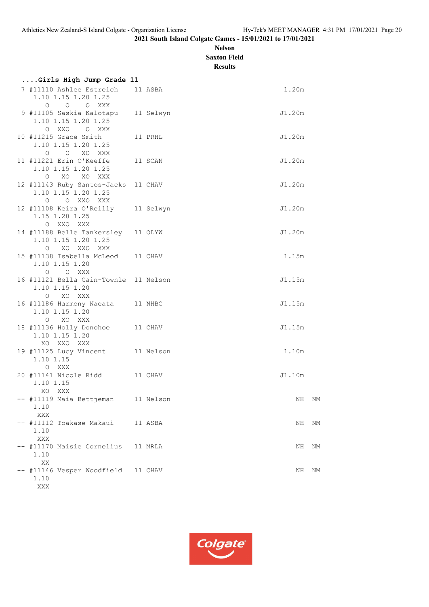## **Nelson Saxton Field**

**Results**

| Girls High Jump Grade 11                                            |           |        |    |
|---------------------------------------------------------------------|-----------|--------|----|
| 7 #11110 Ashlee Estreich<br>1.10 1.15 1.20 1.25<br>O O O XXX        | 11 ASBA   | 1.20m  |    |
| 9 #11105 Saskia Kalotapu<br>1.10 1.15 1.20 1.25<br>O XXO<br>O XXX   | 11 Selwyn | J1.20m |    |
| 10 #11215 Grace Smith<br>1.10 1.15 1.20 1.25<br>O O XO XXX          | 11 PRHL   | J1.20m |    |
| 11 #11221 Erin O'Keeffe<br>1.10 1.15 1.20 1.25<br>O XO XO XXX       | 11 SCAN   | J1.20m |    |
| 12 #11143 Ruby Santos-Jacks<br>1.10 1.15 1.20 1.25<br>O O XXO XXX   | 11 CHAV   | J1.20m |    |
| 12 #11108 Keira O'Reilly<br>1.15 1.20 1.25<br>O XXO XXX             | 11 Selwyn | J1.20m |    |
| 14 #11188 Belle Tankersley<br>1.10 1.15 1.20 1.25<br>O XO XXO XXX   | 11 OLYW   | J1.20m |    |
| 15 #11138 Isabella McLeod 11 CHAV<br>1.10 1.15 1.20<br>O O XXX      |           | 1.15m  |    |
| 16 #11121 Bella Cain-Townle 11 Nelson<br>1.10 1.15 1.20<br>O XO XXX |           | J1.15m |    |
| 16 #11186 Harmony Naeata<br>1.10 1.15 1.20<br>XO XXX<br>$\circ$     | 11 NHBC   | J1.15m |    |
| 18 #11136 Holly Donohoe<br>1.10 1.15 1.20<br>XO XXO XXX             | 11 CHAV   | J1.15m |    |
| 19 #11125 Lucy Vincent 11 Nelson<br>1.10 1.15<br>O XXX              |           | 1.10m  |    |
| 20 #11141 Nicole Ridd 11 CHAV<br>1.10 1.15<br>XO XXX                |           | J1.10m |    |
| - #11119 Maia Bettjeman 11 Nelson<br>1.10<br><b>XXX</b>             |           | NH NM  |    |
| -- #11112 Toakase Makaui<br>1.10<br>XXX                             | 11 ASBA   | ΝH     | NM |
| -- #11170 Maisie Cornelius<br>1.10<br>XX                            | 11 MRLA   | ΝH     | ΝM |
| -- #11146 Vesper Woodfield<br>1.10<br>XXX                           | 11 CHAV   | ΝH     | ΝM |

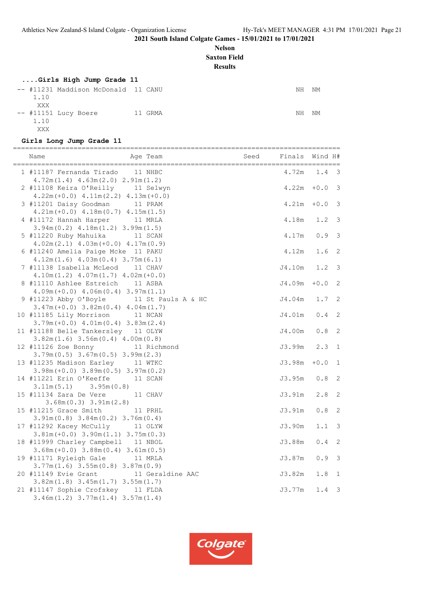## **Nelson**

**Saxton Field**

**Results**

## **....Girls High Jump Grade 11**

|      | -- #11231 Maddison McDonald 11 CANU |         | NH | NM |
|------|-------------------------------------|---------|----|----|
| 1.10 |                                     |         |    |    |
| XXX  |                                     |         |    |    |
|      | $--$ #11151 Lucy Boere              | 11 GRMA | NH | NM |
| 1.10 |                                     |         |    |    |
| XXX  |                                     |         |    |    |

#### **Girls Long Jump Grade 11**

| Name<br>Age Team                                                                       | Seed | Finals | Wind H#     |                         |
|----------------------------------------------------------------------------------------|------|--------|-------------|-------------------------|
| 1 #11187 Fernanda Tirado 11 NHBC<br>$4.72m(1.4)$ $4.63m(2.0)$ $2.91m(1.2)$             |      | 4.72m  | 1.4         | 3                       |
| 2 #11108 Keira O'Reilly 11 Selwyn<br>$4.22m (+0.0)$ $4.11m (2.2)$ $4.13m (+0.0)$       |      | 4.22m  | $\bf{+0.0}$ | 3                       |
| 3 #11201 Daisy Goodman 11 PRAM<br>$4.21m(+0.0)$ $4.18m(0.7)$ $4.15m(1.5)$              |      | 4.21m  | $+0.0$      | 3                       |
| 11 MRLA<br>4 #11172 Hannah Harper<br>$3.94m(0.2)$ 4.18m $(1.2)$ 3.99m $(1.5)$          |      | 4.18m  | 1.2         | 3                       |
| 5 #11220 Ruby Mahuika 11 SCAN<br>$4.02m(2.1)$ $4.03m(+0.0)$ $4.17m(0.9)$               |      | 4.17m  | 0.9         | 3                       |
| 6 #11240 Amelia Paige Mcke 11 PAKU<br>$4.12m(1.6)$ $4.03m(0.4)$ $3.75m(6.1)$           |      | 4.12m  | 1.6         | 2                       |
| 7 #11138 Isabella McLeod<br>11 CHAV<br>$4.10m(1.2)$ $4.07m(1.7)$ $4.02m(+0.0)$         |      | J4.10m | 1.2         | 3                       |
| 8 #11110 Ashlee Estreich 11 ASBA<br>$4.09m (+0.0)$ $4.06m (0.4)$ $3.97m (1.1)$         |      | J4.09m | $+0.0$      | 2                       |
| 9 #11223 Abby O'Boyle 11 St Pauls A & HC<br>$3.47m (+0.0)$ $3.82m (0.4)$ $4.04m (1.7)$ |      | J4.04m | 1.7         | 2                       |
| 10 #11185 Lily Morrison 11 NCAN<br>$3.79m (+0.0)$ 4.01m (0.4) 3.83m (2.4)              |      | J4.01m | 0.4         | 2                       |
| 11 #11188 Belle Tankersley 11 OLYW<br>$3.82m(1.6)$ $3.56m(0.4)$ $4.00m(0.8)$           |      | J4.00m | $0.8$       | 2                       |
| 12 #11126 Zoe Bonny 11 Richmond<br>$3.79m(0.5)$ $3.67m(0.5)$ $3.99m(2.3)$              |      | J3.99m | 2.3         | $\mathbf{1}$            |
| 13 #11235 Madison Earley 11 WTKC<br>$3.98m (+0.0)$ $3.89m (0.5)$ $3.97m (0.2)$         |      | J3.98m | $+0.0$      | $\mathbf{1}$            |
| 14 #11221 Erin O'Keeffe 11 SCAN<br>$3.11m(5.1)$ $3.95m(0.8)$                           |      | J3.95m | 0.8         | 2                       |
| 15 #11134 Zara De Vere<br>11 CHAV<br>$3.68m(0.3)$ $3.91m(2.8)$                         |      | J3.91m | 2.8         | 2                       |
| 15 #11215 Grace Smith<br>11 PRHL<br>$3.91m(0.8)$ $3.84m(0.2)$ $3.76m(0.4)$             |      | J3.91m | $0.8$       | 2                       |
| 17 #11292 Kacey McCully 11 OLYW<br>$3.81m (+0.0) 3.90m (1.1) 3.75m (0.3)$              |      | J3.90m | 1.1         | 3                       |
| 18 #11999 Charley Campbell 11 NBOL<br>$3.68m (+0.0)$ $3.88m (0.4)$ $3.61m (0.5)$       |      | J3.88m | 0.4         | 2<br>3                  |
| 19 #11171 Ryleigh Gale<br>11 MRLA<br>$3.77m(1.6)$ $3.55m(0.8)$ $3.87m(0.9)$            |      | J3.87m | $0.9$       |                         |
| 20 #11149 Evie Grant<br>11 Geraldine AAC<br>$3.82m(1.8)$ $3.45m(1.7)$ $3.55m(1.7)$     |      | J3.82m | 1.8         | $\mathbf{1}$            |
| 21 #11147 Sophie Crofskey 11 FLDA<br>$3.46m(1.2)$ $3.77m(1.4)$ $3.57m(1.4)$            |      | J3.77m | 1.4         | $\overline{\mathbf{3}}$ |

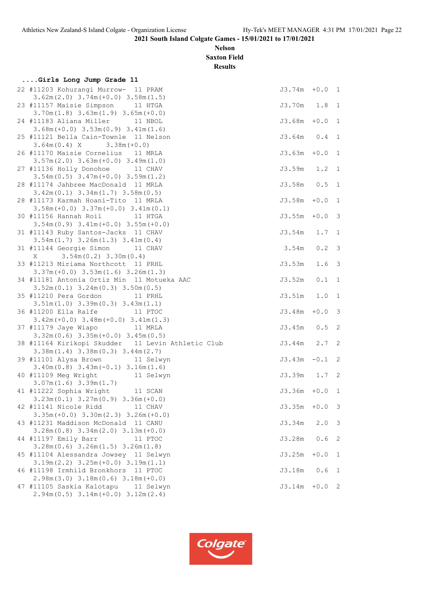#### **Nelson Saxton Field**

**Results**

| Girls Long Jump Grade 11                                                    |                  |               |                         |
|-----------------------------------------------------------------------------|------------------|---------------|-------------------------|
| 22 #11203 Kohurangi Murrow- 11 PRAM                                         | $J3.74m + 0.0 1$ |               |                         |
| $3.62m(2.0)$ $3.74m(+0.0)$ $3.58m(1.5)$                                     |                  |               |                         |
| 23 #11157 Maisie Simpson<br>11 HTGA                                         | J3.70m 1.8       |               | $\mathbf{1}$            |
| $3.70m(1.8)$ $3.63m(1.9)$ $3.65m(+0.0)$                                     |                  |               |                         |
| 24 #11183 Aliana Miller 11 NBOL                                             | J3.68m           | $+0.0$        | 1                       |
| $3.68m (+0.0)$ $3.53m (0.9)$ $3.41m (1.6)$                                  |                  |               |                         |
| 25 #11121 Bella Cain-Townle 11 Nelson                                       | $J3.64m$ 0.4     |               | $\mathbf 1$             |
| $3.64m(0.4)$ X $3.38m(+0.0)$                                                |                  |               |                         |
| 26 #11170 Maisie Cornelius 11 MRLA                                          | J3.63m           | $+0.0$        | $\mathbf{1}$            |
| $3.57m(2.0)$ $3.63m(+0.0)$ $3.49m(1.0)$                                     |                  |               |                         |
| 27 #11136 Holly Donohoe 11 CHAV                                             | J3.59m           | $1.2 \quad 1$ |                         |
| $3.54m(0.5)$ $3.47m(+0.0)$ $3.59m(1.2)$                                     |                  |               |                         |
| 28 #11174 Jahbree MacDonald 11 MRLA                                         | $J3.58m$ 0.5     |               | 1                       |
| $3.42m(0.1)$ $3.34m(1.7)$ $3.58m(0.5)$                                      |                  |               |                         |
| 28 #11173 Karmah Hoani-Tito 11 MRLA                                         | J3.58m           | $+0.0$        | $\mathbf 1$             |
| $3.58m (+0.0)$ $3.37m (+0.0)$ $3.41m (0.1)$                                 |                  |               |                         |
| 30 #11156 Hannah Roil 11 HTGA                                               | J3.55m           | $+0.0$        | 3                       |
| $3.54m(0.9)$ $3.41m(+0.0)$ $3.55m(+0.0)$                                    |                  |               |                         |
| 31 #11143 Ruby Santos-Jacks 11 CHAV                                         | J3.54m           | 1.7           | $\mathbf{1}$            |
| $3.54m(1.7)$ $3.26m(1.3)$ $3.41m(0.4)$                                      |                  |               |                         |
| 31 #11144 Georgie Simon 11 CHAV                                             | 3.54m            | $0.2 \quad 3$ |                         |
| $3.54m(0.2)$ $3.30m(0.4)$<br>X                                              |                  |               |                         |
| 33 #11213 Miriama Northcott 11 PRHL                                         | J3.53m           | 1.6           | $\overline{\mathbf{3}}$ |
| $3.37m (+0.0)$ $3.53m (1.6)$ $3.26m (1.3)$                                  |                  |               |                         |
| 34 #11181 Antonia Ortiz Min 11 Motueka AAC                                  | J3.52m           | 0.1           | $\mathbf 1$             |
| $3.52m(0.1)$ $3.24m(0.3)$ $3.50m(0.5)$                                      |                  |               |                         |
| 35 #11210 Pera Gordon<br>11 PRHL                                            | J3.51m           | 1.0           | $\mathbf 1$             |
| $3.51m(1.0)$ $3.39m(0.3)$ $3.43m(1.1)$                                      |                  |               |                         |
| 36 #11200 Ella Ralfe 11 PTOC<br>$3.42m (+0.0)$ $3.48m (+0.0)$ $3.41m (1.3)$ | J3.48m           | $+0.0$        | 3                       |
| 37 #11179 Jaye Wiapo 11 MRLA                                                | J3.45m           | 0.5           | 2                       |
| $3.32m(0.6)$ $3.35m(+0.0)$ $3.45m(0.5)$                                     |                  |               |                         |
| 38 #11164 Kirikopi Skudder 11 Levin Athletic Club                           | J3.44m           | 2.7           | 2                       |
| $3.38m(1.4)$ $3.38m(0.3)$ $3.44m(2.7)$                                      |                  |               |                         |
| 39 #11101 Alysa Brown 11 Selwyn                                             | J3.43m           | $-0.1$        | 2                       |
| $3.40m(0.8)$ $3.43m(-0.1)$ $3.16m(1.6)$                                     |                  |               |                         |
| 40 #11109 Meg Wright<br>11 Selwyn                                           | J3.39m           | 1.7           | 2                       |
| $3.07m(1.6)$ $3.39m(1.7)$                                                   |                  |               |                         |
| 41 #11222 Sophia Wright 11 SCAN                                             | $J3.36m + 0.0$   |               | $\overline{1}$          |
| $3.23m(0.1)$ $3.27m(0.9)$ $3.36m(+0.0)$                                     |                  |               |                         |
| 42 #11141 Nicole Ridd<br>11 CHAV                                            | J3.35m           | $\bf{+0.0}$   | 3                       |
| $3.35m (+0.0)$ $3.30m (2.3)$ $3.26m (+0.0)$                                 |                  |               |                         |
| 43 #11231 Maddison McDonald 11 CANU                                         | J3.34m           | 2.0           | 3                       |
| $3.28m(0.8)$ $3.34m(2.0)$ $3.13m(+0.0)$                                     |                  |               |                         |
| 44 #11197 Emily Barr<br>11 PTOC                                             | J3.28m           | 0.6           | 2                       |
| $3.28m(0.6)$ $3.26m(1.5)$ $3.26m(1.8)$                                      |                  |               |                         |
| 45 #11104 Alessandra Jowsey 11 Selwyn                                       | J3.25m           | $+0.0$        | 1                       |
| $3.19m(2.2)$ $3.25m(+0.0)$ $3.19m(1.1)$                                     |                  |               |                         |
| 46 #11198 Irmhild Bronkhors 11 PTOC                                         | J3.18m           | 0.6           | 1                       |
| $2.98m(3.0)$ $3.18m(0.6)$ $3.18m(+0.0)$                                     |                  |               |                         |
| 47 #11105 Saskia Kalotapu<br>11 Selwyn                                      | J3.14m           | $+0.0$        | 2                       |
| $2.94m(0.5)$ $3.14m(+0.0)$ $3.12m(2.4)$                                     |                  |               |                         |

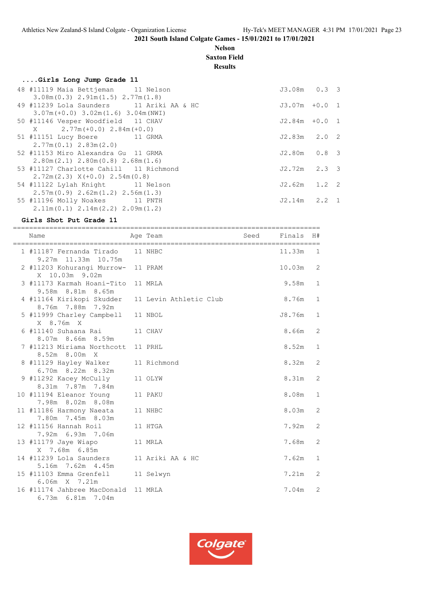#### **Nelson Saxton Field**

**Results**

#### **....Girls Long Jump Grade 11** 48 #11119 Maia Bettjeman 11 Nelson J3.08m 0.3 3 3.08m(0.3) 2.91m(1.5) 2.77m(1.8) 49 #11239 Lola Saunders 11 Ariki AA & HC J3.07m +0.0 1 3.07m(+0.0) 3.02m(1.6) 3.04m(NWI) 50 #11146 Vesper Woodfield 11 CHAV J2.84m +0.0 1  $X = 2.77m (+0.0) 2.84m (+0.0)$  51 #11151 Lucy Boere 11 GRMA J2.83m 2.0 2 2.77m(0.1) 2.83m(2.0) 52 #11153 Miro Alexandra Gu 11 GRMA J2.80m 0.8 3 2.80m(2.1) 2.80m(0.8) 2.68m(1.6) 53 #11127 Charlotte Cahill 11 Richmond J2.72m 2.3 3 2.72m(2.3) X(+0.0) 2.54m(0.8) 54 #11122 Lylah Knight 11 Nelson J2.62m 1.2 2

 2.57m(0.9) 2.62m(1.2) 2.56m(1.3) 55 #11196 Molly Noakes 11 PNTH J2.14m 2.2 1 2.11m(0.1) 2.14m(2.2) 2.09m(1.2)

#### **Girls Shot Put Grade 11**

============================================================================ Name Age Team Seed Finals H# ============================================================================ 1 #11187 Fernanda Tirado 11 NHBC 11.33m 1 9.27m 11.33m 10.75m 2 #11203 Kohurangi Murrow- 11 PRAM 10.03m 2 X 10.03m 9.02m 3 #11173 Karmah Hoani-Tito 11 MRLA 9.58m 1 9.58m 8.81m 8.65m 4 #11164 Kirikopi Skudder 11 Levin Athletic Club 8.76m 1 8.76m 7.88m 7.92m 5 #11999 Charley Campbell 11 NBOL 38.76m 1 X 8.76m X 6 #11140 Suhaana Rai 11 CHAV 11 1 200 1 2 3.66m 2 8.07m 8.66m 8.59m 7 #11213 Miriama Northcott 11 PRHL 8.52m 1 8.52m 8.00m X 8 #11129 Hayley Walker 11 Richmond 8.32m 2 6.70m 8.22m 8.32m 9 #11292 Kacey McCully 11 OLYW 8.31m 2 8.31m 7.87m 7.84m 10 #11194 Eleanor Young 11 PAKU 8.08m 1 7.98m 8.02m 8.08m 11 #11186 Harmony Naeata 11 NHBC 8.03m 2 7.80m 7.45m 8.03m 12 #11156 Hannah Roil 11 HTGA 11 11 2000 12 32m 2 7.92m 6.93m 7.06m 13 #11179 Jaye Wiapo 11 MRLA 7.68m 2 X 7.68m 6.85m 14 #11239 Lola Saunders 11 Ariki AA & HC 7.62m 1 5.16m 7.62m 4.45m 15 #11103 Emma Grenfell 11 Selwyn 7.21m 2 6.06m X 7.21m 16 #11174 Jahbree MacDonald 11 MRLA 7.04m 2 6.73m 6.81m 7.04m

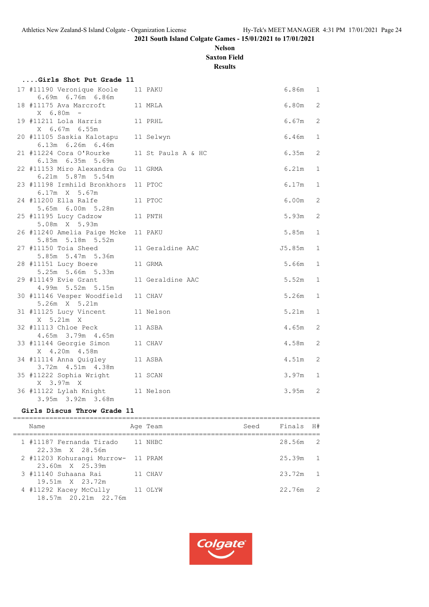## **Nelson Saxton Field**

**Results**

| Girls Shot Put Grade 11                                  |                    |         |              |
|----------------------------------------------------------|--------------------|---------|--------------|
| 17 #11190 Veronique Koole<br>6.69m 6.76m 6.86m           | 11 PAKU            | 6.86m 1 |              |
| 11 MRLA<br>18 #11175 Ava Marcroft<br>$X = 6.80m -$       |                    | 6.80m   | 2            |
| 11 PRHL<br>19 #11211 Lola Harris                         |                    | 6.67m   | 2            |
| X 6.67m 6.55m<br>20 #11105 Saskia Kalotapu 11 Selwyn     |                    | 6.46m   | $\mathbf 1$  |
| 6.13m 6.26m 6.46m<br>21 #11224 Cora O'Rourke             | 11 St Pauls A & HC | 6.35m   | 2            |
| 6.13m 6.35m 5.69m<br>22 #11153 Miro Alexandra Gu 11 GRMA |                    | 6.21m   | 1            |
| 6.21m 5.87m 5.54m<br>23 #11198 Irmhild Bronkhors 11 PTOC |                    | 6.17m   | $\mathbf{1}$ |
| $6.17m \times 5.67m$<br>24 #11200 Ella Ralfe             | 11 PTOC            | 6.00m   | 2            |
| 5.65m 6.00m 5.28m<br>25 #11195 Lucy Cadzow               | 11 PNTH            | 5.93m   | 2            |
| 5.08m X 5.93m                                            |                    |         |              |
| 26 #11240 Amelia Paige Mcke 11 PAKU<br>5.85m 5.18m 5.52m |                    | 5.85m   | $\mathbf{1}$ |
| 27 #11150 Toia Sheed<br>5.85m 5.47m 5.36m                | 11 Geraldine AAC   | J5.85m  | $\mathbf 1$  |
| 28 #11151 Lucy Boere<br>5.25m 5.66m 5.33m                | 11 GRMA            | 5.66m   | $\mathbf 1$  |
| 29 #11149 Evie Grant<br>4.99m 5.52m 5.15m                | 11 Geraldine AAC   | 5.52m   | $\mathbf 1$  |
| 30 #11146 Vesper Woodfield<br>5.26m X 5.21m              | 11 CHAV            | 5.26m   | $\mathbf{1}$ |
| 31 #11125 Lucy Vincent<br>X 5.21m X                      | 11 Nelson          | 5.21m   | $\mathbf 1$  |
| 32 #11113 Chloe Peck                                     | 11 ASBA            | 4.65m   | 2            |
| 4.65m 3.79m 4.65m<br>33 #11144 Georgie Simon             | 11 CHAV            | 4.58m   | 2            |
| X 4.20m 4.58m<br>34 #11114 Anna Quigley                  | 11 ASBA            | 4.51m   | 2            |
| 3.72m  4.51m  4.38m<br>35 #11222 Sophia Wright 11 SCAN   |                    | 3.97m   | $\mathbf 1$  |
| X 3.97m X<br>36 #11122 Lylah Knight                      | 11 Nelson          | 3.95m   | 2            |
| 3.95m 3.92m 3.68m                                        |                    |         |              |

#### **Girls Discus Throw Grade 11**

| Name                                                  | Age Team | Seed | Finals H# |  |
|-------------------------------------------------------|----------|------|-----------|--|
| 1 #11187 Fernanda Tirado 11 NHBC<br>22.33m X 28.56m   |          |      | 28.56m 2  |  |
| 2 #11203 Kohurangi Murrow- 11 PRAM<br>23.60m X 25.39m |          |      | 25.39m 1  |  |
| 3 #11140 Suhaana Rai 11 CHAV<br>19.51m X 23.72m       |          |      | 23.72m 1  |  |
| 4 #11292 Kacey McCully<br>18.57m 20.21m 22.76m        | 11 OLYW  |      | 22.76m 2  |  |

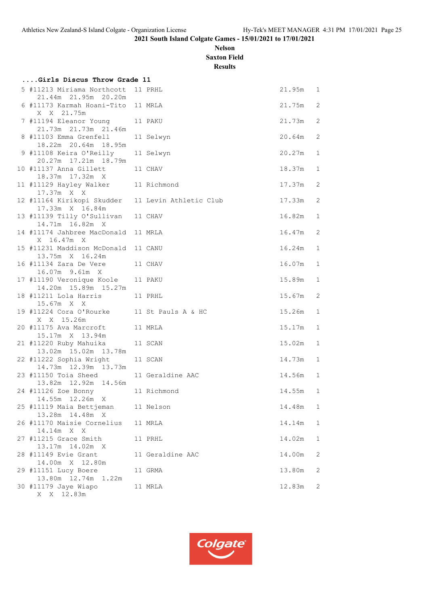## **Nelson Saxton Field**

**Results**

| Girls Discus Throw Grade 11                                          |  |                  |        |                |  |  |  |  |  |  |
|----------------------------------------------------------------------|--|------------------|--------|----------------|--|--|--|--|--|--|
| 5 #11213 Miriama Northcott 11 PRHL<br>21.44m 21.95m 20.20m           |  |                  | 21.95m | $\overline{1}$ |  |  |  |  |  |  |
| 6 #11173 Karmah Hoani-Tito 11 MRLA<br>X X 21.75m                     |  |                  | 21.75m | 2              |  |  |  |  |  |  |
| 7 #11194 Eleanor Young<br>21.73m  21.73m  21.46m                     |  | 11 PAKU          | 21.73m | 2              |  |  |  |  |  |  |
| 8 #11103 Emma Grenfell<br>18.22m 20.64m 18.95m                       |  | 11 Selwyn        | 20.64m | 2              |  |  |  |  |  |  |
| 9 #11108 Keira O'Reilly<br>20.27m 17.21m 18.79m                      |  | 11 Selwyn        | 20.27m | 1              |  |  |  |  |  |  |
| 10 #11137 Anna Gillett                                               |  | 11 CHAV          | 18.37m | 1              |  |  |  |  |  |  |
| 18.37m 17.32m X<br>11 #11129 Hayley Walker<br>17.37m X X             |  | 11 Richmond      | 17.37m | 2              |  |  |  |  |  |  |
| 12 #11164 Kirikopi Skudder 11 Levin Athletic Club<br>17.33m X 16.84m |  |                  | 17.33m | 2              |  |  |  |  |  |  |
| 13 #11139 Tilly O'Sullivan<br>14.71m 16.82m X                        |  | 11 CHAV          | 16.82m | 1              |  |  |  |  |  |  |
| 14 #11174 Jahbree MacDonald 11 MRLA<br>X 16.47m X                    |  |                  | 16.47m | 2              |  |  |  |  |  |  |
| 15 #11231 Maddison McDonald 11 CANU<br>13.75m X 16.24m               |  |                  | 16.24m | 1              |  |  |  |  |  |  |
| 16 #11134 Zara De Vere<br>16.07m 9.61m X                             |  | 11 CHAV          | 16.07m | 1              |  |  |  |  |  |  |
| 17 #11190 Veronique Koole<br>14.20m  15.89m  15.27m                  |  | 11 PAKU          | 15.89m | $\mathbf 1$    |  |  |  |  |  |  |
| 18 #11211 Lola Harris<br>15.67m X X                                  |  | 11 PRHL          | 15.67m | 2              |  |  |  |  |  |  |
| 19 #11224 Cora O'Rourke 11 St Pauls A & HC<br>X X 15.26m             |  |                  | 15.26m | 1              |  |  |  |  |  |  |
| 20 #11175 Ava Marcroft<br>15.17m X 13.94m                            |  | 11 MRLA          | 15.17m | $\mathbf 1$    |  |  |  |  |  |  |
| 21 #11220 Ruby Mahuika<br>13.02m 15.02m 13.78m                       |  | 11 SCAN          | 15.02m | 1              |  |  |  |  |  |  |
| 22 #11222 Sophia Wright<br>14.73m  12.39m  13.73m                    |  | 11 SCAN          | 14.73m | 1              |  |  |  |  |  |  |
| 23 #11150 Toia Sheed<br>13.82m  12.92m  14.56m                       |  | 11 Geraldine AAC | 14.56m | 1              |  |  |  |  |  |  |
| 24 #11126 Zoe Bonny<br>14.55m 12.26m X                               |  | 11 Richmond      | 14.55m | 1              |  |  |  |  |  |  |
| 25 #11119 Maia Bettjeman<br>13.28m  14.48m  X                        |  | 11 Nelson        | 14.48m | 1              |  |  |  |  |  |  |
| 26 #11170 Maisie Cornelius<br>14.14m X X                             |  | 11 MRLA          | 14.14m | 1              |  |  |  |  |  |  |
| 27 #11215 Grace Smith<br>13.17m 14.02m X                             |  | 11 PRHL          | 14.02m | 1              |  |  |  |  |  |  |
| 28 #11149 Evie Grant                                                 |  | 11 Geraldine AAC | 14.00m | 2              |  |  |  |  |  |  |
| 14.00m X 12.80m<br>29 #11151 Lucy Boere                              |  | 11 GRMA          | 13.80m | 2              |  |  |  |  |  |  |
| 13.80m  12.74m  1.22m<br>30 #11179 Jaye Wiapo<br>X X 12.83m          |  | 11 MRLA          | 12.83m | 2              |  |  |  |  |  |  |

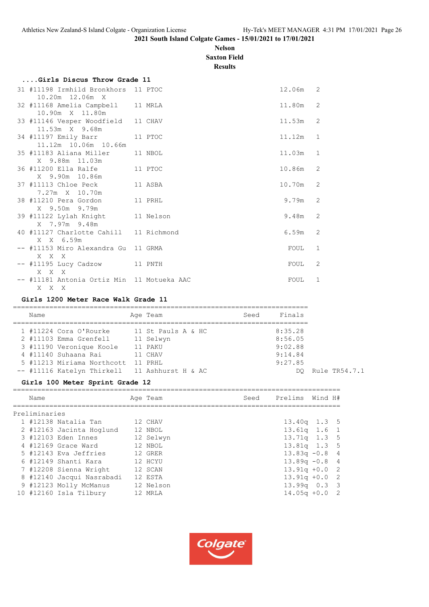#### **Nelson Saxton Field**

**Results**

| Girls Discus Throw Grade 11                                       |  |            |                |
|-------------------------------------------------------------------|--|------------|----------------|
| 31 #11198 Irmhild Bronkhors 11 PTOC<br>10.20m 12.06m X            |  | $12.06m$ 2 |                |
| 32 #11168 Amelia Campbell 11 MRLA<br>10.90m X 11.80m              |  | 11.80m     | 2              |
| 33 #11146 Vesper Woodfield 11 CHAV<br>11.53m X 9.68m              |  | 11.53m     | 2              |
| 34 #11197 Emily Barr 11 PTOC<br>11.12m 10.06m 10.66m              |  | 11.12m     | $\overline{1}$ |
| 35 #11183 Aliana Miller 11 NBOL<br>X 9.88m 11.03m                 |  | 11.03m     | 1              |
| 36 #11200 Ella Ralfe 11 PTOC<br>X 9.90m 10.86m                    |  | 10.86m     | 2              |
| 37 #11113 Chloe Peck 11 ASBA<br>7.27m X 10.70m                    |  | 10.70m     | 2              |
| 38 #11210 Pera Gordon<br>11 PRHL<br>X 9.50m 9.79m                 |  | 9.79m      | $\mathcal{L}$  |
| 39 #11122 Lylah Knight 11 Nelson<br>X 7.97m 9.48m                 |  | 9.48m      | 2              |
| 40 #11127 Charlotte Cahill 11 Richmond<br>X X 6.59m               |  | 6.59m      | 2              |
| -- #11153 Miro Alexandra Gu 11 GRMA<br>X X X                      |  | FOUL       | 1              |
| -- #11195 Lucy Cadzow 11 PNTH<br>X X X                            |  | FOUL       | 2              |
| -- #11181 Antonia Ortiz Min 11 Motueka AAC<br>X X<br>$\mathbf{X}$ |  | FOUL       | 1              |

#### **Girls 1200 Meter Race Walk Grade 11**

| Name |                            | Age Team           | Seed | Finals  |
|------|----------------------------|--------------------|------|---------|
|      | 1 #11224 Cora O'Rourke     | 11 St Pauls A & HC |      | 8:35.28 |
|      | 2 #11103 Emma Grenfell     | 11 Selwyn          |      | 8:56.05 |
|      | 3 #11190 Veronique Koole   | 11 PAKU            |      | 9:02.88 |
|      | 4 #11140 Suhaana Rai       | 11 CHAV            |      | 9:14.84 |
|      | 5 #11213 Miriama Northcott | 11 PRHL            |      | 9:27.85 |
|      | -- #11116 Katelyn Thirkell | 11 Ashhurst H & AC |      | DC      |

#### **Girls 100 Meter Sprint Grade 12**

| Name                      | Age Team  | Seed | Prelims          | Wind H# |  |
|---------------------------|-----------|------|------------------|---------|--|
| Preliminaries             |           |      |                  |         |  |
| 1 #12138 Natalia Tan      | 12 CHAV   |      | $13.40q$ 1.3 5   |         |  |
| 2 #12163 Jacinta Hoglund  | 12 NBOL   |      | $13.61q$ $1.6$ 1 |         |  |
| 3 #12103 Eden Innes       | 12 Selwyn |      | $13.71q$ $1.3$ 5 |         |  |
| 4 #12169 Grace Ward       | 12 NBOL   |      | $13.81q$ $1.3$ 5 |         |  |
| 5 #12143 Eva Jeffries     | 12 GRER   |      | $13.83q - 0.8$ 4 |         |  |
| 6 #12149 Shanti Kara      | 12 HCYU   |      | $13.89q - 0.8$ 4 |         |  |
| 7 #12208 Sienna Wright    | 12 SCAN   |      | $13.91q + 0.02$  |         |  |
| 8 #12140 Jacqui Nasrabadi | 12 ESTA   |      | $13.91q + 0.02$  |         |  |
| 9 #12123 Molly McManus    | 12 Nelson |      | $13.99q$ 0.3 3   |         |  |
| 10 #12160 Isla Tilbury    | 12 MRLA   |      | $14.05q + 0.02$  |         |  |
|                           |           |      |                  |         |  |



## Q Rule TR54.7.1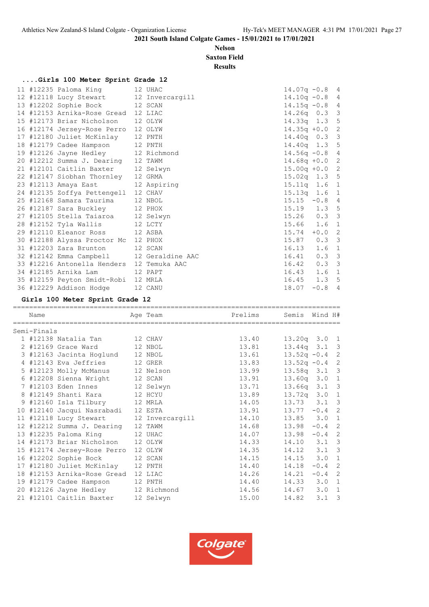#### **Nelson Saxton Field**

#### **Results**

## **....Girls 100 Meter Sprint Grade 12**

|  | 11 #12235 Paloma King 12 UHAC             |         | $14.07q - 0.8$ 4 |          |  |
|--|-------------------------------------------|---------|------------------|----------|--|
|  | 12 #12118 Lucy Stewart 12 Invercargill    |         | $14.10q - 0.8$ 4 |          |  |
|  | 13 #12202 Sophie Bock 12 SCAN             |         | $14.15q - 0.8$ 4 |          |  |
|  | 14 #12153 Arnika-Rose Gread 12 LIAC       |         | $14.26q$ 0.3 3   |          |  |
|  | 15 #12173 Briar Nicholson 12 OLYW         |         | 14.33q 1.3 5     |          |  |
|  | 16 #12174 Jersey-Rose Perro 12 OLYW       |         | $14.35q + 0.0$ 2 |          |  |
|  | 17 #12180 Juliet McKinlay 12 PNTH         |         | 14.40q 0.3 3     |          |  |
|  | 18 #12179 Cadee Hampson 12 PNTH           |         | 14.40q 1.3 5     |          |  |
|  | 19 #12126 Jayne Hedley 12 Richmond        |         | $14.56q - 0.8$ 4 |          |  |
|  | 20 #12212 Summa J. Dearing 12 TAWM        |         | $14.68q + 0.0$ 2 |          |  |
|  | 21 #12101 Caitlin Baxter 12 Selwyn        |         | $15.00q + 0.02$  |          |  |
|  | 22 #12147 Siobhan Thornley 12 GRMA        |         | 15.02q 1.3 5     |          |  |
|  | 23 #12113 Amaya East 12 Aspiring          |         | $15.11q$ 1.6 1   |          |  |
|  | 24 #12135 Zoffya Pettengell 12 CHAV       |         | $15.13q$ 1.6 1   |          |  |
|  | 25 #12168 Samara Taurima 12 NBOL          |         | $15.15 -0.8 4$   |          |  |
|  | 26 #12187 Sara Buckley 12 PHOX            |         | 15.19  1.3  5    |          |  |
|  | 27 #12105 Stella Taiaroa 12 Selwyn        |         | 15.26 0.3 3      |          |  |
|  | 28 #12152 Tyla Wallis 12 LCTY             |         | 15.66 1.6 1      |          |  |
|  | 29 #12110 Eleanor Ross 12 ASBA            |         | $15.74 + 0.0$ 2  |          |  |
|  | 30 #12188 Alyssa Proctor Mc 12 PHOX       |         | 15.87 0.3 3      |          |  |
|  | 31 #12203 Zara Brunton 12 SCAN            |         | $16.13$ $1.6$ 1  |          |  |
|  | 32 #12142 Emma Campbell 12 Geraldine AAC  |         | $16.41$ 0.3 3    |          |  |
|  | 33 #12216 Antonella Henders 12 Temuka AAC |         | 16.42  0.3  3    |          |  |
|  | 34 #12185 Arnika Lam 12 PAPT              |         | $16.43$ $1.6$ 1  |          |  |
|  | 35 #12159 Peyton Smidt-Robi 12 MRLA       |         | $16.45$ $1.3$ 5  |          |  |
|  | 36 #12229 Addison Hodge                   | 12 CANU | 18.07            | $-0.8$ 4 |  |

#### **Girls 100 Meter Sprint Grade 12**

| Name        |                                        | Age Team | Prelims | Semis Wind H#    |                  |             |
|-------------|----------------------------------------|----------|---------|------------------|------------------|-------------|
| Semi-Finals |                                        |          |         |                  |                  |             |
|             | 1 #12138 Natalia Tan 12 CHAV           |          | 13.40   | $13.20q$ $3.0$ 1 |                  |             |
|             | 2 #12169 Grace Ward 12 NBOL            |          | 13.81   | $13.44q$ $3.1$ 3 |                  |             |
|             | 3 #12163 Jacinta Hoglund 12 NBOL       |          | 13.61   | $13.52q - 0.4$ 2 |                  |             |
|             | 4 #12143 Eva Jeffries 12 GRER          |          | 13.83   | $13.52q - 0.4$   |                  | 2           |
|             | 5 #12123 Molly McManus 12 Nelson       |          | 13.99   | $13.58q$ $3.1$ 3 |                  |             |
|             | 6 #12208 Sienna Wright 12 SCAN         |          | 13.91   | $13.60q$ $3.0$ 1 |                  |             |
|             | 7 #12103 Eden Innes 12 Selwyn          |          | 13.71   | $13.66q$ $3.1$ 3 |                  |             |
|             | 8 #12149 Shanti Kara 12 HCYU           |          | 13.89   | $13.72q$ $3.0$   |                  | $\mathbf 1$ |
|             | 9 #12160 Isla Tilbury 12 MRLA          |          | 14.05   | $13.73$ $3.1$ 3  |                  |             |
|             | 10 #12140 Jacqui Nasrabadi 12 ESTA     |          | 13.91   | $13.77 - 0.4$ 2  |                  |             |
|             | 11 #12118 Lucy Stewart 12 Invercargill |          | 14.10   | 13.85 3.0 1      |                  |             |
|             | 12 #12212 Summa J. Dearing 12 TAWM     |          | 14.68   | 13.98            | $-0.4$ 2         |             |
|             | 13 #12235 Paloma King 12 UHAC          |          | 14.07   | 13.98            | $-0.4$ 2         |             |
|             | 14 #12173 Briar Nicholson 12 OLYW      |          | 14.33   | 14.10 3.1 3      |                  |             |
|             | 15 #12174 Jersey-Rose Perro 12 OLYW    |          | 14.35   | 14.12 3.1 3      |                  |             |
|             | 16 #12202 Sophie Bock                  | 12 SCAN  | 14.15   | $14.15$ 3.0      |                  | 1           |
|             | 17 #12180 Juliet McKinlay 12 PNTH      |          | 14.40   | 14.18            | $-0.4$ 2         |             |
|             | 18 #12153 Arnika-Rose Gread 12 LIAC    |          | 14.26   | 14.21            | $-0.4$ 2         |             |
|             | 19 #12179 Cadee Hampson 12 PNTH        |          | 14.40   | 14.33 3.0 1      |                  |             |
|             | 20 #12126 Jayne Hedley 12 Richmond     |          | 14.56   | $14.67$ $3.0$ 1  |                  |             |
|             | 21 #12101 Caitlin Baxter 12 Selwyn     |          | 15.00   | 14.82            | 3.1 <sup>3</sup> |             |

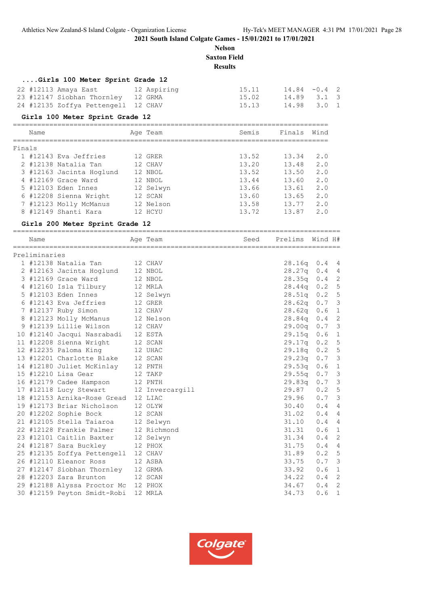**Nelson Saxton Field Results**

## **....Girls 100 Meter Sprint Grade 12**

|  | 22 #12113 Amaya East                | 12 Aspiring | 15.11 | $14.84 - 0.4$ 2 |  |
|--|-------------------------------------|-------------|-------|-----------------|--|
|  | 23 #12147 Siobhan Thornley 12 GRMA  |             | 15.02 | 14.89 3.1 3     |  |
|  | 24 #12135 Zoffya Pettengell 12 CHAV |             | 15.13 | 14.98 3.0 1     |  |

#### **Girls 100 Meter Sprint Grade 12**

| Name   |                          |  | Age Team  | Semis | Finals | Wind |  |  |  |  |
|--------|--------------------------|--|-----------|-------|--------|------|--|--|--|--|
| Finals |                          |  |           |       |        |      |  |  |  |  |
|        | 1 #12143 Eva Jeffries    |  | 12 GRER   | 13.52 | 13.34  | 2.0  |  |  |  |  |
|        | 2 #12138 Natalia Tan     |  | 12 CHAV   | 13.20 | 13.48  | 2.0  |  |  |  |  |
|        | 3 #12163 Jacinta Hoqlund |  | 12 NBOL   | 13.52 | 13.50  | 2.0  |  |  |  |  |
|        | 4 #12169 Grace Ward      |  | 12 NBOL   | 13.44 | 13.60  | 2.0  |  |  |  |  |
|        | 5 #12103 Eden Innes      |  | 12 Selwyn | 13.66 | 13.61  | 2.0  |  |  |  |  |
|        | 6 #12208 Sienna Wright   |  | 12 SCAN   | 13.60 | 13.65  | 2.0  |  |  |  |  |
|        | 7 #12123 Molly McManus   |  | 12 Nelson | 13.58 | 13.77  | 2.0  |  |  |  |  |
|        | 8 #12149 Shanti Kara     |  | 12 HCYU   | 13.72 | 13.87  | 2.0  |  |  |  |  |

#### **Girls 200 Meter Sprint Grade 12**

| Name          |                                        | Age Team    | Seed | Prelims        | Wind H#          |                |
|---------------|----------------------------------------|-------------|------|----------------|------------------|----------------|
| Preliminaries |                                        |             |      |                |                  |                |
|               | 12 CHAV<br>1 #12138 Natalia Tan        |             |      | $28.16q$ 0.4 4 |                  |                |
|               | 2 #12163 Jacinta Hoglund 12 NBOL       |             |      | $28.27q$ 0.4 4 |                  |                |
|               | 3 #12169 Grace Ward                    | 12 NBOL     |      | 28.35q 0.4 2   |                  |                |
|               | 4 #12160 Isla Tilbury                  | 12 MRLA     |      | 28.44q         | 0.2 5            |                |
|               | 5 #12103 Eden Innes 12 Selwyn          |             |      | 28.51q 0.2 5   |                  |                |
|               | 6 #12143 Eva Jeffries                  | 12 GRER     |      | 28.62q         | $0.7-3$          |                |
|               | 7 #12137 Ruby Simon                    | 12 CHAV     |      | 28.62q         | 0.6 1            |                |
|               | 8 #12123 Molly McManus 12 Nelson       |             |      | 28.84q         | 0.4 2            |                |
|               | 9 #12139 Lillie Wilson                 | 12 CHAV     |      | 29.00q 0.7 3   |                  |                |
|               | 10 #12140 Jacqui Nasrabadi 12 ESTA     |             |      | 29.15q 0.6 1   |                  |                |
|               | 11 #12208 Sienna Wright                | 12 SCAN     |      | 29.17q 0.2 5   |                  |                |
|               | 12 #12235 Paloma King                  | 12 UHAC     |      | 29.18q 0.2 5   |                  |                |
|               | 13 #12201 Charlotte Blake 12 SCAN      |             |      | 29.23q         | $0.7-3$          |                |
|               | 14 #12180 Juliet McKinlay 12 PNTH      |             |      | 29.53q         | 0.6              | $\mathbf{1}$   |
|               | 15 #12210 Lisa Gear                    | 12 TAKP     |      | 29.55q         | 0.7              | $\mathcal{E}$  |
|               | 16 #12179 Cadee Hampson                | 12 PNTH     |      | 29.83q         | $0.7-3$          |                |
|               | 17 #12118 Lucy Stewart 12 Invercargill |             |      | 29.87          | 0.2 5            |                |
|               | 18 #12153 Arnika-Rose Gread 12 LIAC    |             |      | 29.96          | $0.7-3$          |                |
|               | 19 #12173 Briar Nicholson 12 OLYW      |             |      | 30.40          | 0.44             |                |
|               | 20 #12202 Sophie Bock 12 SCAN          |             |      | 31.02          | 0.44             |                |
|               | 21 #12105 Stella Taiaroa               | 12 Selwyn   |      | 31.10          | 0.44             |                |
|               | 22 #12128 Frankie Palmer               | 12 Richmond |      | 31.31          | 0.6 1            |                |
|               | 23 #12101 Caitlin Baxter               | 12 Selwyn   |      | 31.34          | 0.4              | $\overline{c}$ |
|               | 24 #12187 Sara Buckley                 | 12 PHOX     |      | 31.75          | 0.4              | $\overline{4}$ |
|               | 25 #12135 Zoffya Pettengell 12 CHAV    |             |      | 31.89          | 0.2 5            |                |
|               | 26 #12110 Eleanor Ross<br>12 ASBA      |             |      | 33.75          | $0.7-3$          |                |
|               | 27 #12147 Siobhan Thornley 12 GRMA     |             |      | 33.92          | 0.6 <sub>1</sub> |                |
|               | 28 #12203 Zara Brunton                 | 12 SCAN     |      | 34.22          | 0.4              | $\overline{c}$ |
|               | 29 #12188 Alyssa Proctor Mc 12 PHOX    |             |      | 34.67          | 0.4              | $\overline{c}$ |
|               | 30 #12159 Peyton Smidt-Robi            | 12 MRLA     |      | 34.73          | 0.6              | $\mathbf{1}$   |

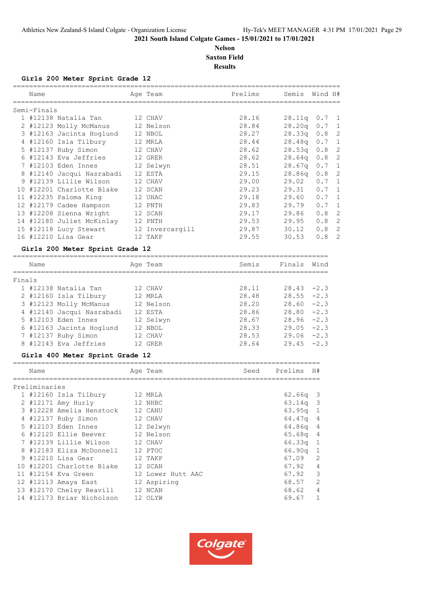#### **Nelson Saxton Field Results**

#### **Girls 200 Meter Sprint Grade 12**

| Name                            |                                        |  | Age Team | Prelims | Semis Wind H#    |         |  |  |
|---------------------------------|----------------------------------------|--|----------|---------|------------------|---------|--|--|
| Semi-Finals                     |                                        |  |          |         |                  |         |  |  |
|                                 | 1 #12138 Natalia Tan 12 CHAV           |  |          | 28.16   | $28.11q$ 0.7 1   |         |  |  |
|                                 | 2 #12123 Molly McManus 12 Nelson       |  |          | 28.84   | 28.20q 0.7 1     |         |  |  |
|                                 | 3 #12163 Jacinta Hoglund 12 NBOL       |  |          | 28.27   | $28.33q$ 0.8 2   |         |  |  |
|                                 | 4 #12160 Isla Tilbury 12 MRLA          |  |          | 28.44   | 28.48q 0.7 1     |         |  |  |
|                                 | 5 #12137 Ruby Simon 12 CHAV            |  |          | 28.62   | $28.53q$ 0.8 2   |         |  |  |
|                                 | 6 #12143 Eva Jeffries 12 GRER          |  |          | 28.62   | 28.64q 0.8 2     |         |  |  |
|                                 | 7 #12103 Eden Innes 12 Selwyn          |  |          | 28.51   | $28.67q$ 0.7 1   |         |  |  |
|                                 | 8 #12140 Jacqui Nasrabadi 12 ESTA      |  |          | 29.15   | $28.86q$ $0.8$ 2 |         |  |  |
|                                 | 9 #12139 Lillie Wilson                 |  | 12 CHAV  | 29.00   | 29.02  0.7  1    |         |  |  |
|                                 | 10 #12201 Charlotte Blake 12 SCAN      |  |          | 29.23   | $29.31$ 0.7 1    |         |  |  |
|                                 | 11 #12235 Paloma King 12 UHAC          |  |          | 29.18   | 29.60  0.7  1    |         |  |  |
|                                 | 12 #12179 Cadee Hampson 12 PNTH        |  |          | 29.83   | 29.79 0.7 1      |         |  |  |
|                                 | 13 #12208 Sienna Wright 12 SCAN        |  |          | 29.17   | 29.86            | $0.8$ 2 |  |  |
|                                 | 14 #12180 Juliet McKinlay 12 PNTH      |  |          | 29.53   | 29.95 0.8 2      |         |  |  |
|                                 | 15 #12118 Lucy Stewart 12 Invercargill |  |          | 29.87   | $30.12$ $0.8$ 2  |         |  |  |
|                                 | 16 #12210 Lisa Gear                    |  | 12 TAKP  | 29.55   | 30.53            | $0.8$ 2 |  |  |
| Girls 200 Meter Sprint Grade 12 |                                        |  |          |         |                  |         |  |  |

|        | Name |                           | Age Team  | Semis | Finals        | Wind |
|--------|------|---------------------------|-----------|-------|---------------|------|
|        |      |                           |           |       |               |      |
| Finals |      |                           |           |       |               |      |
|        |      | 1 #12138 Natalia Tan      | 12 CHAV   | 28.11 | $28.43 - 2.3$ |      |
|        |      | 2 #12160 Isla Tilbury     | 12 MRLA   | 28.48 | $28.55 - 2.3$ |      |
|        |      | 3 #12123 Molly McManus    | 12 Nelson | 28.20 | $28.60 - 2.3$ |      |
|        |      | 4 #12140 Jacqui Nasrabadi | 12 ESTA   | 28.86 | $28.80 - 2.3$ |      |
|        |      | 5 #12103 Eden Innes       | 12 Selwyn | 28.67 | $28.96 - 2.3$ |      |
|        |      | 6 #12163 Jacinta Hoqlund  | 12 NBOL   | 28.33 | $29.05 -2.3$  |      |
|        |      | 7 #12137 Ruby Simon       | 12 CHAV   | 28.53 | $29.06 - 2.3$ |      |
|        |      | 8 #12143 Eva Jeffries     | 12 GRER   | 28.64 | $29.45 - 2.3$ |      |

#### **Girls 400 Meter Sprint Grade 12**

| Name          |                           | Age Team          | Seed | Prelims    | H#                       |
|---------------|---------------------------|-------------------|------|------------|--------------------------|
| Preliminaries |                           |                   |      |            |                          |
|               | 1 #12160 Isla Tilbury     | 12 MRLA           |      | 62.66q     | $\overline{\mathbf{3}}$  |
|               | 2 #12171 Amy Hurly        | 12 NHBC           |      | $63.14q$ 3 |                          |
|               | 3 #12228 Amelia Henstock  | 12 CANU           |      | $63.95q$ 1 |                          |
|               | 4 #12137 Ruby Simon       | 12 CHAV           |      | 64.47q     | $\overline{4}$           |
|               | 5 #12103 Eden Innes       | 12 Selwyn         |      | 64.86a     | $\overline{4}$           |
|               | 6 #12120 Ellie Beever     | 12 Nelson         |      | 65.68a     | 4                        |
|               | 7 #12139 Lillie Wilson    | 12 CHAV           |      | 66.33a     | $\mathbf{1}$             |
|               | 8 #12183 Eliza McDonnell  | 12 PTOC           |      | 66.90a     | $\mathbf{1}$             |
|               | 9 #12210 Lisa Gear        | 12 TAKP           |      | 67.09      | 2                        |
|               | 10 #12201 Charlotte Blake | 12 SCAN           |      | 67.92      | $\overline{4}$           |
|               | #12154 Eva Green          | 12 Lower Hutt AAC |      | 67.92      | $\overline{\phantom{a}}$ |
|               | 12 #12113 Amaya East      | 12 Aspiring       |      | 68.57      | 2                        |
|               | 13 #12170 Chelsy Reavill  | 12 NCAN           |      | 68.62      | $\overline{4}$           |
|               | 14 #12173 Briar Nicholson | 12 OLYW           |      | 69.67      | $\mathbf{1}$             |

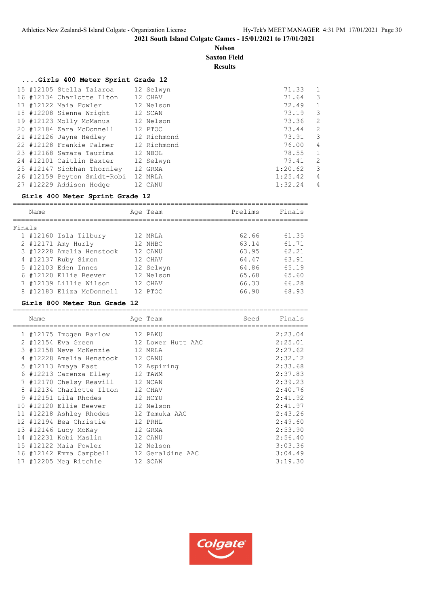**Nelson Saxton Field**

**Results**

## **....Girls 400 Meter Sprint Grade 12**

|  | 15 #12105 Stella Taiaroa    | 12 Selwyn   | 71.33   | 1                       |
|--|-----------------------------|-------------|---------|-------------------------|
|  | 16 #12134 Charlotte Ilton   | 12 CHAV     | 71.64   | 3                       |
|  | 17 #12122 Maia Fowler       | 12 Nelson   | 72.49   | 1                       |
|  | 18 #12208 Sienna Wright     | 12 SCAN     | 73.19   | 3                       |
|  | 19 #12123 Molly McManus     | 12 Nelson   | 73.36   | 2                       |
|  | 20 #12184 Zara McDonnell    | 12 PTOC     | 73.44   | 2                       |
|  | 21 #12126 Jayne Hedley      | 12 Richmond | 73.91   | $\overline{\mathbf{3}}$ |
|  | 22 #12128 Frankie Palmer    | 12 Richmond | 76.00   | 4                       |
|  | 23 #12168 Samara Taurima    | 12 NBOL     | 78.55   | 1                       |
|  | 24 #12101 Caitlin Baxter    | 12 Selwyn   | 79.41   | 2                       |
|  | 25 #12147 Siobhan Thornley  | 12 GRMA     | 1:20.62 | $\overline{\mathbf{3}}$ |
|  | 26 #12159 Peyton Smidt-Robi | 12 MRLA     | 1:25.42 | 4                       |
|  | 27 #12229 Addison Hodge     | 12 CANU     | 1:32.24 | 4                       |

#### **Girls 400 Meter Sprint Grade 12**

| Prelims<br>Age Team<br>Name<br>Finals<br>1 #12160 Isla Tilbury<br>62.66<br>12 MRTA<br>2 #12171 Amy Hurly<br>63.14<br>12 NHBC<br>3 #12228 Amelia Henstock<br>63.95<br>12 CANU<br>4 #12137 Ruby Simon<br>64.47<br>12 CHAV<br>5 #12103 Eden Innes<br>64.86<br>12 Selwyn<br>6 #12120 Ellie Beever<br>65.68<br>12 Nelson<br>7 #12139 Lillie Wilson<br>66.33<br>12 CHAV<br>8 #12183 Eliza McDonnell<br>66.90<br>12 PTOC |  |  |  |        |
|-------------------------------------------------------------------------------------------------------------------------------------------------------------------------------------------------------------------------------------------------------------------------------------------------------------------------------------------------------------------------------------------------------------------|--|--|--|--------|
|                                                                                                                                                                                                                                                                                                                                                                                                                   |  |  |  | Finals |
|                                                                                                                                                                                                                                                                                                                                                                                                                   |  |  |  |        |
|                                                                                                                                                                                                                                                                                                                                                                                                                   |  |  |  | 61.35  |
|                                                                                                                                                                                                                                                                                                                                                                                                                   |  |  |  | 61.71  |
|                                                                                                                                                                                                                                                                                                                                                                                                                   |  |  |  | 62.21  |
|                                                                                                                                                                                                                                                                                                                                                                                                                   |  |  |  | 63.91  |
|                                                                                                                                                                                                                                                                                                                                                                                                                   |  |  |  | 65.19  |
|                                                                                                                                                                                                                                                                                                                                                                                                                   |  |  |  | 65.60  |
|                                                                                                                                                                                                                                                                                                                                                                                                                   |  |  |  | 66.28  |
|                                                                                                                                                                                                                                                                                                                                                                                                                   |  |  |  | 68.93  |

#### **Girls 800 Meter Run Grade 12**

|   | Name |                                          | Age Team          | Seed | Finals  |
|---|------|------------------------------------------|-------------------|------|---------|
|   |      | 1 #12175 Imogen Barlow                   | 12 PAKU           |      | 2:23.04 |
|   |      | 2 #12154 Eva Green                       | 12 Lower Hutt AAC |      | 2:25.01 |
|   |      | 3 #12158 Neve McKenzie 12 MRLA           |                   |      | 2:27.62 |
|   |      | 4 #12228 Amelia Henstock 12 CANU         |                   |      | 2:32.12 |
|   |      | 5 #12113 Amaya East                      | 12 Aspiring       |      | 2:33.68 |
|   |      | 6 #12213 Carenza Elley 12 TAWM           |                   |      | 2:37.83 |
|   |      | 7 #12170 Chelsy Reavill                  | 12 NCAN           |      | 2:39.23 |
| 8 |      | #12134 Charlotte Ilton                   | 12 CHAV           |      | 2:40.76 |
|   |      | 9 #12151 Lila Rhodes                     | 12 HCYU           |      | 2:41.92 |
|   |      | 10 #12120 Ellie Beever 12 Nelson         |                   |      | 2:41.97 |
|   |      | 11 #12218 Ashley Rhodes 12 Temuka AAC    |                   |      | 2:43.26 |
|   |      | 12 #12194 Bea Christie                   | 12 PRHL           |      | 2:49.60 |
|   |      | 13 #12146 Lucy McKay                     | 12 GRMA           |      | 2:53.90 |
|   |      | 14 #12231 Kobi Maslin                    | 12 CANU           |      | 2:56.40 |
|   |      | 15 #12122 Maia Fowler                    | 12 Nelson         |      | 3:03.36 |
|   |      | 16 #12142 Emma Campbell 12 Geraldine AAC |                   |      | 3:04.49 |
|   |      | 17 #12205 Meg Ritchie                    | 12 SCAN           |      | 3:19.30 |

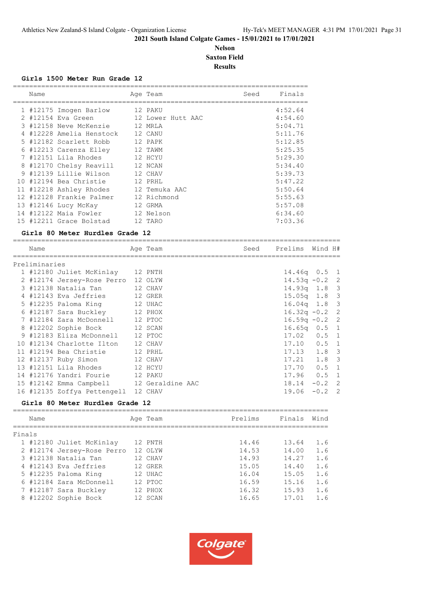#### **Nelson Saxton Field Results**

#### **Girls 1500 Meter Run Grade 12**

| Name |                          |  | Age Team      |                   | Seed | Finals  |
|------|--------------------------|--|---------------|-------------------|------|---------|
|      |                          |  |               |                   |      |         |
|      | 1 #12175 Imogen Barlow   |  | 12 PAKU       |                   |      | 4:52.64 |
|      | 2 #12154 Eva Green       |  |               | 12 Lower Hutt AAC |      | 4:54.60 |
|      | 3 #12158 Neve McKenzie   |  | 12 MRLA       |                   |      | 5:04.71 |
|      | 4 #12228 Amelia Henstock |  | 12 CANU       |                   |      | 5:11.76 |
|      | 5 #12182 Scarlett Robb   |  | 12 PAPK       |                   |      | 5:12.85 |
|      | 6 #12213 Carenza Elley   |  | 12 TAWM       |                   |      | 5:25.35 |
|      | 7 #12151 Lila Rhodes     |  | 12 HCYU       |                   |      | 5:29.30 |
|      | 8 #12170 Chelsy Reavill  |  | 12 NCAN       |                   |      | 5:34.40 |
|      | 9 #12139 Lillie Wilson   |  | 12 CHAV       |                   |      | 5:39.73 |
|      | 10 #12194 Bea Christie   |  | 12 PRHL       |                   |      | 5:47.22 |
|      | 11 #12218 Ashley Rhodes  |  | 12 Temuka AAC |                   |      | 5:50.64 |
|      | 12 #12128 Frankie Palmer |  | 12 Richmond   |                   |      | 5:55.63 |
|      | 13 #12146 Lucy McKay     |  | 12 GRMA       |                   |      | 5:57.08 |
|      | 14 #12122 Maia Fowler    |  | 12 Nelson     |                   |      | 6:34.60 |
|      | 15 #12211 Grace Bolstad  |  | 12 TARO       |                   |      | 7:03.36 |

#### **Girls 80 Meter Hurdles Grade 12**

| Name          |                                          | Age Team | Seed | Prelims Wind H#  |          |  |
|---------------|------------------------------------------|----------|------|------------------|----------|--|
| Preliminaries |                                          |          |      |                  |          |  |
|               | 1 #12180 Juliet McKinlay 12 PNTH         |          |      | $14.46q$ 0.5 1   |          |  |
|               | 2 #12174 Jersey-Rose Perro 12 OLYW       |          |      | $14.53q - 0.2$ 2 |          |  |
|               | 3 #12138 Natalia Tan                     | 12 CHAV  |      | $14.93q$ 1.8 3   |          |  |
|               | 4 #12143 Eva Jeffries 12 GRER            |          |      | $15.05q$ 1.8 3   |          |  |
|               | 5 #12235 Paloma King 12 UHAC             |          |      | $16.04q$ 1.8 3   |          |  |
|               | 6 #12187 Sara Buckley 12 PHOX            |          |      | $16.32q - 0.2$ 2 |          |  |
|               | 7 #12184 Zara McDonnell 12 PTOC          |          |      | $16.59q - 0.2$ 2 |          |  |
|               | 8 #12202 Sophie Bock 12 SCAN             |          |      | $16.65q$ $0.5$ 1 |          |  |
|               | 9 #12183 Eliza McDonnell 12 PTOC         |          |      | $17.02$ $0.5$ 1  |          |  |
|               | 10 #12134 Charlotte Ilton 12 CHAV        |          |      | $17.10$ $0.5$ 1  |          |  |
|               | 12 PRHL<br>11 #12194 Bea Christie        |          |      | $17.13$ $1.8$ 3  |          |  |
|               | 12 #12137 Ruby Simon 12 CHAV             |          |      | $17.21$ $1.8$ 3  |          |  |
|               | 13 #12151 Lila Rhodes 12 HCYU            |          |      | $17.70$ 0.5 1    |          |  |
|               | 14 #12176 Yandri Fourie 12 PAKU          |          |      | $17.96$ 0.5 1    |          |  |
|               | 15 #12142 Emma Campbell 12 Geraldine AAC |          |      | 18.14            | $-0.2$ 2 |  |
|               | 16 #12135 Zoffya Pettengell 12 CHAV      |          |      | 19.06            | $-0.2$ 2 |  |

#### **Girls 80 Meter Hurdles Grade 12**

|        | Name |                            |    | Age Team | Prelims | Finals | Wind |
|--------|------|----------------------------|----|----------|---------|--------|------|
| Finals |      |                            |    |          |         |        |      |
|        |      | 1 #12180 Juliet McKinlay   |    | 12 PNTH  | 14.46   | 13.64  | 1.6  |
|        |      | 2 #12174 Jersey-Rose Perro |    | 12 OLYW  | 14.53   | 14.00  | 1.6  |
|        |      | 3 #12138 Natalia Tan       |    | 12 CHAV  | 14.93   | 14.27  | 1.6  |
|        |      | 4 #12143 Eva Jeffries      |    | 12 GRER  | 15.05   | 14.40  | 1.6  |
|        |      | 5 #12235 Paloma King       |    | 12 UHAC  | 16.04   | 15.05  | 1.6  |
|        |      | 6 #12184 Zara McDonnell    |    | 12 PTOC  | 16.59   | 15.16  | 1.6  |
|        |      | 7 #12187 Sara Buckley      |    | 12 PHOX  | 16.32   | 15.93  | 1.6  |
| 8      |      | #12202 Sophie Bock         | 12 | SCAN     | 16.65   | 17.01  | 1.6  |
|        |      |                            |    |          |         |        |      |

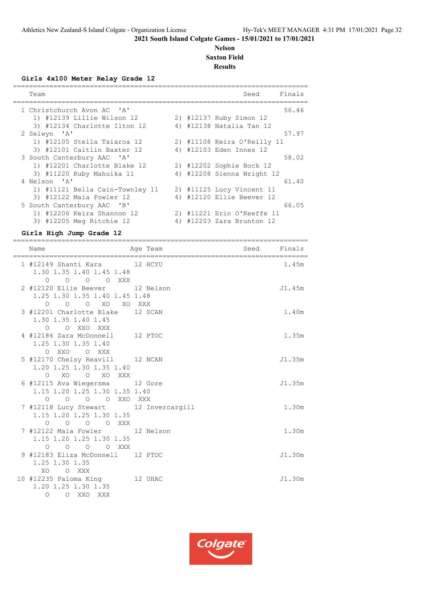#### **Nelson Saxton Field Results**

=========================================================================

**Girls 4x100 Meter Relay Grade 12**

| Team                            |  | Seed                        | Finals |
|---------------------------------|--|-----------------------------|--------|
| 1 Christchurch Avon AC 'A'      |  |                             | 56.46  |
| 1) #12139 Lillie Wilson 12      |  | 2) #12137 Ruby Simon 12     |        |
| 3) #12134 Charlotte Ilton 12    |  | 4) #12138 Natalia Tan 12    |        |
| 2 Selwyn 'A'                    |  |                             | 57.97  |
| 1) #12105 Stella Taiaroa 12     |  | 2) #11108 Keira O'Reilly 11 |        |
| 3) #12101 Caitlin Baxter 12     |  | 4) #12103 Eden Innes 12     |        |
| 3 South Canterbury AAC 'A'      |  |                             | 58.02  |
| 1) #12201 Charlotte Blake 12    |  | 2) #12202 Sophie Bock 12    |        |
| 3) #11220 Ruby Mahuika 11       |  | 4) #12208 Sienna Wright 12  |        |
| 4 Nelson 'A'                    |  |                             | 61.40  |
| 1) #11121 Bella Cain-Townley 11 |  | 2) #11125 Lucy Vincent 11   |        |
| 3) #12122 Maia Fowler 12        |  | 4) #12120 Ellie Beever 12   |        |
| 5 South Canterbury AAC 'B'      |  |                             | 66.05  |
| 1) #12206 Keira Shannon 12      |  | 2) #11221 Erin O'Keeffe 11  |        |
| #12205 Meg Ritchie 12<br>3)     |  | 4) #12203 Zara Brunton 12   |        |

## **Girls High Jump Grade 12**

| Name                                                                                                                   | Age Team | <b>Seed</b> Seed | Finals |
|------------------------------------------------------------------------------------------------------------------------|----------|------------------|--------|
| 1 #12149 Shanti Kara 12 HCYU<br>1.30 1.35 1.40 1.45 1.48<br>0 0 0 0 XXX                                                |          |                  | 1.45m  |
| 2 #12120 Ellie Beever 12 Nelson<br>1.25 1.30 1.35 1.40 1.45 1.48<br>0 0 0 XO XO XXX                                    |          |                  | J1.45m |
| 3 #12201 Charlotte Blake 12 SCAN<br>1.30 1.35 1.40 1.45<br>O O XXO XXX                                                 |          |                  | 1.40m  |
| 4 #12184 Zara McDonnell 12 PTOC<br>1.25 1.30 1.35 1.40<br>O XXO O XXX                                                  |          |                  | 1.35m  |
| 5 #12170 Chelsy Reavill 12 NCAN<br>1.20 1.25 1.30 1.35 1.40<br>O XO O XO XXX                                           |          |                  | J1.35m |
| 6 #12115 Ava Wiegersma 12 Gore<br>1.15 1.20 1.25 1.30 1.35 1.40<br>O O O O XXO XXX                                     |          |                  | J1.35m |
| 7 #12118 Lucy Stewart 12 Invercargill<br>1.15 1.20 1.25 1.30 1.35<br>0 0 0 0 XXX                                       |          |                  | 1.30m  |
| 7 #12122 Maia Fowler 12 Nelson<br>1.15 1.20 1.25 1.30 1.35<br>$\begin{matrix} 0 & 0 & 0 & 0 & \text{XXX} \end{matrix}$ |          |                  | 1.30m  |
| 9 #12183 Eliza McDonnell 12 PTOC<br>1.25 1.30 1.35<br>XO O XXX                                                         |          |                  | J1.30m |
| 10 #12235 Paloma King 12 UHAC<br>1.20 1.25 1.30 1.35<br>O O XXO XXX                                                    |          |                  | J1.30m |

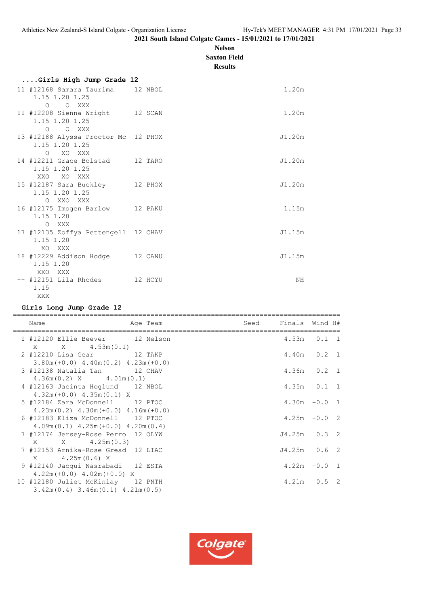#### **Nelson Saxton Field**

**Results**

| Girls High Jump Grade 12                                               |        |
|------------------------------------------------------------------------|--------|
| 11 #12168 Samara Taurima 12 NBOL<br>1.15 1.20 1.25<br>O XXX<br>$\circ$ | 1.20m  |
| 11 #12208 Sienna Wright 12 SCAN<br>1.15 1.20 1.25<br>O O XXX           | 1.20m  |
| 13 #12188 Alyssa Proctor Mc 12 PHOX<br>1.15 1.20 1.25<br>O XO XXX      | J1.20m |
| 14 #12211 Grace Bolstad 12 TARO<br>1.15 1.20 1.25<br>XXO XO XXX        | J1.20m |
| 15 #12187 Sara Buckley 12 PHOX<br>1.15 1.20 1.25<br>O XXO XXX          | J1.20m |
| 16 #12175 Imogen Barlow 12 PAKU<br>1.15 1.20<br>O XXX                  | 1.15m  |
| 17 #12135 Zoffya Pettengell 12 CHAV<br>1.15 1.20<br>XO XXX             | J1.15m |
| 18 #12229 Addison Hodge 12 CANU<br>1.15 1.20<br>XXO XXX                | J1.15m |
| -- #12151 Lila Rhodes 12 HCYU<br>1.15<br>XXX                           | NΗ     |

## **Girls Long Jump Grade 12**

| Name                                                                                                             | Age Team | Seed | Finals Wind H#  |  |
|------------------------------------------------------------------------------------------------------------------|----------|------|-----------------|--|
| 1 #12120 Ellie Beever 12 Nelson                                                                                  |          |      | $4.53m$ $0.1$ 1 |  |
| 2 #12210 Lisa Gear 12 TAKP<br>$3.80m (+0.0)$ 4.40m $(0.2)$ 4.23m $(+0.0)$                                        |          |      | 4.40m  0.2  1   |  |
| 3 #12138 Natalia Tan 12 CHAV<br>$4.36m(0.2)$ X $4.01m(0.1)$                                                      |          |      | $4.36m$ 0.2 1   |  |
| 4 #12163 Jacinta Hoglund 12 NBOL<br>$4.32m (+0.0)$ $4.35m (0.1)$ X                                               |          |      | $4.35m$ $0.1$ 1 |  |
| 5 #12184 Zara McDonnell 12 PTOC<br>$4.23m(0.2)$ $4.30m(+0.0)$ $4.16m(+0.0)$                                      |          |      | $4.30m + 0.0 1$ |  |
| 6 #12183 Eliza McDonnell 12 PTOC                                                                                 |          |      | $4.25m + 0.02$  |  |
| $4.09m(0.1)$ $4.25m(+0.0)$ $4.20m(0.4)$<br>7 #12174 Jersey-Rose Perro 12 OLYW                                    |          |      | $J4.25m$ 0.3 2  |  |
| $X \t X \t 4.25m(0.3)$<br>7 #12153 Arnika-Rose Gread 12 LIAC                                                     |          |      | $J4.25m$ 0.6 2  |  |
| $X = 4.25m(0.6) X$<br>9 #12140 Jacqui Nasrabadi 12 ESTA                                                          |          |      | $4.22m + 0.0 1$ |  |
| $4.22m (+0.0)$ $4.02m (+0.0)$ X<br>10 #12180 Juliet McKinlay 12 PNTH<br>$3.42m(0.4)$ 3.46m $(0.1)$ 4.21m $(0.5)$ |          |      | $4.21m$ 0.5 2   |  |

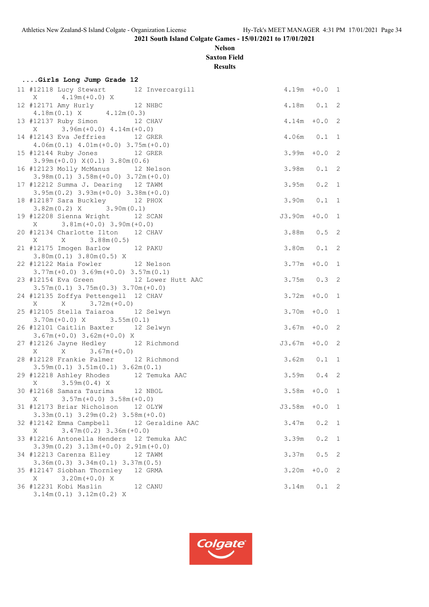## **Nelson Saxton Field**

**Results**

| Girls Long Jump Grade 12 |                                                                                        |                  |               |                |  |  |  |
|--------------------------|----------------------------------------------------------------------------------------|------------------|---------------|----------------|--|--|--|
|                          | 11 #12118 Lucy Stewart 12 Invercargill                                                 | $4.19m + 0.0 1$  |               |                |  |  |  |
|                          | $X$ 4.19m(+0.0) X<br>12 #12171 Amy Hurly<br>4.18m(0.1) X 4.12m(0.3)                    | 4.18m  0.1  2    |               |                |  |  |  |
|                          | 13 #12137 Ruby Simon 12 CHAV<br>$X = 3.96m (+0.0) 4.14m (+0.0)$                        | $4.14m + 0.0$ 2  |               |                |  |  |  |
|                          | 14 #12143 Eva Jeffries 12 GRER<br>$4.06m(0.1)$ $4.01m(+0.0)$ $3.75m(+0.0)$             | 4.06m  0.1  1    |               |                |  |  |  |
|                          | 15 #12144 Ruby Jones 12 GRER<br>$3.99m (+0.0) X(0.1) 3.80m (0.6)$                      | $3.99m + 0.02$   |               |                |  |  |  |
|                          | 16 #12123 Molly McManus 12 Nelson<br>$3.98m(0.1)$ $3.58m(+0.0)$ $3.72m(+0.0)$          | 3.98m  0.1  2    |               |                |  |  |  |
|                          | 17 #12212 Summa J. Dearing 12 TAWM<br>$3.95m(0.2)$ $3.93m(+0.0)$ $3.38m(+0.0)$         | $3.95m$ 0.2 1    |               |                |  |  |  |
|                          | 18 #12187 Sara Buckley 12 PHOX<br>$3.82m(0.2)$ X $3.90m(0.1)$                          | 3.90m  0.1  1    |               |                |  |  |  |
|                          | 19 #12208 Sienna Wright 12 SCAN<br>$X = 3.81m (+0.0) 3.90m (+0.0)$                     | J3.90m           | $+0.0$ 1      |                |  |  |  |
|                          | 20 #12134 Charlotte Ilton 12 CHAV                                                      | 3.88m  0.5  2    |               |                |  |  |  |
|                          | 21 #12175 Imogen Barlow 12 PAKU<br>$3.80m(0.1)$ $3.80m(0.5)$ X                         | 3.80m  0.1  2    |               |                |  |  |  |
|                          | 22 #12122 Maia Fowler 12 Nelson<br>$3.77m (+0.0)$ $3.69m (+0.0)$ $3.57m (0.1)$         | $3.77m + 0.0 1$  |               |                |  |  |  |
|                          | 23 #12154 Eva Green 12 Lower Hutt AAC<br>$3.57m(0.1)$ $3.75m(0.3)$ $3.70m(+0.0)$       | $3.75m$ 0.3 2    |               |                |  |  |  |
|                          | 24 #12135 Zoffya Pettengell 12 CHAV<br>$X$ $X$ $3.72m (+0.0)$                          | $3.72m + 0.0 1$  |               |                |  |  |  |
|                          | 25 #12105 Stella Taiaroa 12 Selwyn<br>$3.70m (+0.0) X$ 3.55m (0.1)                     | $3.70m + 0.0 1$  |               |                |  |  |  |
|                          | 26 #12101 Caitlin Baxter 12 Selwyn<br>$3.67m (+0.0) 3.62m (+0.0) X$                    | $3.67m + 0.02$   |               |                |  |  |  |
|                          | 27 #12126 Jayne Hedley 12 Richmond<br>$X$ $X$ $3.67m (+0.0)$                           | $J3.67m + 0.02$  |               |                |  |  |  |
|                          | 28 #12128 Frankie Palmer 12 Richmond<br>$3.59m(0.1)$ $3.51m(0.1)$ $3.62m(0.1)$         | $3.62m$ $0.1$ 1  |               |                |  |  |  |
|                          | 29 #12218 Ashley Rhodes 12 Temuka AAC                                                  | $3.59m$ 0.4 2    |               |                |  |  |  |
|                          | X 3.59m (0.4) X<br>30 #12168 Samara Taurima 12 NBOL<br>$X = 3.57m (+0.0) 3.58m (+0.0)$ | $3.58m + 0.0 1$  |               |                |  |  |  |
|                          | 31 #12173 Briar Nicholson 12 OLYW<br>$3.33m(0.1)$ $3.29m(0.2)$ $3.58m(+0.0)$           | $J3.58m + 0.0 1$ |               |                |  |  |  |
|                          | 32 #12142 Emma Campbell 12 Geraldine AAC<br>$3.47m(0.2)$ 3.36m (+0.0)<br>X             | 3.47m            | $0.2 \quad 1$ |                |  |  |  |
|                          | 33 #12216 Antonella Henders 12 Temuka AAC<br>$3.39m(0.2)$ $3.13m(+0.0)$ $2.91m(+0.0)$  | 3.39m            | 0.2           | $\overline{1}$ |  |  |  |
|                          | 34 #12213 Carenza Elley<br>12 TAWM<br>$3.36m(0.3)$ $3.34m(0.1)$ $3.37m(0.5)$           | 3.37m            | 0.5           | 2              |  |  |  |
|                          | 35 #12147 Siobhan Thornley 12 GRMA<br>$3.20m (+0.0) X$<br>Χ                            | 3.20m            | $+0.0$        | 2              |  |  |  |
|                          | 36 #12231 Kobi Maslin<br>12 CANU<br>3.14m(0.1) 3.12m(0.2) X                            | 3.14m            | $0.1 \quad 2$ |                |  |  |  |

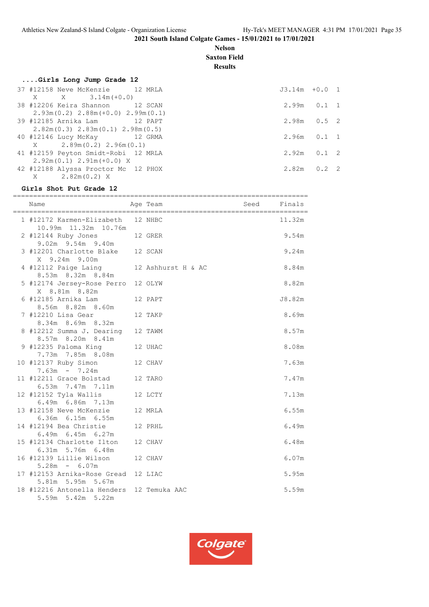**Nelson Saxton Field**

**Results**

## **....Girls Long Jump Grade 12**

|  | 37 #12158 Neve McKenzie 12 MRLA          |  |
|--|------------------------------------------|--|
|  | $X \t X \t 3.14m (+0.0)$                 |  |
|  | 38 #12206 Keira Shannon 12 SCAN          |  |
|  | $2.93m(0.2)$ $2.88m(+0.0)$ $2.99m(0.1)$  |  |
|  | 39 #12185 Arnika Lam             12 PAPT |  |
|  | $2.82m(0.3)$ $2.83m(0.1)$ $2.98m(0.5)$   |  |
|  | 40 #12146 Lucy McKay 12 GRMA             |  |
|  | $X = 2.89m(0.2) 2.96m(0.1)$              |  |
|  | 41 #12159 Peyton Smidt-Robi 12 MRLA      |  |
|  | $2.92m(0.1) 2.91m(+0.0) X$               |  |
|  | 42 #12188 Alyssa Proctor Mc 12 PHOX      |  |
|  | $X = 2.82m(0.2) X$                       |  |

# $J3.14m +0.0 1$  $2.99m$  0.1 1  $2.98m$  0.5 2  $2.96m$  0.1 1  $2.92m$  0.1 2  $2.82m$  0.2 2

#### **Girls Shot Put Grade 12**

| Name                                                           | Age Team<br><b>Seed</b> | Finals         |
|----------------------------------------------------------------|-------------------------|----------------|
| 1 #12172 Karmen-Elizabeth 12 NHBC<br>10.99m  11.32m  10.76m    |                         | 11.32m         |
| 2 #12144 Ruby Jones 12 GRER<br>9.02m 9.54m 9.40m               |                         | 9.54m          |
| 3 #12201 Charlotte Blake 12 SCAN<br>X 9.24m 9.00m              |                         | 9.24m          |
| 4 #12112 Paige Laing<br>8.53m 8.32m 8.84m                      | 12 Ashhurst H & AC      | 8.84m          |
| 5 #12174 Jersey-Rose Perro 12 OLYW<br>X 8.81m 8.82m            |                         | 8.82m          |
| 6 #12185 Arnika Lam<br>8.56m 8.82m 8.60m                       | 12 PAPT                 | J8.82m         |
| 7 #12210 Lisa Gear<br>8.34m 8.69m 8.32m                        | 12 TAKP                 | 8.69m          |
| 8 #12212 Summa J. Dearing 12 TAWM<br>8.57m 8.20m 8.41m         |                         | 8.57m          |
| 9 #12235 Paloma King<br>7.73m 7.85m 8.08m                      | 12 UHAC                 | 8.08m          |
| 10 #12137 Ruby Simon<br>12 CHAV<br>$7.63m - 7.24m$             |                         | 7.63m          |
| 11 #12211 Grace Bolstad 12 TARO<br>6.53m 7.47m 7.11m           |                         | 7.47m          |
| 12 #12152 Tyla Wallis<br>6.49m 6.86m 7.13m                     | 12 LCTY                 | 7.13m          |
| 13 #12158 Neve McKenzie<br>6.36m 6.15m 6.55m                   | 12 MRLA                 | 6.55m          |
| 14 #12194 Bea Christie<br>6.49m 6.45m 6.27m                    | 12 PRHL                 | 6.49m          |
| 15 #12134 Charlotte Ilton<br>6.31m 5.76m 6.48m                 | 12 CHAV                 | 6.48m<br>6.07m |
| 16 #12139 Lillie Wilson 12 CHAV<br>$5.28m - 6.07m$             |                         |                |
| 17 #12153 Arnika-Rose Gread 12 LIAC<br>5.81m 5.95m 5.67m       |                         | 5.95m          |
| 18 #12216 Antonella Henders 12 Temuka AAC<br>5.59m 5.42m 5.22m |                         | 5.59m          |

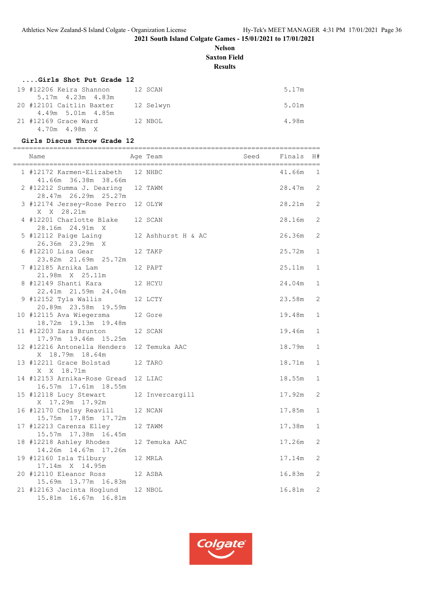#### **Nelson Saxton Field**

**Results**

#### **....Girls Shot Put Grade 12**

| 19 #12206 Keira Shannon                         | 12 SCAN   | 5.17m |
|-------------------------------------------------|-----------|-------|
| $5.17m$ 4.23m 4.83m<br>20 #12101 Caitlin Baxter | 12 Selwyn | 5.01m |
| 4.49m 5.01m 4.85m                               |           |       |
| 21 #12169 Grace Ward                            | 12 NBOL   | 4.98m |
| 4.70m  4.98m  X                                 |           |       |

## **Girls Discus Throw Grade 12**

| Name                                                          | Age Team           | Seed | Finals | H#           |
|---------------------------------------------------------------|--------------------|------|--------|--------------|
| 1 #12172 Karmen-Elizabeth 12 NHBC<br>41.66m 36.38m 38.66m     |                    |      | 41.66m | 1            |
| 2 #12212 Summa J. Dearing 12 TAWM<br>28.47m  26.29m  25.27m   |                    |      | 28.47m | 2            |
| 3 #12174 Jersey-Rose Perro 12 OLYW<br>X X 28.21m              |                    |      | 28.21m | 2            |
| 4 #12201 Charlotte Blake 12 SCAN<br>28.16m  24.91m  X         |                    |      | 28.16m | 2            |
| 5 #12112 Paige Laing<br>26.36m 23.29m X                       | 12 Ashhurst H & AC |      | 26.36m | 2            |
| $6$ #12210 Lisa Gear<br>23.82m 21.69m 25.72m                  | 12 TAKP            |      | 25.72m | 1            |
| 7 #12185 Arnika Lam<br>21.98m X 25.11m                        | 12 PAPT            |      | 25.11m | 1            |
| 8 #12149 Shanti Kara<br>22.41m 21.59m 24.04m                  | 12 HCYU            |      | 24.04m | 1            |
| 9 #12152 Tyla Wallis<br>20.89m 23.58m 19.59m                  | 12 LCTY            |      | 23.58m | 2            |
| 10 #12115 Ava Wiegersma<br>18.72m 19.13m 19.48m               | 12 Gore            |      | 19.48m | $\mathbf{1}$ |
| 11 #12203 Zara Brunton<br>17.97m 19.46m 15.25m                | 12 SCAN            |      | 19.46m | $\mathbf{1}$ |
| 12 #12216 Antonella Henders 12 Temuka AAC<br>X 18.79m 18.64m  |                    |      | 18.79m | $\mathbf{1}$ |
| 13 #12211 Grace Bolstad 12 TARO<br>X X 18.71m                 |                    |      | 18.71m | 1            |
| 14 #12153 Arnika-Rose Gread 12 LIAC<br>16.57m  17.61m  18.55m |                    |      | 18.55m | 1            |
| 15 #12118 Lucy Stewart<br>X 17.29m 17.92m                     | 12 Invercargill    |      | 17.92m | 2            |
| 16 #12170 Chelsy Reavill<br>15.75m  17.85m  17.72m            | 12 NCAN            |      | 17.85m | $\mathbf{1}$ |
| 17 #12213 Carenza Elley<br>15.57m 17.38m 16.45m               | 12 TAWM            |      | 17.38m | 1            |
| 18 #12218 Ashley Rhodes<br>14.26m  14.67m  17.26m             | 12 Temuka AAC      |      | 17.26m | 2            |
| 19 #12160 Isla Tilbury 12 MRLA<br>17.14m X 14.95m             |                    |      | 17.14m | 2            |
| 20 #12110 Eleanor Ross<br>15.69m  13.77m  16.83m              | 12 ASBA            |      | 16.83m | 2            |
| 21 #12163 Jacinta Hoglund 12 NBOL<br>15.81m  16.67m  16.81m   |                    |      | 16.81m | 2            |

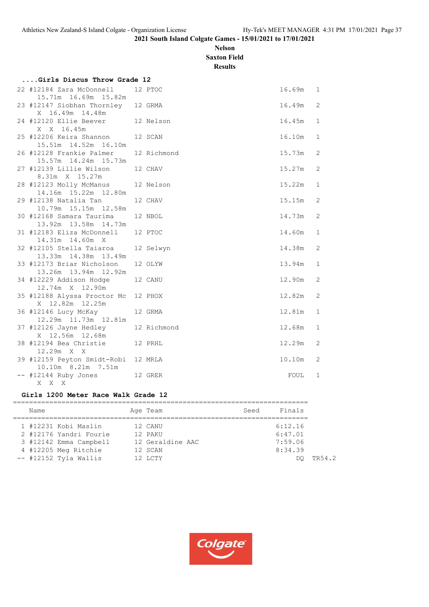# **Nelson Saxton Field**

**Results**

| Girls Discus Throw Grade 12                                    |           |        |              |
|----------------------------------------------------------------|-----------|--------|--------------|
| 22 #12184 Zara McDonnell<br>15.71m  16.69m  15.82m             | 12 PTOC   | 16.69m | 1            |
| 23 #12147 Siobhan Thornley 12 GRMA<br>X 16.49m 14.48m          |           | 16.49m | 2            |
| 24 #12120 Ellie Beever 12 Nelson<br>X X 16.45m                 |           | 16.45m | $\mathbf 1$  |
| 25 #12206 Keira Shannon 12 SCAN<br>15.51m  14.52m  16.10m      |           | 16.10m | $\mathbf 1$  |
| 26 #12128 Frankie Palmer 12 Richmond<br>15.57m  14.24m  15.73m |           | 15.73m | 2            |
| 27 #12139 Lillie Wilson<br>8.31m X 15.27m                      | 12 CHAV   | 15.27m | 2            |
| 28 #12123 Molly McManus 12 Nelson<br>14.16m  15.22m  12.80m    |           | 15.22m | $\mathbf 1$  |
| 29 #12138 Natalia Tan<br>10.79m 15.15m 12.58m                  | 12 CHAV   | 15.15m | 2            |
| 30 #12168 Samara Taurima<br>13.92m  13.58m  14.73m             | 12 NBOL   | 14.73m | 2            |
| 31 #12183 Eliza McDonnell 12 PTOC<br>14.31m 14.60m X           |           | 14.60m | $\mathbf 1$  |
| 32 #12105 Stella Taiaroa<br>13.33m  14.38m  13.49m             | 12 Selwyn | 14.38m | 2            |
| 33 #12173 Briar Nicholson<br>13.26m 13.94m 12.92m              | 12 OLYW   | 13.94m | $\mathbf{1}$ |
| 34 #12229 Addison Hodge<br>12.74m X 12.90m                     | 12 CANU   | 12.90m | 2            |
| 35 #12188 Alyssa Proctor Mc 12 PHOX<br>X 12.82m 12.25m         |           | 12.82m | 2            |
| 36 #12146 Lucy McKay<br>12.29m  11.73m  12.81m                 | 12 GRMA   | 12.81m | $\mathbf 1$  |
| 37 #12126 Jayne Hedley 12 Richmond<br>X 12.56m 12.68m          |           | 12.68m | $\mathbf{1}$ |
| 12 PRHL<br>38 #12194 Bea Christie<br>12.29m X X                |           | 12.29m | 2            |
| 39 #12159 Peyton Smidt-Robi 12 MRLA<br>10.10m 8.21m 7.51m      |           | 10.10m | 2            |
| -- #12144 Ruby Jones<br>12 GRER<br>$X$ $X$ $X$                 |           | FOUL   | 1            |

#### **Girls 1200 Meter Race Walk Grade 12**

|  | Name                   |  | Age Team         | Seed | Finals  |  |
|--|------------------------|--|------------------|------|---------|--|
|  | 1 #12231 Kobi Maslin   |  | 12 CANU          |      | 6:12.16 |  |
|  | 2 #12176 Yandri Fourie |  | 12 PAKU          |      | 6:47.01 |  |
|  | 3 #12142 Emma Campbell |  | 12 Geraldine AAC |      | 7:59.06 |  |
|  | 4 #12205 Meg Ritchie   |  | 12 SCAN          |      | 8:34.39 |  |
|  | -- #12152 Tyla Wallis  |  | 12 LCTY          |      | TR54.2  |  |
|  |                        |  |                  |      |         |  |

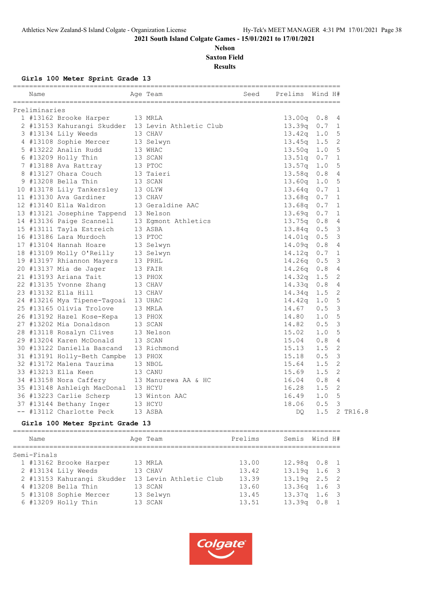# **Nelson Saxton Field Results**

**Girls 100 Meter Sprint Grade 13**

| Preliminaries<br>1 #13162 Brooke Harper<br>13 MRLA<br>2 #13153 Kahurangi Skudder 13 Levin Athletic Club<br>3 #13134 Lily Weeds<br>13 CHAV<br>4 #13108 Sophie Mercer 13 Selwyn<br>5 #13222 Analin Rudd<br>13 WHAC<br>13 SCAN<br>6 #13209 Holly Thin<br>7 #13188 Ava Rattray 13 PTOC<br>8 #13127 Ohara Couch<br>13 Taieri<br>9 #13208 Bella Thin<br>13 SCAN<br>10 #13178 Lily Tankersley 13 OLYW<br>11 #13130 Ava Gardiner<br>13 CHAV<br>12 #13140 Ella Waldron<br>13 Geraldine AAC<br>13 #13121 Josephine Tappend 13 Nelson<br>14 #13136 Paige Scannell<br>13 Eqmont Athletics<br>15 #13111 Tayla Estreich<br>13 ASBA<br>16 #13186 Lara Murdoch<br>13 PTOC<br>17 #13104 Hannah Hoare<br>13 Selwyn<br>18 #13109 Molly O'Reilly<br>13 Selwyn<br>19 #13197 Rhiannon Mayers<br>13 PRHL<br>20 #13137 Mia de Jager<br>13 FAIR<br>21 #13193 Ariana Tait<br>13 PHOX<br>22 #13135 Yvonne Zhang<br>13 CHAV<br>23 #13132 Ella Hill<br>13 CHAV<br>24 #13216 Mya Tipene-Tagoai 13 UHAC<br>25 #13165 Olivia Trolove<br>13 MRLA<br>26 #13192 Hazel Kose-Kepa 13 PHOX<br>27 #13202 Mia Donaldson<br>13 SCAN<br>28 #13118 Rosalyn Clives<br>13 Nelson<br>29 #13204 Karen McDonald<br>13 SCAN | 13.00q<br>13.39q<br>13.42q<br>13.45q<br>13.50q<br>13.51q<br>13.57q<br>13.58q<br>13.60q<br>13.64q<br>13.68q<br>13.68q | 0.8<br>0.7<br>1.0<br>1.5<br>1.0<br>0.7<br>1.0<br>0.8<br>1.0 | -4<br>$\mathbf{1}$<br>5<br>2<br>5<br>1<br>5<br>$\overline{4}$ |
|----------------------------------------------------------------------------------------------------------------------------------------------------------------------------------------------------------------------------------------------------------------------------------------------------------------------------------------------------------------------------------------------------------------------------------------------------------------------------------------------------------------------------------------------------------------------------------------------------------------------------------------------------------------------------------------------------------------------------------------------------------------------------------------------------------------------------------------------------------------------------------------------------------------------------------------------------------------------------------------------------------------------------------------------------------------------------------------------------------------------------------------------------------------------------|----------------------------------------------------------------------------------------------------------------------|-------------------------------------------------------------|---------------------------------------------------------------|
|                                                                                                                                                                                                                                                                                                                                                                                                                                                                                                                                                                                                                                                                                                                                                                                                                                                                                                                                                                                                                                                                                                                                                                            |                                                                                                                      |                                                             |                                                               |
|                                                                                                                                                                                                                                                                                                                                                                                                                                                                                                                                                                                                                                                                                                                                                                                                                                                                                                                                                                                                                                                                                                                                                                            |                                                                                                                      |                                                             |                                                               |
|                                                                                                                                                                                                                                                                                                                                                                                                                                                                                                                                                                                                                                                                                                                                                                                                                                                                                                                                                                                                                                                                                                                                                                            |                                                                                                                      |                                                             |                                                               |
|                                                                                                                                                                                                                                                                                                                                                                                                                                                                                                                                                                                                                                                                                                                                                                                                                                                                                                                                                                                                                                                                                                                                                                            |                                                                                                                      |                                                             |                                                               |
|                                                                                                                                                                                                                                                                                                                                                                                                                                                                                                                                                                                                                                                                                                                                                                                                                                                                                                                                                                                                                                                                                                                                                                            |                                                                                                                      |                                                             |                                                               |
|                                                                                                                                                                                                                                                                                                                                                                                                                                                                                                                                                                                                                                                                                                                                                                                                                                                                                                                                                                                                                                                                                                                                                                            |                                                                                                                      |                                                             |                                                               |
|                                                                                                                                                                                                                                                                                                                                                                                                                                                                                                                                                                                                                                                                                                                                                                                                                                                                                                                                                                                                                                                                                                                                                                            |                                                                                                                      |                                                             |                                                               |
|                                                                                                                                                                                                                                                                                                                                                                                                                                                                                                                                                                                                                                                                                                                                                                                                                                                                                                                                                                                                                                                                                                                                                                            |                                                                                                                      |                                                             |                                                               |
|                                                                                                                                                                                                                                                                                                                                                                                                                                                                                                                                                                                                                                                                                                                                                                                                                                                                                                                                                                                                                                                                                                                                                                            |                                                                                                                      |                                                             |                                                               |
|                                                                                                                                                                                                                                                                                                                                                                                                                                                                                                                                                                                                                                                                                                                                                                                                                                                                                                                                                                                                                                                                                                                                                                            |                                                                                                                      |                                                             | 5                                                             |
|                                                                                                                                                                                                                                                                                                                                                                                                                                                                                                                                                                                                                                                                                                                                                                                                                                                                                                                                                                                                                                                                                                                                                                            |                                                                                                                      | 0.7                                                         | 1                                                             |
|                                                                                                                                                                                                                                                                                                                                                                                                                                                                                                                                                                                                                                                                                                                                                                                                                                                                                                                                                                                                                                                                                                                                                                            |                                                                                                                      | 0.7                                                         | 1                                                             |
|                                                                                                                                                                                                                                                                                                                                                                                                                                                                                                                                                                                                                                                                                                                                                                                                                                                                                                                                                                                                                                                                                                                                                                            |                                                                                                                      | 0.7                                                         | 1                                                             |
|                                                                                                                                                                                                                                                                                                                                                                                                                                                                                                                                                                                                                                                                                                                                                                                                                                                                                                                                                                                                                                                                                                                                                                            | 13.69q                                                                                                               | 0.7                                                         | 1                                                             |
|                                                                                                                                                                                                                                                                                                                                                                                                                                                                                                                                                                                                                                                                                                                                                                                                                                                                                                                                                                                                                                                                                                                                                                            | 13.75q                                                                                                               | 0.8                                                         | $\overline{4}$                                                |
|                                                                                                                                                                                                                                                                                                                                                                                                                                                                                                                                                                                                                                                                                                                                                                                                                                                                                                                                                                                                                                                                                                                                                                            | 13.84q                                                                                                               | 0.5                                                         | 3                                                             |
|                                                                                                                                                                                                                                                                                                                                                                                                                                                                                                                                                                                                                                                                                                                                                                                                                                                                                                                                                                                                                                                                                                                                                                            | 14.01q                                                                                                               | 0.5                                                         | 3                                                             |
|                                                                                                                                                                                                                                                                                                                                                                                                                                                                                                                                                                                                                                                                                                                                                                                                                                                                                                                                                                                                                                                                                                                                                                            | 14.09q                                                                                                               | 0.8                                                         | $\overline{4}$                                                |
|                                                                                                                                                                                                                                                                                                                                                                                                                                                                                                                                                                                                                                                                                                                                                                                                                                                                                                                                                                                                                                                                                                                                                                            | 14.12q                                                                                                               | 0.7                                                         | $\mathbf{1}$                                                  |
|                                                                                                                                                                                                                                                                                                                                                                                                                                                                                                                                                                                                                                                                                                                                                                                                                                                                                                                                                                                                                                                                                                                                                                            | 14.26q                                                                                                               | 0.5                                                         | 3                                                             |
|                                                                                                                                                                                                                                                                                                                                                                                                                                                                                                                                                                                                                                                                                                                                                                                                                                                                                                                                                                                                                                                                                                                                                                            | 14.26q                                                                                                               | 0.8                                                         | 4                                                             |
|                                                                                                                                                                                                                                                                                                                                                                                                                                                                                                                                                                                                                                                                                                                                                                                                                                                                                                                                                                                                                                                                                                                                                                            | 14.32q                                                                                                               | 1.5                                                         | 2                                                             |
|                                                                                                                                                                                                                                                                                                                                                                                                                                                                                                                                                                                                                                                                                                                                                                                                                                                                                                                                                                                                                                                                                                                                                                            | 14.33q                                                                                                               | 0.8                                                         | $\overline{4}$                                                |
|                                                                                                                                                                                                                                                                                                                                                                                                                                                                                                                                                                                                                                                                                                                                                                                                                                                                                                                                                                                                                                                                                                                                                                            | 14.34q                                                                                                               | 1.5                                                         | 2                                                             |
|                                                                                                                                                                                                                                                                                                                                                                                                                                                                                                                                                                                                                                                                                                                                                                                                                                                                                                                                                                                                                                                                                                                                                                            | 14.42q                                                                                                               | 1.0                                                         | 5                                                             |
|                                                                                                                                                                                                                                                                                                                                                                                                                                                                                                                                                                                                                                                                                                                                                                                                                                                                                                                                                                                                                                                                                                                                                                            | 14.67                                                                                                                | 0.5                                                         | 3                                                             |
|                                                                                                                                                                                                                                                                                                                                                                                                                                                                                                                                                                                                                                                                                                                                                                                                                                                                                                                                                                                                                                                                                                                                                                            | 14.80                                                                                                                | 1.0                                                         | 5                                                             |
|                                                                                                                                                                                                                                                                                                                                                                                                                                                                                                                                                                                                                                                                                                                                                                                                                                                                                                                                                                                                                                                                                                                                                                            | 14.82                                                                                                                | 0.5                                                         | 3                                                             |
|                                                                                                                                                                                                                                                                                                                                                                                                                                                                                                                                                                                                                                                                                                                                                                                                                                                                                                                                                                                                                                                                                                                                                                            | 15.02                                                                                                                | 1.0                                                         | 5                                                             |
|                                                                                                                                                                                                                                                                                                                                                                                                                                                                                                                                                                                                                                                                                                                                                                                                                                                                                                                                                                                                                                                                                                                                                                            | 15.04                                                                                                                | 0.8                                                         | 4                                                             |
| 30 #13122 Daniella Bascand<br>13 Richmond                                                                                                                                                                                                                                                                                                                                                                                                                                                                                                                                                                                                                                                                                                                                                                                                                                                                                                                                                                                                                                                                                                                                  | 15.13                                                                                                                | 1.5                                                         | 2                                                             |
| 31 #13191 Holly-Beth Campbe 13 PHOX                                                                                                                                                                                                                                                                                                                                                                                                                                                                                                                                                                                                                                                                                                                                                                                                                                                                                                                                                                                                                                                                                                                                        | 15.18                                                                                                                | 0.5                                                         | 3                                                             |
| 32 #13172 Malena Taurima<br>13 NBOL                                                                                                                                                                                                                                                                                                                                                                                                                                                                                                                                                                                                                                                                                                                                                                                                                                                                                                                                                                                                                                                                                                                                        | 15.64                                                                                                                | 1.5                                                         | 2                                                             |
| 33 #13213 Ella Keen<br>13 CANU                                                                                                                                                                                                                                                                                                                                                                                                                                                                                                                                                                                                                                                                                                                                                                                                                                                                                                                                                                                                                                                                                                                                             | 15.69                                                                                                                | 1.5                                                         | 2                                                             |
| 34 #13158 Nora Caffery<br>13 Manurewa AA & HC                                                                                                                                                                                                                                                                                                                                                                                                                                                                                                                                                                                                                                                                                                                                                                                                                                                                                                                                                                                                                                                                                                                              | 16.04                                                                                                                | 0.8                                                         | 4                                                             |
| 35 #13148 Ashleigh MacDonal 13 HCYU                                                                                                                                                                                                                                                                                                                                                                                                                                                                                                                                                                                                                                                                                                                                                                                                                                                                                                                                                                                                                                                                                                                                        |                                                                                                                      | 1.5                                                         | 2                                                             |
| 36 #13223 Carlie Scherp<br>13 Winton AAC                                                                                                                                                                                                                                                                                                                                                                                                                                                                                                                                                                                                                                                                                                                                                                                                                                                                                                                                                                                                                                                                                                                                   | 16.28                                                                                                                | 1.0                                                         | 5                                                             |
| 37 #13144 Bethany Inger<br>13 HCYU                                                                                                                                                                                                                                                                                                                                                                                                                                                                                                                                                                                                                                                                                                                                                                                                                                                                                                                                                                                                                                                                                                                                         | 16.49                                                                                                                | 0.5                                                         | 3                                                             |
| -- #13112 Charlotte Peck<br>13 ASBA                                                                                                                                                                                                                                                                                                                                                                                                                                                                                                                                                                                                                                                                                                                                                                                                                                                                                                                                                                                                                                                                                                                                        | 18.06                                                                                                                | 1.5                                                         | 2 TR16.8                                                      |

# **Girls 100 Meter Sprint Grade 13**

| Name        |                            | Age Team               | Prelims | Semis Wind H#    |  |
|-------------|----------------------------|------------------------|---------|------------------|--|
| Semi-Finals |                            |                        |         |                  |  |
|             | 1 #13162 Brooke Harper     | 13 MRLA                | 13.00   | $12.98q$ 0.8 1   |  |
|             | 2 #13134 Lily Weeds        | 13 CHAV                | 13.42   | $13.19q$ 1.6 3   |  |
|             | 2 #13153 Kahurangi Skudder | 13 Levin Athletic Club | 13.39   | $13.19q$ $2.5$ 2 |  |
|             | 4 #13208 Bella Thin        | 13 SCAN                | 13.60   | $13.36q$ $1.6$ 3 |  |
|             | 5 #13108 Sophie Mercer     | 13 Selwyn              | 13.45   | $13.37q$ 1.6 3   |  |
|             | 6 #13209 Holly Thin        | 13 SCAN                | 13.51   | $13.39q$ 0.8 1   |  |
|             |                            |                        |         |                  |  |

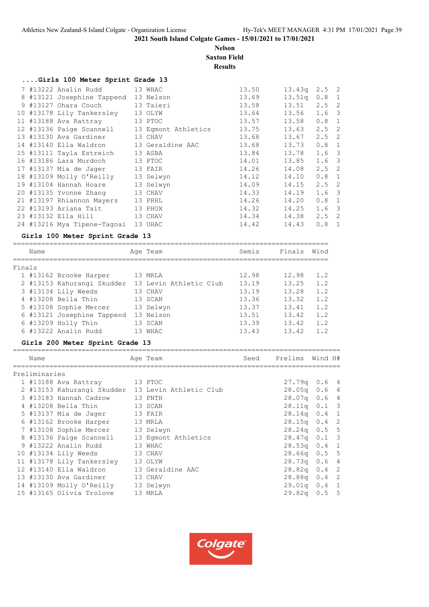**Nelson Saxton Field**

# **Results**

|        | Girls 100 Meter Sprint Grade 13                   |                     |       |                 |                                                       |                |
|--------|---------------------------------------------------|---------------------|-------|-----------------|-------------------------------------------------------|----------------|
|        | 7 #13222 Analin Rudd                              | 13 WHAC             | 13.50 | 13.43q          | 2.5                                                   | $\overline{2}$ |
|        | 8 #13121 Josephine Tappend 13 Nelson              |                     | 13.69 | 13.51q 0.8 1    |                                                       |                |
|        | 9 #13127 Ohara Couch                              | 13 Taieri           | 13.58 | 13.51           | $2.5$ 2                                               |                |
|        | 10 #13178 Lily Tankersley                         | 13 OLYW             | 13.64 | 13.56           | $1.6-3$                                               |                |
|        | 11 #13188 Ava Rattray                             | 13 PTOC             | 13.57 | 13.58           | 0.8                                                   | $\overline{1}$ |
|        | 12 #13136 Paige Scannell                          | 13 Eqmont Athletics | 13.75 | 13.63           | 2.5                                                   | $\overline{2}$ |
|        | 13 #13130 Ava Gardiner                            | 13 CHAV             | 13.68 | 13.67           | 2.5                                                   | 2              |
|        | 14 #13140 Ella Waldron                            | 13 Geraldine AAC    | 13.68 | 13.73           | 0.8                                                   | 1              |
|        | 15 #13111 Tayla Estreich                          | 13 ASBA             | 13.84 | 13.78           | $1.6-3$                                               |                |
|        | 16 #13186 Lara Murdoch                            | 13 PTOC             | 14.01 | 13.85           | $1.6-3$                                               |                |
|        | 17 #13137 Mia de Jager                            | 13 FAIR             | 14.26 | 14.08           | $2.5$ 2                                               |                |
|        | 18 #13109 Molly O'Reilly                          | 13 Selwyn           | 14.12 | 14.10           | $0.8$ 1                                               |                |
|        | 19 #13104 Hannah Hoare                            | 13 Selwyn           | 14.09 | 14.15           | 2.5                                                   | 2              |
|        | 20 #13135 Yvonne Zhang                            | 13 CHAV             | 14.33 | 14.19           | $1.6-3$                                               |                |
|        | 21 #13197 Rhiannon Mayers                         | 13 PRHL             | 14.26 | 14.20           | $0.8 \quad 1$                                         |                |
|        | 22 #13193 Ariana Tait                             | 13 PHOX             | 14.32 | 14.25           | $1.6-3$                                               |                |
|        | 23 #13132 Ella Hill                               | 13 CHAV             | 14.34 | 14.38           | $2.5$ 2                                               |                |
|        | 24 #13216 Mya Tipene-Tagoai 13 UHAC               |                     | 14.42 | 14.43           | 0.8                                                   | $\overline{1}$ |
|        |                                                   |                     |       |                 |                                                       |                |
|        | Girls 100 Meter Sprint Grade 13                   |                     |       |                 |                                                       |                |
|        | Name                                              | Age Team            | Semis | Finals          | Wind                                                  |                |
|        |                                                   |                     |       |                 |                                                       |                |
| Finals |                                                   |                     |       |                 |                                                       |                |
|        | 1 #13162 Brooke Harper                            | 13 MRLA             | 12.98 | 12.98           | 1.2                                                   |                |
|        | 2 #13153 Kahurangi Skudder 13 Levin Athletic Club |                     | 13.19 | 13.25           | 1.2                                                   |                |
|        | 3 #13134 Lily Weeds                               | 13 CHAV             | 13.19 | 13.28           | 1.2                                                   |                |
|        | 4 #13208 Bella Thin                               | 13 SCAN             | 13.36 | 13.32           | 1.2                                                   |                |
|        | 5 #13108 Sophie Mercer                            | 13 Selwyn           | 13.37 | $13.41$ $1.2$   |                                                       |                |
|        | 6 #13121 Josephine Tappend 13 Nelson              |                     | 13.51 | 13.42 1.2       |                                                       |                |
|        | $6$ #13209 Holly Thin                             | 13 SCAN             | 13.39 | 13.42           | 1.2                                                   |                |
|        | 6 #13222 Analin Rudd                              | 13 WHAC             | 13.43 | 13.42           | 1.2                                                   |                |
|        |                                                   |                     |       |                 |                                                       |                |
|        | Girls 200 Meter Sprint Grade 13                   |                     |       |                 |                                                       |                |
|        | Name                                              | Age Team            | Seed  | Prelims Wind H# |                                                       |                |
|        |                                                   |                     |       |                 |                                                       |                |
|        | Preliminaries                                     |                     |       |                 |                                                       |                |
|        | 1 #13188 Ava Rattray                              | 13 PTOC             |       | $27.79q$ 0.6 4  |                                                       |                |
|        | 2 #13153 Kahurangi Skudder 13 Levin Athletic Club |                     |       | 28.05q          | 0.64                                                  |                |
|        | 3 #13183 Hannah Cadzow                            | 13 PNTH             |       | 28.07q          | 0.6                                                   | $\overline{4}$ |
|        | 4 #13208 Bella Thin                               | 13 SCAN             |       | 28.11q          | 0.1                                                   | 3              |
|        | 5 #13137 Mia de Jager                             | 13 FAIR             |       | 28.14q          | 0.4                                                   | $\mathbf{1}$   |
|        | 6 #13162 Brooke Harper                            | 13 MRLA             |       | 28.15q          | 0.4                                                   | $\sqrt{2}$     |
|        | 7 #13108 Sophie Mercer                            | 13 Selwyn           |       | 28.24q          | 0.5                                                   | $\mathsf S$    |
|        | 8 #13136 Paige Scannell                           | 13 Eqmont Athletics |       | 28.47q          | 0.1                                                   | $\mathsf 3$    |
|        | 9 #13222 Analin Rudd                              | 13 WHAC             |       | 28.53q          | $\ensuremath{\mathsf{0}}$ . $\ensuremath{\mathsf{4}}$ | $\mathbf{1}$   |
|        | 10 #13134 Lily Weeds                              | 13 CHAV             |       | 28.66q          | 0.5                                                   | $\mathbb S$    |
|        | 11 #13178 Lily Tankersley                         | 13 OLYW             |       | 28.73q          | 0.6                                                   | $\overline{4}$ |
|        | 12 #13140 Ella Waldron                            | 13 Geraldine AAC    |       | 28.82q          | 0.4                                                   | $\sqrt{2}$     |
|        | 13 #13130 Ava Gardiner                            | 13 CHAV             |       | 28.88q          | 0.4                                                   | $\sqrt{2}$     |
|        | 14 #13109 Molly O'Reilly                          | 13 Selwyn           |       | 29.01q          | 0.4                                                   | $\mathbf{1}$   |
|        | 15 #13165 Olivia Trolove                          | 13 MRLA             |       | 29.82q          | 0.5                                                   | $\mathsf S$    |
|        |                                                   |                     |       |                 |                                                       |                |

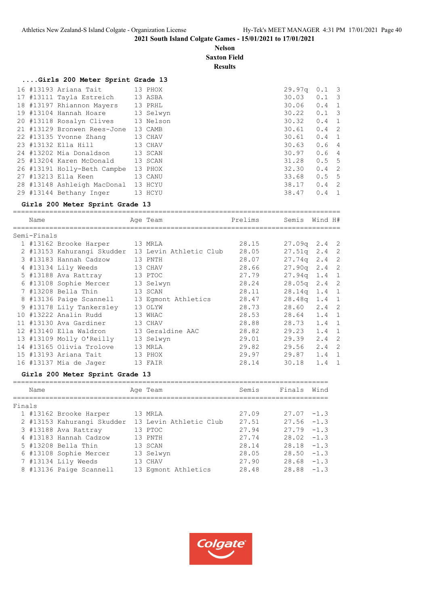**Nelson Saxton Field**

**Results**

# **....Girls 200 Meter Sprint Grade 13**

|  | 16 #13193 Ariana Tait              | 13 PHOX   | 29.97q          | $0.1 \quad 3$ |  |
|--|------------------------------------|-----------|-----------------|---------------|--|
|  | 17 #13111 Tayla Estreich 13 ASBA   |           | 30.03           | $0.1 \quad 3$ |  |
|  | 18 #13197 Rhiannon Mayers          | 13 PRHL   | 30.06           | $0.4 \quad 1$ |  |
|  | 19 #13104 Hannah Hoare             | 13 Selwyn | $30.22$ $0.1$ 3 |               |  |
|  | 20 #13118 Rosalyn Clives 13 Nelson |           | 30.32           | $0.4 \quad 1$ |  |
|  | 21 #13129 Bronwen Rees-Jone        | 13 CAMB   | 30.61           | $0.4 \quad 2$ |  |
|  | 22 #13135 Yvonne Zhang             | 13 CHAV   | 30.61           | $0.4 \quad 1$ |  |
|  | 23 #13132 Ella Hill 13 CHAV        |           | 30.63           | 0.64          |  |
|  | 24 #13202 Mia Donaldson 13 SCAN    |           | 30.97           | 0.64          |  |
|  | 25 #13204 Karen McDonald 13 SCAN   |           | 31.28           | 0.55          |  |
|  | 26 #13191 Holly-Beth Campbe        | 13 PHOX   | 32.30           | $0.4 \quad 2$ |  |
|  | 27 #13213 Ella Keen                | 13 CANU   | 33.68           | 0.55          |  |
|  | 28 #13148 Ashleigh MacDonal        | 13 HCYU   | 38.17           | $0.4 \quad 2$ |  |
|  | 29 #13144 Bethany Inger 13 HCYU    |           | 38.47           | $0.4 \quad 1$ |  |
|  |                                    |           |                 |               |  |

#### **Girls 200 Meter Sprint Grade 13**

|        | Name        |                                  | Age Team                                          | Prelims | Semis Wind H# |        |                |
|--------|-------------|----------------------------------|---------------------------------------------------|---------|---------------|--------|----------------|
|        | Semi-Finals |                                  |                                                   |         |               |        |                |
|        |             | 1 #13162 Brooke Harper 13 MRLA   |                                                   | 28.15   | 27.09q 2.4 2  |        |                |
|        |             |                                  | 2 #13153 Kahurangi Skudder 13 Levin Athletic Club | 28.05   | 27.51q        | 2.4    | $\overline{c}$ |
|        |             | 3 #13183 Hannah Cadzow           | 13 PNTH                                           | 28.07   | 27.74q        | 2.4    | $\overline{c}$ |
|        |             | 4 #13134 Lily Weeds              | 13 CHAV                                           | 28.66   | 27.90q        | 2.4    | $\overline{c}$ |
|        |             | 5 #13188 Ava Rattray             | 13 PTOC                                           | 27.79   | 27.94q        | 1.4    | $\mathbf{1}$   |
|        |             | 6 #13108 Sophie Mercer 13 Selwyn |                                                   | 28.24   | 28.05q        | 2.4    | $\overline{c}$ |
|        |             | 7 #13208 Bella Thin              | 13 SCAN                                           | 28.11   | 28.14q        | 1.4    | $\mathbf{1}$   |
|        |             | 8 #13136 Paige Scannell          | 13 Egmont Athletics                               | 28.47   | 28.48q        | 1.4    | $\mathbf{1}$   |
|        |             | 9 #13178 Lily Tankersley         | 13 OLYW                                           | 28.73   | 28.60         | 2.4    | $\overline{c}$ |
|        |             | 10 #13222 Analin Rudd            | 13 WHAC                                           | 28.53   | 28.64         | 1.4    | $\mathbf{1}$   |
|        |             | 11 #13130 Ava Gardiner           | 13 CHAV                                           | 28.88   | 28.73         | 1.4    | $\mathbf{1}$   |
|        |             | 12 #13140 Ella Waldron           | 13 Geraldine AAC                                  | 28.82   | 29.23         | 1.4    | $\mathbf{1}$   |
|        |             | 13 #13109 Molly O'Reilly         | 13 Selwyn                                         | 29.01   | 29.39         | 2.4    | $\overline{c}$ |
|        |             | 14 #13165 Olivia Trolove         | 13 MRLA                                           | 29.82   | 29.56         | 2.4    | $\overline{c}$ |
|        |             | 15 #13193 Ariana Tait            | 13 PHOX                                           | 29.97   | 29.87         | 1.4    | $\mathbf{1}$   |
|        |             | 16 #13137 Mia de Jager           | 13 FAIR                                           | 28.14   | 30.18         | 1.4    | $\mathbf{1}$   |
|        |             | Girls 200 Meter Sprint Grade 13  |                                                   |         |               |        |                |
|        | Name        |                                  | Age Team                                          | Semis   | Finals        | Wind   |                |
| Finals |             |                                  |                                                   |         |               |        |                |
|        |             | 1 #13162 Brooke Harper 13 MRLA   |                                                   | 27.09   | $27.07 - 1.3$ |        |                |
|        |             |                                  | 2 #13153 Kahurangi Skudder 13 Levin Athletic Club | 27.51   | $27.56 - 1.3$ |        |                |
|        |             | 3 #13188 Ava Rattray             | 13 PTOC                                           | 27.94   | $27.79 - 1.3$ |        |                |
|        |             | 4 #13183 Hannah Cadzow           | 13 PNTH                                           | 27.74   | $28.02 -1.3$  |        |                |
|        |             | 5 #13208 Bella Thin              | 13 SCAN                                           | 28.14   | $28.18 - 1.3$ |        |                |
|        |             | 6 #13108 Sophie Mercer           | 13 Selwyn                                         | 28.05   | $28.50 - 1.3$ |        |                |
|        |             | 7 #13134 Lily Weeds              | 13 CHAV                                           | 27.90   | $28.68 - 1.3$ |        |                |
|        |             | 8 #13136 Paige Scannell          | 13 Egmont Athletics                               | 28.48   | 28.88         | $-1.3$ |                |
|        |             |                                  |                                                   |         |               |        |                |

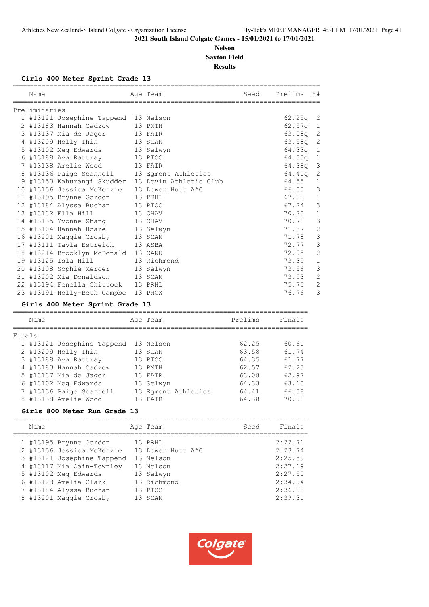# **Nelson Saxton Field Results**

#### **Girls 400 Meter Sprint Grade 13**

| Name          |                                              | Age Team                                          | Seed | Prelims    | H#             |
|---------------|----------------------------------------------|---------------------------------------------------|------|------------|----------------|
|               |                                              |                                                   |      |            |                |
| Preliminaries |                                              |                                                   |      |            |                |
|               | 1 #13121 Josephine Tappend 13 Nelson         |                                                   |      | $62.25q$ 2 |                |
|               | 2 #13183 Hannah Cadzow 13 PNTH               |                                                   |      | $62.57q$ 1 |                |
|               | 3 #13137 Mia de Jager                        | 13 FAIR                                           |      | 63.08q 2   |                |
|               | 4 #13209 Holly Thin 13 SCAN                  |                                                   |      | $63.58q$ 2 |                |
|               | 5 #13102 Meg Edwards 13 Selwyn               |                                                   |      | $64.33q$ 1 |                |
|               | 6 #13188 Ava Rattray 13 PTOC                 |                                                   |      | 64.35q     | $\mathbf{1}$   |
|               | 7 #13138 Amelie Wood 13 FAIR                 |                                                   |      | 64.38q 3   |                |
|               | 8 #13136 Paige Scannell 13 Egmont Athletics  |                                                   |      | 64.41a     | $\overline{c}$ |
|               |                                              | 9 #13153 Kahurangi Skudder 13 Levin Athletic Club |      | 64.55      | $\mathbf 1$    |
|               | 10 #13156 Jessica McKenzie 13 Lower Hutt AAC |                                                   |      | 66.05      | 3              |
|               | 11 #13195 Brynne Gordon                      | 13 PRHL                                           |      | 67.11      | $\mathbf 1$    |
|               | 12 #13184 Alyssa Buchan 13 PTOC              |                                                   |      | 67.24      | 3              |
|               | 13 #13132 Ella Hill<br>13 CHAV               |                                                   |      | 70.20      | $\mathbf{1}$   |
|               | 14 #13135 Yvonne Zhang 13 CHAV               |                                                   |      | 70.70      | 3              |
|               | 15 #13104 Hannah Hoare 13 Selwyn             |                                                   |      | 71.37      | $\mathbf{2}$   |
|               | 16 #13201 Maggie Crosby 13 SCAN              |                                                   |      | 71.78      | 3              |
|               | 17 #13111 Tayla Estreich 13 ASBA             |                                                   |      | 72.77      | 3              |
|               | 18 #13214 Brooklyn McDonald 13 CANU          |                                                   |      | 72.95      | $\overline{2}$ |
|               | 19 #13125 Isla Hill                          | 13 Richmond                                       |      | 73.39      | $\mathbf 1$    |
|               | 20 #13108 Sophie Mercer 13 Selwyn            |                                                   |      | 73.56      | 3              |
|               | 21 #13202 Mia Donaldson 13 SCAN              |                                                   |      | 73.93      | $\overline{2}$ |
|               | 22 #13194 Fenella Chittock 13 PRHL           |                                                   |      | 75.73      | $\overline{2}$ |
|               | 23 #13191 Holly-Beth Campbe                  | 13 PHOX                                           |      | 76.76      | 3              |

#### **Girls 400 Meter Sprint Grade 13**

 7 #13184 Alyssa Buchan 13 PTOC 2:36.18 8 #13201 Maggie Crosby 13 SCAN 2:39.31

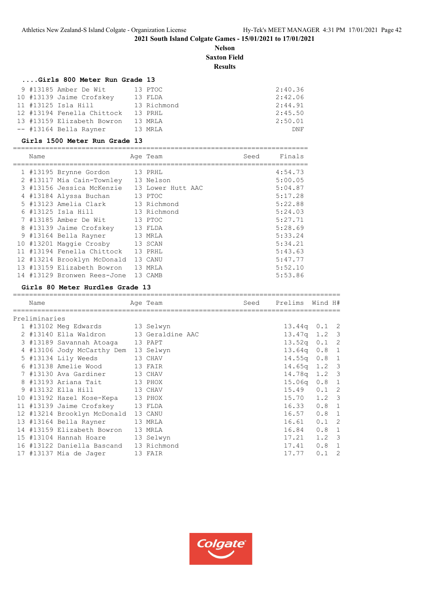# **Nelson Saxton Field Results**

# **....Girls 800 Meter Run Grade 13**

|  | 9 #13185 Amber De Wit      | 13 PTOC     | 2:40.36 |
|--|----------------------------|-------------|---------|
|  | 10 #13139 Jaime Crofskey   | 13 FLDA     | 2:42.06 |
|  | 11 #13125 Isla Hill        | 13 Richmond | 2:44.91 |
|  | 12 #13194 Fenella Chittock | 13 PRHL     | 2:45.50 |
|  | 13 #13159 Elizabeth Bowron | 13 MRLA     | 2:50.01 |
|  | -- #13164 Bella Rayner     | 13 MRLA     | DNF     |

#### **Girls 1500 Meter Run Grade 13**

| Name |                             | Age Team          | Seed | Finals  |
|------|-----------------------------|-------------------|------|---------|
|      |                             |                   |      |         |
|      | 1 #13195 Brynne Gordon      | 13 PRHL           |      | 4:54.73 |
|      | 2 #13117 Mia Cain-Townley   | 13 Nelson         |      | 5:00.05 |
|      | 3 #13156 Jessica McKenzie   | 13 Lower Hutt AAC |      | 5:04.87 |
|      | 4 #13184 Alyssa Buchan      | 13 PTOC           |      | 5:17.28 |
|      | 5 #13123 Amelia Clark       | 13 Richmond       |      | 5:22.88 |
|      | 6 #13125 Isla Hill          | 13 Richmond       |      | 5:24.03 |
|      | 7 #13185 Amber De Wit       | 13 PTOC           |      | 5:27.71 |
|      | 8 #13139 Jaime Crofskey     | 13 FLDA           |      | 5:28.69 |
|      | 9 #13164 Bella Rayner       | 13 MRLA           |      | 5:33.24 |
|      | 10 #13201 Maggie Crosby     | 13 SCAN           |      | 5:34.21 |
|      | 11 #13194 Fenella Chittock  | 13 PRHL           |      | 5:43.63 |
|      | 12 #13214 Brooklyn McDonald | 13 CANU           |      | 5:47.77 |
|      | 13 #13159 Elizabeth Bowron  | 13 MRLA           |      | 5:52.10 |
|      | 14 #13129 Bronwen Rees-Jone | 13 CAMB           |      | 5:53.86 |

#### **Girls 80 Meter Hurdles Grade 13**

| Name          |                                        | Age Team | Seed | Prelims Wind H#  |               |  |
|---------------|----------------------------------------|----------|------|------------------|---------------|--|
| Preliminaries |                                        |          |      |                  |               |  |
|               | 1 #13102 Meg Edwards 13 Selwyn         |          |      | 13.44q 0.1 2     |               |  |
|               | 2 #13140 Ella Waldron 13 Geraldine AAC |          |      | $13.47q$ 1.2 3   |               |  |
|               | 3 #13189 Savannah Atoaga 13 PAPT       |          |      | $13.52q$ 0.1 2   |               |  |
|               | 4 #13106 Jody McCarthy Dem 13 Selwyn   |          |      | 13.64q 0.8 1     |               |  |
|               | 5 #13134 Lily Weeds 13 CHAV            |          |      | $14.55q$ 0.8 1   |               |  |
|               | 6 #13138 Amelie Wood 13 FAIR           |          |      | $14.65q$ 1.2 3   |               |  |
|               | 7 #13130 Ava Gardiner 13 CHAV          |          |      | 14.78q 1.2 3     |               |  |
|               | 8 #13193 Ariana Tait 13 PHOX           |          |      | $15.06q$ $0.8$ 1 |               |  |
|               | 9 #13132 Ella Hill 13 CHAV             |          |      | 15.49  0.1  2    |               |  |
|               | 10 #13192 Hazel Kose-Kepa 13 PHOX      |          |      | 15.70 1.2 3      |               |  |
|               | 11 #13139 Jaime Crofskey 13 FLDA       |          |      | 16.33 0.8 1      |               |  |
|               | 12 #13214 Brooklyn McDonald 13 CANU    |          |      | $16.57$ 0.8 1    |               |  |
|               | 13 #13164 Bella Rayner<br>13 MRLA      |          |      | $16.61$ $0.1$ 2  |               |  |
|               | 14 #13159 Elizabeth Bowron 13 MRLA     |          |      | 16.84 0.8 1      |               |  |
|               | 15 #13104 Hannah Hoare 13 Selwyn       |          |      | $17.21$ $1.2$ 3  |               |  |
|               | 16 #13122 Daniella Bascand 13 Richmond |          |      | 17.41  0.8  1    |               |  |
|               | 17 #13137 Mia de Jaqer 13 FAIR         |          |      | 17.77            | $0.1 \quad 2$ |  |
|               |                                        |          |      |                  |               |  |

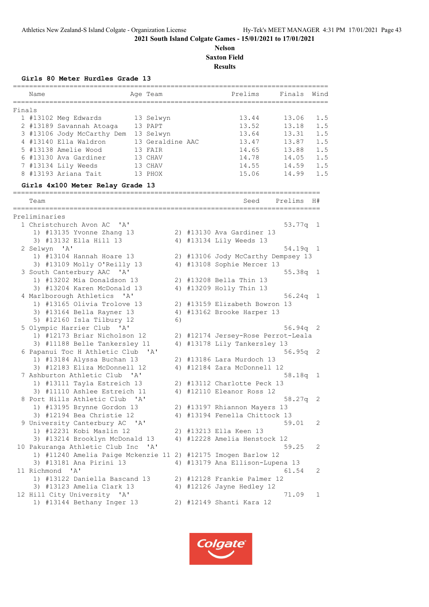# **Nelson Saxton Field Results**

#### **Girls 80 Meter Hurdles Grade 13**

|                     | ====================<br>Name                                               |              | Age Team         |    | =========== | Prelims Finals Wind                |            |     |
|---------------------|----------------------------------------------------------------------------|--------------|------------------|----|-------------|------------------------------------|------------|-----|
|                     |                                                                            |              |                  |    |             |                                    |            |     |
| Finals              |                                                                            |              |                  |    |             |                                    |            |     |
|                     | 1 #13102 Meg Edwards                                                       |              | 13 Selwyn        |    |             | 13.44                              | 13.06      | 1.5 |
|                     | 2 #13189 Savannah Atoaga                                                   |              | 13 PAPT          |    |             | 13.52                              | 13.18      | 1.5 |
|                     | 3 #13106 Jody McCarthy Dem                                                 |              | 13 Selwyn        |    |             | 13.64                              | 13.31      | 1.5 |
|                     | 4 #13140 Ella Waldron                                                      |              | 13 Geraldine AAC |    |             | 13.47                              | 13.87      | 1.5 |
|                     | 5 #13138 Amelie Wood                                                       |              | 13 FAIR          |    |             | 14.65                              | 13.88      | 1.5 |
|                     | 6 #13130 Ava Gardiner                                                      |              | 13 CHAV          |    |             | 14.78                              | 14.05      | 1.5 |
|                     | 7 #13134 Lily Weeds                                                        |              | 13 CHAV          |    |             | 14.55                              | 14.59      | 1.5 |
|                     | 8 #13193 Ariana Tait                                                       |              | 13 PHOX          |    |             | 15.06                              | 14.99      | 1.5 |
| $=$ $=$ $=$ $=$ $=$ | Girls 4x100 Meter Relay Grade 13<br>====================================== |              |                  |    |             |                                    |            |     |
|                     | Team                                                                       |              |                  |    |             | Seed                               | Prelims    | H#  |
|                     | Preliminaries                                                              |              |                  |    |             |                                    |            |     |
|                     | 1 Christchurch Avon AC 'A'                                                 |              |                  |    |             |                                    | $53.77q$ 1 |     |
|                     | 1) #13135 Yvonne Zhang 13                                                  |              |                  |    |             | 2) #13130 Ava Gardiner 13          |            |     |
|                     | 3) #13132 Ella Hill 13                                                     |              |                  |    |             | 4) #13134 Lily Weeds 13            |            |     |
|                     | 2 Selwyn 'A'                                                               |              |                  |    |             |                                    | 54.19q     | 1   |
|                     | 1) #13104 Hannah Hoare 13                                                  |              |                  |    |             | 2) #13106 Jody McCarthy Dempsey 13 |            |     |
|                     | 3) #13109 Molly O'Reilly 13                                                |              |                  |    |             | 4) #13108 Sophie Mercer 13         |            |     |
|                     | 3 South Canterbury AAC 'A'                                                 |              |                  |    |             |                                    | $55.38q$ 1 |     |
|                     | 1) #13202 Mia Donaldson 13                                                 |              |                  |    |             | 2) #13208 Bella Thin 13            |            |     |
|                     | 3) #13204 Karen McDonald 13                                                |              |                  |    |             | 4) #13209 Holly Thin 13            |            |     |
|                     | 4 Marlborough Athletics 'A'                                                |              |                  |    |             |                                    | 56.24q     | 1   |
|                     | 1) #13165 Olivia Trolove 13                                                |              |                  |    |             | 2) #13159 Elizabeth Bowron 13      |            |     |
|                     | 3) #13164 Bella Rayner 13                                                  |              |                  |    |             | 4) #13162 Brooke Harper 13         |            |     |
|                     | 5) #12160 Isla Tilbury 12                                                  |              |                  | 6) |             |                                    |            |     |
|                     | 5 Olympic Harrier Club 'A'                                                 |              |                  |    |             |                                    | $56.94q$ 2 |     |
|                     | 1) #12173 Briar Nicholson 12                                               |              |                  |    |             | 2) #12174 Jersey-Rose Perrot-Leala |            |     |
|                     | 3) #11188 Belle Tankersley 11                                              |              |                  |    |             | 4) #13178 Lily Tankersley 13       |            |     |
|                     | 6 Papanui Toc H Athletic Club 'A'                                          |              |                  |    |             |                                    | $56.95q$ 2 |     |
|                     | 1) #13184 Alyssa Buchan 13                                                 |              |                  |    |             | 2) #13186 Lara Murdoch 13          |            |     |
|                     | 3) #12183 Eliza McDonnell 12                                               |              |                  |    |             | 4) #12184 Zara McDonnell 12        |            |     |
|                     | 7 Ashburton Athletic Club                                                  | $\mathsf{A}$ |                  |    |             |                                    | 58.18q     | 1   |
|                     | 1) #13111 Tayla Estreich 13                                                |              |                  |    |             | 2) #13112 Charlotte Peck 13        |            |     |
|                     | 3) #11110 Ashlee Estreich 11                                               |              |                  |    |             | 4) #12110 Eleanor Ross 12          |            |     |
|                     | 8 Port Hills Athletic Club 'A'                                             |              |                  |    |             |                                    | 58.27q     | 2   |
|                     | 1) #13195 Brynne Gordon 13                                                 |              |                  |    |             | 2) #13197 Rhiannon Mayers 13       |            |     |
|                     | 3) #12194 Bea Christie 12                                                  |              |                  |    |             | 4) #13194 Fenella Chittock 13      |            |     |
|                     | 9 University Canterbury AC 'A'                                             |              |                  |    |             |                                    | 59.01      | 2   |
|                     | 1) #12231 Kobi Maslin 12                                                   |              |                  |    |             | 2) #13213 Ella Keen 13             |            |     |
|                     | 3) #13214 Brooklyn McDonald 13                                             |              |                  |    |             | 4) #12228 Amelia Henstock 12       |            |     |
|                     | 10 Pakuranga Athletic Club Inc 'A'                                         |              |                  |    |             |                                    | 59.25      | 2   |
|                     | 1) #11240 Amelia Paige Mckenzie 11 2) #12175 Imogen Barlow 12              |              |                  |    |             |                                    |            |     |
|                     | 3) #13181 Ana Pirini 13                                                    |              |                  |    |             | 4) #13179 Ana Ellison-Lupena 13    |            |     |
|                     | 11 Richmond<br>$^{\prime}$ A $^{\prime}$                                   |              |                  |    |             |                                    | 61.54      | 2   |
|                     | 1) #13122 Daniella Bascand 13                                              |              |                  |    |             | 2) #12128 Frankie Palmer 12        |            |     |
|                     | 3) #13123 Amelia Clark 13                                                  |              |                  |    |             | 4) #12126 Jayne Hedley 12          |            |     |
|                     | 12 Hill City University 'A'                                                |              |                  |    |             |                                    | 71.09      | 1   |
|                     | 1) #13144 Bethany Inger 13                                                 |              |                  |    |             | 2) #12149 Shanti Kara 12           |            |     |

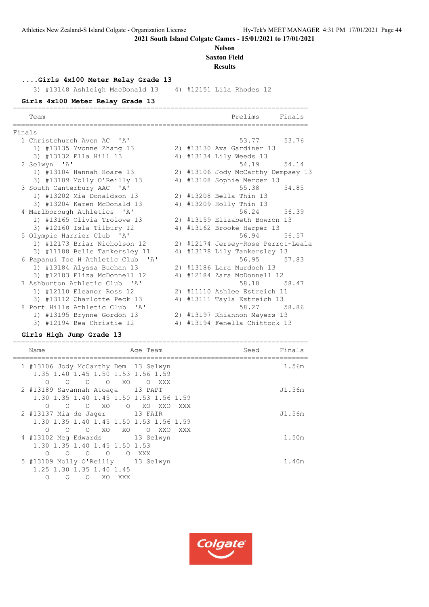# **Nelson Saxton Field**

**Results**

**....Girls 4x100 Meter Relay Grade 13**

3) #13148 Ashleigh MacDonald 13 4) #12151 Lila Rhodes 12

# **Girls 4x100 Meter Relay Grade 13**

|        | Team                                       |    | Prelims<br>Finals                  |
|--------|--------------------------------------------|----|------------------------------------|
| Finals |                                            |    |                                    |
|        | 1 Christchurch Avon AC 'A'                 |    | 53.77<br>53.76                     |
|        | 1) #13135 Yvonne Zhang 13                  |    | 2) #13130 Ava Gardiner 13          |
|        | 3) #13132 Ella Hill 13                     |    | 4) #13134 Lily Weeds 13            |
|        | 2 Selwyn 'A'                               |    | 54.19<br>54.14                     |
|        | 1) #13104 Hannah Hoare 13                  |    | 2) #13106 Jody McCarthy Dempsey 13 |
|        | 3) #13109 Molly O'Reilly 13                |    | 4) #13108 Sophie Mercer 13         |
|        | 3 South Canterbury AAC 'A'                 |    | 55.38<br>54.85                     |
|        | 1) #13202 Mia Donaldson 13                 |    | 2) #13208 Bella Thin 13            |
|        | 3) #13204 Karen McDonald 13                |    | 4) #13209 Holly Thin 13            |
|        | 4 Marlborough Athletics 'A'                |    | 56.24<br>56.39                     |
|        | 1) #13165 Olivia Trolove 13                |    | 2) #13159 Elizabeth Bowron 13      |
|        | 3) #12160 Isla Tilbury 12                  |    | 4) #13162 Brooke Harper 13         |
|        | 5 Olympic Harrier Club 'A'                 |    | 56.94 56.57                        |
|        | 1) #12173 Briar Nicholson 12               |    | 2) #12174 Jersey-Rose Perrot-Leala |
|        | 3) #11188 Belle Tankersley 11              |    | 4) #13178 Lily Tankersley 13       |
|        | 6 Papanui Toc H Athletic Club 'A'          |    | 56.95 57.83                        |
|        | 1) #13184 Alyssa Buchan 13                 |    | 2) #13186 Lara Murdoch 13          |
|        | 3) #12183 Eliza McDonnell 12               | 4) | #12184 Zara McDonnell 12           |
|        | 7 Ashburton Athletic Club 'A'              |    | 58.18 58.47                        |
|        | 1) #12110 Eleanor Ross 12                  |    | 2) #11110 Ashlee Estreich 11       |
|        | 3) #13112 Charlotte Peck 13                | 4) | #13111 Tayla Estreich 13           |
|        | 8 Port Hills Athletic Club<br>$\mathsf{Z}$ |    | 58.27 58.86                        |
|        | 1) #13195 Brynne Gordon 13                 |    | 2) #13197 Rhiannon Mayers 13       |
|        | 3) #12194 Bea Christie 12                  |    | 4) #13194 Fenella Chittock 13      |

# **Girls High Jump Grade 13**

| Name                                                                              | Age Team        | Seed | Finals |
|-----------------------------------------------------------------------------------|-----------------|------|--------|
| 1 #13106 Jody McCarthy Dem 13 Selwyn<br>1, 35 1, 40 1, 45 1, 50 1, 53 1, 56 1, 59 |                 |      | 1.56m  |
| $\Omega$<br>$\Omega$<br>$\Omega$<br>$\circ$<br>XO                                 | $\Omega$<br>XXX |      |        |
| 2 #13189 Savannah Atoaga 13 PAPT                                                  |                 |      | J1.56m |
| 1.30 1.35 1.40 1.45 1.50 1.53 1.56 1.59                                           |                 |      |        |
| XO<br>$\Omega$<br>$\Omega$<br>$\bigcirc$                                          | O XO XXO<br>XXX |      |        |
| 2 #13137 Mia de Jaqer 13 FAIR                                                     |                 |      | J1.56m |
| 1.30 1.35 1.40 1.45 1.50 1.53 1.56 1.59                                           |                 |      |        |
| O XO XO<br>$\circ$<br>$\circ$                                                     | O XXO<br>XXX    |      |        |
| 4 #13102 Meg Edwards 13 Selwyn                                                    |                 |      | 1.50m  |
| 1.30 1.35 1.40 1.45 1.50 1.53                                                     |                 |      |        |
| $\Omega$<br>$\Omega$<br>$\Omega$<br>$\circ$<br>$\circ$                            | XXX             |      |        |
| 5 #13109 Molly O'Reilly 13 Selwyn                                                 |                 |      | 1.40m  |
| 1.25 1.30 1.35 1.40 1.45                                                          |                 |      |        |
| Ω<br>XO.<br>∩<br>XXX<br>∩                                                         |                 |      |        |

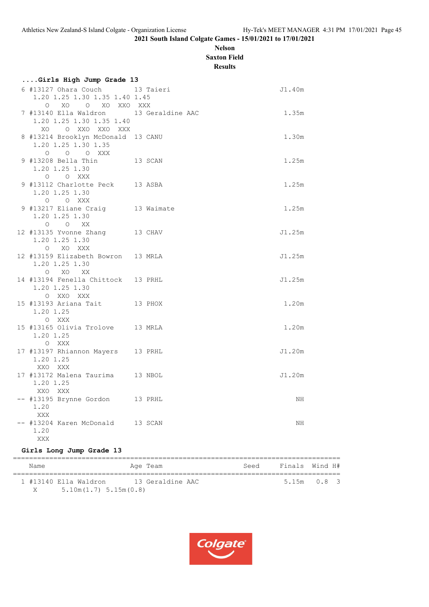# **Nelson Saxton Field**

**Results**

| Girls High Jump Grade 13                      |  |        |
|-----------------------------------------------|--|--------|
| 6 #13127 Ohara Couch 13 Taieri                |  | J1.40m |
| 1.20 1.25 1.30 1.35 1.40 1.45                 |  |        |
| O XO O XO XXO XXX                             |  |        |
| 7 #13140 Ella Waldron 13 Geraldine AAC        |  | 1.35m  |
| 1.20 1.25 1.30 1.35 1.40                      |  |        |
| XO O XXO XXO XXX                              |  |        |
| 8 #13214 Brooklyn McDonald 13 CANU            |  | 1.30m  |
| 1.20 1.25 1.30 1.35                           |  |        |
| O O O XXX<br>13 SCAN                          |  | 1.25m  |
| 9 #13208 Bella Thin<br>1.20 1.25 1.30         |  |        |
| O O XXX                                       |  |        |
| 9 #13112 Charlotte Peck 13 ASBA               |  | 1.25m  |
| 1.20 1.25 1.30                                |  |        |
| O O XXX                                       |  |        |
| 9 #13217 Eliane Craig 13 Waimate              |  | 1.25m  |
| 1.20 1.25 1.30                                |  |        |
| $O$ $O$ XX                                    |  |        |
| 12 #13135 Yvonne Zhang 13 CHAV                |  | J1.25m |
| 1.20 1.25 1.30                                |  |        |
| O XO XXX                                      |  |        |
| 12 #13159 Elizabeth Bowron 13 MRLA            |  | J1.25m |
| 1.20 1.25 1.30<br>O XO XX                     |  |        |
| 14 #13194 Fenella Chittock 13 PRHL            |  | J1.25m |
| 1.20 1.25 1.30                                |  |        |
| O XXO XXX                                     |  |        |
| 15 #13193 Ariana Tait 13 PHOX                 |  | 1.20m  |
| 1.20 1.25                                     |  |        |
| O XXX                                         |  |        |
| 15 #13165 Olivia Trolove 13 MRLA              |  | 1.20m  |
| 1.20 1.25                                     |  |        |
| O XXX                                         |  |        |
| 17 #13197 Rhiannon Mayers 13 PRHL             |  | J1.20m |
| 1.20 1.25                                     |  |        |
| XXO XXX                                       |  | J1.20m |
| 17 #13172 Malena Taurima 13 NBOL<br>1.20 1.25 |  |        |
| XXO XXX                                       |  |        |
| -- #13195 Brynne Gordon 13 PRHL               |  | ΝH     |
| 1.20                                          |  |        |
| XXX                                           |  |        |
| -- #13204 Karen McDonald 13 SCAN              |  | NH     |
| 1.20                                          |  |        |
| <b>XXX</b>                                    |  |        |

# **Girls Long Jump Grade 13**

| Name |                           | Age Team         | Seed | Finals Wind H# |
|------|---------------------------|------------------|------|----------------|
|      | 1 #13140 Ella Waldron     | 13 Geraldine AAC |      | $5.15m$ 0.8 3  |
| X    | $5.10m(1.7)$ $5.15m(0.8)$ |                  |      |                |

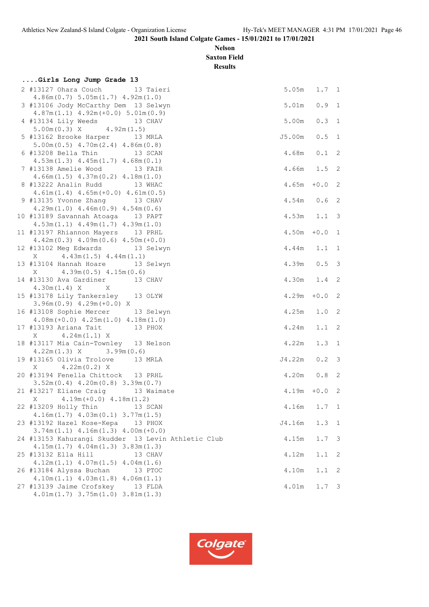**Nelson Saxton Field**

**Results**

| Girls Long Jump Grade 13                                                  |                 |               |            |
|---------------------------------------------------------------------------|-----------------|---------------|------------|
| 2 #13127 Ohara Couch 13 Taieri                                            | $5.05m$ $1.7$ 1 |               |            |
| 4.86m(0.7) 5.05m(1.7) 4.92m(1.0)                                          |                 |               |            |
| 3 #13106 Jody McCarthy Dem 13 Selwyn                                      | 5.01m           | 0.9 1         |            |
| $4.87m(1.1)$ $4.92m(+0.0)$ $5.01m(0.9)$                                   |                 |               |            |
| 4 #13134 Lily Weeds 13 CHAV                                               | 5.00m           | 0.3 1         |            |
| $5.00m(0.3)$ X $4.92m(1.5)$                                               |                 |               |            |
| 5 #13162 Brooke Harper 13 MRLA                                            | J5.00m          | 0.5           | $\sqrt{1}$ |
| $5.00m(0.5)$ 4.70m $(2.4)$ 4.86m $(0.8)$                                  |                 |               |            |
| 6 #13208 Bella Thin 13 SCAN                                               | 4.68m           | 0.1 2         |            |
| $4.53m(1.3)$ $4.45m(1.7)$ $4.68m(0.1)$                                    | 4.66m 1.5 2     |               |            |
| 7 #13138 Amelie Wood 13 FAIR<br>$4.66m(1.5)$ $4.37m(0.2)$ $4.18m(1.0)$    |                 |               |            |
| 8 #13222 Analin Rudd 13 WHAC                                              | 4.65m           | $+0.0$ 2      |            |
| $4.61m(1.4)$ $4.65m(+0.0)$ $4.61m(0.5)$                                   |                 |               |            |
| 9 #13135 Yvonne Zhang 13 CHAV                                             | $4.54m$ 0.6 2   |               |            |
| $4.29m(1.0)$ $4.46m(0.9)$ $4.54m(0.6)$                                    |                 |               |            |
| 10 #13189 Savannah Atoaga 13 PAPT                                         | $4.53m$ $1.1$ 3 |               |            |
| $4.53m(1.1)$ $4.49m(1.7)$ $4.39m(1.0)$                                    |                 |               |            |
| 11 #13197 Rhiannon Mayers 13 PRHL                                         | 4.50m           | $+0.0$ 1      |            |
| $4.42m(0.3)$ $4.09m(0.6)$ $4.50m(+0.0)$                                   |                 |               |            |
| 12 #13102 Meg Edwards 13 Selwyn                                           | 4.44m           | $1.1 \quad 1$ |            |
| $X = 4.43m(1.5) 4.44m(1.1)$                                               |                 |               |            |
| 13 #13104 Hannah Hoare 13 Selwyn                                          | 4.39m   0.5   3 |               |            |
| $4.39m(0.5)$ $4.15m(0.6)$<br>X                                            |                 |               |            |
| 14 #13130 Ava Gardiner 13 CHAV                                            | 4.30m 1.4 2     |               |            |
| $4.30m(1.4) X$ X<br>15 #13178 Lily Tankersley 13 OLYW                     |                 |               |            |
| $3.96m(0.9)$ 4.29m (+0.0) X                                               | $4.29m + 0.02$  |               |            |
| 16 #13108 Sophie Mercer 13 Selwyn                                         | 4.25m           | $1.0$ 2       |            |
| $4.08m (+0.0)$ $4.25m (1.0)$ $4.18m (1.0)$                                |                 |               |            |
| 17 #13193 Ariana Tait 13 PHOX                                             | 4.24m           | $1.1 \t2$     |            |
| $X = 4.24m(1.1) X$                                                        |                 |               |            |
| 18 #13117 Mia Cain-Townley 13 Nelson                                      | 4.22m           | $1.3 \quad 1$ |            |
| $4.22m(1.3)$ X $3.99m(0.6)$                                               |                 |               |            |
| 19 #13165 Olivia Trolove 13 MRLA                                          | J4.22m          | $0.2 \quad 3$ |            |
| $X = 4.22m(0.2) X$                                                        |                 |               |            |
| 20 #13194 Fenella Chittock 13 PRHL                                        | 4.20m  0.8  2   |               |            |
| $3.52m(0.4)$ 4.20 $m(0.8)$ 3.39 $m(0.7)$                                  |                 |               |            |
| 21 #13217 Eliane Craig 13 Waimate                                         | $4.19m + 0.02$  |               |            |
| $X = 4.19m(+0.0) 4.18m(1.2)$                                              |                 |               |            |
| 22 #13209 Holly Thin<br>13 SCAN<br>$4.16m(1.7)$ $4.03m(0.1)$ $3.77m(1.5)$ | 4.16m           | $1.7 \quad 1$ |            |
| 23 #13192 Hazel Kose-Kepa<br>13 PHOX                                      | J4.16m          | $1.3 \quad 1$ |            |
| $3.74m(1.1)$ $4.16m(1.3)$ $4.00m(+0.0)$                                   |                 |               |            |
| 24 #13153 Kahurangi Skudder 13 Levin Athletic Club                        | 4.15m           | $1.7 \quad 3$ |            |
| $4.15m(1.7)$ $4.04m(1.3)$ $3.83m(1.3)$                                    |                 |               |            |
| 25 #13132 Ella Hill<br>13 CHAV                                            | 4.12m           | 1.1           | 2          |
| $4.12m(1.1)$ $4.07m(1.5)$ $4.04m(1.6)$                                    |                 |               |            |
| 26 #13184 Alyssa Buchan<br>13 PTOC                                        | $4\,\ldotp 10m$ | 1.1           | - 2        |
| $4.10m(1.1)$ $4.03m(1.8)$ $4.06m(1.1)$                                    |                 |               |            |
| 27 #13139 Jaime Crofskey<br>13 FLDA                                       | 4.01m           | $1.7-3$       |            |
| $4.01m(1.7)$ $3.75m(1.0)$ $3.81m(1.3)$                                    |                 |               |            |

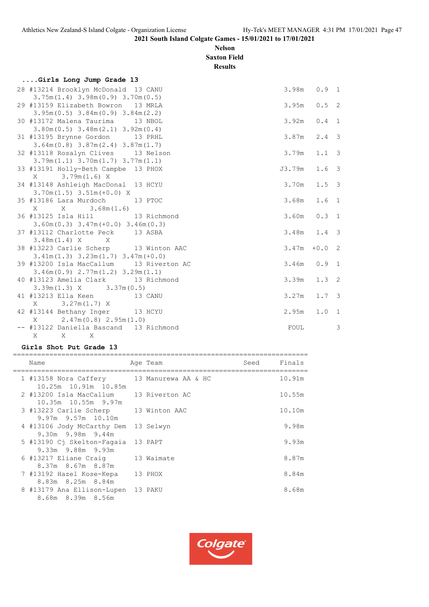# **Nelson Saxton Field**

**Results**

# **....Girls Long Jump Grade 13**

| 28 #13214 Brooklyn McDonald 13 CANU                                            | 3.98m  | 0.9 1            |   |
|--------------------------------------------------------------------------------|--------|------------------|---|
| $3.75m(1.4)$ 3.98m $(0.9)$ 3.70m $(0.5)$<br>29 #13159 Elizabeth Bowron 13 MRLA | 3.95m  | 0.5 2            |   |
| $3.95m(0.5)$ $3.84m(0.9)$ $3.84m(2.2)$                                         |        |                  |   |
| 30 #13172 Malena Taurima 13 NBOL                                               | 3.92m  | 0.4 1            |   |
| $3.80m(0.5)$ $3.48m(2.1)$ $3.92m(0.4)$                                         |        |                  |   |
| 31 #13195 Brynne Gordon 13 PRHL                                                | 3.87m  | $2.4 - 3$        |   |
| $3.64m(0.8)$ $3.87m(2.4)$ $3.87m(1.7)$                                         |        |                  |   |
| 32 #13118 Rosalyn Clives 13 Nelson                                             | 3.79m  | $1.1-3$          |   |
| $3.79m(1.1)$ $3.70m(1.7)$ $3.77m(1.1)$                                         |        |                  |   |
| 33 #13191 Holly-Beth Campbe 13 PHOX                                            | J3.79m | $1.6-3$          |   |
| $X = 3.79m(1.6) X$                                                             |        |                  |   |
| 34 #13148 Ashleigh MacDonal 13 HCYU                                            | 3.70m  | $1.5-3$          |   |
| $3.70m(1.5)$ $3.51m(+0.0)$ X                                                   |        |                  |   |
| 35 #13186 Lara Murdoch 13 PTOC                                                 | 3.68m  | 1.6 <sub>1</sub> |   |
|                                                                                |        |                  |   |
| 36 #13125 Isla Hill 13 Richmond                                                | 3.60m  | 0.3 1            |   |
| $3.60m(0.3)$ $3.47m(+0.0)$ $3.46m(0.3)$                                        |        |                  |   |
| 37 #13112 Charlotte Peck 13 ASBA                                               | 3.48m  | $1.4 - 3$        |   |
| $3.48m(1.4) X$ X                                                               |        |                  |   |
| 38 #13223 Carlie Scherp 13 Winton AAC                                          | 3.47m  | $+0.0$ 2         |   |
| $3.41m(1.3)$ $3.23m(1.7)$ $3.47m(+0.0)$                                        |        |                  |   |
| 39 #13200 Isla MacCallum 13 Riverton AC                                        | 3.46m  | 0.9 1            |   |
| $3.46m(0.9)$ $2.77m(1.2)$ $3.29m(1.1)$                                         |        |                  |   |
| 40 #13123 Amelia Clark 13 Richmond                                             | 3.39m  | 1.3 2            |   |
| $3.39m(1.3)$ X $3.37m(0.5)$                                                    |        |                  |   |
| 41 #13213 Ella Keen 13 CANU                                                    | 3.27m  | $1.7-3$          |   |
| $3.27m(1.7)$ X<br>X                                                            |        |                  |   |
| 42 #13144 Bethany Inger 13 HCYU                                                | 2.95m  | 1.0 1            |   |
| $2.47m(0.8)$ $2.95m(1.0)$<br>X                                                 |        |                  |   |
| -- #13122 Daniella Bascand 13 Richmond                                         | FOUL   |                  | 3 |
| X<br>$\mathbf{X}$<br>$\mathbb{X}$                                              |        |                  |   |

# **Girls Shot Put Grade 13**

| Name                     |                                                                                                                                                                   | Seed                                                                                                                                                                                                                                                                                                       | Finals |
|--------------------------|-------------------------------------------------------------------------------------------------------------------------------------------------------------------|------------------------------------------------------------------------------------------------------------------------------------------------------------------------------------------------------------------------------------------------------------------------------------------------------------|--------|
|                          |                                                                                                                                                                   |                                                                                                                                                                                                                                                                                                            | 10.91m |
|                          |                                                                                                                                                                   |                                                                                                                                                                                                                                                                                                            | 10.55m |
|                          |                                                                                                                                                                   |                                                                                                                                                                                                                                                                                                            | 10.10m |
|                          |                                                                                                                                                                   |                                                                                                                                                                                                                                                                                                            | 9.98m  |
|                          |                                                                                                                                                                   |                                                                                                                                                                                                                                                                                                            | 9.93m  |
|                          |                                                                                                                                                                   |                                                                                                                                                                                                                                                                                                            | 8.87m  |
| 7 #13192 Hazel Kose-Kepa |                                                                                                                                                                   |                                                                                                                                                                                                                                                                                                            | 8.84m  |
| 8.68m 8.39m 8.56m        |                                                                                                                                                                   |                                                                                                                                                                                                                                                                                                            | 8.68m  |
|                          | 10.25m 10.91m 10.85m<br>10.35m 10.55m 9.97m<br>$9.97m$ $9.57m$ $10.10m$<br>$9.30m$ $9.98m$ $9.44m$<br>9.33m 9.88m 9.93m<br>8.37m 8.67m 8.87m<br>8.83m 8.25m 8.84m | Age Team<br>1 #13158 Nora Caffery 13 Manurewa AA & HC<br>2 #13200 Isla MacCallum 13 Riverton AC<br>3 #13223 Carlie Scherp 13 Winton AAC<br>4 #13106 Jody McCarthy Dem 13 Selwyn<br>5 #13190 Cj Skelton-Fagaia 13 PAPT<br>6 #13217 Eliane Craig 13 Waimate<br>13 PHOX<br>8 #13179 Ana Ellison-Lupen 13 PAKU |        |

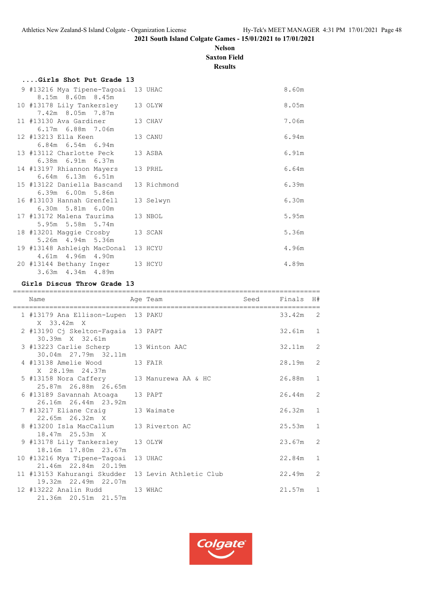# **Nelson Saxton Field**

**Results**

| Girls Shot Put Grade 13                                     |           |       |
|-------------------------------------------------------------|-----------|-------|
| 9 #13216 Mya Tipene-Tagoai 13 UHAC<br>8.15m 8.60m 8.45m     |           | 8.60m |
| 10 #13178 Lily Tankersley<br>7.42m 8.05m 7.87m              | 13 OLYW   | 8.05m |
| 11 #13130 Ava Gardiner<br>$6.17m$ $6.88m$ $7.06m$           | 13 CHAV   | 7.06m |
| 12 #13213 Ella Keen<br>$6.84m$ $6.54m$ $6.94m$              | 13 CANU   | 6.94m |
| 13 #13112 Charlotte Peck<br>6.38m 6.91m 6.37m               | 13 ASBA   | 6.91m |
| 14 #13197 Rhiannon Mayers<br>$6.64m$ $6.13m$ $6.51m$        | 13 PRHL   | 6.64m |
| 15 #13122 Daniella Bascand 13 Richmond<br>6.39m 6.00m 5.86m |           | 6.39m |
| 16 #13103 Hannah Grenfell<br>6.30m 5.81m 6.00m              | 13 Selwyn | 6.30m |
| 17 #13172 Malena Taurima<br>5.95m 5.58m 5.74m               | 13 NBOL   | 5.95m |
| 18 #13201 Maggie Crosby<br>5.26m 4.94m 5.36m                | 13 SCAN   | 5.36m |
| 19 #13148 Ashleigh MacDonal 13 HCYU<br>4.61m 4.96m 4.90m    |           | 4.96m |
| 20 #13144 Bethany Inger<br>3.63m 4.34m 4.89m                | 13 HCYU   | 4.89m |

# **Girls Discus Throw Grade 13**

| Name                                                                       | Age Team | Seed Finals H# |            |                |
|----------------------------------------------------------------------------|----------|----------------|------------|----------------|
| 1 #13179 Ana Ellison-Lupen 13 PAKU<br>X 33.42m X                           |          |                | 33.42m     | $\overline{2}$ |
| 2 #13190 Cj Skelton-Fagaia 13 PAPT<br>30.39m X 32.61m                      |          |                | $32.61m$ 1 |                |
| 3 #13223 Carlie Scherp 13 Winton AAC<br>30.04m 27.79m 32.11m               |          |                | 32.11m 2   |                |
| 4 #13138 Amelie Wood 13 FAIR<br>X 28.19m 24.37m                            |          |                | 28.19m     | $\overline{2}$ |
| 5 #13158 Nora Caffery 13 Manurewa AA & HC<br>25.87m 26.88m 26.65m          |          |                | 26.88m     | $\overline{1}$ |
| 6 #13189 Savannah Atoaga 13 PAPT<br>26.16m 26.44m 23.92m                   |          |                | 26.44m 2   |                |
| 7 #13217 Eliane Craig 13 Waimate<br>$22.65m$ $26.32m$ X                    |          |                | $26.32m$ 1 |                |
| 8 #13200 Isla MacCallum 13 Riverton AC<br>18.47m 25.53m X                  |          |                | 25.53m     | $\mathbf{1}$   |
| 9 #13178 Lily Tankersley 13 OLYW<br>18.16m 17.80m 23.67m                   |          |                | 23.67m     | $\overline{2}$ |
| 10 #13216 Mya Tipene-Tagoai 13 UHAC<br>21.46m 22.84m 20.19m                |          |                | 22.84m     | $\overline{1}$ |
| 11 #13153 Kahurangi Skudder 13 Levin Athletic Club<br>19.32m 22.49m 22.07m |          |                | 22.49m     | 2              |
| 12 #13222 Analin Rudd 13 WHAC<br>21.36m 20.51m 21.57m                      |          |                | $21.57m$ 1 |                |

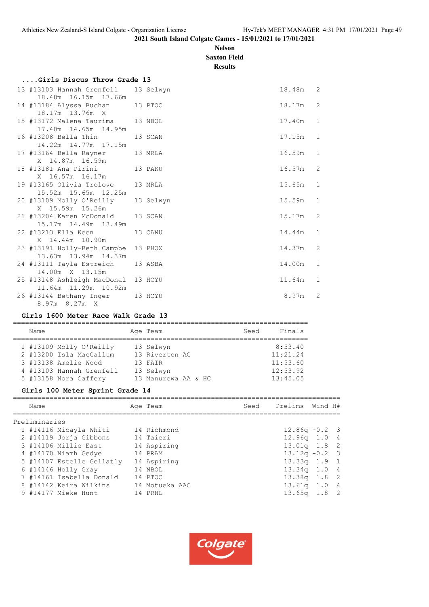# **Nelson Saxton Field**

**Results**

| Girls Discus Throw Grade 13                                 |           |            |              |
|-------------------------------------------------------------|-----------|------------|--------------|
| 13 #13103 Hannah Grenfell 13 Selwyn<br>18.48m 16.15m 17.66m |           | 18.48m 2   |              |
| 14 #13184 Alyssa Buchan 13 PTOC                             |           | 18.17m 2   |              |
| 18.17m 13.76m X<br>15 #13172 Malena Taurima 13 NBOL         |           | 17.40m 1   |              |
| 17.40m  14.65m  14.95m<br>16 #13208 Bella Thin              | 13 SCAN   | $17.15m$ 1 |              |
| 14.22m 14.77m 17.15m<br>17 #13164 Bella Rayner              | 13 MRLA   | 16.59m 1   |              |
| X 14.87m 16.59m<br>18 #13181 Ana Pirini 13 PAKU             |           | $16.57m$ 2 |              |
| X 16.57m 16.17m<br>19 #13165 Olivia Trolove 13 MRLA         |           | $15.65m$ 1 |              |
| 15.52m 15.65m 12.25m<br>20 #13109 Molly O'Reilly            | 13 Selwyn | 15.59m 1   |              |
| X 15.59m 15.26m<br>21 #13204 Karen McDonald 13 SCAN         |           | 15.17m 2   |              |
| 15.17m  14.49m  13.49m<br>22 #13213 Ella Keen               | 13 CANU   | 14.44m 1   |              |
| X 14.44m 10.90m<br>23 #13191 Holly-Beth Campbe 13 PHOX      |           | 14.37m 2   |              |
| 13.63m 13.94m 14.37m<br>24 #13111 Tayla Estreich 13 ASBA    |           | 14.00m     | $\mathbf{1}$ |

 26 #13144 Bethany Inger 13 HCYU 8.97m 2 8.97m 8.27m X

#### **Girls 1600 Meter Race Walk Grade 13**

11.64m 11.29m 10.92m

14.00m X 13.15m

| Name |                          | Age Team            | Seed | Finals   |
|------|--------------------------|---------------------|------|----------|
|      |                          |                     |      |          |
|      | 1 #13109 Molly O'Reilly  | 13 Selwyn           |      | 8:53.40  |
|      | 2 #13200 Isla MacCallum  | 13 Riverton AC      |      | 11:21.24 |
|      | 3 #13138 Amelie Wood     | 13 FAIR             |      | 11:53.60 |
|      | 4 #13103 Hannah Grenfell | 13 Selwyn           |      | 12:53.92 |
|      | 5 #13158 Nora Caffery    | 13 Manurewa AA & HC |      | 13:45.05 |

25 #13148 Ashleigh MacDonal 13 HCYU 11.64m 1

#### **Girls 100 Meter Sprint Grade 14**

| Name          |                           | Age Team       | Seed Prelims Wind H# |  |
|---------------|---------------------------|----------------|----------------------|--|
| Preliminaries |                           |                |                      |  |
|               | 1 #14116 Micayla Whiti    | 14 Richmond    | $12.86q - 0.2$ 3     |  |
|               | 2 #14119 Jorja Gibbons    | 14 Taieri      | $12.96q$ 1.0 4       |  |
|               | 3 #14106 Millie East      | 14 Aspiring    | $13.01q$ 1.8 2       |  |
|               | 4 #14170 Niamh Gedye      | 14 PRAM        | $13.12q - 0.2$ 3     |  |
|               | 5 #14107 Estelle Gellatly | 14 Aspiring    | $13.33q$ 1.9 1       |  |
|               | 6 #14146 Holly Gray       | 14 NBOL        | $13.34q$ 1.0 4       |  |
|               | 7 #14161 Isabella Donald  | 14 PTOC        | $13.38q$ 1.8 2       |  |
|               | 8 #14142 Keira Wilkins    | 14 Motueka AAC | $13.61q$ 1.0 4       |  |
|               | 9 #14177 Mieke Hunt       | 14 PRHL        | $13.65q$ 1.8 2       |  |
|               |                           |                |                      |  |

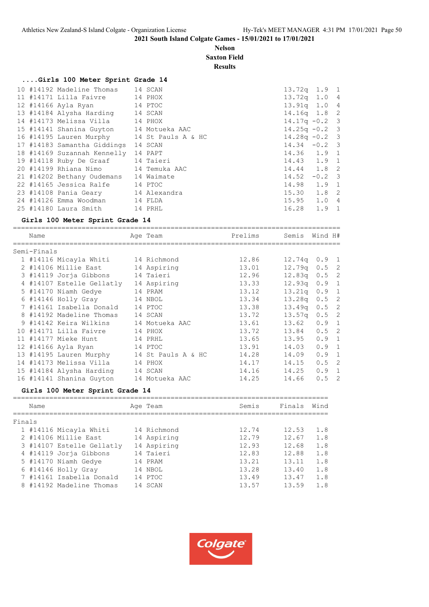# **Nelson Saxton Field**

**Results**

# **....Girls 100 Meter Sprint Grade 14**

|  | 10 #14192 Madeline Thomas 14 SCAN          |         | $13.72q$ 1.9 1    |               |  |
|--|--------------------------------------------|---------|-------------------|---------------|--|
|  | 11 #14171 Lilla Faivre 14 PHOX             |         | $13.72q$ 1.0 4    |               |  |
|  | 12 #14166 Ayla Ryan 14 PTOC                |         | $13.91q$ 1.0 4    |               |  |
|  | 13 #14184 Alysha Harding 14 SCAN           |         | $14.16q$ 1.8 2    |               |  |
|  | 14 #14173 Melissa Villa 14 PHOX            |         | $14.17q - 0.2$ 3  |               |  |
|  | 15 #14141 Shanina Guyton 14 Motueka AAC    |         | $14.25q - 0.2$ 3  |               |  |
|  | 16 #14195 Lauren Murphy 14 St Pauls A & HC |         | $14.28q - 0.2$ 3  |               |  |
|  | 17 #14183 Samantha Giddings                | 14 SCAN | $14.34 - 0.2$ 3   |               |  |
|  | 18 #14169 Suzannah Kennelly                | 14 PAPT | 14.36 1.9 1       |               |  |
|  | 19 #14118 Ruby De Graaf 14 Taieri          |         | 14.43 1.9 1       |               |  |
|  | 20 #14199 Rhiana Nimo 14 Temuka AAC        |         | 14.44 1.8 2       |               |  |
|  | 21 #14202 Bethany Oudemans 14 Waimate      |         | 14.52             | $-0.2$ 3      |  |
|  | 22 #14165 Jessica Ralfe 14 PTOC            |         | 14.98 1.9 1       |               |  |
|  | 23 #14108 Pania Geary 14 Alexandra         |         | $15.30 \t1.8 \t2$ |               |  |
|  | 24 #14126 Emma Woodman 14 FLDA             |         | $15.95$ $1.0$ 4   |               |  |
|  | 25 #14180 Laura Smith 14 PRHL              |         | 16.28             | $1.9 \quad 1$ |  |
|  |                                            |         |                   |               |  |

#### **Girls 100 Meter Sprint Grade 14**

| Name |                                                                                                                                                                         |                                                                                                         | Prelims                                                                                                                                                                                                                                                                                                                                                                 | Semis |                                                                                                                                                                                                                                                                                             |
|------|-------------------------------------------------------------------------------------------------------------------------------------------------------------------------|---------------------------------------------------------------------------------------------------------|-------------------------------------------------------------------------------------------------------------------------------------------------------------------------------------------------------------------------------------------------------------------------------------------------------------------------------------------------------------------------|-------|---------------------------------------------------------------------------------------------------------------------------------------------------------------------------------------------------------------------------------------------------------------------------------------------|
|      |                                                                                                                                                                         |                                                                                                         |                                                                                                                                                                                                                                                                                                                                                                         |       |                                                                                                                                                                                                                                                                                             |
|      |                                                                                                                                                                         |                                                                                                         | 12.86                                                                                                                                                                                                                                                                                                                                                                   |       |                                                                                                                                                                                                                                                                                             |
|      |                                                                                                                                                                         |                                                                                                         | 13.01                                                                                                                                                                                                                                                                                                                                                                   |       |                                                                                                                                                                                                                                                                                             |
|      |                                                                                                                                                                         |                                                                                                         | 12.96                                                                                                                                                                                                                                                                                                                                                                   |       |                                                                                                                                                                                                                                                                                             |
|      |                                                                                                                                                                         |                                                                                                         | 13.33                                                                                                                                                                                                                                                                                                                                                                   |       |                                                                                                                                                                                                                                                                                             |
|      |                                                                                                                                                                         |                                                                                                         | 13.12                                                                                                                                                                                                                                                                                                                                                                   |       |                                                                                                                                                                                                                                                                                             |
|      |                                                                                                                                                                         |                                                                                                         | 13.34                                                                                                                                                                                                                                                                                                                                                                   |       |                                                                                                                                                                                                                                                                                             |
|      |                                                                                                                                                                         |                                                                                                         | 13.38                                                                                                                                                                                                                                                                                                                                                                   |       |                                                                                                                                                                                                                                                                                             |
|      |                                                                                                                                                                         |                                                                                                         | 13.72                                                                                                                                                                                                                                                                                                                                                                   |       |                                                                                                                                                                                                                                                                                             |
|      |                                                                                                                                                                         |                                                                                                         | 13.61                                                                                                                                                                                                                                                                                                                                                                   |       |                                                                                                                                                                                                                                                                                             |
|      |                                                                                                                                                                         |                                                                                                         | 13.72                                                                                                                                                                                                                                                                                                                                                                   |       |                                                                                                                                                                                                                                                                                             |
|      |                                                                                                                                                                         |                                                                                                         | 13.65                                                                                                                                                                                                                                                                                                                                                                   |       |                                                                                                                                                                                                                                                                                             |
|      |                                                                                                                                                                         |                                                                                                         | 13.91                                                                                                                                                                                                                                                                                                                                                                   |       |                                                                                                                                                                                                                                                                                             |
|      |                                                                                                                                                                         |                                                                                                         | 14.28                                                                                                                                                                                                                                                                                                                                                                   | 14.09 |                                                                                                                                                                                                                                                                                             |
|      |                                                                                                                                                                         |                                                                                                         | 14.17                                                                                                                                                                                                                                                                                                                                                                   | 14.15 |                                                                                                                                                                                                                                                                                             |
|      |                                                                                                                                                                         |                                                                                                         | 14.16                                                                                                                                                                                                                                                                                                                                                                   | 14.25 |                                                                                                                                                                                                                                                                                             |
|      |                                                                                                                                                                         |                                                                                                         | 14.25                                                                                                                                                                                                                                                                                                                                                                   | 14.66 |                                                                                                                                                                                                                                                                                             |
|      | Semi-Finals<br>2 #14106 Millie East<br>5 #14170 Niamh Gedye<br>8 #14192 Madeline Thomas<br>9 #14142 Keira Wilkins<br>10 #14171 Lilla Faivre<br>16 #14141 Shanina Guyton | 4 #14107 Estelle Gellatly<br>6 #14146 Holly Gray<br>14 #14173 Melissa Villa<br>15 #14184 Alysha Harding | Age Team<br>1 #14116 Micayla Whiti 14 Richmond<br>14 Aspiring<br>3 #14119 Jorja Gibbons 14 Taieri<br>14 Aspiring<br>14 PRAM<br>14 NBOL<br>7 #14161 Isabella Donald 14 PTOC<br>14 SCAN<br>14 Motueka AAC<br>14 PHOX<br>11 #14177 Mieke Hunt 14 PRHL<br>12 #14166 Ayla Ryan 14 PTOC<br>13 #14195 Lauren Murphy 14 St Pauls A & HC<br>14 PHOX<br>14 SCAN<br>14 Motueka AAC |       | Wind H#<br>$12.74q$ 0.9 1<br>$12.79q$ 0.5 2<br>$12.83q$ 0.5 2<br>$12.93q$ 0.9 1<br>$13.21q$ 0.9 1<br>$13.28q$ 0.5 2<br>$0.5 \quad 2$<br>13.49a<br>$0.5 \quad 2$<br>13.57a<br>$13.62$ 0.9 1<br>13.84 0.5 2<br>0.9 1<br>13.95<br>14.03<br>0.9 1<br>0.9 1<br>$0.5 \quad 2$<br>0.9 1<br>$0.5$ 2 |

# **Girls 100 Meter Sprint Grade 14**

|        | Name                      |    | Age Team    | Semis | Finals | Wind |
|--------|---------------------------|----|-------------|-------|--------|------|
| Finals |                           |    |             |       |        |      |
|        | 1 #14116 Micayla Whiti    |    | 14 Richmond | 12.74 | 12.53  | 1.8  |
|        | 2 #14106 Millie East      |    | 14 Aspiring | 12.79 | 12.67  | 1.8  |
|        | 3 #14107 Estelle Gellatly |    | 14 Aspiring | 12.93 | 12.68  | 1.8  |
|        | 4 #14119 Jorja Gibbons    |    | 14 Taieri   | 12.83 | 12.88  | 1.8  |
|        | 5 #14170 Niamh Gedye      |    | 14 PRAM     | 13.21 | 13.11  | 1.8  |
|        | 6 #14146 Holly Gray       | 14 | NBOL        | 13.28 | 13.40  | 1.8  |
|        | 7 #14161 Isabella Donald  |    | 14 PTOC     | 13.49 | 13.47  | 1.8  |
|        | 8 #14192 Madeline Thomas  | 14 | SCAN        | 13.57 | 13.59  | 1.8  |
|        |                           |    |             |       |        |      |

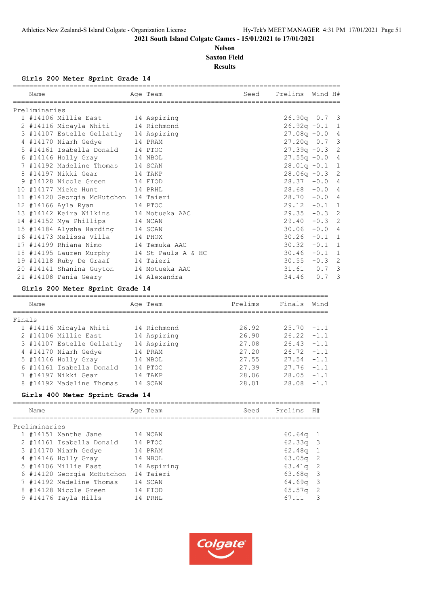# **Nelson Saxton Field Results**

**Girls 200 Meter Sprint Grade 14**

|        | Name          | Age Team                                   |            |          | Seed Prelims Wind H#      |                        |          |              |
|--------|---------------|--------------------------------------------|------------|----------|---------------------------|------------------------|----------|--------------|
|        | Preliminaries |                                            |            |          |                           |                        |          |              |
|        |               | 1 #14106 Millie East 14 Aspiring           |            |          |                           | $26.90q$ 0.7 3         |          |              |
|        |               | 2 #14116 Micayla Whiti 14 Richmond         |            |          |                           | $26.92q - 0.1$ 1       |          |              |
|        |               | 3 #14107 Estelle Gellatly 14 Aspiring      |            |          |                           | $27.08q + 0.0$ 4       |          |              |
|        |               | 4 #14170 Niamh Gedye                       |            | 14 PRAM  |                           | $27.20q$ 0.7 3         |          |              |
|        |               | 5 #14161 Isabella Donald 14 PTOC           |            |          |                           | $27.39q - 0.3$ 2       |          |              |
|        |               | 6 #14146 Holly Gray 14 NBOL                |            |          |                           | $27.55q + 0.0$ 4       |          |              |
|        |               | 7 #14192 Madeline Thomas 14 SCAN           |            |          |                           | $28.01q - 0.1$ 1       |          |              |
|        |               | 8 #14197 Nikki Gear 14 TAKP                |            |          |                           | $28.06q - 0.3$ 2       |          |              |
|        |               | 9 #14128 Nicole Green 14 FIOD              |            |          |                           | $28.37 + 0.04$         |          |              |
|        |               | 10 #14177 Mieke Hunt 14 PRHL               |            |          |                           | $28.68 + 0.04$         |          |              |
|        |               | 11 #14120 Georgia McHutchon 14 Taieri      |            |          |                           | $28.70 + 0.0 4$        |          |              |
|        |               | 12 #14166 Ayla Ryan<br>14 PTOC             |            |          |                           | $29.12 - 0.1 1$        |          |              |
|        |               | 13 #14142 Keira Wilkins 14 Motueka AAC     |            |          |                           | $29.35 - 0.3$ 2        |          |              |
|        |               | 14 #14152 Mya Phillips 14 NCAN             |            |          |                           | $29.40 - 0.3$ 2        |          |              |
|        |               | 15 #14184 Alysha Harding 14 SCAN           |            |          |                           | $30.06 + 0.04$         |          |              |
|        |               | 16 #14173 Melissa Villa 14 PHOX            |            |          |                           | $30.26 - 0.1$          |          | $\mathbf{1}$ |
|        |               | 17 #14199 Rhiana Nimo 14 Temuka AAC        |            |          |                           | 30.32                  | $-0.1$ 1 |              |
|        |               | 18 #14195 Lauren Murphy 14 St Pauls A & HC |            |          |                           | $30.46 - 0.1 1$        |          |              |
|        |               | 19 #14118 Ruby De Graaf 14 Taieri          |            |          |                           | $30.55 - 0.3$ 2        |          |              |
|        |               | 20 #14141 Shanina Guyton 14 Motueka AAC    |            |          |                           | $31.61$ 0.7 3          |          |              |
|        |               | 21 #14108 Pania Geary 14 Alexandra         |            |          |                           | 34.46 0.7 3            |          |              |
|        |               | Girls 200 Meter Sprint Grade 14            |            |          |                           |                        |          |              |
|        | Name          |                                            |            | Age Team | <b>Example 19 Prelims</b> | Finals Wind            |          |              |
| Finals |               |                                            | ========== |          |                           |                        |          |              |
|        |               | 1 #14116 Micayla Whiti 14 Richmond         |            |          |                           | $26.92$ $25.70 -1.1$   |          |              |
|        |               | 2 #14106 Millie East 14 Aspiring           |            |          |                           | $26.90$ $26.22$ $-1.1$ |          |              |
|        |               |                                            |            |          |                           |                        |          |              |

|  | 4 TILOV HILILO DUDU       | TT TIONTTTIIN | ----  |               | - - - - |
|--|---------------------------|---------------|-------|---------------|---------|
|  | 3 #14107 Estelle Gellatly | 14 Aspiring   | 27.08 | $26.43 - 1.1$ |         |
|  | 4 #14170 Niamh Gedye      | 14 PRAM       | 27.20 | $26.72 -1.1$  |         |
|  | 5 #14146 Holly Gray       | 14 NBOL       | 27.55 | $27.54 - 1.1$ |         |
|  | 6 #14161 Isabella Donald  | 14 PTOC       | 27.39 | $27.76 - 1.1$ |         |
|  | 7 #14197 Nikki Gear       | 14 TAKP       | 28.06 | $28.05 -1.1$  |         |
|  | 8 #14192 Madeline Thomas  | 14 SCAN       | 28.01 | $28.08 - 1.1$ |         |
|  |                           |               |       |               |         |

# **Girls 400 Meter Sprint Grade 14**

|               | Name |                            |  | Age Team    | Seed | Prelims            | H#                      |  |
|---------------|------|----------------------------|--|-------------|------|--------------------|-------------------------|--|
| Preliminaries |      |                            |  |             |      |                    |                         |  |
|               |      | 1 #14151 Xanthe Jane       |  | 14 NCAN     |      | $60.64q$ 1         |                         |  |
|               |      | 2 #14161 Isabella Donald   |  | 14 PTOC     |      | $62.33q$ 3         |                         |  |
|               |      | 3 #14170 Niamh Gedye       |  | 14 PRAM     |      | $62.48q$ 1         |                         |  |
|               |      | 4 #14146 Holly Gray        |  | 14 NBOL     |      | $63.05q$ 2         |                         |  |
|               |      | 5 #14106 Millie East       |  | 14 Aspiring |      | $63.41q$ 2         |                         |  |
|               |      | 6 #14120 Georgia McHutchon |  | 14 Taieri   |      | $63.68q$ 3         |                         |  |
|               |      | 7 #14192 Madeline Thomas   |  | 14 SCAN     |      | $64.69q$ 3         |                         |  |
|               |      | 8 #14128 Nicole Green      |  | 14 FIOD     |      | 65.57 <sub>q</sub> | $\overline{2}$          |  |
|               |      | 9 #14176 Tayla Hills       |  | 14 PRHL     |      | 67.11              | $\overline{\mathbf{3}}$ |  |
|               |      |                            |  |             |      |                    |                         |  |

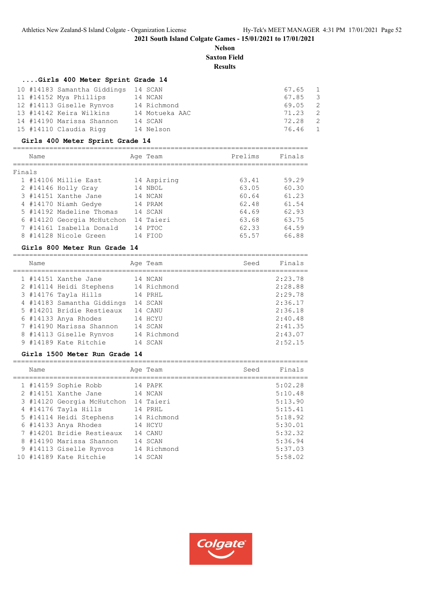#### **Nelson Saxton Field**

**Results**

# **....Girls 400 Meter Sprint Grade 14**

| 10 #14183 Samantha Giddings 14 SCAN |                | 67.65 1 |                |
|-------------------------------------|----------------|---------|----------------|
| 11 #14152 Mya Phillips              | 14 NCAN        | 67.85 3 |                |
| 12 #14113 Giselle Rynvos            | 14 Richmond    | 69.05   | $\sim$ 2       |
| 13 #14142 Keira Wilkins             | 14 Motueka AAC | 71.23   | $\overline{2}$ |
| 14 #14190 Marissa Shannon           | 14 SCAN        | 72.28   | $\overline{2}$ |
| 15 #14110 Claudia Rigg              | 14 Nelson      | 76.46 1 |                |

# **Girls 400 Meter Sprint Grade 14**

|        | Name |                            | Age Team    | Prelims | Finals |
|--------|------|----------------------------|-------------|---------|--------|
| Finals |      |                            |             |         |        |
|        |      | 1 #14106 Millie East       | 14 Aspiring | 63.41   | 59.29  |
|        |      | 2 #14146 Holly Gray        | 14 NBOL     | 63.05   | 60.30  |
|        |      | 3 #14151 Xanthe Jane       | 14 NCAN     | 60.64   | 61.23  |
|        |      | 4 #14170 Niamh Gedye       | 14 PRAM     | 62.48   | 61.54  |
|        |      | 5 #14192 Madeline Thomas   | 14 SCAN     | 64.69   | 62.93  |
|        |      | 6 #14120 Georgia McHutchon | 14 Taieri   | 63.68   | 63.75  |
|        |      | 7 #14161 Isabella Donald   | 14 PTOC     | 62.33   | 64.59  |
|        |      | 8 #14128 Nicole Green      | FIOD        | 65.57   | 66.88  |
|        |      |                            |             |         |        |

# **Girls 800 Meter Run Grade 14**

| Name |                            | Age Team    | Seed | Finals  |
|------|----------------------------|-------------|------|---------|
|      | 1 #14151 Xanthe Jane       | 14 NCAN     |      | 2:23.78 |
|      | 2 #14114 Heidi Stephens    | 14 Richmond |      | 2:28.88 |
|      | 3 #14176 Tayla Hills       | 14 PRHL     |      | 2:29.78 |
|      | 4 #14183 Samantha Giddings | 14 SCAN     |      | 2:36.17 |
|      | 5 #14201 Bridie Restieaux  | 14 CANU     |      | 2:36.18 |
|      | $6$ #14133 Anya Rhodes     | 14 HCYU     |      | 2:40.48 |
|      | 7 #14190 Marissa Shannon   | 14 SCAN     |      | 2:41.35 |
|      | 8 #14113 Giselle Rynvos    | 14 Richmond |      | 2:43.07 |
|      | 9 #14189 Kate Ritchie      | 14 SCAN     |      | 2:52.15 |

#### **Girls 1500 Meter Run Grade 14**

| Name |                            | Age Team    | Seed | Finals  |
|------|----------------------------|-------------|------|---------|
|      | 1 #14159 Sophie Robb       | 14 PAPK     |      | 5:02.28 |
|      | 2 #14151 Xanthe Jane       | 14 NCAN     |      | 5:10.48 |
|      | 3 #14120 Georgia McHutchon | 14 Taieri   |      | 5:13.90 |
|      | 4 #14176 Tayla Hills       | 14 PRHL     |      | 5:15.41 |
|      | 5 #14114 Heidi Stephens    | 14 Richmond |      | 5:18.92 |
|      | $6$ #14133 Anya Rhodes     | 14 HCYU     |      | 5:30.01 |
|      | 7 #14201 Bridie Restieaux  | 14 CANU     |      | 5:32.32 |
|      | 8 #14190 Marissa Shannon   | 14 SCAN     |      | 5:36.94 |
|      | 9 #14113 Giselle Rynvos    | 14 Richmond |      | 5:37.03 |
|      | 10 #14189 Kate Ritchie     | 14 SCAN     |      | 5:58.02 |

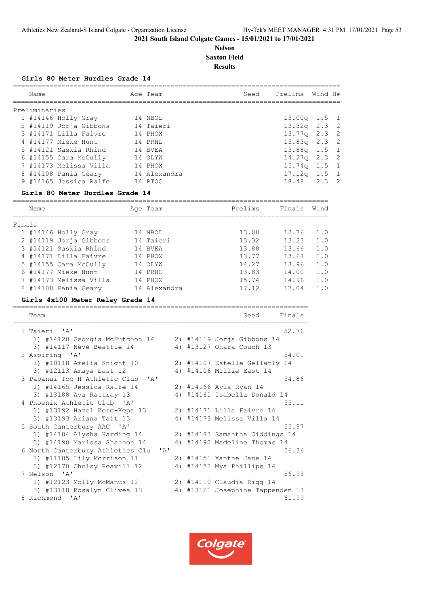# **Nelson Saxton Field**

**Results**

#### **Girls 80 Meter Hurdles Grade 14**

| Name          |                        | Age Team     | Seed | Prelims          | Wind H# |  |
|---------------|------------------------|--------------|------|------------------|---------|--|
| Preliminaries |                        |              |      |                  |         |  |
|               | $1$ #14146 Holly Gray  | 14 NBOL      |      | $13.00q$ 1.5 1   |         |  |
|               | 2 #14119 Jorja Gibbons | 14 Taieri    |      | $13.32q$ $2.3$ 2 |         |  |
|               | 3 #14171 Lilla Faivre  | 14 PHOX      |      | $13.77q$ $2.3$ 2 |         |  |
|               | 4 #14177 Mieke Hunt    | 14 PRHL      |      | $13.83q$ $2.3$ 2 |         |  |
|               | 5 #14121 Saskia Rhind  | 14 BVEA      |      | $13.88q$ 1.5 1   |         |  |
|               | 6 #14155 Cara McCully  | 14 OLYW      |      | $14.27q$ 2.3 2   |         |  |
|               | 7 #14173 Melissa Villa | 14 PHOX      |      | $15.74q$ $1.5$ 1 |         |  |
|               | 8 #14108 Pania Geary   | 14 Alexandra |      | $17.12q$ $1.5$ 1 |         |  |
|               | 9 #14165 Jessica Ralfe | 14 PTOC      |      | $18.48$ $2.3$ 2  |         |  |
|               |                        |              |      |                  |         |  |

#### **Girls 80 Meter Hurdles Grade 14**

|        | Name |                        | Age Team     | Prelims | Finals | Wind |
|--------|------|------------------------|--------------|---------|--------|------|
| Finals |      |                        |              |         |        |      |
|        |      | 1 #14146 Holly Gray    | 14 NBOL      | 13.00   | 12.76  | 1.0  |
|        |      | 2 #14119 Jorja Gibbons | 14 Taieri    | 13.32   | 13.23  | 1.0  |
|        |      | 3 #14121 Saskia Rhind  | 14 BVEA      | 13.88   | 13.66  | 1.0  |
|        |      | 4 #14171 Lilla Faivre  | 14 PHOX      | 13.77   | 13.68  | 1.0  |
|        |      | 5 #14155 Cara McCully  | 14 OLYW      | 14.27   | 13.96  | 1.0  |
|        |      | 6 #14177 Mieke Hunt    | 14 PRHL      | 13.83   | 14.00  | 1.0  |
|        |      | 7 #14173 Melissa Villa | 14 PHOX      | 15.74   | 14.96  | 1.0  |
|        |      | 8 #14108 Pania Geary   | 14 Alexandra | 17.12   | 17.04  | 1.0  |
|        |      |                        |              |         |        |      |

# **Girls 4x100 Meter Relay Grade 14**

| Team                                                               |    | Finals<br>Seed                 |
|--------------------------------------------------------------------|----|--------------------------------|
| 1 Taieri 'A'                                                       |    | 52.76                          |
| 1) #14120 Georgia McHutchon 14                                     |    | 2) #14119 Jorja Gibbons 14     |
| 3) #14117 Neve Beattie 14                                          |    | 4) #13127 Ohara Couch 13       |
| 2 Aspiring 'A'                                                     |    | 54.01                          |
| 1) #10118 Amelia Knight 10                                         |    | 2) #14107 Estelle Gellatly 14  |
| 3) #12113 Amaya East 12                                            |    | 4) #14106 Millie East 14       |
| 3 Papanui Toc H Athletic Club 'A'                                  |    | 54.86                          |
| 1) #14165 Jessica Ralfe 14                                         |    | 2) #14166 Ayla Ryan 14         |
| 3) #13188 Ava Rattray 13                                           |    | 4) #14161 Isabella Donald 14   |
| 4 Phoenix Athletic Club 'A'                                        |    | 55.11                          |
| 1) #13192 Hazel Kose-Kepa 13                                       |    | 2) #14171 Lilla Faivre 14      |
| 3) #13193 Ariana Tait 13                                           |    | 4) #14173 Melissa Villa 14     |
| 5 South Canterbury AAC 'A'                                         |    | 55.97                          |
| 1) #14184 Alysha Harding 14                                        |    | 2) #14183 Samantha Giddings 14 |
| 3) #14190 Marissa Shannon 14                                       | 4) | #14192 Madeline Thomas 14      |
| 6 North Canterbury Athletics Clu<br>$\mathsf{I} \wedge \mathsf{I}$ |    | 56.36                          |
| 1) #11185 Lily Morrison 11                                         |    | 2) #14151 Xanthe Jane 14       |
| 3) #12170 Chelsy Reavill 12                                        | 4) | #14152 Mya Phillips 14         |
| 7 Nelson 'A'                                                       |    | 56.95                          |
| 1) #12123 Molly McManus 12                                         |    | 2) #14110 Claudia Rigg 14      |
| 3) #13118 Rosalyn Clives 13                                        | 4) | #13121 Josephine Tappenden 13  |
| 8 Richmond 'A'                                                     |    | 61.99                          |

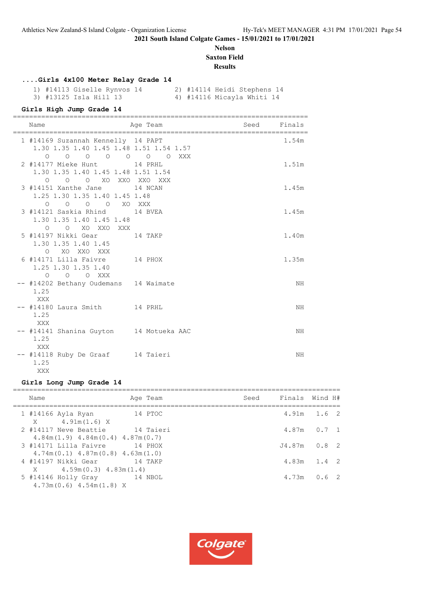# **Nelson Saxton Field**

**Results**

# **....Girls 4x100 Meter Relay Grade 14**

1) #14113 Giselle Rynvos 14 <br>3) #13125 Isla Hill 13 <br>4) #14116 Micayla Whiti 14 4) #14116 Micayla Whiti 14

#### **Girls High Jump Grade 14**

| Name                                                                                      | Age Team | Seed Finals |       |
|-------------------------------------------------------------------------------------------|----------|-------------|-------|
| 1 #14169 Suzannah Kennelly 14 PAPT<br>1.30 1.35 1.40 1.45 1.48 1.51 1.54 1.57<br>$\Omega$ |          |             | 1.54m |
| 2 #14177 Mieke Hunt 14 PRHL<br>1.30 1.35 1.40 1.45 1.48 1.51 1.54<br>0 0 0 XO XXO XXO XXX |          |             | 1.51m |
| 3 #14151 Xanthe Jane 14 NCAN<br>1.25 1.30 1.35 1.40 1.45 1.48<br>0 0 0 0 XO XXX           |          |             | 1.45m |
| 3 #14121 Saskia Rhind 14 BVEA<br>1.30 1.35 1.40 1.45 1.48<br>O O XO XXO XXX               |          |             | 1.45m |
| 5 #14197 Nikki Gear 14 TAKP<br>1.30 1.35 1.40 1.45<br>O XO XXO XXX                        |          |             | 1.40m |
| 6 #14171 Lilla Faivre 14 PHOX<br>1.25 1.30 1.35 1.40<br>O O O XXX                         |          |             | 1.35m |
| -- #14202 Bethany Oudemans 14 Waimate<br>1.25<br>XXX                                      |          |             | NH    |
| -- #14180 Laura Smith 14 PRHL<br>1.25<br>XXX                                              |          |             | ΝH    |
| -- #14141 Shanina Guyton 14 Motueka AAC<br>1.25<br>XXX                                    |          |             | ΝH    |
| -- #14118 Ruby De Graaf 14 Taieri<br>1.25<br>XXX X                                        |          |             | ΝH    |

# **Girls Long Jump Grade 14**

| Name                                                                   | Age Team     | Seed | Finals Wind H# |                 |
|------------------------------------------------------------------------|--------------|------|----------------|-----------------|
| 1 #14166 Ayla Ryan<br>$X = 4.91m(1.6) X$                               | ли в 14 ртос |      |                | $4.91m$ $1.6$ 2 |
| 2 #14117 Neve Beattie<br>$4.84m(1.9)$ $4.84m(0.4)$ $4.87m(0.7)$        | 14 Taieri    |      |                | $4.87m$ 0.7 1   |
| 3 #14171 Lilla Faivre<br>$4.74m(0.1)$ $4.87m(0.8)$ $4.63m(1.0)$        | 14 PHOX      |      |                | $J4.87m$ 0.8 2  |
| 4 #14197 Nikki Gear             14 TAKP<br>$X = 4.59m(0.3) 4.83m(1.4)$ |              |      |                | $4.83m$ 1.4 2   |
| 5 #14146 Holly Gray 14 NBOL<br>$4.73m(0.6)$ $4.54m(1.8)$ X             |              |      | 4.73m          | 0.62            |

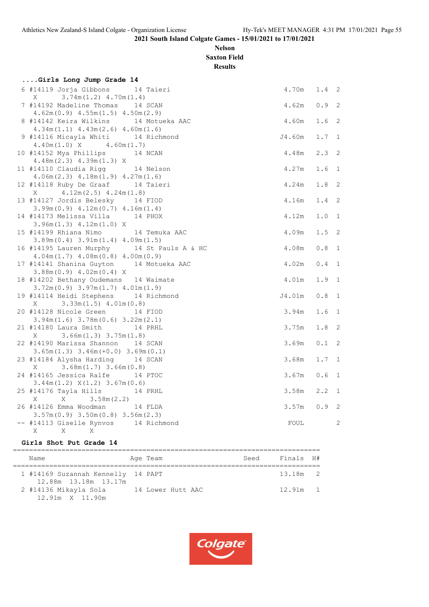# **Nelson Saxton Field**

**Results**

| Girls Long Jump Grade 14                                                       |        |                  |                |
|--------------------------------------------------------------------------------|--------|------------------|----------------|
| 6 #14119 Jorja Gibbons 14 Taieri                                               | 4.70m  | $1.4 \quad 2$    |                |
| $3.74m(1.2)$ 4.70m $(1.4)$<br>X                                                |        |                  |                |
| 7 #14192 Madeline Thomas 14 SCAN                                               | 4.62m  | 0.9              | 2              |
| $4.62m(0.9)$ $4.55m(1.5)$ $4.50m(2.9)$                                         |        |                  |                |
| 8 #14142 Keira Wilkins 14 Motueka AAC                                          | 4.60m  | 1.6 <sub>2</sub> |                |
| $4.34m(1.1)$ $4.43m(2.6)$ $4.60m(1.6)$                                         |        |                  |                |
| 9 #14116 Micayla Whiti 14 Richmond                                             | J4.60m | 1.7              | 1              |
| $4.40m(1.0)$ X $4.60m(1.7)$                                                    |        |                  |                |
| 10 #14152 Mya Phillips 14 NCAN                                                 | 4.48m  | 2.3              | 2              |
| $4.48m(2.3)$ $4.39m(1.3)$ X                                                    |        |                  |                |
| 14 Nelson<br>11 #14110 Claudia Rigg                                            | 4.27m  | 1.6 <sub>1</sub> |                |
| $4.06m(2.3)$ $4.18m(1.9)$ $4.27m(1.6)$                                         |        |                  |                |
| 12 #14118 Ruby De Graaf 14 Taieri                                              | 4.24m  | 1.8              | $\overline{2}$ |
| $X = 4.12m(2.5) 4.24m(1.8)$                                                    |        |                  |                |
| 13 #14127 Jordis Belesky 14 FIOD                                               | 4.16m  | 1.4              | 2              |
| $3.99m(0.9)$ 4.12m $(0.7)$ 4.16m $(1.4)$<br>14 #14173 Melissa Villa<br>14 PHOX | 4.12m  | 1.0 1            |                |
| $3.96m(1.3)$ 4.12m(1.0) X                                                      |        |                  |                |
| 15 #14199 Rhiana Nimo<br>14 Temuka AAC                                         | 4.09m  | $1.5$ 2          |                |
| $3.89m(0.4)$ $3.91m(1.4)$ $4.09m(1.5)$                                         |        |                  |                |
| 16 #14195 Lauren Murphy 14 St Pauls A & HC                                     | 4.08m  | 0.8              | 1              |
| $4.04m(1.7)$ $4.08m(0.8)$ $4.00m(0.9)$                                         |        |                  |                |
| 17 #14141 Shanina Guyton 14 Motueka AAC                                        | 4.02m  | 0.4 1            |                |
| $3.88m(0.9)$ 4.02m $(0.4)$ X                                                   |        |                  |                |
| 18 #14202 Bethany Oudemans 14 Waimate                                          | 4.01m  | 1.9              | $\mathbf{1}$   |
| $3.72m(0.9)$ $3.97m(1.7)$ $4.01m(1.9)$                                         |        |                  |                |
| 19 #14114 Heidi Stephens 14 Richmond                                           | J4.01m | 0.8              | 1              |
| $3.33m(1.5)$ 4.01m(0.8)<br>X                                                   |        |                  |                |
| 20 #14128 Nicole Green 14 FIOD                                                 | 3.94m  | 1.6 <sub>1</sub> |                |
| $3.94m(1.6)$ $3.78m(0.6)$ $3.22m(2.1)$                                         |        |                  |                |
| 21 #14180 Laura Smith 14 PRHL                                                  | 3.75m  | $1.8$ 2          |                |
| 3.66m(1.3) 3.75m(1.8)<br>X.                                                    |        |                  |                |
| 22 #14190 Marissa Shannon 14 SCAN                                              | 3.69m  | 0.1              | 2              |
| $3.65m(1.3)$ $3.46m(+0.0)$ $3.69m(0.1)$                                        |        |                  |                |
| 23 #14184 Alysha Harding 14 SCAN                                               | 3.68m  | $1.7 \quad 1$    |                |
| $3.68m(1.7)$ 3.66 $m(0.8)$<br>Χ                                                | 3.67m  |                  |                |
| 24 #14165 Jessica Ralfe<br>14 PTOC                                             |        | 0.6              | $\overline{1}$ |
| $3.44m(1.2)$ $X(1.2)$ $3.67m(0.6)$<br>25 #14176 Tayla Hills 14 PRHL            | 3.58m  | 2.2              | 1              |
| X<br>3.58m(2.2)<br>Χ                                                           |        |                  |                |
| 26 #14126 Emma Woodman<br>14 FLDA                                              | 3.57m  | $0.9$ 2          |                |
| $3.57m(0.9)$ $3.50m(0.8)$ $3.56m(2.3)$                                         |        |                  |                |
| -- #14113 Giselle Rynvos 14 Richmond                                           | FOUL   |                  | 2              |
| Χ<br>X<br>Χ                                                                    |        |                  |                |
|                                                                                |        |                  |                |

# **Girls Shot Put Grade 14**

| Name                                                       | Age Team |                   | Seed | Finals H#  |  |
|------------------------------------------------------------|----------|-------------------|------|------------|--|
| 1 #14169 Suzannah Kennelly 14 PAPT<br>12.88m 13.18m 13.17m |          |                   |      | $13.18m$ 2 |  |
| 2 #14136 Mikayla Sola<br>$12.91m \times 11.90m$            |          | 14 Lower Hutt AAC |      | $12.91m$ 1 |  |

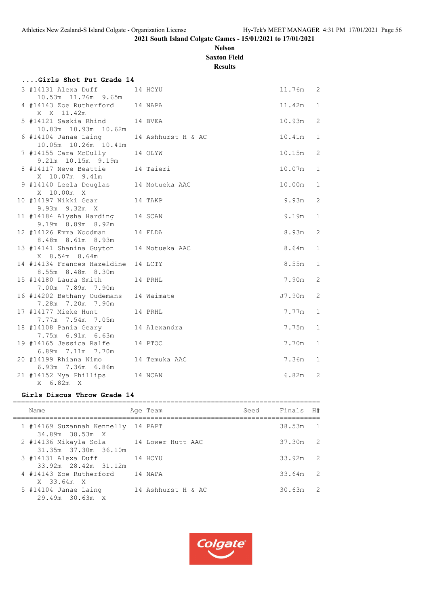# **Nelson Saxton Field**

**Results**

| Girls Shot Put Grade 14                                  |                    |        |                |
|----------------------------------------------------------|--------------------|--------|----------------|
| 3 #14131 Alexa Duff<br>10.53m  11.76m  9.65m             | 14 HCYU            | 11.76m | 2              |
| 4 #14143 Zoe Rutherford 14 NAPA<br>X X 11.42m            |                    | 11.42m | $\mathbf{1}$   |
| 5 #14121 Saskia Rhind 14 BVEA<br>10.83m  10.93m  10.62m  |                    | 10.93m | 2              |
| 6 #14104 Janae Laing<br>10.05m  10.26m  10.41m           | 14 Ashhurst H & AC | 10.41m | $\mathbf 1$    |
| 7 #14155 Cara McCully<br>9.21m 10.15m 9.19m              | 14 OLYW            | 10.15m | 2              |
| 8 #14117 Neve Beattie<br>X 10.07m 9.41m                  | 14 Taieri          | 10.07m | $\mathbf{1}$   |
| 9 #14140 Leela Douglas 14 Motueka AAC<br>X 10.00m X      |                    | 10.00m | $\mathbf 1$    |
| 10 #14197 Nikki Gear<br>14 TAKP<br>9.93m 9.32m X         |                    | 9.93m  | 2              |
| 11 #14184 Alysha Harding<br>9.19m 8.89m 8.92m            | 14 SCAN            | 9.19m  | $\mathbf{1}$   |
| 12 #14126 Emma Woodman<br>8.48m 8.61m 8.93m              | 14 FLDA            | 8.93m  | 2              |
| 13 #14141 Shanina Guyton<br>X 8.54m 8.64m                | 14 Motueka AAC     | 8.64m  | $\mathbf{1}$   |
| 14 #14134 Frances Hazeldine<br>8.55m 8.48m 8.30m         | 14 LCTY            | 8.55m  | $\mathbf{1}$   |
| 15 #14180 Laura Smith<br>7.00m 7.89m 7.90m               | 14 PRHL            | 7.90m  | 2              |
| 16 #14202 Bethany Oudemans<br>7.28m 7.20m 7.90m          | 14 Waimate         | J7.90m | $\overline{2}$ |
| 17 #14177 Mieke Hunt<br>7.77m 7.54m 7.05m                | 14 PRHL            | 7.77m  | $\mathbf 1$    |
| 18 #14108 Pania Geary<br>7.75m 6.91m 6.63m               | 14 Alexandra       | 7.75m  | $\mathbf 1$    |
| 19 #14165 Jessica Ralfe<br>6.89m 7.11m 7.70m             | 14 PTOC            | 7.70m  | $\mathbf 1$    |
| 20 #14199 Rhiana Nimo 14 Temuka AAC<br>6.93m 7.36m 6.86m |                    | 7.36m  | $\mathbf{1}$   |
| 21 #14152 Mya Phillips<br>14 NCAN<br>X 6.82m X           |                    | 6.82m  | 2              |

#### **Girls Discus Throw Grade 14**

| Name                                                            | Age Team           | Seed Finals H# |            |                |
|-----------------------------------------------------------------|--------------------|----------------|------------|----------------|
| 1 #14169 Suzannah Kennelly 14 PAPT<br>34.89m 38.53m X           |                    |                | $38.53m$ 1 |                |
| 2 #14136 Mikayla Sola 14 Lower Hutt AAC<br>31.35m 37.30m 36.10m |                    |                | 37.30m 2   |                |
| 3 #14131 Alexa Duff<br>33.92m 28.42m 31.12m                     | 14 HCYU            |                | $33.92m$ 2 |                |
| 4 #14143 Zoe Rutherford<br>X 33.64m X                           | 14 NAPA            |                | 33.64m     | $\overline{2}$ |
| 5 #14104 Janae Laing<br>$29.49m$ 30.63m X                       | 14 Ashhurst H & AC |                | 30.63m     | $\overline{2}$ |

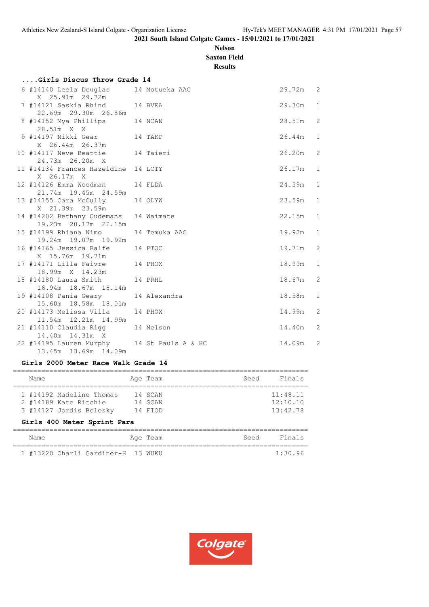# **Nelson Saxton Field**

**Results**

| Girls Discus Throw Grade 14                                        |                |          |                |
|--------------------------------------------------------------------|----------------|----------|----------------|
| 6 #14140 Leela Douglas<br>X 25.91m 29.72m                          | 14 Motueka AAC | 29.72m 2 |                |
| 7 #14121 Saskia Rhind 14 BVEA<br>22.69m 29.30m 26.86m              |                | 29.30m   | 1              |
| 8 #14152 Mya Phillips 14 NCAN<br>28.51m X X                        |                | 28.51m   | 2              |
| 9 #14197 Nikki Gear 14 TAKP<br>X 26.44m 26.37m                     |                | 26.44m   | $\mathbf{1}$   |
| 10 #14117 Neve Beattie 14 Taieri<br>24.73m 26.20m X                |                | 26.20m   | 2              |
| 11 #14134 Frances Hazeldine 14 LCTY<br>X 26.17m X                  |                | 26.17m   | $\mathbf{1}$   |
| 12 #14126 Emma Woodman 14 FLDA<br>21.74m 19.45m 24.59m             |                | 24.59m   | $\mathbf{1}$   |
| 13 #14155 Cara McCully 14 OLYW<br>X 21.39m 23.59m                  |                | 23.59m   | $\mathbf{1}$   |
| 14 #14202 Bethany Oudemans 14 Waimate<br>19.23m 20.17m 22.15m      |                | 22.15m   | $\mathbf{1}$   |
| 15 #14199 Rhiana Nimo<br>19.24m 19.07m 19.92m                      | 14 Temuka AAC  | 19.92m   | $\mathbf{1}$   |
| 16 #14165 Jessica Ralfe 14 PTOC<br>X 15.76m 19.71m                 |                | 19.71m   | 2              |
| 17 #14171 Lilla Faivre 14 PHOX<br>18.99m X 14.23m                  |                | 18.99m   | $\mathbf{1}$   |
| 18 #14180 Laura Smith 14 PRHL<br>16.94m 18.67m 18.14m              |                | 18.67m   | 2              |
| 19 #14108 Pania Geary<br>15.60m  18.58m  18.01m                    | 14 Alexandra   | 18.58m   | $\mathbf{1}$   |
| 20 #14173 Melissa Villa<br>11.54m  12.21m  14.99m                  | 14 PHOX        | 14.99m   | 2              |
| 21 #14110 Claudia Rigg 14 Nelson<br>14.40m  14.31m  X              |                | 14.40m   | 2              |
| 22 #14195 Lauren Murphy 14 St Pauls A & HC<br>13.45m 13.69m 14.09m |                | 14.09m   | $\overline{2}$ |

# **Girls 2000 Meter Race Walk Grade 14**

| Name                                                                         | Age Team                      | Seed | Finals                           |
|------------------------------------------------------------------------------|-------------------------------|------|----------------------------------|
| 1 #14192 Madeline Thomas<br>2 #14189 Kate Ritchie<br>3 #14127 Jordis Belesky | 14 SCAN<br>14 SCAN<br>14 FIOD |      | 11:48.11<br>12:10.10<br>13:42.78 |
| Girls 400 Meter Sprint Para                                                  |                               |      |                                  |
| Name                                                                         | Age Team                      | Seed | Finals                           |

|  | #13220 Charli Gardiner-H 13 WUKU |  | 1:30.96 |
|--|----------------------------------|--|---------|

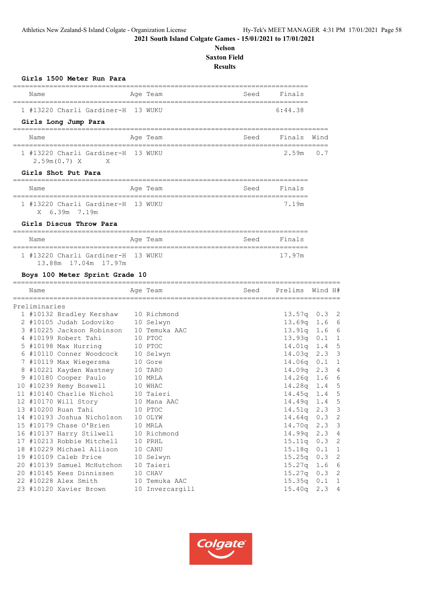# **Nelson Saxton Field Results**

| Girls 1500 Meter Run Para                                  |                                             |      |                                          |            |                   |
|------------------------------------------------------------|---------------------------------------------|------|------------------------------------------|------------|-------------------|
| Name                                                       | Age Team<br>===========                     | Seed | Finals<br>============================== |            |                   |
| 1 #13220 Charli Gardiner-H                                 | 13 WUKU                                     |      | 6:44.38                                  |            |                   |
| Girls Long Jump Para                                       | ==================================          |      |                                          |            |                   |
| Name                                                       | Age Team                                    | Seed | Finals                                   | Wind       |                   |
| 1 #13220 Charli Gardiner-H<br>2.59m(0.7) X<br>X            | 13 WUKU                                     |      | 2.59m                                    | 0.7        |                   |
| Girls Shot Put Para                                        |                                             |      |                                          |            |                   |
| Name                                                       | Age Team                                    | Seed | Finals                                   |            |                   |
| 1 #13220 Charli Gardiner-H 13 WUKU<br>6.39m 7.19m<br>X     | ==========                                  |      | ==========<br>7.19m                      |            |                   |
| Girls Discus Throw Para                                    |                                             |      |                                          |            |                   |
| Name                                                       | Age Team                                    | Seed | Finals                                   |            |                   |
| 1 #13220 Charli Gardiner-H 13 WUKU<br>13.88m 17.04m 17.97m |                                             |      | 17.97m                                   |            |                   |
| Boys 100 Meter Sprint Grade 10                             |                                             |      |                                          |            |                   |
| Name                                                       | _______________________________<br>Age Team | Seed | Prelims                                  | Wind H#    |                   |
| ========================<br>Preliminaries                  |                                             |      |                                          |            |                   |
| 1 #10132 Bradley Kershaw                                   | 10 Richmond                                 |      | 13.57q                                   | 0.3        | 2                 |
| 2 #10105 Judah Lodoviko                                    | 10 Selwyn                                   |      | 13.69q                                   | 1.6        | 6                 |
| 3 #10225 Jackson Robinson                                  | 10 Temuka AAC                               |      | 13.91q                                   | 1.6        | 6                 |
| 4 #10199 Robert Tahi                                       | 10 PTOC                                     |      | 13.93q                                   | 0.1        | 1                 |
| 5 #10198 Max Hurring                                       | 10 PTOC                                     |      | 14.01q                                   | 1.4        | 5                 |
| 6 #10110 Conner Woodcock                                   | 10 Selwyn                                   |      | 14.03q                                   | 2.3        | 3                 |
| 7 #10119 Max Wiegersma                                     | 10 Gore                                     |      | 14.06q                                   | 0.1        | 1                 |
| 8 #10221 Kayden Wastney                                    | 10 TARO                                     |      | 14.09q                                   | 2.3        | $\overline{4}$    |
| 9 #10180 Cooper Paulo                                      | 10 MRLA                                     |      | 14.26q                                   | 1.6        | 6                 |
| 10 #10239 Remy Boswell                                     | 10 WHAC                                     |      | 14.28q                                   | 1.4        | 5                 |
| 11 #10140 Charlie Nichol                                   | 10 Taieri                                   |      | 14.45q                                   | 1.4        | 5                 |
| 12 #10170 Will Story                                       | 10 Mana AAC                                 |      | 14.49q                                   | 1.4        | 5                 |
| 13 #10200 Ruan Tahi                                        | 10 PTOC                                     |      | 14.51q                                   | 2.3        | 3                 |
| 14 #10193 Joshua Nicholson                                 | 10 OLYW                                     |      | 14.64q                                   | 0.3        | $\overline{c}$    |
| 15 #10179 Chase O'Brien                                    | 10 MRLA                                     |      | 14.70q                                   | 2.3        | 3                 |
| 16 #10137 Harry Stilwell                                   | 10 Richmond                                 |      | 14.99q                                   | 2.3        | $\overline{4}$    |
| 17 #10213 Robbie Mitchell                                  | 10 PRHL                                     |      | 15.11q                                   | 0.3        | $\mathbf{2}$      |
| 18 #10229 Michael Allison<br>19 #10109 Caleb Price         | 10 CANU                                     |      | 15.18q                                   | 0.1        | $\mathbf 1$       |
|                                                            | 10 Selwyn                                   |      | 15.25q                                   | 0.3        | $\mathbf{2}$      |
| 20 #10139 Samuel McHutchon<br>20 #10145 Kees Dinnissen     | 10 Taieri<br>10 CHAV                        |      | 15.27q<br>15.27q                         | 1.6<br>0.3 | 6<br>$\mathbf{2}$ |
| 22 #10228 Alex Smith                                       | 10 Temuka AAC                               |      | 15.35q                                   | 0.1        | 1                 |
|                                                            |                                             |      |                                          |            |                   |
| 23 #10120 Xavier Brown                                     | 10 Invercargill                             |      | 15.40q                                   | 2.3        | $\sqrt{4}$        |

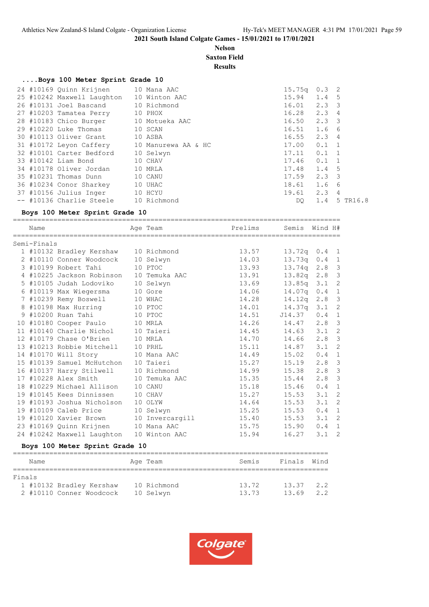#### **Nelson Saxton Field**

**Results**

#### **....Boys 100 Meter Sprint Grade 10**

|  | 24 #10169 Quinn Krijnen               | 10 Mana AAC         | 15.75q | $0.3 \quad 2$    |                |          |
|--|---------------------------------------|---------------------|--------|------------------|----------------|----------|
|  | 25 #10242 Maxwell Laughton            | 10 Winton AAC       | 15.94  | 1.4 <sub>5</sub> |                |          |
|  | 26 #10131 Joel Bascand                | 10 Richmond         | 16.01  | $2.3 \quad 3$    |                |          |
|  | 27 #10203 Tamatea Perry               | 10 PHOX             | 16.28  | 2.34             |                |          |
|  | 28 #10183 Chico Burger 10 Motueka AAC |                     | 16.50  | $2.3 \quad 3$    |                |          |
|  | 29 #10220 Luke Thomas                 | 10 SCAN             | 16.51  | 1.6 6            |                |          |
|  | 30 #10113 Oliver Grant                | 10 ASBA             | 16.55  | 2.34             |                |          |
|  | 31 #10172 Leyon Caffery               | 10 Manurewa AA & HC | 17.00  | $0.1 \quad 1$    |                |          |
|  | 32 #10101 Carter Bedford              | 10 Selwyn           | 17.11  | $0.1 \quad 1$    |                |          |
|  | 33 #10142 Liam Bond                   | 10 CHAV             | 17.46  | $0.1 \quad 1$    |                |          |
|  | 34 #10178 Oliver Jordan               | 10 MRLA             | 17.48  | 1.4 <sub>5</sub> |                |          |
|  | 35 #10231 Thomas Dunn                 | 10 CANU             | 17.59  | $2.3 \quad 3$    |                |          |
|  | 36 #10234 Conor Sharkey               | 10 UHAC             | 18.61  | 1.6              | - 6            |          |
|  | 37 #10156 Julius Inger                | 10 HCYU             | 19.61  | 2.3              | $\overline{4}$ |          |
|  | -- #10136 Charlie Steele              | 10 Richmond         | DO.    | 1.4              |                | 5 TR16.8 |
|  |                                       |                     |        |                  |                |          |

#### **Boys 100 Meter Sprint Grade 10**

| Name                           |                                          |  | Age Team  | Prelims     | Semis Wind H#   |                  |              |  |  |  |
|--------------------------------|------------------------------------------|--|-----------|-------------|-----------------|------------------|--------------|--|--|--|
| Semi-Finals                    |                                          |  |           |             |                 |                  |              |  |  |  |
|                                | 1 #10132 Bradley Kershaw 10 Richmond     |  |           | 13.57       | $13.72q$ 0.4 1  |                  |              |  |  |  |
|                                | 2 #10110 Conner Woodcock                 |  | 10 Selwyn | 14.03       | $13.73q$ 0.4 1  |                  |              |  |  |  |
|                                | 3 #10199 Robert Tahi                     |  | 10 PTOC   | 13.93       | 13.74q 2.8 3    |                  |              |  |  |  |
|                                | 4 #10225 Jackson Robinson 10 Temuka AAC  |  |           | 13.91       | 13.82q 2.8 3    |                  |              |  |  |  |
|                                | 5 #10105 Judah Lodoviko                  |  | 10 Selwyn | 13.69       | 13.85q 3.1 2    |                  |              |  |  |  |
|                                | 6 #10119 Max Wiegersma                   |  | 10 Gore   | 14.06       | $14.07q$ 0.4 1  |                  |              |  |  |  |
|                                | 7 #10239 Remy Boswell                    |  | 10 WHAC   | 14.28       | 14.12q 2.8 3    |                  |              |  |  |  |
|                                | 8 #10198 Max Hurring 10 PTOC             |  |           | 14.01       | 14.37q 3.1 2    |                  |              |  |  |  |
|                                | 9 #10200 Ruan Tahi 10 PTOC               |  |           | 14.51       | $J14.37$ 0.4 1  |                  |              |  |  |  |
|                                | 10 #10180 Cooper Paulo 10 MRLA           |  |           | 14.26 14.47 |                 | $2.8$ 3          |              |  |  |  |
|                                | 11 #10140 Charlie Nichol 10 Taieri       |  |           | 14.45       | $14.63$ $3.1$   |                  | 2            |  |  |  |
|                                | 12 #10179 Chase O'Brien                  |  | 10 MRLA   | 14.70       | 14.66 2.8 3     |                  |              |  |  |  |
|                                | 13 #10213 Robbie Mitchell 10 PRHL        |  |           | 15.11       | 14.87 3.1 2     |                  |              |  |  |  |
|                                | 14 #10170 Will Story 10 Mana AAC         |  |           | 14.49       | 15.02           | 0.4              | $\mathbf{1}$ |  |  |  |
|                                | 15 #10139 Samuel McHutchon 10 Taieri     |  |           | 15.27       | 15.19           | $2.8$ 3          |              |  |  |  |
|                                | 16 #10137 Harry Stilwell 10 Richmond     |  |           | 14.99       | 15.38 2.8 3     |                  |              |  |  |  |
|                                | 17 #10228 Alex Smith 10 Temuka AAC       |  |           | 15.35       | 15.44 2.8 3     |                  |              |  |  |  |
|                                | 18 #10229 Michael Allison                |  | 10 CANU   | 15.18       | 15.46           | 0.4              | $\mathbf{1}$ |  |  |  |
|                                | 19 #10145 Kees Dinnissen                 |  | 10 CHAV   | 15.27       | $15.53$ $3.1$ 2 |                  |              |  |  |  |
|                                | 19 #10193 Joshua Nicholson 10 OLYW       |  |           | 14.64       | 15.53           | $3.1 \quad 2$    |              |  |  |  |
|                                | 19 #10109 Caleb Price                    |  | 10 Selwyn | 15.25       | 15.53           | 0.4              | $\mathbf{1}$ |  |  |  |
|                                | 19 #10120 Xavier Brown 10 Invercargill   |  |           | 15.40       | 15.53           | 3.1 <sub>2</sub> |              |  |  |  |
|                                | 23 #10169 Quinn Krijnen 10 Mana AAC      |  |           | 15.75       | 15.90           | $0.4 \quad 1$    |              |  |  |  |
|                                | 24 #10242 Maxwell Laughton 10 Winton AAC |  |           | 15.94       | 16.27           | $3.1$ 2          |              |  |  |  |
| Boys 100 Meter Sprint Grade 10 |                                          |  |           |             |                 |                  |              |  |  |  |

#### ============================================================================== Name **Age Team** Age Team Semis Finals Wind ============================================================================== Finals 1 #10132 Bradley Kershaw 10 Richmond 13.72 13.37 2.2 2 #10110 Conner Woodcock 10 Selwyn 13.73 13.69 2.2

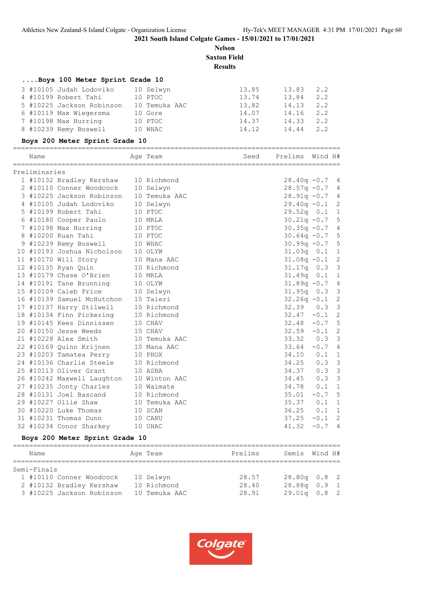**Nelson Saxton Field Results**

# **....Boys 100 Meter Sprint Grade 10**

| 3 #10105 Judah Lodoviko   | 10 Selwyn     | 13.85 | 13.83 | 2.2 |
|---------------------------|---------------|-------|-------|-----|
| 4 #10199 Robert Tahi      | 10 PTOC       | 13.74 | 13.84 | 2.2 |
| 5 #10225 Jackson Robinson | 10 Temuka AAC | 13.82 | 14.13 | 2.2 |
| 6 #10119 Max Wiegersma    | 10 Gore       | 14.07 | 14.16 | 2.2 |
| 7 #10198 Max Hurring      | 10 PTOC       | 14.37 | 14.33 | 2.2 |
| 8 #10239 Remy Boswell     | 10 WHAC       | 14.12 | 14.44 | 2.2 |
|                           |               |       |       |     |

# **Boys 200 Meter Sprint Grade 10**

| Name          |                                                                                              |         | Age Team      | Seed    | Prelims        | Wind H# |                |
|---------------|----------------------------------------------------------------------------------------------|---------|---------------|---------|----------------|---------|----------------|
| Preliminaries |                                                                                              |         |               |         |                |         |                |
|               | 1 #10132 Bradley Kershaw                                                                     |         | 10 Richmond   |         | $28.40q -0.7$  |         | 4              |
|               | 2 #10110 Conner Woodcock                                                                     |         | 10 Selwyn     |         | $28.57q - 0.7$ |         | $\overline{4}$ |
|               | 3 #10225 Jackson Robinson                                                                    |         | 10 Temuka AAC |         | $28.91q - 0.7$ |         | 4              |
|               | 4 #10105 Judah Lodoviko                                                                      |         | 10 Selwyn     |         | $29.40q - 0.1$ |         | 2              |
|               | 5 #10199 Robert Tahi                                                                         |         | 10 PTOC       |         | $29.52q$ 0.1   |         | $\mathbf 1$    |
|               | 6 #10180 Cooper Paulo                                                                        |         | 10 MRLA       |         | $30.21q - 0.7$ |         | 5              |
|               | 7 #10198 Max Hurring                                                                         |         | 10 PTOC       |         | $30.35q - 0.7$ |         | $\overline{4}$ |
|               | 8 #10200 Ruan Tahi                                                                           |         | 10 PTOC       |         | $30.64q - 0.7$ |         | 5              |
|               | 9 #10239 Remy Boswell<br>9 #10239 Remy Boswell 10 WHAC<br>10 #10193 Joshua Nicholson 10 OLYW |         |               |         | $30.99q - 0.7$ |         | 5              |
|               |                                                                                              |         |               |         | $31.03q$ 0.1   |         | $\mathbf{1}$   |
|               | 11 #10170 Will Story                                                                         |         | 10 Mana AAC   |         | $31.08q - 0.1$ |         | $\overline{c}$ |
|               | 12 #10135 Ryan Quin                                                                          |         | 10 Richmond   |         | 31.17q         | 0.3     | 3              |
|               | 13 #10179 Chase O'Brien                                                                      |         | 10 MRLA       |         | 31.49q         | 0.1     | $\mathbf 1$    |
|               | 14 #10191 Tane Brunning                                                                      |         | 10 OLYW       |         | $31.89q - 0.7$ |         | $\overline{4}$ |
|               | 15 #10109 Caleb Price                                                                        |         | 10 Selwyn     |         | 31.95q         | 0.3     | $\mathcal{S}$  |
|               | 16 #10139 Samuel McHutchon                                                                   |         | 10 Taieri     |         | $32.26q - 0.1$ |         | $\overline{c}$ |
|               | 17 #10137 Harry Stilwell                                                                     |         | 10 Richmond   |         | 32.39          | 0.3     | $\mathcal{S}$  |
|               | 18 #10134 Finn Pickering                                                                     |         | 10 Richmond   |         | 32.47          | $-0.1$  | $\overline{c}$ |
|               | 19 #10145 Kees Dinnissen                                                                     |         | 10 CHAV       |         | 32.48          | $-0.7$  | 5              |
|               | 20 #10150 Jesse Weeds                                                                        |         | 10 CHAV       |         | $32.59 - 0.1$  |         | $\mathbf{2}$   |
|               | 21 #10228 Alex Smith                                                                         |         | 10 Temuka AAC |         | 33.32          | 0.3     | $\mathsf 3$    |
|               | 22 #10169 Quinn Krijnen                                                                      |         | 10 Mana AAC   |         | 33.64          | $-0.7$  | 4              |
|               | 23 #10203 Tamatea Perry                                                                      |         | 10 PHOX       |         | 34.10          | 0.1     | $\mathbf{1}$   |
|               | 24 #10136 Charlie Steele                                                                     |         | 10 Richmond   |         | 34.25          | 0.3     | $\mathfrak{Z}$ |
|               | 25 #10113 Oliver Grant                                                                       |         | 10 ASBA       |         | 34.37          | 0.3     | $\mathcal{S}$  |
|               | 26 #10242 Maxwell Laughton 10 Winton AAC                                                     |         |               |         | 34.45          | 0.3     | $\mathfrak{Z}$ |
|               | 27 #10235 Jonty Charles                                                                      |         | 10 Waimate    |         | 34.78          | 0.1     | $\mathbf 1$    |
|               | 28 #10131 Joel Bascand                                                                       |         | 10 Richmond   |         | 35.01          | $-0.7$  | 5              |
|               | 29 #10227 Ollie Shaw                                                                         |         | 10 Temuka AAC |         | 35.37          | 0.1     | $\mathbf 1$    |
|               | 30 #10220 Luke Thomas                                                                        | 10 SCAN |               |         | 36.25          | 0.1     | 1              |
|               | 31 #10231 Thomas Dunn                                                                        |         | 10 CANU       |         | 37.25          | $-0.1$  | $\mathbf{2}$   |
|               | 32 #10234 Conor Sharkey 10 UHAC                                                              |         |               |         | 41.32          | $-0.7$  | $\overline{4}$ |
|               | Boys 200 Meter Sprint Grade 10                                                               |         |               |         |                |         |                |
| Name          |                                                                                              |         | Age Team      | Prelims | Semis          | Wind H# |                |

| Semi-Finals               |               |       |                  |  |
|---------------------------|---------------|-------|------------------|--|
| 1 #10110 Conner Woodcock  | 10 Selwyn     | 28.57 | $28.80q$ $0.8$ 2 |  |
| 2 #10132 Bradley Kershaw  | 10 Richmond   | 28.40 | $28.88q$ 0.9 1   |  |
| 3 #10225 Jackson Robinson | 10 Temuka AAC | 28.91 | $29.01q$ $0.8$ 2 |  |
|                           |               |       |                  |  |

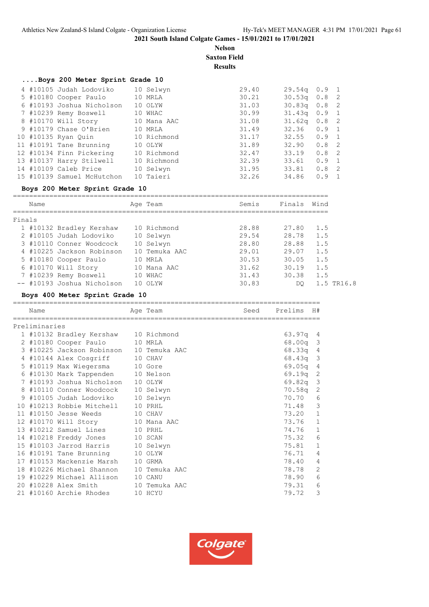#### **Nelson Saxton Field**

**Results**

|  | Boys 200 Meter Sprint Grade 10 |             |       |                    |                  |  |
|--|--------------------------------|-------------|-------|--------------------|------------------|--|
|  | 4 #10105 Judah Lodoviko        | 10 Selwyn   | 29.40 | $29.54q$ 0.9 1     |                  |  |
|  | 5 #10180 Cooper Paulo          | 10 MRLA     | 30.21 | $30.53q$ 0.8 2     |                  |  |
|  | 6 #10193 Joshua Nicholson      | 10 OLYW     | 31.03 | $30.83q$ 0.8 2     |                  |  |
|  | 7 #10239 Remy Boswell          | 10 WHAC     | 30.99 | $31.43q$ 0.9 1     |                  |  |
|  | 8 #10170 Will Story            | 10 Mana AAC | 31.08 | 31.62 <sub>q</sub> | 0.8 <sub>2</sub> |  |
|  | 9 #10179 Chase O'Brien         | 10 MRLA     | 31.49 | $32.36$ 0.9 1      |                  |  |
|  | 10 #10135 Ryan Quin            | 10 Richmond | 31.17 | $32.55$ 0.9 1      |                  |  |
|  | 11 #10191 Tane Brunning        | 10 OLYW     | 31.89 | $32.90 \t 0.82$    |                  |  |
|  | 12 #10134 Finn Pickering       | 10 Richmond | 32.47 | 33.19              | 0.8 <sub>2</sub> |  |
|  | 13 #10137 Harry Stilwell       | 10 Richmond | 32.39 | 33.61              | $0.9 \quad 1$    |  |
|  | 14 #10109 Caleb Price          | 10 Selwyn   | 31.95 | 33.81              | 0.8 <sub>2</sub> |  |
|  | 15 #10139 Samuel McHutchon     | 10 Taieri   | 32.26 | 34.86              | $0.9 \quad 1$    |  |
|  |                                |             |       |                    |                  |  |

# **Boys 200 Meter Sprint Grade 10**

| Name                       | Age Team      | Semis | Finals | Wind       |
|----------------------------|---------------|-------|--------|------------|
| Finals                     |               |       |        |            |
| 1 #10132 Bradley Kershaw   | 10 Richmond   | 28.88 | 27.80  | 1.5        |
| 2 #10105 Judah Lodoviko    | 10 Selwyn     | 29.54 | 28.78  | 1.5        |
| 3 #10110 Conner Woodcock   | 10 Selwyn     | 28.80 | 28.88  | 1.5        |
| 4 #10225 Jackson Robinson  | 10 Temuka AAC | 29.01 | 29.07  | 1.5        |
| 5 #10180 Cooper Paulo      | 10 MRLA       | 30.53 | 30.05  | 1.5        |
| 6 #10170 Will Story        | 10 Mana AAC   | 31.62 | 30.19  | 1.5        |
| 7 #10239 Remy Boswell      | 10 WHAC       | 31.43 | 30.38  | 1.5        |
| -- #10193 Joshua Nicholson | 10 OLYW       | 30.83 | DO     | 1.5 TR16.8 |
|                            |               |       |        |            |

# **Boys 400 Meter Sprint Grade 10**

| Name          |                                         | Age Team      | Seed | Prelims    | H#             |
|---------------|-----------------------------------------|---------------|------|------------|----------------|
| Preliminaries |                                         |               |      |            |                |
|               | 1 #10132 Bradley Kershaw 10 Richmond    |               |      | 63.97q 4   |                |
|               | 2 #10180 Cooper Paulo                   | 10 MRLA       |      | 68.00q 3   |                |
|               | 3 #10225 Jackson Robinson 10 Temuka AAC |               |      | 68.33q 4   |                |
|               | 4 #10144 Alex Cosgriff                  | 10 CHAV       |      | 68.43q 3   |                |
|               | 5 #10119 Max Wiegersma 10 Gore          |               |      | $69.05q$ 4 |                |
|               | 6 #10130 Mark Tappenden 10 Nelson       |               |      | $69.19q$ 2 |                |
|               | 7 #10193 Joshua Nicholson 10 OLYW       |               |      | 69.82q 3   |                |
|               | 8 #10110 Conner Woodcock                | 10 Selwyn     |      | 70.58q     | 2              |
|               | 9 #10105 Judah Lodoviko 10 Selwyn       |               |      | 70.70      | 6              |
|               | 10 #10213 Robbie Mitchell               | 10 PRHL       |      | 71.48      | 3              |
|               | 11 #10150 Jesse Weeds                   | 10 CHAV       |      | 73.20      | $\mathbf{1}$   |
|               | 12 #10170 Will Story 10 Mana AAC        |               |      | 73.76      | $1\,$          |
|               | 13 #10212 Samuel Lines 10 PRHL          |               |      | 74.76      | $\mathbf 1$    |
|               | 14 #10218 Freddy Jones 10 SCAN          |               |      | 75.32      | $\epsilon$     |
|               | 15 #10103 Jarrod Harris                 | 10 Selwyn     |      | 75.81      | $\mathbf 1$    |
|               | 16 #10191 Tane Brunning 10 OLYW         |               |      | 76.71      | $\overline{4}$ |
|               | 17 #10153 Mackenzie Marsh 10 GRMA       |               |      | 78.40      | $\overline{4}$ |
|               | 18 #10226 Michael Shannon 10 Temuka AAC |               |      | 78.78      | 2              |
|               | 19 #10229 Michael Allison               | 10 CANU       |      | 78.90      | $\epsilon$     |
|               | 20 #10228 Alex Smith                    | 10 Temuka AAC |      | 79.31      | $\epsilon$     |
|               | 21 #10160 Archie Rhodes                 | 10 HCYU       |      | 79.72      | 3              |

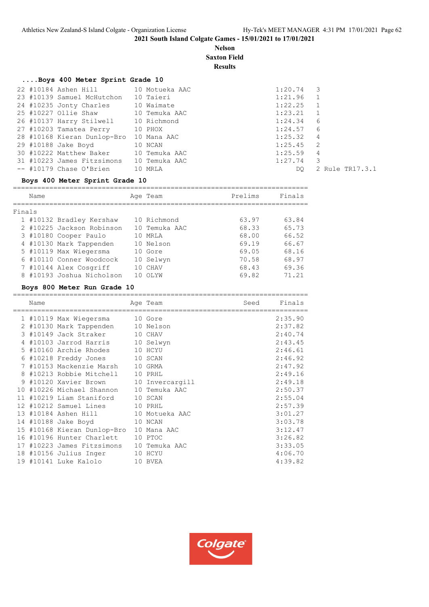# **Nelson Saxton Field**

**Results**

# **....Boys 400 Meter Sprint Grade 10**

| 22 #10184 Ashen Hill 10 Motueka AAC      |           | $1:20.74$ 3 |                 |
|------------------------------------------|-----------|-------------|-----------------|
| 23 #10139 Samuel McHutchon               | 10 Taieri | 1:21.96     | $\overline{1}$  |
| 24 #10235 Jonty Charles 10 Waimate       |           | $1:22.25$ 1 |                 |
| 25 #10227 Ollie Shaw 10 Temuka AAC       |           | 1:23.21     | $\overline{1}$  |
| 26 #10137 Harry Stilwell 10 Richmond     |           | $1:24.34$ 6 |                 |
| 27 #10203 Tamatea Perry 10 PHOX          |           | $1:24.57$ 6 |                 |
| 28 #10168 Kieran Dunlop-Bro 10 Mana AAC  |           | 1:25.32 4   |                 |
| 29 #10188 Jake Boyd                      | 10 NCAN   | $1:25.45$ 2 |                 |
| 30 #10222 Matthew Baker 10 Temuka AAC    |           | 1:25.59     | 4               |
| 31 #10223 James Fitzsimons 10 Temuka AAC |           | $1:27.74$ 3 |                 |
| -- #10179 Chase O'Brien 10 MRLA          |           | DO .        | 2 Rule TR17.3.1 |

# **Boys 400 Meter Sprint Grade 10**

|        | Name |                             | Age Team      | Prelims | Finals |
|--------|------|-----------------------------|---------------|---------|--------|
| Finals |      |                             |               |         |        |
|        |      | 1 #10132 Bradley Kershaw    | 10 Richmond   | 63.97   | 63.84  |
|        |      | 2 #10225 Jackson Robinson   | 10 Temuka AAC | 68.33   | 65.73  |
|        |      | 3 #10180 Cooper Paulo       | 10 MRLA       | 68.00   | 66.52  |
|        |      | 4 #10130 Mark Tappenden     | 10 Nelson     | 69.19   | 66.67  |
|        |      | 5 #10119 Max Wiegersma      | 10 Gore       | 69.05   | 68.16  |
|        |      | 6 #10110 Conner Woodcock    | 10 Selwyn     | 70.58   | 68.97  |
|        |      | 7 #10144 Alex Cosgriff      | 10 CHAV       | 68.43   | 69.36  |
|        |      | 8 #10193 Joshua Nicholson   | 10 OLYW       | 69.82   | 71.21  |
|        |      | Boys 800 Meter Pun Crade 10 |               |         |        |

#### **Boys 800 Meter Run Grade 10**

|    | Name |                                          | Age Team    | Seed | Finals  |
|----|------|------------------------------------------|-------------|------|---------|
|    |      | 1 #10119 Max Wiegersma 10 Gore           |             |      | 2:35.90 |
|    |      | 2 #10130 Mark Tappenden 10 Nelson        |             |      | 2:37.82 |
|    |      | 3 #10149 Jack Straker 10 CHAV            |             |      | 2:40.74 |
|    |      | 4 #10103 Jarrod Harris 10 Selwyn         |             |      | 2:43.45 |
| 5. |      | #10160 Archie Rhodes 10 HCYU             |             |      | 2:46.61 |
| 6  |      | #10218 Freddy Jones 10 SCAN              |             |      | 2:46.92 |
| 7  |      | #10153 Mackenzie Marsh                   | 10 GRMA     |      | 2:47.92 |
| 8  |      | #10213 Robbie Mitchell 10 PRHL           |             |      | 2:49.16 |
| 9  |      | #10120 Xavier Brown 10 Invercargill      |             |      | 2:49.18 |
| 10 |      | #10226 Michael Shannon 10 Temuka AAC     |             |      | 2:50.37 |
| 11 |      | #10219 Liam Staniford                    | 10 SCAN     |      | 2:55.04 |
|    |      | 12 #10212 Samuel Lines 10 PRHL           |             |      | 2:57.39 |
|    |      | 13 #10184 Ashen Hill 10 Motueka AAC      |             |      | 3:01.27 |
|    |      | 14 #10188 Jake Boyd                      | 10 NCAN     |      | 3:03.78 |
|    |      | 15 #10168 Kieran Dunlop-Bro              | 10 Mana AAC |      | 3:12.47 |
|    |      | 16 #10196 Hunter Charlett 10 PTOC        |             |      | 3:26.82 |
|    |      | 17 #10223 James Fitzsimons 10 Temuka AAC |             |      | 3:33.05 |
|    |      | 18 #10156 Julius Inger                   | 10 HCYU     |      | 4:06.70 |
|    |      | 19 #10141 Luke Kalolo                    | 10 BVEA     |      | 4:39.82 |

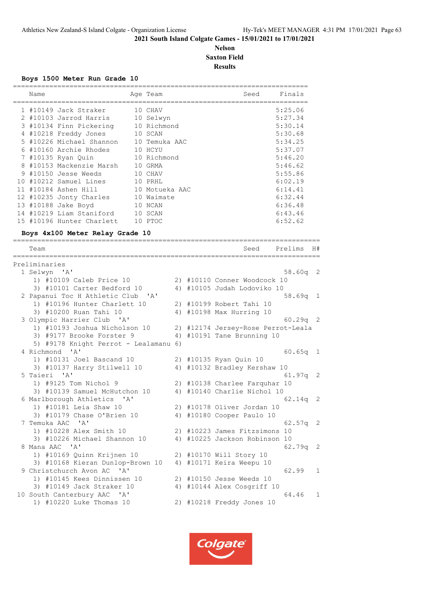# **Nelson Saxton Field Results**

#### **Boys 1500 Meter Run Grade 10**

|     | Name |                           |    | Age Team       | Seed | Finals  |
|-----|------|---------------------------|----|----------------|------|---------|
|     |      | 1 #10149 Jack Straker     |    | 10 CHAV        |      | 5:25.06 |
|     |      | 2 #10103 Jarrod Harris    |    | 10 Selwyn      |      | 5:27.34 |
|     |      | 3 #10134 Finn Pickering   |    | 10 Richmond    |      | 5:30.14 |
|     |      | 4 #10218 Freddy Jones     |    | 10 SCAN        |      | 5:30.68 |
|     |      | 5 #10226 Michael Shannon  |    | 10 Temuka AAC  |      | 5:34.25 |
|     |      | #10160 Archie Rhodes      |    | 10 HCYU        |      | 5:37.07 |
|     |      | 7 #10135 Ryan Quin        |    | 10 Richmond    |      | 5:46.20 |
| 8   |      | #10153 Mackenzie Marsh    | 10 | GRMA           |      | 5:46.62 |
|     |      | 9 #10150 Jesse Weeds      |    | 10 CHAV        |      | 5:55.86 |
| 1 O |      | #10212 Samuel Lines       |    | 10 PRHL        |      | 6:02.19 |
|     |      | 11 #10184 Ashen Hill      |    | 10 Motueka AAC |      | 6:14.41 |
|     |      | 12 #10235 Jonty Charles   |    | 10 Waimate     |      | 6:32.44 |
|     |      | 13 #10188 Jake Boyd       |    | 10 NCAN        |      | 6:36.48 |
|     |      | 14 #10219 Liam Staniford  |    | 10 SCAN        |      | 6:43.46 |
|     |      | 15 #10196 Hunter Charlett |    | 10 PTOC        |      | 6:52.62 |

============================================================================

# **Boys 4x100 Meter Relay Grade 10**

| Team                                                          |  | Seed<br>------------------------   | Prelims    | H#             |
|---------------------------------------------------------------|--|------------------------------------|------------|----------------|
| Preliminaries                                                 |  |                                    |            |                |
| 1 Selwyn 'A'                                                  |  |                                    | $58.60q$ 2 |                |
| 1) #10109 Caleb Price 10                                      |  | 2) #10110 Conner Woodcock 10       |            |                |
| 3) #10101 Carter Bedford 10                                   |  | 4) #10105 Judah Lodoviko 10        |            |                |
| 2 Papanui Toc H Athletic Club 'A'                             |  |                                    | $58.69q$ 1 |                |
| 1) #10196 Hunter Charlett 10                                  |  | 2) #10199 Robert Tahi 10           |            |                |
| 3) #10200 Ruan Tahi 10                                        |  | 4) #10198 Max Hurring 10           |            |                |
| 3 Olympic Harrier Club 'A'                                    |  |                                    | $60.29q$ 2 |                |
| 1) #10193 Joshua Nicholson 10                                 |  | 2) #12174 Jersey-Rose Perrot-Leala |            |                |
| 3) #9177 Brooke Forster 9                                     |  | 4) #10191 Tane Brunning 10         |            |                |
| 5) #9178 Knight Perrot - Lealamanu 6)                         |  |                                    |            |                |
| 4 Richmond<br>$^{\prime}$ A <sup><math>^{\prime}</math></sup> |  |                                    | $60.65q$ 1 |                |
| 1) #10131 Joel Bascand 10                                     |  | 2) #10135 Ryan Quin 10             |            |                |
| 3) #10137 Harry Stilwell 10                                   |  | 4) #10132 Bradley Kershaw 10       |            |                |
| 5 Taieri 'A'                                                  |  |                                    | $61.97q$ 2 |                |
| 1) #9125 Tom Nichol 9                                         |  | 2) #10138 Charlee Farquhar 10      |            |                |
| 3) #10139 Samuel McHutchon 10                                 |  | 4) #10140 Charlie Nichol 10        |            |                |
| 6 Marlborough Athletics 'A'                                   |  |                                    | $62.14q$ 2 |                |
| 1) #10181 Leia Shaw 10                                        |  | 2) #10178 Oliver Jordan 10         |            |                |
| 3) #10179 Chase O'Brien 10                                    |  | 4) #10180 Cooper Paulo 10          |            |                |
| 7 Temuka AAC 'A'                                              |  |                                    | 62.57q     | $\overline{2}$ |
| 1) #10228 Alex Smith 10                                       |  | 2) #10223 James Fitzsimons 10      |            |                |
| 3) #10226 Michael Shannon 10                                  |  | 4) #10225 Jackson Robinson 10      |            |                |
| 8 Mana AAC 'A'                                                |  |                                    | 62.79q 2   |                |
| 1) #10169 Quinn Krijnen 10                                    |  | 2) #10170 Will Story 10            |            |                |
| 3) #10168 Kieran Dunlop-Brown 10                              |  | 4) #10171 Keira Weepu 10           |            |                |
| 9 Christchurch Avon AC<br>י בי                                |  |                                    | 62.99      | 1              |
| 1) #10145 Kees Dinnissen 10                                   |  | 2) #10150 Jesse Weeds 10           |            |                |
| 3) #10149 Jack Straker 10                                     |  | 4) #10144 Alex Cosgriff 10         |            |                |
| 10 South Canterbury AAC 'A'                                   |  |                                    | 64.46      | 1              |
| 1) #10220 Luke Thomas 10                                      |  | 2) #10218 Freddy Jones 10          |            |                |

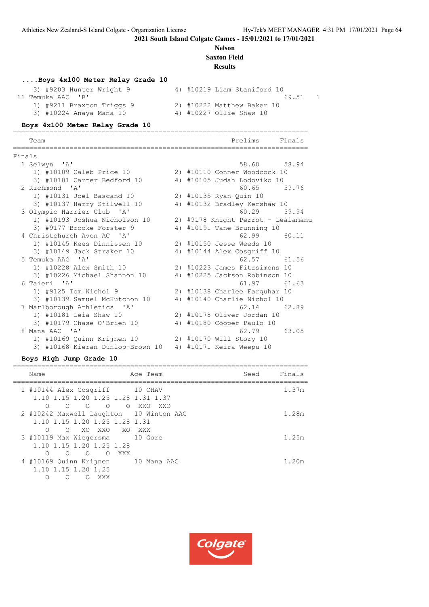# **Nelson**

**Saxton Field**

# **Results**

#### **....Boys 4x100 Meter Relay Grade 10**

| 3) #9203 Hunter Wright 9  | 4) #10219 Liam Staniford 10 |  |
|---------------------------|-----------------------------|--|
| 11 Temuka AAC 'B'         | 69.51                       |  |
| 1) #9211 Braxton Triggs 9 | 2) #10222 Matthew Baker 10  |  |
| 3) #10224 Anaya Mana 10   | 4) #10227 Ollie Shaw 10     |  |
|                           |                             |  |

#### **Boys 4x100 Meter Relay Grade 10**

========================================================================= Team Prelims Finals ========================================================================= Finals<br>1 Selwyn 'A' 1 Selwyn 'A' 58.60 58.94 1) #10109 Caleb Price 10 2) #10110 Conner Woodcock 10 3) #10101 Carter Bedford 10 4) #10105 Judah Lodoviko 10 2 Richmond 'A' 60.65 59.76 1) #10131 Joel Bascand 10 2) #10135 Ryan Quin 10 3) #10137 Harry Stilwell 10 4) #10132 Bradley Kershaw 10 3 Olympic Harrier Club 'A' 60.29 59.94 1) #10193 Joshua Nicholson 10 2) #9178 Knight Perrot - Lealamanu 3) #9177 Brooke Forster 9 4) #10191 Tane Brunning 10 4 Christchurch Avon AC 'A' 62.99 60.11 1) #10145 Kees Dinnissen 10 2) #10150 Jesse Weeds 10 3) #10149 Jack Straker 10 4) #10144 Alex Cosgriff 10 5 Temuka AAC 'A' 62.57 61.56 1) #10228 Alex Smith 10 2) #10223 James Fitzsimons 10 3) #10226 Michael Shannon 10 4) #10225 Jackson Robinson 10 6 Taieri 'A' 61.97 61.63 1) #9125 Tom Nichol 9 2) #10138 Charlee Farquhar 10 3) #10139 Samuel McHutchon 10 4) #10140 Charlie Nichol 10 7 Marlborough Athletics 'A' 62.14 62.89 1) #10181 Leia Shaw 10 2) #10178 Oliver Jordan 10 3) #10179 Chase O'Brien 10 4) #10180 Cooper Paulo 10 8 Mana AAC 'A' 62.79 63.05 1) #10169 Quinn Krijnen 10 2) #10170 Will Story 10 3) #10168 Kieran Dunlop-Brown 10 4) #10171 Keira Weepu 10

#### **Boys High Jump Grade 10**

| Finals<br>Seed<br>Name<br>Age Team                                                                                                                       |  |
|----------------------------------------------------------------------------------------------------------------------------------------------------------|--|
|                                                                                                                                                          |  |
| 1.37m<br>1 #10144 Alex Cosgriff<br>10 CHAV<br>1.10 1.15 1.20 1.25 1.28 1.31 1.37                                                                         |  |
| $\bigcirc$<br>$\bigcirc$<br>$\circ$<br>∩<br>$\circ$<br>XXO<br>- XXO<br>2 #10242 Maxwell Laughton 10 Winton AAC<br>1.28m<br>1.10 1.15 1.20 1.25 1.28 1.31 |  |
| XO XXO XO<br>$\Omega$<br>$\circ$<br>XXX<br>10 Gore<br>1.25m<br>3 #10119 Max Wiegersma<br>1.10 1.15 1.20 1.25 1.28                                        |  |
| $\bigcirc$<br>$\Omega$<br>XXX<br>$\cap$<br>∩<br>4 #10169 Quinn Krijnen<br>1.20m<br>10 Mana AAC<br>1.10 1.15 1.20 1.25<br>Ω<br>∩<br>XXX                   |  |

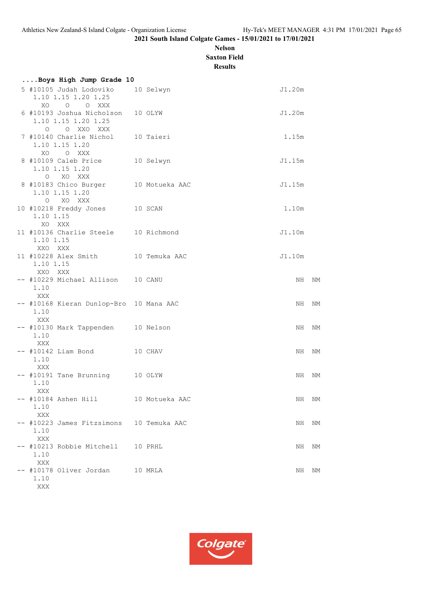# **Nelson Saxton Field**

**Results**

| Boys High Jump Grade 10                                                 |           |        |       |
|-------------------------------------------------------------------------|-----------|--------|-------|
| 5 #10105 Judah Lodoviko<br>1.10 1.15 1.20 1.25<br>O O XXX<br>XO.        | 10 Selwyn | J1.20m |       |
| 6 #10193 Joshua Nicholson 10 OLYW<br>1.10 1.15 1.20 1.25<br>O O XXO XXX |           | J1.20m |       |
| 7 #10140 Charlie Nichol 10 Taieri<br>1.10 1.15 1.20<br>XO O XXX         |           | 1.15m  |       |
| 8 #10109 Caleb Price 10 Selwyn<br>1.10 1.15 1.20<br>O XO XXX            |           | J1.15m |       |
| 8 #10183 Chico Burger 10 Motueka AAC<br>1.10 1.15 1.20<br>O XO XXX      |           | J1.15m |       |
| 10 #10218 Freddy Jones 10 SCAN<br>1.10 1.15<br>XO XXX                   |           | 1.10m  |       |
| 11 #10136 Charlie Steele 10 Richmond<br>1.10 1.15<br>XXO XXX            |           | J1.10m |       |
| 11 #10228 Alex Smith 10 Temuka AAC<br>1.10 1.15<br>XXO XXX              |           | J1.10m |       |
| -- #10229 Michael Allison 10 CANU<br>1.10<br>XXX                        |           |        | NH NM |
| -- #10168 Kieran Dunlop-Bro 10 Mana AAC<br>1.10<br>XXX                  |           |        | NH NM |
| -- #10130 Mark Tappenden 10 Nelson<br>1.10<br>XXX                       |           | NH     | NΜ    |
| $--$ #10142 Liam Bond $10$ CHAV<br>1.10<br>XXX                          |           |        | NH NM |
| -- #10191 Tane Brunning 10 OLYW<br>1.10<br>XXX                          |           |        | NH NM |
| -- #10184 Ashen Hill 10 Motueka AAC<br>1.10<br>XXX                      |           |        | NH NM |
| -- #10223 James Fitzsimons 10 Temuka AAC<br>1.10<br>XXX                 |           | NH     | NΜ    |
| -- #10213 Robbie Mitchell 10 PRHL<br>1.10<br>XXX                        |           | NH     | NΜ    |
| -- #10178 Oliver Jordan 10 MRLA<br>1.10<br>XXX                          |           | NH     | NΜ    |

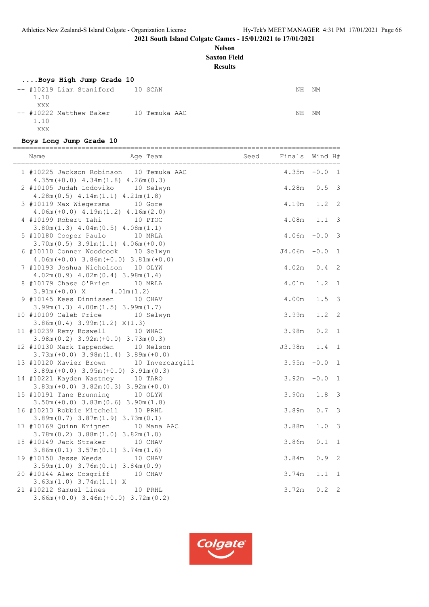# **Nelson**

**Saxton Field**

**Results**

# **....Boys High Jump Grade 10**

| -- #10219 Liam Staniford 10 SCAN |               | NΗ | NΜ |
|----------------------------------|---------------|----|----|
| 1.10                             |               |    |    |
| XXX                              |               |    |    |
| -- #10222 Matthew Baker          | 10 Temuka AAC | ΝH | NΜ |
| 1.10                             |               |    |    |
| XXX                              |               |    |    |

# **Boys Long Jump Grade 10**

| Name<br>Age Team                                                                                                   | Seed | Finals         | Wind H#              |                   |
|--------------------------------------------------------------------------------------------------------------------|------|----------------|----------------------|-------------------|
| 1 #10225 Jackson Robinson 10 Temuka AAC<br>$4.35m (+0.0)$ $4.34m (1.8)$ $4.26m (0.3)$                              |      | 4.35m          | $+0.0$               | $\overline{1}$    |
| 2 #10105 Judah Lodoviko 10 Selwyn<br>$4.28m(0.5)$ $4.14m(1.1)$ $4.21m(1.8)$                                        |      | 4.28m          | 0.5                  | 3                 |
| 3 #10119 Max Wiegersma 10 Gore<br>$4.06m(+0.0)$ $4.19m(1.2)$ $4.16m(2.0)$                                          |      | 4.19m          | 1.2                  | 2                 |
| 4 #10199 Robert Tahi<br>10 PTOC<br>$3.80m(1.3)$ 4.04m $(0.5)$ 4.08m $(1.1)$                                        |      | 4.08m          | 1.1                  | 3                 |
| 5 #10180 Cooper Paulo<br>10 MRLA<br>$3.70m(0.5)$ $3.91m(1.1)$ $4.06m(+0.0)$                                        |      | 4.06m          | $+0.0$               | 3                 |
| 6 #10110 Conner Woodcock 10 Selwyn<br>$4.06m (+0.0) 3.86m (+0.0) 3.81m (+0.0)$                                     |      | J4.06m         | $+0.0$               | $\mathbf 1$       |
| 7 #10193 Joshua Nicholson 10 OLYW<br>$4.02m(0.9)$ $4.02m(0.4)$ $3.98m(1.4)$                                        |      | 4.02m          | 0.4                  | 2                 |
| 8 #10179 Chase O'Brien<br>10 MRLA<br>4.01m(1.2)<br>$3.91m (+0.0)$ X                                                |      | 4.01m          | 1.2                  | $\mathbf{1}$      |
| 9 #10145 Kees Dinnissen<br>10 CHAV<br>$3.99m(1.3)$ 4.00m $(1.5)$ 3.99m $(1.7)$                                     |      | 4.00m          | 1.5                  | $\mathsf 3$       |
| 10 #10109 Caleb Price<br>10 Selwyn<br>$3.86m(0.4)$ $3.99m(1.2)$ $X(1.3)$                                           |      | 3.99m          | 1.2                  | 2                 |
| 11 #10239 Remy Boswell<br>10 WHAC<br>$3.98m(0.2)$ $3.92m(+0.0)$ $3.73m(0.3)$                                       |      | 3.98m          | $0.2\,$              | 1                 |
| 12 #10130 Mark Tappenden 10 Nelson<br>$3.73m (+0.0)$ $3.98m (1.4)$ $3.89m (+0.0)$                                  |      | J3.98m         | 1.4                  | $\mathbf{1}$      |
| 13 #10120 Xavier Brown 10 Invercargill<br>$3.89m (+0.0)$ $3.95m (+0.0)$ $3.91m (0.3)$                              |      | 3.95m          | $\bf{+0}$ . $\bf{0}$ | $\mathbf{1}$      |
| 14 #10221 Kayden Wastney 10 TARO<br>$3.83m (+0.0)$ $3.82m (0.3)$ $3.92m (+0.0)$                                    |      | 3.92m          | $+0.0$               | $\mathbf{1}$      |
| 15 #10191 Tane Brunning 10 OLYW<br>$3.50m (+0.0)$ $3.83m (0.6)$ $3.90m (1.8)$<br>16 #10213 Robbie Mitchell 10 PRHL |      | 3.90m<br>3.89m | $1\,.8$<br>$0.7$     | 3<br>3            |
| $3.89m(0.7)$ $3.87m(1.9)$ $3.73m(0.1)$                                                                             |      |                |                      |                   |
| 17 #10169 Quinn Krijnen<br>10 Mana AAC<br>$3.78m(0.2)$ $3.88m(1.0)$ $3.82m(1.0)$<br>18 #10149 Jack Straker         |      | 3.88m<br>3.86m | 1.0<br>$0.1\,$       | 3<br>$\mathbf{1}$ |
| 10 CHAV<br>$3.86m(0.1)$ $3.57m(0.1)$ $3.74m(1.6)$<br>19 #10150 Jesse Weeds<br>10 CHAV                              |      | 3.84m          | $0.9$                | $\overline{c}$    |
| $3.59m(1.0)$ $3.76m(0.1)$ $3.84m(0.9)$<br>20 #10144 Alex Cosgriff<br>10 CHAV                                       |      | 3.74m          | 1.1                  | 1                 |
| 3.63m(1.0) 3.74m(1.1) X<br>21 #10212 Samuel Lines<br>10 PRHL                                                       |      | 3.72m          | 0.2                  | 2                 |
| $3.66m (+0.0) 3.46m (+0.0) 3.72m (0.2)$                                                                            |      |                |                      |                   |

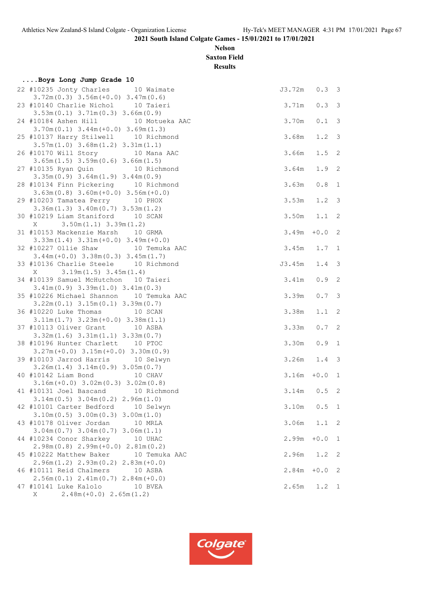# **Nelson Saxton Field**

**Results**

| Boys Long Jump Grade 10                                                             |               |               |                            |
|-------------------------------------------------------------------------------------|---------------|---------------|----------------------------|
| 22 #10235 Jonty Charles 10 Waimate<br>$3.72m(0.3)$ $3.56m(+0.0)$ $3.47m(0.6)$       | J3.72m 0.3 3  |               |                            |
| 23 #10140 Charlie Nichol 10 Taieri<br>$3.53m(0.1)$ $3.71m(0.3)$ $3.66m(0.9)$        | 3.71m         | 0.33          |                            |
| 24 #10184 Ashen Hill 10 Motueka AAC<br>$3.70m(0.1)$ $3.44m(+0.0)$ $3.69m(1.3)$      | 3.70m         | $0.1 \quad 3$ |                            |
| 25 #10137 Harry Stilwell 10 Richmond<br>$3.57m(1.0)$ $3.68m(1.2)$ $3.31m(1.1)$      | 3.68m         | $1.2 \quad 3$ |                            |
| 26 #10170 Will Story 10 Mana AAC<br>$3.65m(1.5)$ $3.59m(0.6)$ $3.66m(1.5)$          | 3.66m         | $1.5$ 2       |                            |
| 27 #10135 Ryan Quin 10 Richmond<br>$3.35m(0.9)$ $3.64m(1.9)$ $3.44m(0.9)$           | 3.64m         | $1.9$ 2       |                            |
| 28 #10134 Finn Pickering 10 Richmond<br>$3.63m(0.8)$ $3.60m(+0.0)$ $3.56m(+0.0)$    | 3.63m         | 0.8           | 1                          |
| 29 #10203 Tamatea Perry 10 PHOX<br>$3.36m(1.3)$ $3.40m(0.7)$ $3.53m(1.2)$           | 3.53m         | $1.2 \quad 3$ |                            |
| 30 #10219 Liam Staniford 10 SCAN<br>$X = 3.50m(1.1) 3.39m(1.2)$                     | $3.50m$ 1.1 2 |               |                            |
| 31 #10153 Mackenzie Marsh 10 GRMA<br>$3.33m(1.4)$ $3.31m(+0.0)$ $3.49m(+0.0)$       | 3.49m         | $+0.0$ 2      |                            |
| 32 #10227 Ollie Shaw 10 Temuka AAC<br>$3.44m (+0.0)$ $3.38m (0.3)$ $3.45m (1.7)$    | 3.45m         | $1.7 \quad 1$ |                            |
| 33 #10136 Charlie Steele 10 Richmond<br>$X$ 3.19m (1.5) 3.45m (1.4)                 | J3.45m        | $1.4-3$       |                            |
| 34 #10139 Samuel McHutchon 10 Taieri<br>$3.41m(0.9)$ $3.39m(1.0)$ $3.41m(0.3)$      | $3.41m$ 0.9 2 |               |                            |
| 35 #10226 Michael Shannon 10 Temuka AAC<br>$3.22m(0.1)$ $3.15m(0.1)$ $3.39m(0.7)$   | 3.39m         | 0.73          |                            |
| 36 #10220 Luke Thomas 10 SCAN<br>$3.11m(1.7)$ $3.23m(+0.0)$ $3.38m(1.1)$            | 3.38m         | $1.1 \quad 2$ |                            |
| 37 #10113 Oliver Grant 10 ASBA<br>$3.32m(1.6)$ $3.31m(1.1)$ $3.33m(0.7)$            | 3.33m         | 0.72          |                            |
| 38 #10196 Hunter Charlett 10 PTOC<br>$3.27m (+0.0)$ $3.15m (+0.0)$ $3.30m (0.9)$    | 3.30m         | 0.9 1         |                            |
| 39 #10103 Jarrod Harris 10 Selwyn<br>$3.26m(1.4)$ $3.14m(0.9)$ $3.05m(0.7)$         | $3.26m$ 1.4   |               | $\overline{3}$             |
| 40 #10142 Liam Bond 10 CHAV<br>$3.16m (+0.0) 3.02m (0.3) 3.02m (0.8)$               | $3.16m + 0.0$ |               | 1                          |
| 41 #10131 Joel Bascand 10 Richmond<br>$3.14m(0.5)$ $3.04m(0.2)$ $2.96m(1.0)$        | $3.14m$ 0.5 2 |               |                            |
| 42 #10101 Carter Bedford<br>10 Selwyn<br>$3.10m(0.5)$ $3.00m(0.3)$ $3.00m(1.0)$     | 3.10m         | 0.5 1         |                            |
| 43 #10178 Oliver Jordan<br>10 MRLA<br>$3.04m(0.7)$ $3.04m(0.7)$ $3.06m(1.1)$        | 3.06m         | 1.1           | 2                          |
| 44 #10234 Conor Sharkey<br>10 UHAC<br>$2.98m(0.8)$ $2.99m(+0.0)$ $2.81m(0.2)$       | 2.99m         | $+0.0$        | $\overline{1}$             |
| 45 #10222 Matthew Baker<br>10 Temuka AAC<br>$2.96m(1.2)$ $2.93m(0.2)$ $2.83m(+0.0)$ | 2.96m         | $1.2$ 2       |                            |
| 46 #10111 Reid Chalmers<br>10 ASBA<br>$2.56m(0.1)$ $2.41m(0.7)$ $2.84m(+0.0)$       | 2.84m         | $+0.0$        | $\overline{\phantom{0}}^2$ |
| 47 #10141 Luke Kalolo<br>10 BVEA<br>$2.48m (+0.0) 2.65m (1.2)$<br>X                 | 2.65m         | $1.2 \quad 1$ |                            |

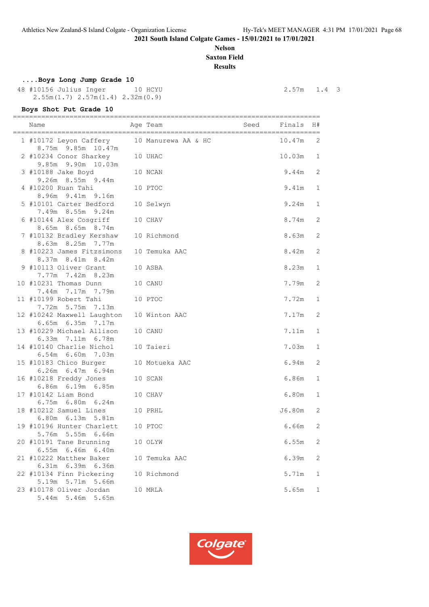# **Nelson Saxton Field**

**Results**

# **....Boys Long Jump Grade 10**

 48 #10156 Julius Inger 10 HCYU 2.57m 1.4 3 2.55m(1.7) 2.57m(1.4) 2.32m(0.9)

| Boys Shot Put Grade 10                                             |                     |                 |                   |
|--------------------------------------------------------------------|---------------------|-----------------|-------------------|
| Name<br>______________________________________                     | Age Team            | Seed Finals     | H#                |
| 1 #10172 Leyon Caffery<br>8.75m 9.85m 10.47m                       | 10 Manurewa AA & HC | 10.47m          | 2                 |
| 2 #10234 Conor Sharkey<br>9.85m 9.90m 10.03m                       | 10 UHAC             | 10.03m          | 1                 |
| 3 #10188 Jake Boyd<br>9.26m 8.55m 9.44m                            | 10 NCAN             | 9.44m           | 2                 |
| 4 #10200 Ruan Tahi<br>8.96m 9.41m 9.16m                            | 10 PTOC             | 9.41m           | $\mathbf 1$       |
| 5 #10101 Carter Bedford<br>7.49m 8.55m 9.24m                       | 10 Selwyn           | 9.24m           | 1                 |
| 6 #10144 Alex Cosgriff<br>8.65m 8.65m 8.74m                        | 10 CHAV             | 8.74m           | 2                 |
| 7 #10132 Bradley Kershaw<br>8.63m 8.25m 7.77m                      | 10 Richmond         | 8.63m           | 2                 |
| 8 #10223 James Fitzsimons<br>8.37m 8.41m 8.42m                     | 10 Temuka AAC       | 8.42m           | 2                 |
| 9 #10113 Oliver Grant<br>7.77m 7.42m 8.23m                         | 10 ASBA             | 8.23m           | $\mathbf 1$       |
| 10 #10231 Thomas Dunn<br>7.44m 7.17m 7.79m                         | 10 CANU             | 7.79m           | 2                 |
| 11 #10199 Robert Tahi<br>7.72m 5.75m 7.13m                         | 10 PTOC             | 7.72m           | 1                 |
| 12 #10242 Maxwell Laughton<br>6.65m 6.35m 7.17m                    | 10 Winton AAC       | 7.17m           | 2                 |
| 13 #10229 Michael Allison<br>6.33m 7.11m 6.78m                     | 10 CANU             | 7.11m           | $\mathbf 1$       |
| 14 #10140 Charlie Nichol<br>6.54m 6.60m 7.03m                      | 10 Taieri           | 7.03m           | $\mathbf 1$       |
| 15 #10183 Chico Burger<br>6.26m 6.47m 6.94m                        | 10 Motueka AAC      | 6.94m           | 2                 |
| 16 #10218 Freddy Jones<br>6.86m 6.19m 6.85m                        | 10 SCAN             | 6.86m           | $\mathbf 1$       |
| 17 #10142 Liam Bond<br>6.75m 6.80m 6.24m<br>18 #10212 Samuel Lines | 10 CHAV<br>10 PRHL  | 6.80m<br>J6.80m | $\mathbf{1}$<br>2 |
| 6.80m 6.13m 5.81m<br>19 #10196 Hunter Charlett 10 PTOC             |                     | 6.66m 2         |                   |
| 5.76m 5.55m 6.66m<br>20 #10191 Tane Brunning                       | 10 OLYW             | 6.55m           | 2                 |
| 6.55m 6.46m 6.40m<br>21 #10222 Matthew Baker                       | 10 Temuka AAC       | 6.39m           | 2                 |
| 6.31m 6.39m 6.36m<br>22 #10134 Finn Pickering                      | 10 Richmond         | 5.71m           | 1                 |
| 5.19m 5.71m 5.66m<br>23 #10178 Oliver Jordan                       | 10 MRLA             | 5.65m           | 1                 |
| 5.44m 5.46m 5.65m                                                  |                     |                 |                   |

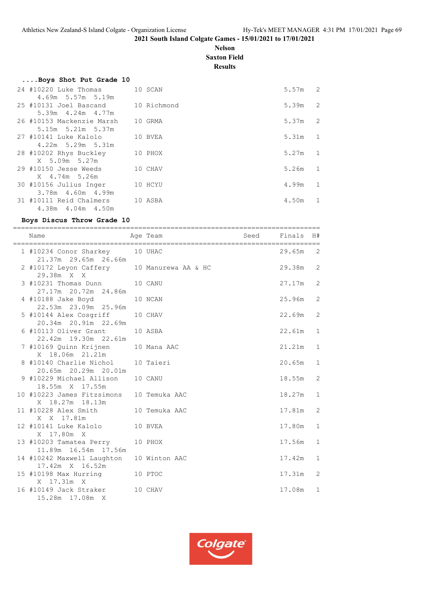# **Nelson Saxton Field**

**Results**

|                         |                                                                                                                                                                                                                                         | 5.57m                                                                                    | $\overline{c}$ |
|-------------------------|-----------------------------------------------------------------------------------------------------------------------------------------------------------------------------------------------------------------------------------------|------------------------------------------------------------------------------------------|----------------|
| 4.69m 5.57m 5.19m       |                                                                                                                                                                                                                                         |                                                                                          |                |
|                         |                                                                                                                                                                                                                                         | 5.39m                                                                                    | $\overline{c}$ |
| $5.39m$ $4.24m$ $4.77m$ |                                                                                                                                                                                                                                         |                                                                                          |                |
|                         |                                                                                                                                                                                                                                         | 5.37m                                                                                    | 2              |
| 5.15m 5.21m 5.37m       |                                                                                                                                                                                                                                         |                                                                                          |                |
|                         |                                                                                                                                                                                                                                         | 5.31m                                                                                    | 1              |
| $4.22m$ 5.29m 5.31m     |                                                                                                                                                                                                                                         |                                                                                          |                |
|                         |                                                                                                                                                                                                                                         | 5.27m                                                                                    | 1              |
| X 5.09m 5.27m           |                                                                                                                                                                                                                                         |                                                                                          |                |
|                         |                                                                                                                                                                                                                                         | 5.26m                                                                                    | 1              |
| X 4.74m 5.26m           |                                                                                                                                                                                                                                         |                                                                                          |                |
|                         |                                                                                                                                                                                                                                         | 4.99m                                                                                    | $\mathbf{1}$   |
| 3.78m  4.60m  4.99m     |                                                                                                                                                                                                                                         |                                                                                          |                |
|                         |                                                                                                                                                                                                                                         | 4.50m                                                                                    | $\mathbf{1}$   |
| 4.38m  4.04m  4.50m     |                                                                                                                                                                                                                                         |                                                                                          |                |
|                         | Boys Shot Put Grade 10<br>24 #10220 Luke Thomas<br>25 #10131 Joel Bascand<br>26 #10153 Mackenzie Marsh<br>27 #10141 Luke Kalolo<br>28 #10202 Rhys Buckley<br>29 #10150 Jesse Weeds<br>30 #10156 Julius Inger<br>31 #10111 Reid Chalmers | 10 SCAN<br>10 Richmond<br>10 GRMA<br>10 BVEA<br>10 PHOX<br>10 CHAV<br>10 HCYU<br>10 ASBA |                |

#### **Boys Discus Throw Grade 10**

============================================================================ Name and Age Team Seed Finals H# ============================================================================ 1 #10234 Conor Sharkey 10 UHAC 29.65m 2 21.37m 29.65m 26.66m 2 #10172 Leyon Caffery 10 Manurewa AA & HC 29.38m 2 29.38m X X 3 #10231 Thomas Dunn 10 CANU 27.17m 2 27.17m 20.72m 24.86m 4 #10188 Jake Boyd 10 NCAN 25.96m 2 22.53m 23.09m 25.96m 5 #10144 Alex Cosgriff 10 CHAV 22.69m 2 20.34m 20.91m 22.69m 6 #10113 Oliver Grant 10 ASBA 22.61m 1 22.42m 19.30m 22.61m 7 #10169 Quinn Krijnen 10 Mana AAC 21.21m 1 X 18.06m 21.21m X 18.06m 21.21m<br>8 #10140 Charlie Nichol 10 Taieri 20.65m 1 20.65m 20.29m 20.01m 9 #10229 Michael Allison 10 CANU 18.55m 2 18.55m X 17.55m 10 #10223 James Fitzsimons 10 Temuka AAC 18.27m 1 X 18.27m 18.13m X 18.27m 18.15m<br>11 #10228 Alex Smith 10 Temuka AAC 17.81m 2 X X 17.81m 12 #10141 Luke Kalolo 10 BVEA 17.80m 1 X 17.80m X 13 #10203 Tamatea Perry 10 PHOX 17.56m 1 11.89m 16.54m 17.56m 14 #10242 Maxwell Laughton 10 Winton AAC 17.42m 1 17.42m X 16.52m 15 #10198 Max Hurring 10 PTOC 17.31m 2 X 17.31m X 16 #10149 Jack Straker 10 CHAV 17.08m 1 15.28m 17.08m X

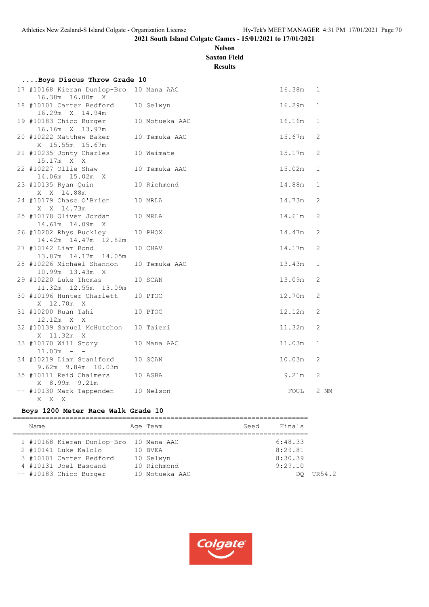# **Nelson Saxton Field**

**Results**

| Boys Discus Throw Grade 10                                               |                |        |                |
|--------------------------------------------------------------------------|----------------|--------|----------------|
| 17 #10168 Kieran Dunlop-Bro<br>16.38m 16.00m X                           | 10 Mana AAC    | 16.38m | 1              |
| 18 #10101 Carter Bedford<br>16.29m X 14.94m                              | 10 Selwyn      | 16.29m | 1              |
| 19 #10183 Chico Burger<br>16.16m X 13.97m                                | 10 Motueka AAC | 16.16m | $\mathbf{1}$   |
| 20 #10222 Matthew Baker<br>X 15.55m 15.67m                               | 10 Temuka AAC  | 15.67m | 2              |
| 21 #10235 Jonty Charles 10 Waimate<br>15.17m X X                         |                | 15.17m | 2              |
| 22 #10227 Ollie Shaw<br>14.06m  15.02m  X                                | 10 Temuka AAC  | 15.02m | $\mathbf{1}$   |
| 23 #10135 Ryan Quin<br>X X 14.88m                                        | 10 Richmond    | 14.88m | $\mathbf{1}$   |
| 24 #10179 Chase O'Brien<br>X X 14.73m                                    | 10 MRLA        | 14.73m | 2              |
| 25 #10178 Oliver Jordan<br>14.61m  14.09m<br>X                           | 10 MRLA        | 14.61m | $\overline{c}$ |
| 26 #10202 Rhys Buckley<br>14.42m  14.47m  12.82m                         | 10 PHOX        | 14.47m | 2              |
| 27 #10142 Liam Bond<br>13.87m 14.17m 14.05m                              | 10 CHAV        | 14.17m | $\overline{2}$ |
| 28 #10226 Michael Shannon<br>10.99m 13.43m X                             | 10 Temuka AAC  | 13.43m | $\mathbf{1}$   |
| 29 #10220 Luke Thomas<br>11.32m  12.55m  13.09m                          | 10 SCAN        | 13.09m | 2              |
| 30 #10196 Hunter Charlett<br>X 12.70m X                                  | 10 PTOC        | 12.70m | 2              |
| 31 #10200 Ruan Tahi<br>12.12m X X                                        | 10 PTOC        | 12.12m | 2              |
| 32 #10139 Samuel McHutchon 10 Taieri<br>X 11.32m X                       |                | 11.32m | 2              |
| 33 #10170 Will Story<br>$11.03m - -$                                     | 10 Mana AAC    | 11.03m | $\mathbf{1}$   |
| 34 #10219 Liam Staniford<br>9.62m 9.84m 10.03m                           | 10 SCAN        | 10.03m | 2              |
| 35 #10111 Reid Chalmers<br>X 8.99m 9.21m                                 | 10 ASBA        | 9.21m  | $\mathbf{2}$   |
| -- #10130 Mark Tappenden 10 Nelson<br>$\mathbf{X}-\mathbf{X}-\mathbf{X}$ |                | FOUL   | 2 NM           |
|                                                                          |                |        |                |

#### **Boys 1200 Meter Race Walk Grade 10**

| Name                                   |  | Age Team       | Finals<br>Seed |  |  |
|----------------------------------------|--|----------------|----------------|--|--|
| 1 #10168 Kieran Dunlop-Bro 10 Mana AAC |  |                | 6:48.33        |  |  |
| 2 #10141 Luke Kalolo                   |  | 10 BVEA        | 8:29.81        |  |  |
| 3 #10101 Carter Bedford                |  | 10 Selwyn      | 8:30.39        |  |  |
| 4 #10131 Joel Bascand                  |  | 10 Richmond    | 9:29.10        |  |  |
| -- #10183 Chico Burger                 |  | 10 Motueka AAC |                |  |  |

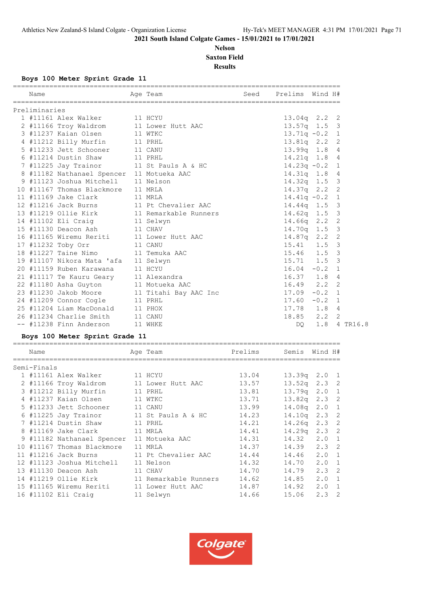# **Nelson Saxton Field Results**

**Boys 100 Meter Sprint Grade 11**

| Name          |                                           | ===================<br>Age Team | Seed    | Prelims Wind H#  |               |                         |  |
|---------------|-------------------------------------------|---------------------------------|---------|------------------|---------------|-------------------------|--|
| Preliminaries |                                           |                                 |         |                  |               |                         |  |
|               | 1 #11161 Alex Walker                      | 11 HCYU                         |         | $13.04q$ 2.2 2   |               |                         |  |
|               | 2 #11166 Troy Waldrom                     | 11 Lower Hutt AAC               |         | $13.57q$ 1.5     |               | $\overline{\mathbf{3}}$ |  |
|               | 3 #11237 Kaian Olsen                      | 11 WTKC                         |         | $13.71q - 0.2$   |               | $\mathbf{1}$            |  |
|               | 4 #11212 Billy Murfin                     | 11 PRHL                         |         | $13.81q$ $2.2$ 2 |               |                         |  |
|               | 5 #11233 Jett Schooner 11 CANU            |                                 |         | $13.99q$ $1.8$   |               | -4                      |  |
|               | 6 #11214 Dustin Shaw                      | 11 PRHL                         |         | $14.21q$ 1.8 4   |               |                         |  |
|               | 7 #11225 Jay Trainor                      | 11 St Pauls A & HC              |         | $14.23q -0.2$    |               | $\mathbf{1}$            |  |
|               | 8 #11182 Nathanael Spencer 11 Motueka AAC |                                 |         | $14.31q$ 1.8 4   |               |                         |  |
|               | 9 #11123 Joshua Mitchell                  | 11 Nelson                       |         | $14.32q$ 1.5     |               | $\overline{\mathbf{3}}$ |  |
|               | 10 #11167 Thomas Blackmore                | 11 MRLA                         |         | 14.37q 2.2 2     |               |                         |  |
|               | 11 #11169 Jake Clark                      | 11 MRLA                         |         | $14.41q - 0.2$   |               | $\mathbf{1}$            |  |
|               | 12 #11216 Jack Burns                      | 11 Pt Chevalier AAC             |         | $14.44q$ 1.5     |               | $\overline{\mathbf{3}}$ |  |
|               | 13 #11219 Ollie Kirk                      | 11 Remarkable Runners           |         | $14.62q$ 1.5     |               | $\overline{\mathbf{3}}$ |  |
|               | 14 #11102 Eli Craig                       | 11 Selwyn                       |         | 14.66q           | $2 \cdot 2$   | $\overline{c}$          |  |
|               | 15 #11130 Deacon Ash                      | 11 CHAV                         |         | $14.70q$ 1.5     |               | $\overline{\mathbf{3}}$ |  |
|               | 16 #11165 Wiremu Reriti                   | 11 Lower Hutt AAC               |         | $14.87q$ 2.2 2   |               |                         |  |
|               | 17 #11232 Toby Orr                        | 11 CANU                         |         | 15.41            | 1.5           | -3                      |  |
|               | 18 #11227 Taine Nimo                      | 11 Temuka AAC                   |         | 15.46            | 1.5           | $\overline{\mathbf{3}}$ |  |
|               | 19 #11107 Nikora Mata 'afa 11 Selwyn      |                                 |         | $15.71$ $1.5$    |               | $\overline{\mathbf{3}}$ |  |
|               | 20 #11159 Ruben Karawana                  | 11 HCYU                         |         | $16.04 - 0.2$    |               | 1                       |  |
|               | 21 #11117 Te Kauru Geary                  | 11 Alexandra                    |         | $16.37$ $1.8$    |               | 4                       |  |
|               | 22 #11180 Asha Guyton                     | 11 Motueka AAC                  |         | $16.49$ $2.2$    |               | 2                       |  |
|               | 23 #11230 Jakob Moore                     | 11 Titahi Bay AAC Inc           |         | $17.09 - 0.2$    |               | - 1                     |  |
|               | 24 #11209 Connor Cogle                    | 11 PRHL                         |         | $17.60 - 0.2$    |               | 1                       |  |
|               | 25 #11204 Liam MacDonald                  | 11 PHOX                         |         | 17.78 1.8        |               | -4                      |  |
|               | 26 #11234 Charlie Smith                   | 11 CANU                         |         | 18.85            | $2, 2 \ 2$    |                         |  |
|               | -- #11238 Finn Anderson                   | 11 WHKE                         |         | DQ.              | 1.8 4 TR16.8  |                         |  |
|               | Boys 100 Meter Sprint Grade 11            |                                 |         |                  |               |                         |  |
| Name          | =====================                     | Age Team                        | Prelims | Semis Wind H#    |               |                         |  |
| Semi-Finals   |                                           |                                 |         |                  |               |                         |  |
|               | 1 #11161 Alex Walker                      | 11 HCYU                         | 13.04   | $13.39q$ 2.0 1   |               |                         |  |
|               | 2 #11166 Troy Waldrom                     | 11 Lower Hutt AAC               | 13.57   | $13.52q$ 2.3 2   |               |                         |  |
|               | 3 #11212 Billy Murfin                     | 11 PRHL                         | 13.81   | 13.79q 2.0 1     |               |                         |  |
|               | 4 #11237 Kaian Olsen                      | 11 WTKC                         | 13.71   | 13.82q 2.3 2     |               |                         |  |
|               | 5 #11233 Jett Schooner                    | 11 CANU                         | 13.99   | 14.08q 2.0 1     |               |                         |  |
|               | 6 #11225 Jay Trainor                      | 11 St Pauls A & HC              | 14.23   | 14.10q 2.3 2     |               |                         |  |
|               | 7 #11214 Dustin Shaw                      | 11 PRHL                         | 14.21   | 14.26q           | $2.3$ 2       |                         |  |
|               | 8 #11169 Jake Clark                       | 11 MRLA                         | 14.41   | 14.29q           | $2.3 \quad 2$ |                         |  |
|               | 9 #11182 Nathanael Spencer 11 Motueka AAC |                                 | 14.31   | 14.32            | 2.0           | $\mathbf{1}$            |  |
|               | 10 #11167 Thomas Blackmore                | 11 MRLA                         | 14.37   | 14.39            | 2.3           | $\overline{2}$          |  |
|               | 11 #11216 Jack Burns                      | 11 Pt Chevalier AAC             | 14.44   | 14.46            | 2.0           | $\mathbf{1}$            |  |
|               | 12 #11123 Joshua Mitchell                 | 11 Nelson                       | 14.32   | 14.70            | 2.0           | 1                       |  |
|               | 13 #11130 Deacon Ash                      | 11 CHAV                         | 14.70   | 14.79            | $2.3$ 2       |                         |  |
|               | 14 #11219 Ollie Kirk                      | 11 Remarkable Runners           | 14.62   | 14.85            | $2.0 \t1$     |                         |  |

 15 #11165 Wiremu Reriti 11 Lower Hutt AAC 14.87 14.92 2.0 1 16 #11102 Eli Craig 11 Selwyn 14.66 15.06 2.3 2

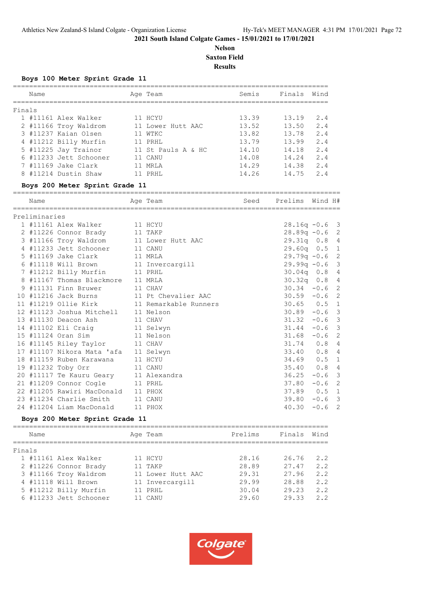# **Nelson Saxton Field**

**Results**

#### **Boys 100 Meter Sprint Grade 11**

| Name   |                        |  | Age Team           | Semis | Finals | Wind |  |  |
|--------|------------------------|--|--------------------|-------|--------|------|--|--|
| Finals |                        |  |                    |       |        |      |  |  |
|        | 1 #11161 Alex Walker   |  | 11 HCYU            | 13.39 | 13.19  | 2.4  |  |  |
|        | 2 #11166 Troy Waldrom  |  | 11 Lower Hutt AAC  | 13.52 | 13.50  | 2.4  |  |  |
|        | 3 #11237 Kaian Olsen   |  | 11 WTKC            | 13.82 | 13.78  | 2.4  |  |  |
|        | 4 #11212 Billy Murfin  |  | 11 PRHL            | 13.79 | 13.99  | 2.4  |  |  |
|        | 5 #11225 Jay Trainor   |  | 11 St Pauls A & HC | 14.10 | 14.18  | 2.4  |  |  |
|        | 6 #11233 Jett Schooner |  | 11 CANU            | 14.08 | 14.24  | 2.4  |  |  |
|        | 7 #11169 Jake Clark    |  | MRT.A              | 14.29 | 14.38  | 2.4  |  |  |
|        | 8 #11214 Dustin Shaw   |  | PRHI.              | 14.26 | 14.75  | 2.4  |  |  |
|        |                        |  |                    |       |        |      |  |  |

#### **Boys 200 Meter Sprint Grade 11**

================================================================================= Name Age Team Seed Prelims Wind H#

| Preliminaries |                                          |                                            |                  |          |  |
|---------------|------------------------------------------|--------------------------------------------|------------------|----------|--|
|               | 1 #11161 Alex Walker 11 HCYU             |                                            | $28.16q - 0.6$ 3 |          |  |
|               | 2 #11226 Connor Brady 11 TAKP            |                                            | $28.89q - 0.6$ 2 |          |  |
|               | 3 #11166 Troy Waldrom 11 Lower Hutt AAC  |                                            | 29.31q 0.8 4     |          |  |
|               | 4 #11233 Jett Schooner 11 CANU           |                                            | 29.60q 0.5 1     |          |  |
|               | 5 #11169 Jake Clark 11 MRLA              |                                            | $29.79q - 0.6$ 2 |          |  |
|               | 6 #11118 Will Brown 11 Invercargill      |                                            | $29.99q - 0.6$ 3 |          |  |
|               | 7 #11212 Billy Murfin 11 PRHL            |                                            | $30.04q$ 0.8 4   |          |  |
|               | 8 #11167 Thomas Blackmore 11 MRLA        |                                            | 30.32q 0.8 4     |          |  |
|               | 9 #11131 Finn Bruwer 11 CHAV             |                                            | $30.34 - 0.6$ 2  |          |  |
|               | 10 #11216 Jack Burns 11 Pt Chevalier AAC |                                            | $30.59 - 0.6$ 2  |          |  |
|               |                                          | 11 #11219 Ollie Kirk 11 Remarkable Runners | $30.65$ $0.5$ 1  |          |  |
|               | 12 #11123 Joshua Mitchell 11 Nelson      |                                            | $30.89 - 0.6$ 3  |          |  |
|               | 13 #11130 Deacon Ash 11 CHAV             |                                            | $31.32 -0.6$ 3   |          |  |
|               | 14 #11102 Eli Craig 11 Selwyn            |                                            | $31.44 - 0.6$ 3  |          |  |
|               | 15 #11124 Oran Sim 11 Nelson             |                                            | $31.68 - 0.6$ 2  |          |  |
|               | 16 #11145 Riley Taylor 11 CHAV           |                                            | 31.74 0.8 4      |          |  |
|               | 17 #11107 Nikora Mata 'afa 11 Selwyn     |                                            | 33.40 0.8 4      |          |  |
|               | 18 #11159 Ruben Karawana 11 HCYU         |                                            | 34.69  0.5  1    |          |  |
|               | 19 #11232 Toby Orr 11 CANU               |                                            | 35.40 0.8 4      |          |  |
|               | 20 #11117 Te Kauru Geary 11 Alexandra    |                                            | $36.25 -0.6$ 3   |          |  |
|               | 21 #11209 Connor Cogle 11 PRHL           |                                            | $37.80 - 0.6$ 2  |          |  |
|               | 22 #11205 Rawiri MacDonald 11 PHOX       |                                            | 37.89  0.5  1    |          |  |
|               | 23 #11234 Charlie Smith 11 CANU          |                                            | $39.80 - 0.6$ 3  |          |  |
|               | 24 #11204 Liam MacDonald 11 PHOX         |                                            | 40.30            | $-0.6$ 2 |  |
|               |                                          |                                            |                  |          |  |

# **Boys 200 Meter Sprint Grade 11**

|        | Name                  |                        | Age Team          | Prelims | Finals | Wind |
|--------|-----------------------|------------------------|-------------------|---------|--------|------|
| Finals |                       |                        |                   |         |        |      |
|        | 1 #11161 Alex Walker  |                        | 11 HCYU           | 28.16   | 26.76  | 2.2  |
|        | 2 #11226 Connor Brady |                        | 11 TAKP           | 28.89   | 27.47  | 2.2  |
|        | 3 #11166 Troy Waldrom |                        | 11 Lower Hutt AAC | 29.31   | 27.96  | 2.2  |
|        | 4 #11118 Will Brown   |                        | 11 Invercargill   | 29.99   | 28.88  | 2.2  |
|        | 5 #11212 Billy Murfin |                        | 11 PRHL           | 30.04   | 29.23  | 2.2  |
|        |                       | 6 #11233 Jett Schooner | 11 CANU           | 29.60   | 29.33  | 2.2  |
|        |                       |                        |                   |         |        |      |

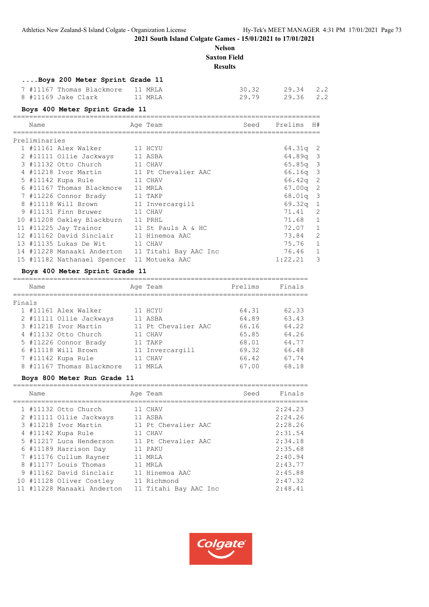# **Nelson Saxton Field**

**Results**

# **....Boys 200 Meter Sprint Grade 11**

| 7 #11167 Thomas Blackmore 11 MRLA |         | 30.32 29.34 2.2 |  |
|-----------------------------------|---------|-----------------|--|
| 8 #11169 Jake Clark               | 11 MRTA | 29.79 29.36 2.2 |  |

|               | Boys 400 Meter Sprint Grade 11 |                     |      |            |     |
|---------------|--------------------------------|---------------------|------|------------|-----|
| Name          |                                | Age Team            | Seed | Prelims    | H#  |
| Preliminaries |                                |                     |      |            |     |
|               | 1 #11161 Alex Walker           | 11 HCYU             |      | $64.31q$ 2 |     |
|               | 2 #11111 Ollie Jackways        | 11 ASBA             |      | $64.89q$ 3 |     |
|               | 3 #11132 Otto Church           | 11 CHAV             |      | $65.85q$ 3 |     |
|               | 4 #11218 Ivor Martin           | 11 Pt Chevalier AAC |      | $66.16q$ 3 |     |
|               | 5 #11142 Kupa Rule             | 11 CHAV             |      | 66.42a     | - 2 |
|               | 6 #11167 Thomas Blackmore      | 11 MRT.A            |      | 67.00q     | -2  |
|               | 7 #11226 Connor Brady          | 11 TAKP             |      | $68.01q$ 3 |     |
|               | #11118 Will Brown              | 11 Invercargill     |      | 69.32q     |     |
|               | 9 #11131 Finn Bruwer           | CHAV                |      | 71.41      |     |

|  | O TIIIIO WIII DIOWN - II INVELUALUIII      |                                                  | UJ.JZY I    |                            |
|--|--------------------------------------------|--------------------------------------------------|-------------|----------------------------|
|  | 9 #11131 Finn Bruwer 11 CHAV               |                                                  | 71.41       | $\overline{\phantom{0}}^2$ |
|  | 10 #11208 Oakley Blackburn                 | 11 PRHL                                          | 71.68 1     |                            |
|  | 11 #11225 Jay Trainor                      | 11 St Pauls A & HC                               | 72.07       | $\overline{1}$             |
|  | 12 #11162 David Sinclair                   | 11 Hinemoa AAC                                   | 73.84       | $\overline{2}$             |
|  | 13 #11135 Lukas De Wit 11 CHAV             |                                                  | 75.76       | $\overline{1}$             |
|  |                                            | 14 #11228 Manaaki Anderton 11 Titahi Bay AAC Inc | 76.46 1     |                            |
|  | 15 #11182 Nathanael Spencer 11 Motueka AAC |                                                  | $1:22.21$ 3 |                            |
|  |                                            |                                                  |             |                            |

# **Boys 400 Meter Sprint Grade 11**

|        | Name |                         | Age Team            | Prelims | Finals |
|--------|------|-------------------------|---------------------|---------|--------|
| Finals |      |                         |                     |         |        |
|        |      | 1 #11161 Alex Walker    | 11 HCYU             | 64.31   | 62.33  |
|        |      | 2 #11111 Ollie Jackways | 11 ASBA             | 64.89   | 63.43  |
|        |      | 3 #11218 Ivor Martin    | 11 Pt Chevalier AAC | 66.16   | 64.22  |
|        |      | 4 #11132 Otto Church    | 11 CHAV             | 65.85   | 64.26  |
|        |      | 5 #11226 Connor Brady   | 11 TAKP             | 68.01   | 64.77  |
|        |      | 6 #11118 Will Brown     | 11 Invercargill     | 69.32   | 66.48  |
|        |      | 7 #11142 Kupa Rule      | 11 CHAV             | 66.42   | 67.74  |
| 8      |      | #11167 Thomas Blackmore | MRT.A               | 67.00   | 68.18  |

#### **Boys 800 Meter Run Grade 11**

| Name |                            | Age Team              | Seed | Finals  |
|------|----------------------------|-----------------------|------|---------|
|      | 1 #11132 Otto Church       | 11 CHAV               |      | 2:24.23 |
|      | 2 #11111 Ollie Jackways    | 11 ASBA               |      | 2:24.26 |
|      | 3 #11218 Ivor Martin       | 11 Pt Chevalier AAC   |      | 2:28.26 |
|      | 4 #11142 Kupa Rule         | 11 CHAV               |      | 2:31.54 |
|      | 5 #11217 Luca Henderson    | 11 Pt Chevalier AAC   |      | 2:34.18 |
|      | 6 #11189 Harrison Day      | 11 PAKU               |      | 2:35.68 |
|      | 7 #11176 Cullum Rayner     | 11 MRLA               |      | 2:40.94 |
|      | 8 #11177 Louis Thomas      | 11 MRLA               |      | 2:43.77 |
|      | 9 #11162 David Sinclair    | 11 Hinemoa AAC        |      | 2:45.88 |
|      | 10 #11128 Oliver Costley   | 11 Richmond           |      | 2:47.32 |
|      | 11 #11228 Manaaki Anderton | 11 Titahi Bay AAC Inc |      | 2:48.41 |

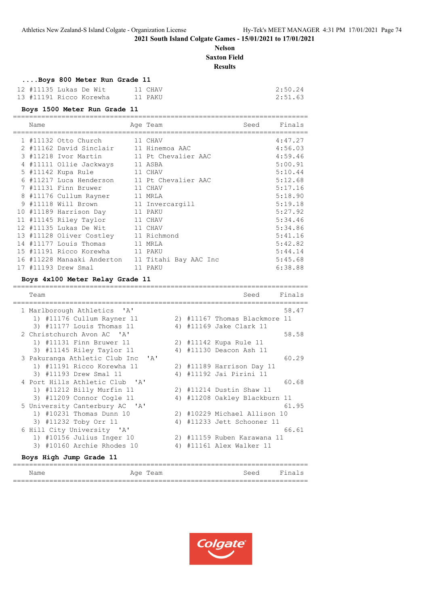# **Nelson Saxton Field**

**Results**

# **....Boys 800 Meter Run Grade 11**

| 12 #11135 Lukas De Wit |                         | 11 CHAV | 2:50.24 |
|------------------------|-------------------------|---------|---------|
|                        | 13 #11191 Ricco Korewha | 11 PAKU | 2:51.63 |

=========================================================================

#### **Boys 1500 Meter Run Grade 11**

| Name |                            | Age Team              | Seed | Finals  |
|------|----------------------------|-----------------------|------|---------|
|      | 1 #11132 Otto Church       | 11 CHAV               |      | 4:47.27 |
|      | 2 #11162 David Sinclair    | 11 Hinemoa AAC        |      | 4:56.03 |
|      | 3 #11218 Ivor Martin       | 11 Pt Chevalier AAC   |      | 4:59.46 |
|      | 4 #11111 Ollie Jackways    | 11 ASBA               |      | 5:00.91 |
|      | 5 #11142 Kupa Rule         | 11 CHAV               |      | 5:10.44 |
|      | 6 #11217 Luca Henderson    | 11 Pt Chevalier AAC   |      | 5:12.68 |
|      | 7 #11131 Finn Bruwer       | 11 CHAV               |      | 5:17.16 |
|      | 8 #11176 Cullum Rayner     | 11 MRLA               |      | 5:18.90 |
|      | 9 #11118 Will Brown        | 11 Invercargill       |      | 5:19.18 |
|      | 10 #11189 Harrison Day     | 11 PAKU               |      | 5:27.92 |
|      | 11 #11145 Riley Taylor     | 11 CHAV               |      | 5:34.46 |
|      | 12 #11135 Lukas De Wit     | 11 CHAV               |      | 5:34.86 |
|      | 13 #11128 Oliver Costley   | 11 Richmond           |      | 5:41.16 |
|      | 14 #11177 Louis Thomas     | 11 MRLA               |      | 5:42.82 |
|      | 15 #11191 Ricco Korewha    | 11 PAKU               |      | 5:44.14 |
|      | 16 #11228 Manaaki Anderton | 11 Titahi Bay AAC Inc |      | 5:45.68 |
|      | 17 #11193 Drew Smal        | 11 PAKU               |      | 6:38.88 |

#### **Boys 4x100 Meter Relay Grade 11**

=========================================================================

| Team                              |    | Finals<br>Seed                |
|-----------------------------------|----|-------------------------------|
| 1 Marlborough Athletics 'A'       |    | 58.47                         |
| 1) #11176 Cullum Rayner 11        |    | 2) #11167 Thomas Blackmore 11 |
| 3) #11177 Louis Thomas 11         |    | 4) #11169 Jake Clark 11       |
| 2 Christchurch Avon AC 'A'        |    | 58.58                         |
| 1) #11131 Finn Bruwer 11          |    | 2) #11142 Kupa Rule 11        |
| 3) #11145 Riley Taylor 11         |    | 4) #11130 Deacon Ash 11       |
| 3 Pakuranga Athletic Club Inc 'A' |    | 60.29                         |
| 1) #11191 Ricco Korewha 11        |    | 2) #11189 Harrison Day 11     |
| 3) #11193 Drew Smal 11            |    | 4) #11192 Jai Pirini 11       |
| 4 Port Hills Athletic Club 'A'    |    | 60.68                         |
| 1) #11212 Billy Murfin 11         |    | 2) #11214 Dustin Shaw 11      |
| 3) #11209 Connor Cogle 11         |    | 4) #11208 Oakley Blackburn 11 |
| 5 University Canterbury AC 'A'    |    | 61.95                         |
| 1) #10231 Thomas Dunn 10          |    | 2) #10229 Michael Allison 10  |
| 3) #11232 Toby Orr 11             | 4) | #11233 Jett Schooner 11       |
| 6 Hill City University 'A'        |    | 66.61                         |
| 1) #10156 Julius Inger 10         |    | 2) #11159 Ruben Karawana 11   |
| 3) #10160 Archie Rhodes 10        |    | 4) #11161 Alex Walker 11      |
| Boys High Jump Grade 11           |    |                               |

| Name | Aqe | Team | Seed | Fina.<br>ᅿ<br>----- |
|------|-----|------|------|---------------------|
|      |     |      |      |                     |

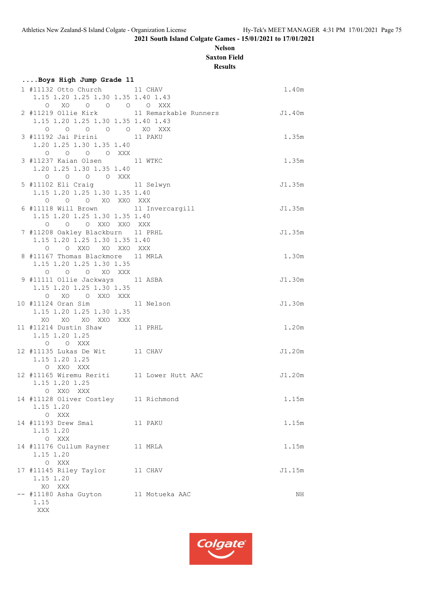# **Nelson Saxton Field**

**Results**

| Boys High Jump Grade 11                                                     |                                                  |        |
|-----------------------------------------------------------------------------|--------------------------------------------------|--------|
| 1 #11132 Otto Church 11 CHAV                                                |                                                  | 1.40m  |
| 1.15 1.20 1.25 1.30 1.35 1.40 1.43                                          |                                                  |        |
| $\begin{matrix} 0 & \text{X0} & 0 & 0 & 0 & 0 & \text{XXX} \\ \end{matrix}$ |                                                  |        |
|                                                                             | 2 #11219 Ollie Kirk 11 Remarkable Runners J1.40m |        |
| 1.15 1.20 1.25 1.30 1.35 1.40 1.43                                          |                                                  |        |
| 0 0 0 0 0 XO XXX                                                            |                                                  |        |
| 3 #11192 Jai Pirini 11 PAKU                                                 |                                                  | 1.35m  |
| 1.20 1.25 1.30 1.35 1.40                                                    |                                                  |        |
| 0 0 0 0 XXX                                                                 |                                                  |        |
| 3 #11237 Kaian Olsen 11 WTKC                                                |                                                  | 1.35m  |
| 1.20 1.25 1.30 1.35 1.40                                                    |                                                  |        |
| 0 0 0 0 XXX<br>5 #11102 Eli Craig 11 Selwyn                                 |                                                  | J1.35m |
| 1.15 1.20 1.25 1.30 1.35 1.40                                               |                                                  |        |
| O O O XO XXO XXX                                                            |                                                  |        |
| 6 #11118 Will Brown 11 Invercargill                                         |                                                  | J1.35m |
| 1.15 1.20 1.25 1.30 1.35 1.40                                               |                                                  |        |
| 0 0 0 XXO XXO XXX                                                           |                                                  |        |
| 7 #11208 Oakley Blackburn 11 PRHL                                           |                                                  | J1.35m |
| 1.15 1.20 1.25 1.30 1.35 1.40                                               |                                                  |        |
| O O XXO XO XXO XXX                                                          |                                                  |        |
| 8 #11167 Thomas Blackmore 11 MRLA                                           |                                                  | 1.30m  |
| 1.15 1.20 1.25 1.30 1.35                                                    |                                                  |        |
| O O O XO XXX                                                                |                                                  |        |
| 9 #11111 Ollie Jackways 11 ASBA<br>1.15 1.20 1.25 1.30 1.35                 |                                                  | J1.30m |
| O XO O XXO XXX                                                              |                                                  |        |
| 10 #11124 Oran Sim 11 Nelson                                                |                                                  | J1.30m |
| 1.15 1.20 1.25 1.30 1.35                                                    |                                                  |        |
| XO XO XO XXO XXX                                                            |                                                  |        |
| 11 #11214 Dustin Shaw 11 PRHL                                               |                                                  | 1.20m  |
| 1.15 1.20 1.25                                                              |                                                  |        |
| O O XXX                                                                     |                                                  |        |
| 12 #11135 Lukas De Wit 11 CHAV                                              |                                                  | J1.20m |
| 1.15 1.20 1.25                                                              |                                                  |        |
| O XXO XXX                                                                   |                                                  |        |
| 12 #11165 Wiremu Reriti 11 Lower Hutt AAC                                   |                                                  | J1.20m |
| 1.15 1.20 1.25                                                              |                                                  |        |
| O XXO XXX<br>14 #11128 Oliver Costley 11 Richmond                           |                                                  |        |
| 1.15 1.20                                                                   |                                                  | 1.15m  |
| O XXX                                                                       |                                                  |        |
| 14 #11193 Drew Smal                                                         | 11 PAKU                                          | 1.15m  |
| 1.15 1.20                                                                   |                                                  |        |
| O XXX                                                                       |                                                  |        |
| 14 #11176 Cullum Rayner                                                     | 11 MRLA                                          | 1.15m  |
| 1.15 1.20                                                                   |                                                  |        |
| O XXX                                                                       |                                                  |        |
| 17 #11145 Riley Taylor                                                      | 11 CHAV                                          | J1.15m |
| 1.15 1.20                                                                   |                                                  |        |
| XO XXX                                                                      |                                                  |        |
| -- #11180 Asha Guyton                                                       | 11 Motueka AAC                                   | ΝH     |
| 1.15                                                                        |                                                  |        |
| XXX                                                                         |                                                  |        |

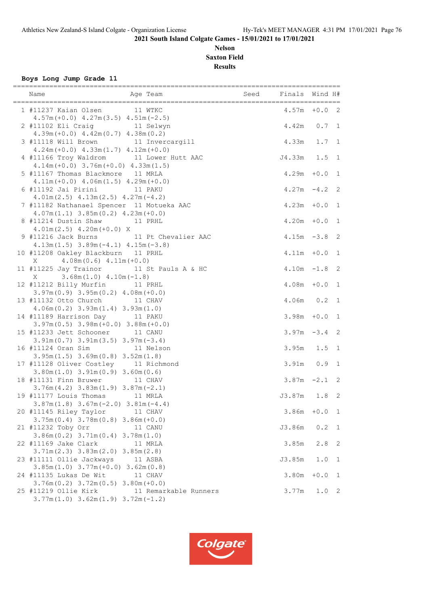# **Nelson Saxton Field Results**

**Boys Long Jump Grade 11**

| ===============<br>Name<br>Age Team                                                                                                 | Seed Finals Wind H#          |           |                |
|-------------------------------------------------------------------------------------------------------------------------------------|------------------------------|-----------|----------------|
| 1 #11237 Kaian Olsen 11 WTKC<br>$4.57m (+0.0)$ $4.27m(3.5)$ $4.51m(-2.5)$                                                           | $4.57m + 0.0$ 2              |           |                |
| 2 #11102 Eli Craig 11 Selwyn<br>$4.39m (+0.0)$ $4.42m (0.7)$ $4.38m (0.2)$                                                          | 4.42m  0.7  1                |           |                |
| 3 #11118 Will Brown 11 Invercargill<br>$4.24m (+0.0)$ $4.33m (1.7)$ $4.12m (+0.0)$                                                  | 4.33m 1.7 1                  |           |                |
| 4 #11166 Troy Waldrom 11 Lower Hutt AAC<br>$4.14m (+0.0)$ 3.76m $(+0.0)$ 4.33m $(1.5)$                                              | J4.33m 1.5 1                 |           |                |
| 5 #11167 Thomas Blackmore 11 MRLA<br>$4.11m (+0.0)$ $4.06m (1.5)$ $4.29m (+0.0)$                                                    | $4.29m + 0.0$                |           | 1              |
| 6 #11192 Jai Pirini 11 PAKU<br>$4.01m(2.5)$ $4.13m(2.5)$ $4.27m(-4.2)$                                                              | $4.27m - 4.2$                |           | 2              |
| 7 #11182 Nathanael Spencer 11 Motueka AAC<br>$4.07m(1.1)$ $3.85m(0.2)$ $4.23m(+0.0)$                                                | $4.23m + 0.0$                |           | 1              |
| 8 #11214 Dustin Shaw 11 PRHL<br>$4.01m(2.5)$ $4.20m(+0.0)$ X                                                                        | $4.20m + 0.0$                |           | 1              |
| 9 #11216 Jack Burns 11 Pt Chevalier AAC<br>$4.13m(1.5)$ $3.89m(-4.1)$ $4.15m(-3.8)$                                                 | $4.15m - 3.8$                |           | 2              |
| 10 #11208 Oakley Blackburn 11 PRHL<br>$4.08m(0.6)$ $4.11m(+0.0)$<br>X                                                               | $4.11m + 0.0$                |           | 1              |
| 11 #11225 Jay Trainor 11 St Pauls A & HC<br>$3.68m(1.0)$ 4.10m( $-1.8$ )<br>X                                                       | $4.10m - 1.8$                |           | $\overline{2}$ |
| 12 #11212 Billy Murfin 11 PRHL<br>$3.97m(0.9)$ $3.95m(0.2)$ $4.08m(+0.0)$                                                           | $4.08m + 0.0$                |           | 1              |
| 13 #11132 Otto Church 11 CHAV<br>$4.06m(0.2)$ $3.93m(1.4)$ $3.93m(1.0)$<br>14 #11189 Harrison Day 11 PAKU                           | $4.06m$ 0.2<br>$3.98m + 0.0$ |           | 1<br>1         |
| $3.97m(0.5)$ $3.98m(+0.0)$ $3.88m(+0.0)$<br>15 #11233 Jett Schooner 11 CANU                                                         | $3.97m - 3.4$ 2              |           |                |
| $3.91m(0.7)$ $3.91m(3.5)$ $3.97m(-3.4)$<br>16 #11124 Oran Sim 11 Nelson                                                             | 3.95m 1.5 1                  |           |                |
| $3.95m(1.5)$ $3.69m(0.8)$ $3.52m(1.8)$<br>17 #11128 Oliver Costley 11 Richmond                                                      | $3.91m$ 0.9                  |           | 1              |
| $3.80m(1.0)$ $3.91m(0.9)$ $3.60m(0.6)$<br>18 #11131 Finn Bruwer 11 CHAV                                                             | $3.87m - 2.1$ 2              |           |                |
| $3.76m(4.2)$ $3.83m(1.9)$ $3.87m(-2.1)$<br>19 #11177 Louis Thomas 11 MRLA                                                           | J3.87m 1.8                   |           | 2              |
| $3.87m(1.8)$ $3.67m(-2.0)$ $3.81m(-4.4)$<br>20 #11145 Riley Taylor<br>11 CHAV                                                       | 3.86m                        | $+0.0$    | 1              |
| $3.75m(0.4)$ $3.78m(0.8)$ $3.86m(+0.0)$<br>21 #11232 Toby Orr<br>11 CANU                                                            | J3.86m                       | $0.2\,$   | 1              |
| $3.86m(0.2)$ $3.71m(0.4)$ $3.78m(1.0)$<br>22 #11169 Jake Clark<br>11 MRLA                                                           | 3.85m                        | 2.8       | 2              |
| $3.71m(2.3)$ $3.83m(2.0)$ $3.85m(2.8)$<br>23 #11111 Ollie Jackways<br>11 ASBA                                                       | J3.85m                       | 1.0       | 1              |
| $3.85m(1.0)$ $3.77m(+0.0)$ $3.62m(0.8)$<br>24 #11135 Lukas De Wit<br>11 CHAV                                                        | 3.80m                        | $+0.0$    | 1              |
| $3.76m(0.2)$ $3.72m(0.5)$ $3.80m(+0.0)$<br>25 #11219 Ollie Kirk<br>11 Remarkable Runners<br>$3.77m(1.0)$ $3.62m(1.9)$ $3.72m(-1.2)$ | 3.77m                        | $1.0 \t2$ |                |

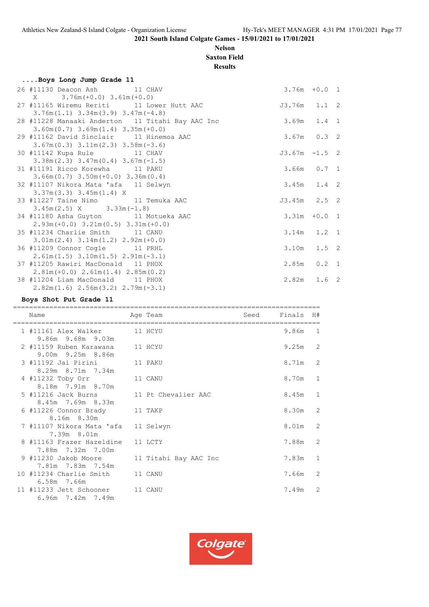# **Nelson Saxton Field**

**Results**

| Boys Long Jump Grade 11                          |                 |  |
|--------------------------------------------------|-----------------|--|
| 26 #11130 Deacon Ash 11 CHAV                     | $3.76m + 0.0 1$ |  |
| $X = 3.76m (+0.0) 3.61m (+0.0)$                  |                 |  |
| 27 #11165 Wiremu Reriti 11 Lower Hutt AAC        | J3.76m 1.1 2    |  |
| $3.76m(1.1)$ $3.34m(3.9)$ $3.47m(-4.8)$          |                 |  |
| 28 #11228 Manaaki Anderton 11 Titahi Bay AAC Inc | $3.69m$ $1.4$ 1 |  |
| $3.60m(0.7)$ $3.69m(1.4)$ $3.35m(+0.0)$          |                 |  |
| 29 #11162 David Sinclair 11 Hinemoa AAC          | $3.67m$ 0.3 2   |  |
| $3.67m(0.3)$ $3.11m(2.3)$ $3.58m(-3.6)$          |                 |  |
| 30 #11142 Kupa Rule 11 CHAV                      | $J3.67m -1.5$ 2 |  |
| $3.38m(2.3)$ $3.47m(0.4)$ $3.67m(-1.5)$          |                 |  |
| 31 #11191 Ricco Korewha 11 PAKU                  | 3.66m 0.7 1     |  |
| $3.66m(0.7)$ $3.50m(+0.0)$ $3.36m(0.4)$          |                 |  |
| 32 #11107 Nikora Mata 'afa 11 Selwyn             | $3.45m$ 1.4 2   |  |
| $3.37m(3.3)$ $3.45m(1.4)$ X                      |                 |  |
| 33 #11227 Taine Nimo 11 Temuka AAC               | $J3.45m$ 2.5 2  |  |
| $3.45m(2.5)$ X $3.33m(-1.8)$                     |                 |  |
| 34 #11180 Asha Guyton 11 Motueka AAC             | $3.31m + 0.0 1$ |  |
| $2.93m (+0.0)$ $3.21m (0.5)$ $3.31m (+0.0)$      |                 |  |
| 35 #11234 Charlie Smith 11 CANU                  | $3.14m$ 1.2 1   |  |
| $3.01m(2.4)$ $3.14m(1.2)$ $2.92m(+0.0)$          |                 |  |
| 36 #11209 Connor Cogle 11 PRHL                   | $3.10m$ $1.5$ 2 |  |
| $2.61m(1.5)$ $3.10m(1.5)$ $2.91m(-3.1)$          |                 |  |
| 37 #11205 Rawiri MacDonald 11 PHOX               | $2.85m$ 0.2 1   |  |
| $2.81m (+0.0) 2.61m (1.4) 2.85m (0.2)$           |                 |  |
| 38 #11204 Liam MacDonald 11 PHOX                 | $2.82m$ $1.6$ 2 |  |
| $2.82m(1.6)$ $2.56m(3.2)$ $2.79m(-3.1)$          |                 |  |

# **Boys Shot Put Grade 11**

| Name                                                         | Age Team              | Seed | Finals H# |   |
|--------------------------------------------------------------|-----------------------|------|-----------|---|
| 1 #11161 Alex Walker 11 HCYU<br>9.86m 9.68m 9.03m            |                       |      | 9.86m 1   |   |
| 2 #11159 Ruben Karawana<br>9.00m 9.25m 8.86m                 | 11 HCYU               |      | $9.25m$ 2 |   |
| 3 #11192 Jai Pirini<br>8.29m 8.71m 7.34m                     | 11 PAKU               |      | 8.71m 2   |   |
| 4 #11232 Toby Orr<br>8.18m 7.91m 8.70m                       | 11 CANU               |      | 8.70m     | 1 |
| 5 #11216 Jack Burns 11 Pt Chevalier AAC<br>8.45m 7.69m 8.33m |                       |      | 8.45m     | 1 |
| 6 #11226 Connor Brady<br>8.16m 8.30m                         | 11 TAKP               |      | 8.30m     | 2 |
| 7 #11107 Nikora Mata 'afa 11 Selwyn<br>7.39m 8.01m           |                       |      | 8.01m     | 2 |
| 8 #11163 Frazer Hazeldine<br>7.88m 7.32m 7.00m               | 11 LCTY               |      | 7.88m     | 2 |
| 9 #11230 Jakob Moore<br>7.81m 7.83m 7.54m                    | 11 Titahi Bay AAC Inc |      | 7.83m     | 1 |
| 10 #11234 Charlie Smith 11 CANU<br>6.58m 7.66m               |                       |      | 7.66m     | 2 |
| 11 #11233 Jett Schooner 11 CANU<br>6.96m 7.42m 7.49m         |                       |      | 7.49m     | 2 |

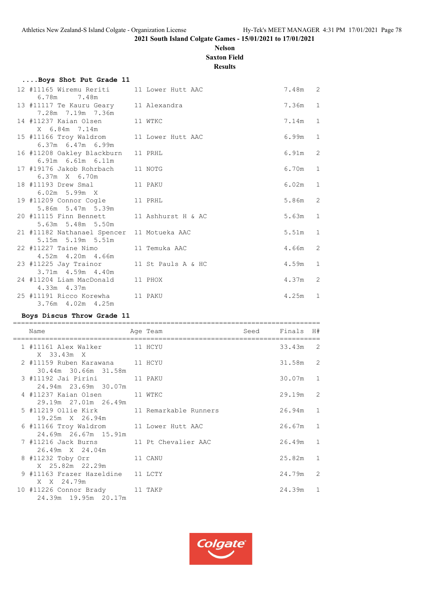#### **Nelson Saxton Field**

**Results**

| Boys Shot Put Grade 11                     |                    |         |              |
|--------------------------------------------|--------------------|---------|--------------|
| 12 #11165 Wiremu Reriti 11 Lower Hutt AAC  |                    | 7.48m 2 |              |
| 6.78m 7.48m                                |                    |         |              |
| 13 #11117 Te Kauru Geary 11 Alexandra      |                    | 7.36m   | $\mathbf{1}$ |
| 7.28m 7.19m 7.36m                          |                    |         |              |
| 11 WTKC<br>14 #11237 Kaian Olsen           |                    | 7.14m   | $\mathbf{1}$ |
| X 6.84m 7.14m                              |                    |         |              |
| 15 #11166 Troy Waldrom 11 Lower Hutt AAC   |                    | 6.99m   | $\mathbf{1}$ |
| 6.37m 6.47m 6.99m                          |                    |         |              |
| 16 #11208 Oakley Blackburn                 | 11 PRHL            | 6.91m   | 2            |
| 6.91m 6.61m 6.11m                          |                    |         |              |
| 17 #19176 Jakob Rohrbach 11 NOTG           |                    | 6.70m   | $\mathbf{1}$ |
| $6.37m \times 6.70m$                       |                    |         |              |
| 18 #11193 Drew Smal 11 PAKU                |                    | 6.02m   | $\mathbf{1}$ |
| $6.02m$ 5.99 $m$ X                         |                    |         |              |
| 19 #11209 Connor Cogle 11 PRHL             |                    | 5.86m   | 2            |
| 5.86m 5.47m 5.39m                          |                    |         |              |
| 20 #11115 Finn Bennett 11 Ashhurst H & AC  |                    | 5.63m   | $\mathbf{1}$ |
| 5.63m 5.48m 5.50m                          |                    |         |              |
| 21 #11182 Nathanael Spencer 11 Motueka AAC |                    | 5.51m   | $\mathbf{1}$ |
| 5.15m 5.19m 5.51m                          |                    |         |              |
| 22 #11227 Taine Nimo 11 Temuka AAC         |                    | 4.66m   | 2            |
| 4.52m  4.20m  4.66m                        |                    |         |              |
| 23 #11225 Jay Trainor                      | 11 St Pauls A & HC | 4.59m   | 1            |
| 3.71m 4.59m 4.40m                          |                    |         |              |
| 24 #11204 Liam MacDonald                   | 11 PHOX            | 4.37m   | 2            |
| 4.33m 4.37m                                |                    |         |              |
| 25 #11191 Ricco Korewha 11 PAKU            |                    | 4.25m   | $\mathbf{1}$ |
| 3.76m 4.02m 4.25m                          |                    |         |              |

#### **Boys Discus Throw Grade 11**

============================================================================ Name **Age Team** Age Team Seed Finals H# ============================================================================  $1$  #11161 Alex Walker X 33.43m X 2 #11159 Ruben Karawana 11 HCYU 31.58m 2 30.44m 30.66m 31.58m 3 #11192 Jai Pirini 11 PAKU 30.07m 1 24.94m 23.69m 30.07m 4 #11237 Kaian Olsen 11 WTKC 29.19m 2 29.19m 27.01m 26.49m 5 #11219 Ollie Kirk 11 Remarkable Runners 26.94m 1 19.25m X 26.94m 6 #11166 Troy Waldrom 11 Lower Hutt AAC 26.67m 1 24.69m 26.67m 15.91m 7 #11216 Jack Burns 11 Pt Chevalier AAC 26.49m 1 26.49m X 24.04m 8 #11232 Toby Orr 11 CANU 25.82m 1 X 25.82m 22.29m 9 #11163 Frazer Hazeldine 11 LCTY 24.79m 2 X X 24.79m 10 #11226 Connor Brady 11 TAKP 24.39m 1 24.39m 19.95m 20.17m

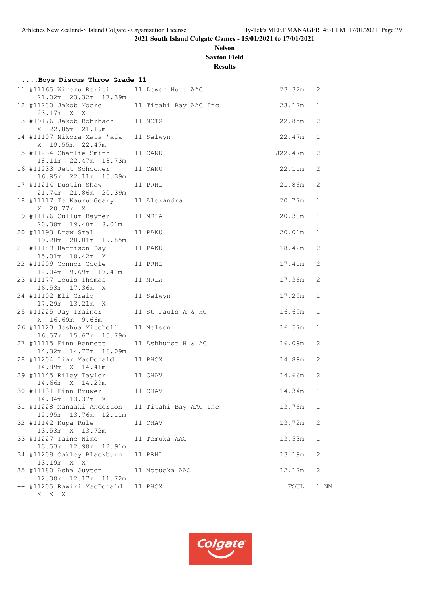# **Nelson Saxton Field**

**Results**

| Boys Discus Throw Grade 11                                |                       |                 |              |
|-----------------------------------------------------------|-----------------------|-----------------|--------------|
| 11 #11165 Wiremu Reriti<br>21.02m  23.32m  17.39m         | 11 Lower Hutt AAC     | 23.32m          | 2            |
| 12 #11230 Jakob Moore 11 Titahi Bay AAC Inc<br>23.17m X X |                       | 23.17m          | 1            |
| 13 #19176 Jakob Rohrbach 11 NOTG<br>X 22.85m 21.19m       |                       | 22.85m          | 2            |
| 14 #11107 Nikora Mata 'afa<br>X 19.55m 22.47m             | 11 Selwyn             | 22.47m          | 1            |
| 15 #11234 Charlie Smith<br>18.11m 22.47m 18.73m           | 11 CANU               | J22.47m         | 2            |
| 16 #11233 Jett Schooner<br>16.95m 22.11m 15.39m           | 11 CANU               | 22.11m          | 2            |
| 17 #11214 Dustin Shaw<br>21.74m 21.86m 20.39m             | 11 PRHL               | 21.86m          | 2            |
| 18 #11117 Te Kauru Geary 11 Alexandra<br>X 20.77m X       |                       | 20.77m          | 1            |
| 19 #11176 Cullum Rayner<br>20.38m 19.40m 8.01m            | 11 MRLA               | 20.38m          | $\mathbf{1}$ |
| 20 #11193 Drew Smal<br>19.20m 20.01m 19.85m               | 11 PAKU               | 20.01m          | 1            |
| 21 #11189 Harrison Day<br>15.01m  18.42m  X               | 11 PAKU               | 18.42m          | 2            |
| 22 #11209 Connor Cogle 11 PRHL<br>12.04m 9.69m 17.41m     |                       | 17 <b>.</b> 41m | 2            |
| 11 MRLA<br>23 #11177 Louis Thomas<br>16.53m 17.36m X      |                       | 17.36m          | 2            |
| 17.29m  13.21m  X                                         |                       | 17.29m          | 1            |
| 25 #11225 Jay Trainor<br>X 16.69m 9.66m                   | 11 St Pauls A & HC    | 16.69m          | $\mathbf{1}$ |
| 26 #11123 Joshua Mitchell<br>16.57m 15.67m 15.79m         | 11 Nelson             | 16.57m          | 1            |
| 27 #11115 Finn Bennett<br>14.32m  14.77m  16.09m          | 11 Ashhurst H & AC    | 16.09m          | 2            |
| 28 #11204 Liam MacDonald<br>14.89m X 14.41m               | 11 PHOX               | 14.89m          | 2            |
| 29 #11145 Riley Taylor 11 CHAV                            |                       | 14.66m          | 2            |
| 14.34m  13.37m  X                                         |                       | 14.34m          | 1            |
| 31 #11228 Manaaki Anderton<br>12.95m 13.76m 12.11m        | 11 Titahi Bay AAC Inc | 13.76m          | 1            |
| 32 #11142 Kupa Rule<br>13.53m X 13.72m                    | 11 CHAV               | 13.72m          | 2            |
| 33 #11227 Taine Nimo<br>13.53m  12.98m  12.91m            | 11 Temuka AAC         | 13.53m          | 1            |
| 34 #11208 Oakley Blackburn<br>13.19m X X                  | 11 PRHL               | 13.19m          | 2            |
| 35 #11180 Asha Guyton<br>12.08m  12.17m  11.72m           | 11 Motueka AAC        | 12.17m          | 2            |
| -- #11205 Rawiri MacDonald<br>X X X                       | 11 PHOX               | FOUL            | 1 NM         |

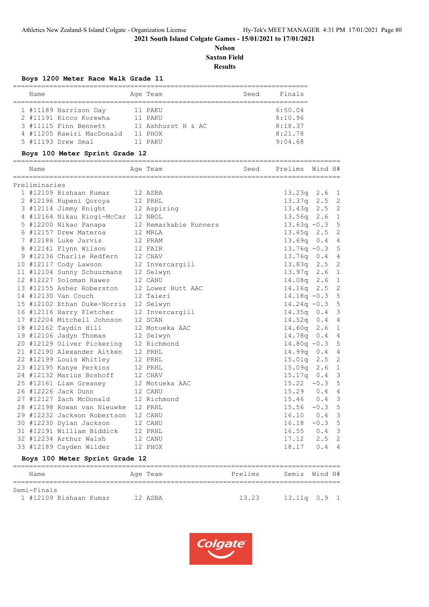**Nelson Saxton Field**

**Results**

|               | Boys 1200 Meter Race Walk Grade 11    |                       |      |                      |                  |                |
|---------------|---------------------------------------|-----------------------|------|----------------------|------------------|----------------|
| Name          |                                       | Age Team              | Seed | Finals               |                  |                |
|               | 1 #11189 Harrison Day 11 PAKU         |                       |      | 6:50.04              |                  |                |
|               | 2 #11191 Ricco Korewha 11 PAKU        |                       |      | 8:10.96              |                  |                |
|               | 3 #11115 Finn Bennett                 | 11 Ashhurst H & AC    |      | 8:18.37              |                  |                |
|               | 4 #11205 Rawiri MacDonald 11 PHOX     |                       |      | 8:21.78              |                  |                |
|               | 5 #11193 Drew Smal<br>11 PAKU         |                       |      | 9:04.68              |                  |                |
|               | Boys 100 Meter Sprint Grade 12        |                       |      |                      |                  |                |
| Name          |                                       | Age Team              |      | Seed Prelims Wind H# |                  |                |
| Preliminaries |                                       |                       |      |                      |                  |                |
|               | 1 #12109 Rishaan Kumar                | 12 ASBA               |      | $13.23q$ $2.6$ 1     |                  |                |
|               | 2 #12196 Rupeni Qoroya                | 12 PRHL               |      | 13.37q               | $2.5$ 2          |                |
|               | 3 #12114 Jimmy Knight 12 Aspiring     |                       |      | 13.43q               | $2.5 \quad 2$    |                |
|               | 4 #12164 Nikau Kingi-McCar 12 NBOL    |                       |      | 13.56q               | 2.6 <sub>1</sub> |                |
|               | 5 #12200 Nikao Panapa                 | 12 Remarkable Runners |      | $13.63q -0.3$        |                  | 5              |
|               | 6 #12157 Drew Materoa                 | 12 MRLA               |      | 13.65q               | 2.5              | 2              |
|               | 7 #12186 Luke Jarvis                  | 12 PRAM               |      | 13.69q               | 0.4              | $\overline{4}$ |
|               | 8 #12141 Flynn Wilson                 | 12 FAIR               |      | $13.76q - 0.3$       |                  | 5              |
|               | 9 #12136 Charlie Redfern              | 12 CHAV               |      | 13.76q               | 0.4              | $\overline{4}$ |
|               | 10 #12117 Cody Lawson                 | 12 Invercargill       |      | 13.83q               | 2.5              | $\overline{c}$ |
|               | 11 #12104 Sunny Schuurmans            | 12 Selwyn             |      | 13.97q               | 2.6              | $\mathbf{1}$   |
|               | 12 #12227 Soloman Hawes               | 12 CANU               |      | 14.08q               | 2.6              | $\mathbf{1}$   |
|               | 13 #12155 Asher Roberston             | 12 Lower Hutt AAC     |      | 14.16q               | 2.5              | $\overline{c}$ |
|               | 14 #12130 Van Couch                   | 12 Taieri             |      | $14.18q - 0.3$       |                  | 5              |
|               | 15 #12102 Ethan Duke-Norris 12 Selwyn |                       |      | $14.24q - 0.3$       |                  | 5              |
|               | 16 #12116 Harry Fletcher              | 12 Invercargill       |      | $14.35q$ 0.4         |                  | 3              |
|               | 17 #12204 Mitchell Johnson            | 12 SCAN               |      | $14.52q$ 0.4         |                  | $\overline{4}$ |
|               | 18 #12162 Taydin Hill                 | 12 Motueka AAC        |      | 14.60q               | 2.6              | $\mathbf 1$    |
|               | 19 #12106 Jadyn Thomas                | 12 Selwyn             |      | 14.78q               | 0.4              | $\overline{4}$ |
|               | 20 #12129 Oliver Pickering            | 12 Richmond           |      | $14.80q - 0.3$       |                  | 5              |
|               | 21 #12190 Alexander Aitken            | 12 PRHL               |      | 14.99q               | 0.4              | 4              |
|               | 22 #12199 Louis Whitley               | 12 PRHL               |      | 15.01q               | 2.5              | $\overline{c}$ |
|               | 23 #12195 Kanye Perkins               | 12 PRHL               |      | 15.09q               | 2.6              | 1              |
|               | 24 #12132 Marius Boshoff              | 12 CHAV               |      | 15.17q               | 0.4              | 3              |
|               | 25 #12161 Liam Greaney                | 12 Motueka AAC        |      | $15.22 - 0.3$        |                  | 5              |
|               | 26 #12226 Jack Dunn                   | 12 CANU               |      | $15.29$ 0.4          |                  | 4              |
|               | 27 #12127 Zach McDonald               | 12 Richmond           |      | 15.46 0.4            |                  | 3              |
|               | 28 #12198 Rowan van Nieuwke 12 PRHL   |                       |      | $15.56 - 0.3$        |                  | 5              |
|               | 29 #12232 Jackson Robertson           | 12 CANU               |      | 16.10                | 0.4              | 3              |
|               | 30 #12230 Dylan Jackson               | 12 CANU               |      | $16.18 - 0.3$        |                  | 5              |
|               | 31 #12191 William Biddick             | 12 PRHL               |      | $16.55$ 0.4          |                  | 3              |
|               | 32 #12234 Arthur Walsh                | 12 CANU               |      | 17.12                | 2.5              | $\overline{c}$ |
|               | 33 #12189 Cayden Wilder               | 12 PHOX               |      | 18.17                | 0.4              | $\overline{4}$ |

#### **Boys 100 Meter Sprint Grade 12**

| Name                                  | Age Team | Prelims | Semis Wind H#  |
|---------------------------------------|----------|---------|----------------|
| Semi-Finals<br>1 #12109 Rishaan Kumar | 12 ASBA  | 13.23   | 13.11q  0.9  1 |

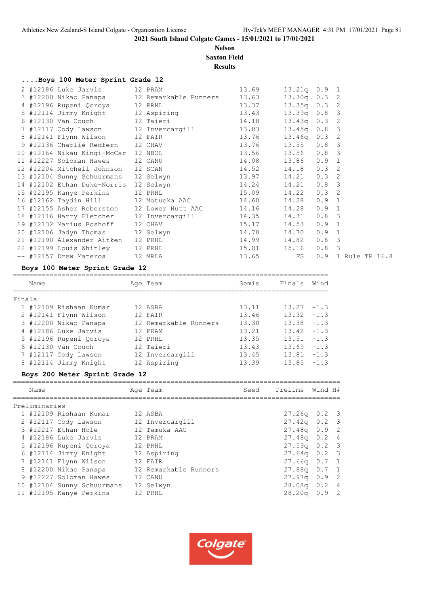# **Nelson Saxton Field**

**Results**

# **....Boys 100 Meter Sprint Grade 12**

|                                                                                                                                                |  | $13.21q$ 0.9 1 |                  |                    |
|------------------------------------------------------------------------------------------------------------------------------------------------|--|----------------|------------------|--------------------|
| 3 #12200 Nikao Panapa 12 Remarkable Runners 13.63                                                                                              |  | $13.30q$ 0.3 2 |                  |                    |
| 4 #12196 Rupeni Qoroya 12 PRHL 13.37                                                                                                           |  | $13.35q$ 0.3 2 |                  |                    |
|                                                                                                                                                |  | $13.39q$ 0.8 3 |                  |                    |
|                                                                                                                                                |  | $13.43q$ 0.3 2 |                  |                    |
| 5 #12114 Jimmy Knight<br>6 #12130 Van Couch<br>7 #12117 Cody Lawson<br>12 Invercargill<br>13.83                                                |  | $13.45q$ 0.8 3 |                  |                    |
| 8 #12141 Flynn Wilson 12 FAIR 13.76                                                                                                            |  | $13.46q$ 0.3 2 |                  |                    |
|                                                                                                                                                |  |                |                  |                    |
| 9 #12136 Charlie Redfern 12 CHAV 13.76 13.55 0.8 3<br>10 #12164 Nikau Kingi-McCar 12 NBOL 13.56 13.56 0.8 3                                    |  |                |                  |                    |
| 11 #12227 Soloman Hawes 12 CANU 14.08 13.86 0.9 1                                                                                              |  |                |                  |                    |
| 12 #12204 Mitchell Johnson 12 SCAN 14.52 14.18 0.3 2                                                                                           |  |                |                  |                    |
| 13 #12104 Sunny Schuurmans 12 Selwyn 13.97 14.21 0.3 2<br>14 #12102 Ethan Duke-Norris 12 Selwyn 14.24 14.21 0.8 3                              |  |                |                  |                    |
|                                                                                                                                                |  |                |                  |                    |
| 15 #12195 Kanye Perkins 12 PRHL 15.09 14.22                                                                                                    |  |                | $0.3 \quad 2$    |                    |
| 16 #12162 Taydin Hill 12 Motueka AAC 14.60 14.28                                                                                               |  |                | 0.9 1            |                    |
| 17 #12155 Asher Roberston 12 Lower Hutt AAC 14.16 14.28 0.9 1                                                                                  |  |                |                  |                    |
| 18 #12116 Harry Fletcher 12 Invercargill 14.35 14.31                                                                                           |  |                | 0.8 <sup>3</sup> |                    |
| 19 #12132 Marius Boshoff 12 CHAV 15.17 14.53<br>20 #12106 Jadyn Thomas 12 Selwyn 14.78 14.70<br>21 #12190 Alexander Aitken 12 PRHL 14.99 14.82 |  |                | 0.9 1            |                    |
|                                                                                                                                                |  |                | $0.9 \quad 1$    |                    |
|                                                                                                                                                |  |                | 0.8 <sup>3</sup> |                    |
| 22 #12199 Louis Whitley 12 PRHL 15.01 15.16<br>-- #12157 Drew Materoa 12 MRLA 13.65 FS                                                         |  |                | 0.8 <sup>3</sup> |                    |
|                                                                                                                                                |  |                |                  | 0.9 1 Rule TR 16.8 |
|                                                                                                                                                |  |                |                  |                    |

# **Boys 100 Meter Sprint Grade 12**

|        | Name |                        |  | Age Team              | Semis | Finals        | Wind   |  |  |  |
|--------|------|------------------------|--|-----------------------|-------|---------------|--------|--|--|--|
| Finals |      |                        |  |                       |       |               |        |  |  |  |
|        |      | 1 #12109 Rishaan Kumar |  | 12 ASBA               | 13.11 | $13.27 - 1.3$ |        |  |  |  |
|        |      | 2 #12141 Flynn Wilson  |  | 12 FAIR               | 13.46 | $13.32 - 1.3$ |        |  |  |  |
|        |      | 3 #12200 Nikao Panapa  |  | 12 Remarkable Runners | 13.30 | $13.38 - 1.3$ |        |  |  |  |
|        |      | 4 #12186 Luke Jarvis   |  | 12 PRAM               | 13.21 | $13.42 - 1.3$ |        |  |  |  |
|        |      | 5 #12196 Rupeni Qoroya |  | 12 PRHL               | 13.35 | 13.51         | $-1$ 3 |  |  |  |
|        |      | 6 #12130 Van Couch     |  | 12 Taieri             | 13.43 | $13.69 - 1.3$ |        |  |  |  |
|        |      | 7 #12117 Cody Lawson   |  | 12 Invercargill       | 13.45 | 13.81         | $-1$ 3 |  |  |  |
|        |      | 8 #12114 Jimmy Knight  |  | 12 Aspiring           | 13.39 | 13.85         | $-1.3$ |  |  |  |

#### **Boys 200 Meter Sprint Grade 12**

| Name          |                            | Age Team              | Seed | Prelims            | Wind H# |                          |
|---------------|----------------------------|-----------------------|------|--------------------|---------|--------------------------|
| Preliminaries |                            |                       |      |                    |         |                          |
|               | 1 #12109 Rishaan Kumar     | 12 ASBA               |      | $27.26q$ 0.2 3     |         |                          |
|               | 2 #12117 Cody Lawson       | 12 Invercargill       |      | $27.42q$ 0.2 3     |         |                          |
|               | 3 #12217 Ethan Hole        | 12 Temuka AAC         |      | $27.48q$ 0.9 2     |         |                          |
|               | 4 #12186 Luke Jarvis       | 12 PRAM               |      | $27.48q$ 0.2       |         | $\overline{4}$           |
|               | 5 #12196 Rupeni Qoroya     | 12 PRHL               |      | $27.53q$ 0.2 3     |         |                          |
|               | 6 #12114 Jimmy Knight      | 12 Aspiring           |      | $27.64q$ 0.2 3     |         |                          |
|               | 7 #12141 Flynn Wilson      | 12 FAIR               |      | $27.66q$ 0.7 1     |         |                          |
|               | 8 #12200 Nikao Panapa      | 12 Remarkable Runners |      | $27.88q$ 0.7 1     |         |                          |
|               | 9 #12227 Soloman Hawes     | 12 CANU               |      | 27.97 <sub>q</sub> | 0.9     | $\overline{2}$           |
|               | 10 #12104 Sunny Schuurmans | 12 Selwyn             |      | $28.08q$ 0.2 4     |         |                          |
|               | 11 #12195 Kanye Perkins    | 12 PRHL               |      | 28.20q             | 0.9     | $\overline{\phantom{a}}$ |

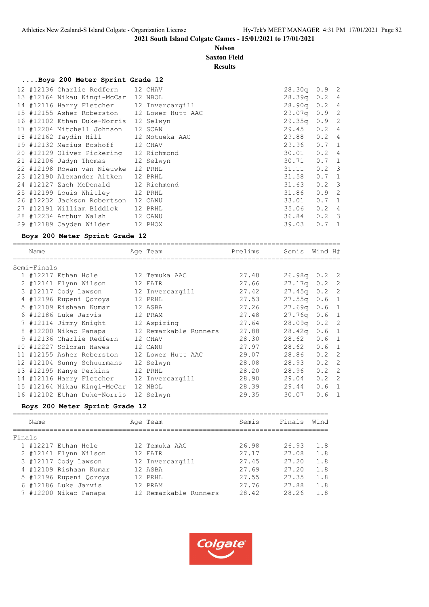# **Nelson**

|             |                                             |          | <b>Saxton Field</b><br><b>Results</b> |                 |               |  |
|-------------|---------------------------------------------|----------|---------------------------------------|-----------------|---------------|--|
|             | Boys 200 Meter Sprint Grade 12              |          |                                       |                 |               |  |
|             | 12 #12136 Charlie Redfern                   | 12 CHAV  |                                       | $28.30q$ 0.9 2  |               |  |
|             | 13 #12164 Nikau Kingi-McCar 12 NBOL         |          |                                       | $28.39q$ 0.2 4  |               |  |
|             | 14 #12116 Harry Fletcher 12 Invercargill    |          |                                       | 28.90q 0.2 4    |               |  |
|             | 15 #12155 Asher Roberston 12 Lower Hutt AAC |          |                                       | 29.07q 0.9 2    |               |  |
|             | 16 #12102 Ethan Duke-Norris 12 Selwyn       |          |                                       | 29.35q 0.9 2    |               |  |
|             | 17 #12204 Mitchell Johnson 12 SCAN          |          |                                       | $29.45$ 0.2 4   |               |  |
|             | 18 #12162 Taydin Hill 12 Motueka AAC        |          |                                       | 29.88 0.2 4     |               |  |
|             | 19 #12132 Marius Boshoff 12 CHAV            |          |                                       | $29.96$ 0.7 1   |               |  |
|             | 20 #12129 Oliver Pickering 12 Richmond      |          |                                       | $30.01$ 0.2 4   |               |  |
|             | 21 #12106 Jadyn Thomas 12 Selwyn            |          |                                       | $30.71$ $0.7$ 1 |               |  |
|             | 22 #12198 Rowan van Nieuwke 12 PRHL         |          |                                       | $31.11$ 0.2 3   |               |  |
|             | 23 #12190 Alexander Aitken 12 PRHL          |          |                                       | 31.58           | $0.7 \quad 1$ |  |
|             | 24 #12127 Zach McDonald 12 Richmond         |          |                                       | $31.63$ 0.2 3   |               |  |
|             | 25 #12199 Louis Whitley 12 PRHL             |          |                                       | 31.86           | $0.9$ 2       |  |
|             | 26 #12232 Jackson Robertson 12 CANU         |          |                                       | 33.01  0.7  1   |               |  |
|             | 27 #12191 William Biddick 12 PRHL           |          |                                       | $35.06$ 0.2 4   |               |  |
|             | 28 #12234 Arthur Walsh 12 CANU              |          |                                       | 36.84 0.2 3     |               |  |
|             | 29 #12189 Cayden Wilder 12 PHOX             |          |                                       | 39.03           | $0.7 \quad 1$ |  |
|             | Boys 200 Meter Sprint Grade 12              |          |                                       |                 |               |  |
| Name        |                                             | Age Team | Prelims                               | Semis Wind H#   |               |  |
| Semi-Finals |                                             |          |                                       |                 |               |  |
|             | 1 #12217 Ethan Hole 12 Temuka AAC           |          | 27.48                                 | $26.98q$ 0.2 2  |               |  |

|  | T #TRYTI MANITION T         | IL ITHUNG AAV         | 21.70 | 20.JOY 0.2 2       |                  |  |
|--|-----------------------------|-----------------------|-------|--------------------|------------------|--|
|  | 2 #12141 Flynn Wilson       | 12 FAIR               | 27.66 | $27.17q$ 0.2 2     |                  |  |
|  | 3 #12117 Cody Lawson        | 12 Invercargill       | 27.42 | $27.45q$ 0.2 2     |                  |  |
|  | 4 #12196 Rupeni Qoroya      | 12 PRHL               | 27.53 | 27.55q             | 0.6 <sub>1</sub> |  |
|  | 5 #12109 Rishaan Kumar      | 12 ASBA               | 27.26 | $27.69q$ 0.6 1     |                  |  |
|  | 6 #12186 Luke Jarvis        | 12 PRAM               | 27.48 | 27.76q             | 0.6 <sub>1</sub> |  |
|  | 7 #12114 Jimmy Knight       | 12 Aspiring           | 27.64 | 28.09a             | $0.2 \quad 2$    |  |
|  | 8 #12200 Nikao Panapa       | 12 Remarkable Runners | 27.88 | 28.42 <sub>q</sub> | 0.6 <sub>1</sub> |  |
|  | 9 #12136 Charlie Redfern    | 12 CHAV               | 28.30 | 28.62              | 0.6 <sub>1</sub> |  |
|  | 10 #12227 Soloman Hawes     | 12 CANU               | 27.97 | 28.62              | 0.6 <sub>1</sub> |  |
|  | 11 #12155 Asher Roberston   | 12 Lower Hutt AAC     | 29.07 | 28.86              | $0.2 \quad 2$    |  |
|  | 12 #12104 Sunny Schuurmans  | 12 Selwyn             | 28.08 | 28.93              | $0.2 \quad 2$    |  |
|  | 13 #12195 Kanye Perkins     | 12 PRHL               | 28.20 | 28.96              | $0.2 \quad 2$    |  |
|  | 14 #12116 Harry Fletcher    | 12 Invercargill       | 28.90 | 29.04              | $0.2 \quad 2$    |  |
|  | 15 #12164 Nikau Kingi-McCar | 12 NBOL               | 28.39 | 29.44              | 0.6 <sub>1</sub> |  |
|  | 16 #12102 Ethan Duke-Norris | 12 Selwyn             | 29.35 | 30.07              | $0.6 \quad 1$    |  |

#### **Boys 200 Meter Sprint Grade 12**

|        | Name |                        | Age Team              | Semis | Finals | Wind |
|--------|------|------------------------|-----------------------|-------|--------|------|
| Finals |      |                        |                       |       |        |      |
|        |      | 1 #12217 Ethan Hole    | 12 Temuka AAC         | 26.98 | 26.93  | 1.8  |
|        |      | 2 #12141 Flynn Wilson  | 12 FAIR               | 27.17 | 27.08  | 1.8  |
|        |      | 3 #12117 Cody Lawson   | 12 Invercargill       | 27.45 | 27.20  | 1.8  |
|        |      | 4 #12109 Rishaan Kumar | 12 ASBA               | 27.69 | 27.20  | 1.8  |
|        |      | 5 #12196 Rupeni Ooroya | 12 PRHL               | 27.55 | 27.35  | 1.8  |
|        |      | 6 #12186 Luke Jarvis   | 12 PRAM               | 27.76 | 27.88  | 1.8  |
|        |      | 7 #12200 Nikao Panapa  | 12 Remarkable Runners | 28.42 | 28.26  | 1.8  |
|        |      |                        |                       |       |        |      |

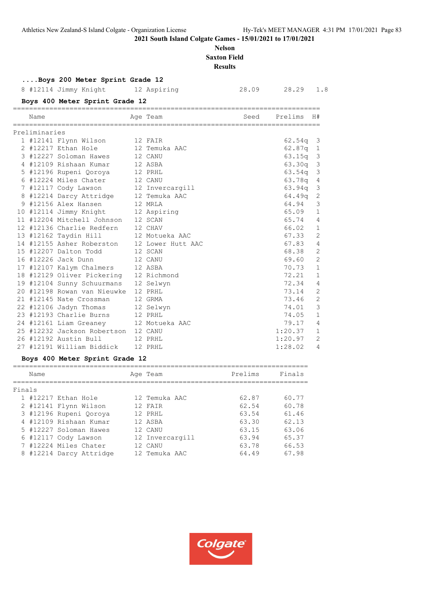# **Nelson Saxton Field**

**Results**

# **....Boys 200 Meter Sprint Grade 12**

8 #12114 Jimmy Knight 12 Aspiring 28.09 28.29 1.8

# **Boys 400 Meter Sprint Grade 12**

| Name          |                                             | Age Team  | Seed | Prelims            | H#             |
|---------------|---------------------------------------------|-----------|------|--------------------|----------------|
| Preliminaries |                                             |           |      |                    |                |
|               | 1 #12141 Flynn Wilson 12 FAIR               |           |      | $62.54q$ 3         |                |
|               | 2 #12217 Ethan Hole 12 Temuka AAC           |           |      | $62.87q$ 1         |                |
|               | 3 #12227 Soloman Hawes 12 CANU              |           |      | $63.15q$ 3         |                |
|               | 4 #12109 Rishaan Kumar 12 ASBA              |           |      | 63.30q 3           |                |
|               | 5 #12196 Rupeni Qoroya 12 PRHL              |           |      | 63.54 <sub>q</sub> | 3              |
|               | 6 #12224 Miles Chater 12 CANU               |           |      | $63.78q$ 4         |                |
|               | 7 #12117 Cody Lawson 12 Invercargill        |           |      | 63.94q             | $\overline{3}$ |
|               | 8 #12214 Darcy Attridge 12 Temuka AAC       |           |      | 64.49a             | $\mathbf{2}$   |
|               | 9 #12156 Alex Hansen 12 MRLA                |           |      | 64.94              | 3              |
|               | 10 #12114 Jimmy Knight 12 Aspiring          |           |      | 65.09              | $\mathbf 1$    |
|               | 11 #12204 Mitchell Johnson 12 SCAN          |           |      | 65.74              | $\overline{4}$ |
|               | 12 #12136 Charlie Redfern 12 CHAV           |           |      | 66.02              | $\mathbf{1}$   |
|               | 13 #12162 Taydin Hill 12 Motueka AAC        |           |      | 67.33              | $\overline{c}$ |
|               | 14 #12155 Asher Roberston 12 Lower Hutt AAC |           |      | 67.83              | $\overline{4}$ |
|               | 15 #12207 Dalton Todd 12 SCAN               |           |      | 68.38              | $\overline{2}$ |
|               | 12 CANU<br>16 #12226 Jack Dunn              |           |      | 69.60              | $\overline{2}$ |
|               | 17 #12107 Kalym Chalmers 12 ASBA            |           |      | 70.73              | $\mathbf{1}$   |
|               | 18 #12129 Oliver Pickering 12 Richmond      |           |      | 72.21              | $\mathbf{1}$   |
|               | 19 #12104 Sunny Schuurmans                  | 12 Selwyn |      | 72.34              | $\overline{4}$ |
|               | 20 #12198 Rowan van Nieuwke 12 PRHL         |           |      | 73.14              | $\overline{c}$ |
|               | 21 #12145 Nate Crossman                     | 12 GRMA   |      | 73.46              | $\mathbf{2}$   |
|               | 22 #12106 Jadyn Thomas 12 Selwyn            |           |      | 74.01              | $\mathcal{S}$  |
|               | 23 #12193 Charlie Burns 12 PRHL             |           |      | 74.05              | $\mathbf{1}$   |
|               | 24 #12161 Liam Greaney 12 Motueka AAC       |           |      | 79.17              | $\overline{4}$ |
|               | 25 #12232 Jackson Robertson 12 CANU         |           |      | 1:20.37            | $\mathbf{1}$   |
|               | 26 #12192 Austin Bull<br>12 PRHL            |           |      | 1:20.97            | 2              |
|               | 27 #12191 William Biddick 12 PRHL           |           |      | 1:28.02            | $\overline{4}$ |

# **Boys 400 Meter Sprint Grade 12**

|        | Name |                         | Age Team        | Prelims | Finals |
|--------|------|-------------------------|-----------------|---------|--------|
| Finals |      |                         |                 |         |        |
|        |      | 1 #12217 Ethan Hole     | 12 Temuka AAC   | 62.87   | 60.77  |
|        |      | 2 #12141 Flynn Wilson   | 12 FATR         | 62.54   | 60.78  |
|        |      | 3 #12196 Rupeni Ooroya  | 12 PRHT.        | 63.54   | 61.46  |
|        |      | 4 #12109 Rishaan Kumar  | 12 ASBA         | 63.30   | 62.13  |
|        |      | 5 #12227 Soloman Hawes  | 12 CANU         | 63.15   | 63.06  |
|        |      | 6 #12117 Cody Lawson    | 12 Invercargill | 63.94   | 65.37  |
|        |      | 7 #12224 Miles Chater   | 12 CANU         | 63.78   | 66.53  |
|        |      | 8 #12214 Darcy Attridge | 12 Temuka AAC   | 64.49   | 67.98  |

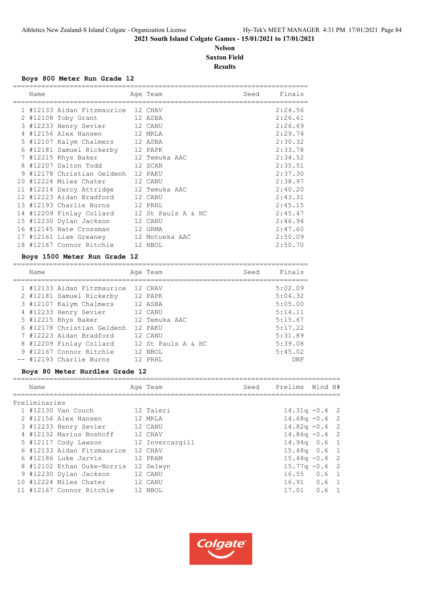# **Nelson Saxton Field Results**

#### **Boys 800 Meter Run Grade 12**

|    | Name |                                             | Age Team | Seed | Finals  |
|----|------|---------------------------------------------|----------|------|---------|
|    |      | 1 #12133 Aidan Fitzmaurice 12 CHAV          |          |      | 2:24.56 |
|    |      | 2 #12108 Toby Grant                         | 12 ASBA  |      | 2:26.61 |
|    |      | 3 #12233 Henry Sevier 12 CANU               |          |      | 2:26.69 |
|    |      | 4 #12156 Alex Hansen 12 MRLA                |          |      | 2:29.74 |
|    |      | 5 #12107 Kalym Chalmers 12 ASBA             |          |      | 2:30.32 |
|    |      | 6 #12181 Samuel Rickerby 12 PAPK            |          |      | 2:33.78 |
|    |      | 7 #12215 Rhys Baker 12 Temuka AAC           |          |      | 2:34.52 |
|    |      | 8 #12207 Dalton Todd 12 SCAN                |          |      | 2:35.51 |
| 9  |      | #12178 Christian Geldenh                    | 12 PAKU  |      | 2:37.30 |
| 10 |      | #12224 Miles Chater                         | 12 CANU  |      | 2:38.97 |
|    |      | 11 #12214 Darcy Attridge 12 Temuka AAC      |          |      | 2:40.20 |
|    |      | 12 #12223 Aidan Bradford                    | 12 CANU  |      | 2:43.31 |
|    |      | 13 #12193 Charlie Burns                     | 12 PRHL  |      | 2:45.15 |
|    |      | 14 #12209 Finlay Collard 12 St Pauls A & HC |          |      | 2:45.47 |
|    |      | 15 #12230 Dylan Jackson                     | 12 CANU  |      | 2:46.94 |
|    |      | 16 #12145 Nate Crossman                     | 12 GRMA  |      | 2:47.60 |
|    |      | 17 #12161 Liam Greaney 12 Motueka AAC       |          |      | 2:50.09 |
|    |      | 18 #12167 Connor Ritchie                    | 12 NBOL  |      | 2:50.70 |

# **Boys 1500 Meter Run Grade 12**

| Name |                            | Age Team           | Seed | Finals  |
|------|----------------------------|--------------------|------|---------|
|      | 1 #12133 Aidan Fitzmaurice | 12 CHAV            |      | 5:02.09 |
|      | 2 #12181 Samuel Rickerby   | 12 PAPK            |      | 5:04.32 |
|      | 3 #12107 Kalym Chalmers    | 12 ASBA            |      | 5:05.00 |
|      | 4 #12233 Henry Sevier      | 12 CANU            |      | 5:14.11 |
|      | 5 #12215 Rhys Baker        | 12 Temuka AAC      |      | 5:15.67 |
|      | 6 #12178 Christian Geldenh | 12 PAKU            |      | 5:17.22 |
|      | 7 #12223 Aidan Bradford    | 12 CANU            |      | 5:31.89 |
|      | 8 #12209 Finlay Collard    | 12 St Pauls A & HC |      | 5:39.08 |
|      | 9 #12167 Connor Ritchie    | 12 NBOL            |      | 5:45.02 |
|      | -- #12193 Charlie Burns    | 12 PRHL            |      | DNF     |

# **Boys 80 Meter Hurdles Grade 12**

| Name          |                            | Age Team        | Seed | Prelims          | Wind H# |  |
|---------------|----------------------------|-----------------|------|------------------|---------|--|
|               |                            |                 |      |                  |         |  |
| Preliminaries |                            |                 |      |                  |         |  |
|               | 1 #12130 Van Couch         | 12 Taieri       |      | $14.31q - 0.4$ 2 |         |  |
|               | 2 #12156 Alex Hansen       | 12 MRLA         |      | $14.68q - 0.4$ 2 |         |  |
|               | 3 #12233 Henry Sevier      | 12 CANU         |      | $14.82q - 0.4$ 2 |         |  |
|               | 4 #12132 Marius Boshoff    | 12 CHAV         |      | $14.86q - 0.4$ 2 |         |  |
|               | 5 #12117 Cody Lawson       | 12 Invercargill |      | $14.94q$ 0.6 1   |         |  |
|               | 6 #12133 Aidan Fitzmaurice | 12 CHAV         |      | $15.48q$ 0.6 1   |         |  |
|               | 6 #12186 Luke Jarvis       | 12 PRAM         |      | $15.48q - 0.4$ 2 |         |  |
|               | 8 #12102 Ethan Duke-Norris | 12 Selwyn       |      | $15.77q - 0.4$ 2 |         |  |
|               | 9 #12230 Dylan Jackson     | 12 CANU         |      | $16.55$ $0.6$ 1  |         |  |
|               | 10 #12224 Miles Chater     | 12 CANU         |      | $16.91$ 0.6 1    |         |  |
|               | 11 #12167 Connor Ritchie   | 12 NBOL         |      | $17.01$ 0.6 1    |         |  |

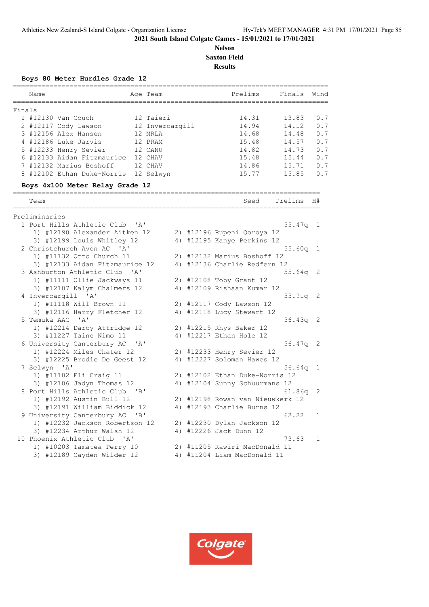# **Nelson Saxton Field Results**

**Boys 80 Meter Hurdles Grade 12**

|        | Name                                        |              | Age Team        | Prelims                          | Finals                | Wind |
|--------|---------------------------------------------|--------------|-----------------|----------------------------------|-----------------------|------|
| Finals |                                             |              |                 |                                  |                       |      |
|        | 1 #12130 Van Couch                          |              | 12 Taieri       | 14.31                            | 13.83                 | 0.7  |
|        | 2 #12117 Cody Lawson                        |              | 12 Invercargill | 14.94                            | 14.12                 | 0.7  |
|        | 3 #12156 Alex Hansen                        |              | 12 MRLA         | 14.68                            | 14.48                 | 0.7  |
|        | 4 #12186 Luke Jarvis                        |              | 12 PRAM         | 15.48                            | 14.57                 | 0.7  |
|        | 5 #12233 Henry Sevier                       |              | 12 CANU         | 14.82                            | 14.73                 | 0.7  |
|        | 6 #12133 Aidan Fitzmaurice                  |              | 12 CHAV         | 15.48                            | 15.44                 | 0.7  |
|        | 7 #12132 Marius Boshoff                     |              | 12 CHAV         | 14.86                            | 15.71                 | 0.7  |
|        | 8 #12102 Ethan Duke-Norris                  |              | 12 Selwyn       | 15.77                            | 15.85                 | 0.7  |
|        | Boys 4x100 Meter Relay Grade 12             |              |                 |                                  |                       |      |
|        | Team                                        |              |                 | Seed                             | Prelims               | H#   |
|        | =======================                     |              |                 |                                  | ===================== |      |
|        | Preliminaries<br>1 Port Hills Athletic Club |              |                 |                                  |                       |      |
|        |                                             | " A "        |                 |                                  | $55.47q$ 1            |      |
|        | 1) #12190 Alexander Aitken 12               |              |                 | 2) #12196 Rupeni Qoroya 12       |                       |      |
|        | 3) #12199 Louis Whitley 12                  |              |                 | 4) #12195 Kanye Perkins 12       |                       |      |
|        | 2 Christchurch Avon AC 'A'                  |              |                 |                                  | $55.60q$ 1            |      |
|        | 1) #11132 Otto Church 11                    |              |                 | 2) #12132 Marius Boshoff 12      |                       |      |
|        | 3) #12133 Aidan Fitzmaurice 12              |              |                 | 4) #12136 Charlie Redfern 12     |                       |      |
|        | 3 Ashburton Athletic Club                   | $\mathsf{A}$ |                 |                                  | $55.64q$ 2            |      |
|        | 1) #11111 Ollie Jackways 11                 |              |                 | 2) #12108 Toby Grant 12          |                       |      |
|        | 3) #12107 Kalym Chalmers 12                 |              |                 | 4) #12109 Rishaan Kumar 12       |                       |      |
|        | 4 Invercargill 'A'                          |              |                 |                                  | $55.91q$ 2            |      |
|        | 1) #11118 Will Brown 11                     |              |                 | 2) #12117 Cody Lawson 12         |                       |      |
|        | 3) #12116 Harry Fletcher 12                 |              |                 | 4) #12118 Lucy Stewart 12        |                       |      |
|        | 5 Temuka AAC 'A'                            |              |                 |                                  | $56.43q$ 2            |      |
|        | 1) #12214 Darcy Attridge 12                 |              |                 | 2) #12215 Rhys Baker 12          |                       |      |
|        | 3) #11227 Taine Nimo 11                     |              |                 | 4) #12217 Ethan Hole 12          |                       |      |
|        | 6 University Canterbury AC 'A'              |              |                 |                                  | $56.47q$ 2            |      |
|        | 1) #12224 Miles Chater 12                   |              |                 | 2) #12233 Henry Sevier 12        |                       |      |
|        | 3) #12225 Brodie De Geest 12                |              |                 | 4) #12227 Soloman Hawes 12       |                       |      |
|        | 7 Selwyn 'A'                                |              |                 |                                  | 56.64q                | 1    |
|        | 1) #11102 Eli Craig 11                      |              |                 | 2) #12102 Ethan Duke-Norris 12   |                       |      |
|        | 3) #12106 Jadyn Thomas 12                   |              |                 | 4) #12104 Sunny Schuurmans 12    |                       |      |
|        | 8 Port Hills Athletic Club 'B'              |              |                 |                                  | 61.86q                | 2    |
|        | 1) #12192 Austin Bull 12                    |              |                 | 2) #12198 Rowan van Nieuwkerk 12 |                       |      |
|        | 3) #12191 William Biddick 12                |              |                 | 4) #12193 Charlie Burns 12       |                       |      |
|        | 9 University Canterbury AC 'B'              |              |                 |                                  | 62.22                 | 1    |
|        | 1) #12232 Jackson Robertson 12              |              |                 | 2) #12230 Dylan Jackson 12       |                       |      |
|        | 3) #12234 Arthur Walsh 12                   |              |                 | 4) #12226 Jack Dunn 12           |                       |      |
|        | 10 Phoenix Athletic Club 'A'                |              |                 |                                  | 73.63                 | 1    |
|        | 1) #10203 Tamatea Perry 10                  |              |                 | 2) #11205 Rawiri MacDonald 11    |                       |      |
|        | 3) #12189 Cayden Wilder 12                  |              |                 | 4) #11204 Liam MacDonald 11      |                       |      |

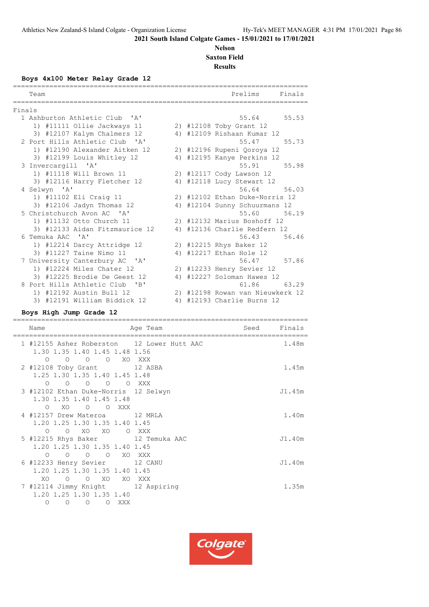# **Nelson Saxton Field**

**Results**

**Boys 4x100 Meter Relay Grade 12**

|        | Team<br>------------------------------ |    | Prelims<br>Finals<br>========================== |
|--------|----------------------------------------|----|-------------------------------------------------|
| Finals |                                        |    |                                                 |
|        | 1 Ashburton Athletic Club 'A'          |    | 55.64<br>55.53                                  |
|        | 1) #11111 Ollie Jackways 11            |    | 2) #12108 Toby Grant 12                         |
|        | 3) #12107 Kalym Chalmers 12            |    | 4) #12109 Rishaan Kumar 12                      |
|        | 2 Port Hills Athletic Club 'A'         |    | 55.47<br>55.73                                  |
|        | 1) #12190 Alexander Aitken 12          |    | 2) #12196 Rupeni Qoroya 12                      |
|        | 3) #12199 Louis Whitley 12             |    | 4) #12195 Kanye Perkins 12                      |
|        | 3 Invercargill 'A'                     |    | 55.91<br>55.98                                  |
|        | 1) #11118 Will Brown 11                |    | 2) #12117 Cody Lawson 12                        |
|        | 3) #12116 Harry Fletcher 12            |    | 4) #12118 Lucy Stewart 12                       |
|        | 4 Selwyn 'A'                           |    | 56.64<br>56.03                                  |
|        | 1) #11102 Eli Craig 11                 |    | 2) #12102 Ethan Duke-Norris 12                  |
|        | 3) #12106 Jadyn Thomas 12              |    | 4) #12104 Sunny Schuurmans 12                   |
|        | 5 Christchurch Avon AC 'A'             |    | 55.60 56.19                                     |
|        | 1) #11132 Otto Church 11               |    | 2) #12132 Marius Boshoff 12                     |
|        | 3) #12133 Aidan Fitzmaurice 12         |    | 4) #12136 Charlie Redfern 12                    |
|        | 6 Temuka AAC 'A'                       |    | 56.43<br>56.46                                  |
|        | 1) #12214 Darcy Attridge 12            |    | 2) #12215 Rhys Baker 12                         |
|        | 3) #11227 Taine Nimo 11                |    | 4) #12217 Ethan Hole 12                         |
|        | 7 University Canterbury AC 'A'         |    | 56.47<br>57.86                                  |
|        | 1) #12224 Miles Chater 12              |    | 2) #12233 Henry Sevier 12                       |
|        | 3) #12225 Brodie De Geest 12           | 4) | #12227 Soloman Hawes 12                         |
|        | 8 Port Hills Athletic Club<br>"B"      |    | 61.86<br>63.29                                  |
|        | 1) #12192 Austin Bull 12               |    | 2) #12198 Rowan van Nieuwkerk 12                |
|        | 3) #12191 William Biddick 12           | 4) | #12193 Charlie Burns 12                         |

#### **Boys High Jump Grade 12**

========================================================================= Name **Age Team** Seed Finals ========================================================================= 1 #12155 Asher Roberston 12 Lower Hutt AAC 1.48m 1.30 1.35 1.40 1.45 1.48 1.56 O O O O XO XXX 2 #12108 Toby Grant 12 ASBA 1.45m 1.25 1.30 1.35 1.40 1.45 1.48 O O O O O XXX 3 #12102 Ethan Duke-Norris 12 Selwyn Johann Jul.45m 1.30 1.35 1.40 1.45 1.48 O XO O O XXX 4 #12157 Drew Materoa 12 MRLA 1.40m 1.20 1.25 1.30 1.35 1.40 1.45 O O XO XO O XXX 5 #12215 Rhys Baker 12 Temuka AAC J1.40m 1.20 1.25 1.30 1.35 1.40 1.45 O O O O XO XXX 6 #12233 Henry Sevier 12 CANU J1.40m 1.20 1.25 1.30 1.35 1.40 1.45 XO O O XO XO XXX 7 #12114 Jimmy Knight 12 Aspiring 1.35m 1.20 1.25 1.30 1.35 1.40 O O O O XXX

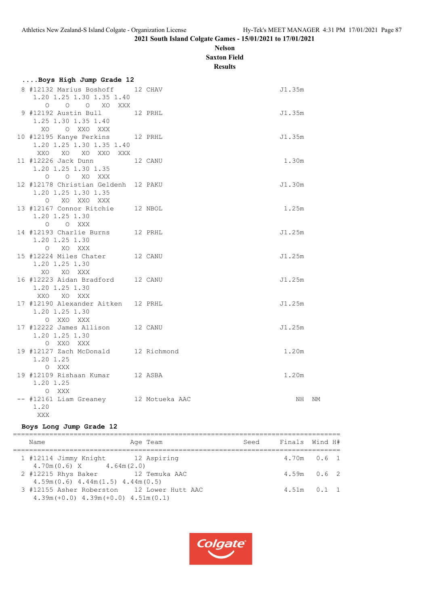# **Nelson Saxton Field**

**Results**

| Boys High Jump Grade 12                                                          |         |        |    |
|----------------------------------------------------------------------------------|---------|--------|----|
| 8 #12132 Marius Boshoff 12 CHAV<br>1.20 1.25 1.30 1.35 1.40<br>O O O XO XXX      |         | J1.35m |    |
| 9 #12192 Austin Bull 12 PRHL<br>1.25 1.30 1.35 1.40<br>O XXO XXX<br>XO.          |         | J1.35m |    |
| 10 #12195 Kanye Perkins 12 PRHL<br>1.20 1.25 1.30 1.35 1.40<br>XXO XO XO XXO XXX |         | J1.35m |    |
| 11 #12226 Jack Dunn<br>1.20 1.25 1.30 1.35<br>O O XO XXX                         | 12 CANU | 1.30m  |    |
| 12 #12178 Christian Geldenh 12 PAKU<br>1.20 1.25 1.30 1.35<br>O XO XXO XXX       |         | J1.30m |    |
| 13 #12167 Connor Ritchie 12 NBOL<br>1.20 1.25 1.30<br>O O XXX                    |         | 1.25m  |    |
| 14 #12193 Charlie Burns 12 PRHL<br>1.20 1.25 1.30<br>O XO XXX                    |         | J1.25m |    |
| 15 #12224 Miles Chater 12 CANU<br>1.20 1.25 1.30<br>XO XO XXX                    |         | J1.25m |    |
| 16 #12223 Aidan Bradford 12 CANU<br>1.20 1.25 1.30<br>XXQ XQ XXX                 |         | J1.25m |    |
| 17 #12190 Alexander Aitken 12 PRHL<br>1.20 1.25 1.30<br>O XXO XXX                |         | J1.25m |    |
| 17 #12222 James Allison 12 CANU<br>1.20 1.25 1.30<br>O XXO XXX                   |         | J1.25m |    |
| 19 #12127 Zach McDonald 12 Richmond<br>1.20 1.25<br>O XXX                        |         | 1.20m  |    |
| 19 #12109 Rishaan Kumar 12 ASBA<br>1.20 1.25<br>O XXX                            |         | 1.20m  |    |
| -- #12161 Liam Greaney 12 Motueka AAC<br>1.20                                    |         | NH     | ΝM |

# **Boys Long Jump Grade 12**

XXX

| Name                                                                                   | Age Team | Seed | Finals Wind H# |                 |
|----------------------------------------------------------------------------------------|----------|------|----------------|-----------------|
| 1 #12114 Jimmy Knight 12 Aspiring<br>$4.70m(0.6)$ X $4.64m(2.0)$                       |          |      |                | $4.70m$ 0.6 1   |
| 2 #12215 Rhys Baker 12 Temuka AAC<br>$4.59m(0.6)$ $4.44m(1.5)$ $4.44m(0.5)$            |          |      |                | $4.59m$ 0.6 2   |
| 3 #12155 Asher Roberston 12 Lower Hutt AAC<br>$4.39m(+0.0)$ $4.39m(+0.0)$ $4.51m(0.1)$ |          |      |                | $4.51m$ $0.1$ 1 |

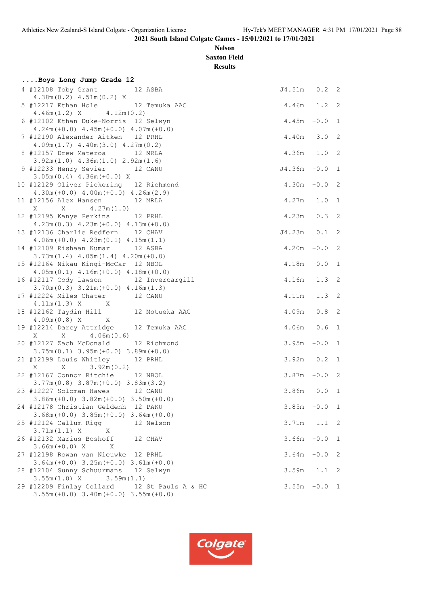# **Nelson Saxton Field**

**Results**

| Boys Long Jump Grade 12                                                                     |                  |               |                            |
|---------------------------------------------------------------------------------------------|------------------|---------------|----------------------------|
| 4 #12108 Toby Grant<br>12 ASBA<br>$4.38m(0.2)$ $4.51m(0.2)$ X                               | J4.51m 0.2 2     |               |                            |
| 5 #12217 Ethan Hole 12 Temuka AAC<br>$4.46m(1.2)$ X $4.12m(0.2)$                            | 4.46m 1.2 2      |               |                            |
| 6 #12102 Ethan Duke-Norris 12 Selwyn<br>$4.24m (+0.0)$ $4.45m (+0.0)$ $4.07m (+0.0)$        | 4.45m            | $+0.0$ 1      |                            |
| 7 #12190 Alexander Aitken 12 PRHL<br>$4.09m(1.7)$ $4.40m(3.0)$ $4.27m(0.2)$                 | 4.40m 3.0 2      |               |                            |
| 8 #12157 Drew Materoa<br>12 MRLA<br>$3.92m(1.0)$ 4.36m $(1.0)$ 2.92m $(1.6)$                | 4.36m 1.0 2      |               |                            |
| 9 #12233 Henry Sevier 12 CANU<br>$3.05m(0.4)$ 4.36m (+0.0) X                                | $J4.36m + 0.0 1$ |               |                            |
| 10 #12129 Oliver Pickering 12 Richmond<br>$4.30m (+0.0)$ $4.00m (+0.0)$ $4.26m (2.9)$       | $4.30m + 0.02$   |               |                            |
| 11 #12156 Alex Hansen 12 MRLA                                                               | 4.27m 1.0 1      |               |                            |
| 12 #12195 Kanye Perkins 12 PRHL<br>$4.23m(0.3)$ $4.23m(+0.0)$ $4.13m(+0.0)$                 | 4.23m            | $0.3$ 2       |                            |
| 13 #12136 Charlie Redfern 12 CHAV<br>$4.06m (+0.0)$ $4.23m (0.1)$ $4.15m (1.1)$             | $J4.23m$ 0.1     |               | $\overline{\phantom{0}}^2$ |
| 14 #12109 Rishaan Kumar 12 ASBA<br>$3.73m(1.4)$ 4.05m $(1.4)$ 4.20m $(+0.0)$                | $4.20m + 0.02$   |               |                            |
| 15 #12164 Nikau Kingi-McCar 12 NBOL<br>$4.05m(0.1)$ $4.16m(+0.0)$ $4.18m(+0.0)$             | $4.18m + 0.0 1$  |               |                            |
| 16 #12117 Cody Lawson 12 Invercargill<br>$3.70m(0.3)$ $3.21m(+0.0)$ $4.16m(1.3)$            | 4.16m 1.3 2      |               |                            |
| 17 #12224 Miles Chater 12 CANU<br>$4.11m(1.3) X$ X                                          | 4.11m  1.3  2    |               |                            |
| 18 #12162 Taydin Hill 12 Motueka AAC<br>$4.09m(0.8) X$ X                                    | 4.09m            | 0.8           | 2                          |
| 19 #12214 Darcy Attridge 12 Temuka AAC<br>$X = 4.06m(0.6)$<br>X                             | $4.06m$ 0.6      |               | $\overline{1}$             |
| 20 #12127 Zach McDonald 12 Richmond<br>$3.75m(0.1)$ $3.95m(+0.0)$ $3.89m(+0.0)$             | 3.95m            | $+0.0$        | $\overline{1}$             |
| 21 #12199 Louis Whitley 12 PRHL<br>3.92m(0.2)<br>X<br>X                                     | $3.92m$ $0.2$ 1  |               |                            |
| 22 #12167 Connor Ritchie 12 NBOL<br>$3.77m(0.8)$ $3.87m(+0.0)$ $3.83m(3.2)$                 | $3.87m + 0.02$   |               |                            |
| 23 #12227 Soloman Hawes 12 CANU<br>$3.86m (+0.0)$ $3.82m (+0.0)$ $3.50m (+0.0)$             | $3.86m + 0.0 1$  |               |                            |
| 24 #12178 Christian Geldenh 12 PAKU<br>$3.68m (+0.0)$ $3.85m (+0.0)$ $3.64m (+0.0)$         | $3.85m + 0.0 1$  |               |                            |
| 25 #12124 Callum Rigg<br>12 Nelson<br>3.71m(1.1) X<br>X                                     | 3.71m            | $1.1 \quad 2$ |                            |
| 26 #12132 Marius Boshoff<br>12 CHAV<br>$3.66m (+0.0) X$<br>X                                | 3.66m            | $+0.0$ 1      |                            |
| 27 #12198 Rowan van Nieuwke 12 PRHL<br>$3.64m (+0.0)$ $3.25m (+0.0)$ $3.61m (+0.0)$         | 3.64m            | $+0.0$        | 2                          |
| 28 #12104 Sunny Schuurmans 12 Selwyn<br>$3.55m(1.0)$ X $3.59m(1.1)$                         | 3.59m            | $1.1 \t2$     |                            |
| 29 #12209 Finlay Collard 12 St Pauls A & HC<br>$3.55m (+0.0)$ $3.40m (+0.0)$ $3.55m (+0.0)$ | $3.55m + 0.0 1$  |               |                            |

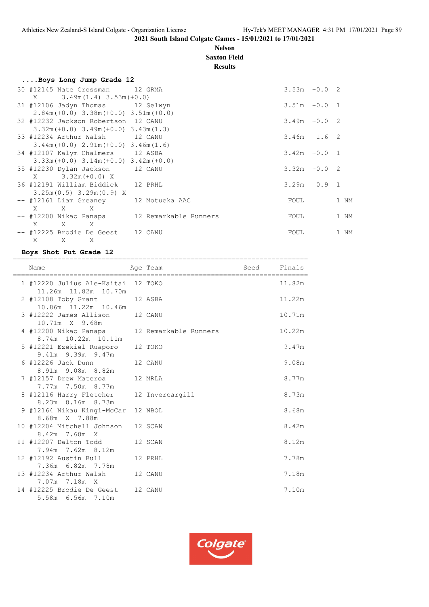# **Nelson Saxton Field**

**Results**

| Boys Long Jump Grade 12                      |                 |      |
|----------------------------------------------|-----------------|------|
| 30 #12145 Nate Crossman 12 GRMA              | $3.53m + 0.02$  |      |
| $X = 3.49m(1.4) 3.53m(+0.0)$                 |                 |      |
| 31 #12106 Jadyn Thomas 12 Selwyn             | $3.51m + 0.0 1$ |      |
| $2.84m (+0.0)$ $3.38m (+0.0)$ $3.51m (+0.0)$ |                 |      |
| 32 #12232 Jackson Robertson 12 CANU          | $3.49m + 0.02$  |      |
| $3.32m (+0.0)$ $3.49m (+0.0)$ $3.43m (1.3)$  |                 |      |
| 33 #12234 Arthur Walsh 12 CANU               | $3.46m$ $1.6$ 2 |      |
| $3.44m (+0.0)$ $2.91m (+0.0)$ $3.46m (1.6)$  |                 |      |
| 34 #12107 Kalym Chalmers 12 ASBA             | $3.42m + 0.0 1$ |      |
| $3.33m (+0.0)$ $3.14m (+0.0)$ $3.42m (+0.0)$ |                 |      |
| 35 #12230 Dylan Jackson 12 CANU              | $3.32m + 0.02$  |      |
| $X = 3.32m (+0.0) X$                         |                 |      |
| 36 #12191 William Biddick 12 PRHL            | $3.29m$ 0.9 1   |      |
| $3.25m(0.5)$ 3.29m(0.9) X                    |                 |      |
| -- #12161 Liam Greaney 12 Motueka AAC        | FOUL            | 1 NM |
| $X$ $X$ $X$                                  |                 |      |
| -- #12200 Nikao Panapa 12 Remarkable Runners | FOUL            | 1 NM |
| $X$ $X$ $X$                                  |                 |      |
| -- #12225 Brodie De Geest 12 CANU            | FOUL            | 1 NM |
| $\mathbf{X}$<br>X<br>X                       |                 |      |

#### **Boys Shot Put Grade 12**

| Name                                                               | Age Team | Seed Finals |        |
|--------------------------------------------------------------------|----------|-------------|--------|
| 1 #12220 Julius Ale-Kaitai 12 TOKO<br>11.26m  11.82m  10.70m       |          |             | 11.82m |
| 2 #12108 Toby Grant 12 ASBA<br>10.86m  11.22m  10.46m              |          |             | 11.22m |
| 3 #12222 James Allison 12 CANU<br>10.71m X 9.68m                   |          |             | 10.71m |
| 4 #12200 Nikao Panapa 12 Remarkable Runners<br>8.74m 10.22m 10.11m |          |             | 10.22m |
| 5 #12221 Ezekiel Ruaporo<br>9.41m 9.39m 9.47m                      | 12 TOKO  |             | 9.47m  |
| 6 #12226 Jack Dunn 12 CANU<br>8.91m 9.08m 8.82m                    |          |             | 9.08m  |
| 7 #12157 Drew Materoa<br>7.77m 7.50m 8.77m                         | 12 MRLA  |             | 8.77m  |
| 8 #12116 Harry Fletcher 12 Invercargill<br>8.23m 8.16m 8.73m       |          |             | 8.73m  |
| 9 #12164 Nikau Kingi-McCar 12 NBOL<br>8.68m X 7.88m                |          |             | 8.68m  |
| 10 #12204 Mitchell Johnson 12 SCAN<br>8.42m 7.68m X                |          |             | 8.42m  |
| 12 SCAN<br>11 #12207 Dalton Todd<br>7.94m 7.62m 8.12m              |          |             | 8.12m  |
| 12 #12192 Austin Bull<br>7.36m 6.82m 7.78m                         | 12 PRHL  |             | 7.78m  |
| 13 #12234 Arthur Walsh 12 CANU<br>7.07m 7.18m X                    |          |             | 7.18m  |
| 14 #12225 Brodie De Geest 12 CANU<br>5.58m 6.56m 7.10m             |          |             | 7.10m  |

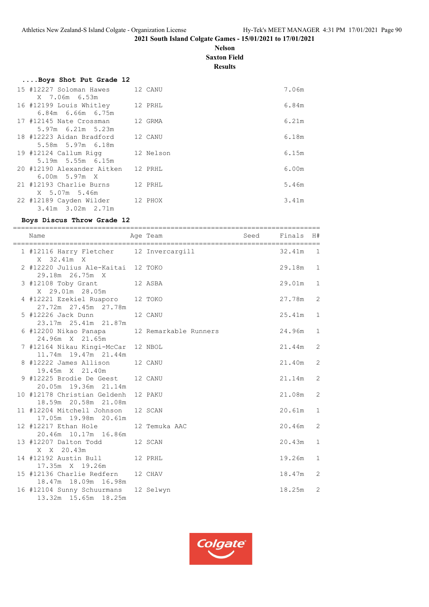# **Nelson Saxton Field**

**Results**

| Boys Shot Put Grade 12          |           |       |
|---------------------------------|-----------|-------|
| 15 #12227 Soloman Hawes 12 CANU |           | 7.06m |
| X 7.06m 6.53m                   |           |       |
| 16 #12199 Louis Whitley         | 12 PRHL   | 6.84m |
| $6.84m$ $6.66m$ $6.75m$         |           |       |
| 17 #12145 Nate Crossman         | 12 GRMA   | 6.21m |
| $5.97m$ 6.21m 5.23m             |           |       |
| 18 #12223 Aidan Bradford        | 12 CANU   | 6.18m |
| 5.58m 5.97m 6.18m               |           |       |
| 19 #12124 Callum Rigg           | 12 Nelson | 6.15m |
| 5.19m 5.55m 6.15m               |           |       |
| 20 #12190 Alexander Aitken      | 12 PRHL   | 6.00m |
| $6.00m$ 5.97 $m$ X              |           |       |
| 21 #12193 Charlie Burns         | 12 PRHL   | 5.46m |
| X 5.07m 5.46m                   |           |       |
| 22 #12189 Cayden Wilder         | 12 PHOX   | 3.41m |
| 3.41m 3.02m 2.71m               |           |       |

#### **Boys Discus Throw Grade 12**

============================================================================ Name and Age Team Seed Finals H# ============================================================================ 1 #12116 Harry Fletcher 12 Invercargill 32.41m 1 X 32.41m X 2 #12220 Julius Ale-Kaitai 12 TOKO 29.18m 1 29.18m 26.75m X 3 #12108 Toby Grant 12 ASBA 29.01m 1 X 29.01m 28.05m 4 #12221 Ezekiel Ruaporo 12 TOKO 27.78m 2 27.72m 27.45m 27.78m 5 #12226 Jack Dunn 12 CANU 25.41m 1 23.17m 25.41m 21.87m 6 #12200 Nikao Panapa 12 Remarkable Runners 24.96m 1 24.96m X 21.65m 7 #12164 Nikau Kingi-McCar 12 NBOL 21.44m 2 11.74m 19.47m 21.44m 8 #12222 James Allison 12 CANU 21.40m 2 19.45m X 21.40m 9 #12225 Brodie De Geest 12 CANU 21.14m 2 20.05m 19.36m 21.14m 10 #12178 Christian Geldenh 12 PAKU 21.08m 2 18.59m 20.58m 21.08m 11 #12204 Mitchell Johnson 12 SCAN 20.61m 1 17.05m 19.98m 20.61m 12 #12217 Ethan Hole 12 Temuka AAC 20.46m 2 20.46m 10.17m 16.86m 13 #12207 Dalton Todd 12 SCAN 20.43m 1 X X 20.43m 14 #12192 Austin Bull 12 PRHL 19.26m 1 17.35m X 19.26m 15 #12136 Charlie Redfern 12 CHAV 18.47m 2 18.47m 18.09m 16.98m 16 #12104 Sunny Schuurmans 12 Selwyn 18.25m 2 13.32m 15.65m 18.25m

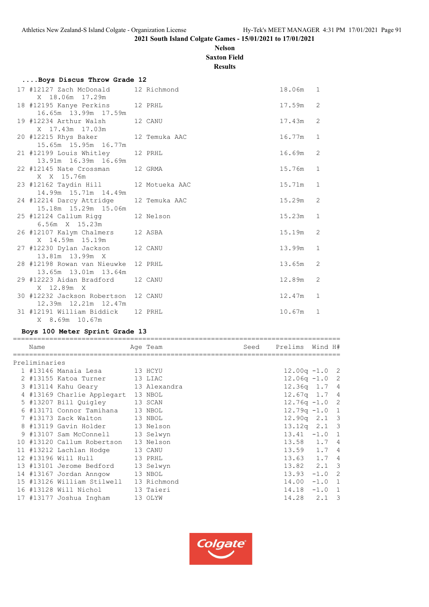# **Nelson Saxton Field**

**Results**

| Boys Discus Throw Grade 12 |                                                                                                                                                                                                                                                                                                                                             |                                                                            |                                                                                                                                                                                                                                                                                                                                                                                                                                                |              |
|----------------------------|---------------------------------------------------------------------------------------------------------------------------------------------------------------------------------------------------------------------------------------------------------------------------------------------------------------------------------------------|----------------------------------------------------------------------------|------------------------------------------------------------------------------------------------------------------------------------------------------------------------------------------------------------------------------------------------------------------------------------------------------------------------------------------------------------------------------------------------------------------------------------------------|--------------|
| X 18.06m 17.29m            |                                                                                                                                                                                                                                                                                                                                             |                                                                            | 18.06m 1                                                                                                                                                                                                                                                                                                                                                                                                                                       |              |
|                            |                                                                                                                                                                                                                                                                                                                                             |                                                                            | 17.59m                                                                                                                                                                                                                                                                                                                                                                                                                                         | 2            |
|                            |                                                                                                                                                                                                                                                                                                                                             |                                                                            | 17.43m                                                                                                                                                                                                                                                                                                                                                                                                                                         | 2            |
|                            |                                                                                                                                                                                                                                                                                                                                             |                                                                            | 16.77m                                                                                                                                                                                                                                                                                                                                                                                                                                         | $\mathbf{1}$ |
|                            |                                                                                                                                                                                                                                                                                                                                             |                                                                            | 16.69m                                                                                                                                                                                                                                                                                                                                                                                                                                         | 2            |
|                            |                                                                                                                                                                                                                                                                                                                                             |                                                                            | 15.76m                                                                                                                                                                                                                                                                                                                                                                                                                                         | 1            |
|                            |                                                                                                                                                                                                                                                                                                                                             |                                                                            | 15.71m                                                                                                                                                                                                                                                                                                                                                                                                                                         | 1            |
|                            |                                                                                                                                                                                                                                                                                                                                             |                                                                            | 15.29m                                                                                                                                                                                                                                                                                                                                                                                                                                         | 2            |
|                            |                                                                                                                                                                                                                                                                                                                                             |                                                                            | 15.23m                                                                                                                                                                                                                                                                                                                                                                                                                                         | 1            |
|                            |                                                                                                                                                                                                                                                                                                                                             |                                                                            | 15.19m 2                                                                                                                                                                                                                                                                                                                                                                                                                                       |              |
|                            |                                                                                                                                                                                                                                                                                                                                             |                                                                            | 13.99m                                                                                                                                                                                                                                                                                                                                                                                                                                         | $\mathbf{1}$ |
|                            |                                                                                                                                                                                                                                                                                                                                             |                                                                            | 13.65m                                                                                                                                                                                                                                                                                                                                                                                                                                         | 2            |
|                            |                                                                                                                                                                                                                                                                                                                                             |                                                                            | 12.89m                                                                                                                                                                                                                                                                                                                                                                                                                                         | 2            |
|                            |                                                                                                                                                                                                                                                                                                                                             |                                                                            | 12.47m                                                                                                                                                                                                                                                                                                                                                                                                                                         | 1            |
| X 8.69m 10.67m             |                                                                                                                                                                                                                                                                                                                                             |                                                                            | 10.67m                                                                                                                                                                                                                                                                                                                                                                                                                                         | 1            |
|                            | 19 #12234 Arthur Walsh<br>X 17.43m 17.03m<br>15.65m 15.95m 16.77m<br>X X 15.76m<br>23 #12162 Taydin Hill<br>14.99m 15.71m 14.49m<br>24 #12214 Darcy Attridge<br>15.18m  15.29m  15.06m<br>6.56m X 15.23m<br>X 14.59m 15.19m<br>13.81m 13.99m X<br>13.65m 13.01m 13.64m<br>X 12.89m X<br>12.39m  12.21m  12.47m<br>31 #12191 William Biddick | 16.65m  13.99m  17.59m<br>13.91m 16.39m 16.69m<br>29 #12223 Aidan Bradford | 17 #12127 Zach McDonald 12 Richmond<br>18 #12195 Kanye Perkins 12 PRHL<br>12 CANU<br>20 #12215 Rhys Baker 12 Temuka AAC<br>21 #12199 Louis Whitley 12 PRHL<br>22 #12145 Nate Crossman 12 GRMA<br>12 Motueka AAC<br>12 Temuka AAC<br>25 #12124 Callum Rigg 12 Nelson<br>26 #12107 Kalym Chalmers 12 ASBA<br>27 #12230 Dylan Jackson 12 CANU<br>28 #12198 Rowan van Nieuwke 12 PRHL<br>12 CANU<br>30 #12232 Jackson Robertson 12 CANU<br>12 PRHL |              |

# **Boys 100 Meter Sprint Grade 13**

| Name          |                                        | Age Team  | Seed | Prelims          | Wind H#  |                          |
|---------------|----------------------------------------|-----------|------|------------------|----------|--------------------------|
| Preliminaries |                                        |           |      |                  |          |                          |
|               | 1 #13146 Manaia Lesa 13 HCYU           |           |      | $12.00q - 1.0$ 2 |          |                          |
|               | 2 #13155 Katoa Turner 13 LIAC          |           |      | $12.06q - 1.0$ 2 |          |                          |
|               | 3 #13114 Kahu Geary 13 Alexandra       |           |      | $12.36q$ 1.7 4   |          |                          |
|               | 4 #13169 Charlie Applegart 13 NBOL     |           |      | $12.67q$ 1.7 4   |          |                          |
|               | 5 #13207 Bill Quigley 13 SCAN          |           |      | $12.76q - 1.0$ 2 |          |                          |
|               | 6 #13171 Connor Tamihana 13 NBOL       |           |      | $12.79q - 1.0$ 1 |          |                          |
|               | 7 #13173 Zack Walton 13 NBOL           |           |      | $12.90q$ $2.1$ 3 |          |                          |
|               | 8 #13119 Gavin Holder 13 Nelson        |           |      | $13.12q$ $2.1$ 3 |          |                          |
|               | 9 #13107 Sam McConnell 13 Selwyn       |           |      | $13.41 -1.0 1$   |          |                          |
|               | 10 #13120 Callum Robertson 13 Nelson   |           |      | $13.58$ $1.7$ 4  |          |                          |
|               | 11 #13212 Lachlan Hodge 13 CANU        |           |      | $13.59$ $1.7$ 4  |          |                          |
|               | 12 #13196 Will Hull<br>13 PRHL         |           |      | $13.63$ $1.7$ 4  |          |                          |
|               | 13 #13101 Jerome Bedford               | 13 Selwyn |      | $13.82$ $2.1$ 3  |          |                          |
|               | 14 #13167 Jordan Anngow 13 NBOL        |           |      | 13.93            | $-1.0$ 2 |                          |
|               | 15 #13126 William Stilwell 13 Richmond |           |      | 14.00            | $-1.0$ 1 |                          |
|               | 16 #13128 Will Nichol                  | 13 Taieri |      | $14.18 - 1.0 1$  |          |                          |
|               | 17 #13177 Joshua Ingham                | 13 OLYW   |      | $14.28$ 2.1      |          | $\overline{\phantom{a}}$ |
|               |                                        |           |      |                  |          |                          |

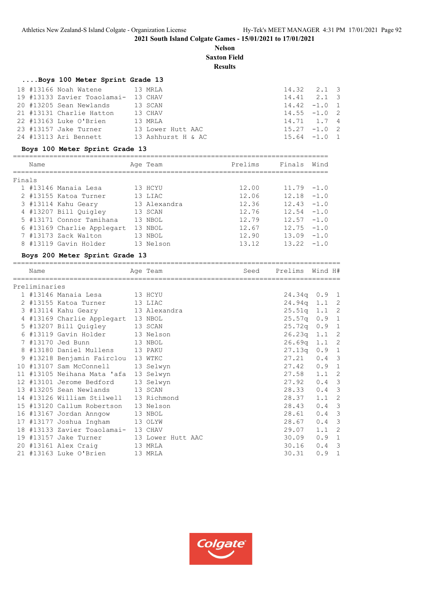**Nelson Saxton Field**

# **Results**

# **....Boys 100 Meter Sprint Grade 13**

| 18 #13166 Noah Watene 13 MRLA       |                    | $14.32$ $2.1$ 3 |  |
|-------------------------------------|--------------------|-----------------|--|
| 19 #13133 Zavier Toaolamai- 13 CHAV |                    | $14.41$ $2.1$ 3 |  |
| 20 #13205 Sean Newlands 13 SCAN     |                    | $14.42 - 1.0 1$ |  |
| 21 #13131 Charlie Hatton 13 CHAV    |                    | $14.55 - 1.0$ 2 |  |
| 22 #13163 Luke O'Brien              | 13 MRLA            | 14.71 1.7 4     |  |
| 23 #13157 Jake Turner               | 13 Lower Hutt AAC  | $15.27 -1.0$ 2  |  |
| 24 #13113 Ari Bennett               | 13 Ashhurst H & AC | $15.64 -1.0 1$  |  |

# **Boys 100 Meter Sprint Grade 13**

|        | Name |                            | Age Team     | Prelims | Finals        | Wind   |
|--------|------|----------------------------|--------------|---------|---------------|--------|
| Finals |      |                            |              |         |               |        |
|        |      | 1 #13146 Manaia Lesa       | 13 HCYU      | 12.00   | $11.79 - 1.0$ |        |
|        |      | 2 #13155 Katoa Turner      | 13 LIAC      | 12.06   | 12.18         | $-1.0$ |
|        |      | 3 #13114 Kahu Geary        | 13 Alexandra | 12.36   | 12.43         | $-1.0$ |
|        |      | 4 #13207 Bill Quigley      | 13 SCAN      | 12.76   | 12.54         | $-1.0$ |
|        |      | 5 #13171 Connor Tamihana   | 13 NBOL      | 12.79   | 12.57         | $-1.0$ |
|        |      | 6 #13169 Charlie Applegart | 13 NBOL      | 12.67   | 12.75         | $-1.0$ |
|        |      | 7 #13173 Zack Walton       | 13 NBOL      | 12.90   | 13.09         | $-1.0$ |
|        |      | 8 #13119 Gavin Holder      | 13 Nelson    | 13.12   | 13.22         | $-1.0$ |

# **Boys 200 Meter Sprint Grade 13**

| Name          |                                        | Age Team          | Seed | Prelims        | Wind H#       |                            |
|---------------|----------------------------------------|-------------------|------|----------------|---------------|----------------------------|
| Preliminaries |                                        |                   |      |                |               |                            |
|               | 1 #13146 Manaia Lesa 13 HCYU           |                   |      | $24.34q$ 0.9 1 |               |                            |
|               | 2 #13155 Katoa Turner 13 LIAC          |                   |      | 24.94q 1.1 2   |               |                            |
|               | 3 #13114 Kahu Geary 13 Alexandra       |                   |      | $25.51q$ 1.1 2 |               |                            |
|               | 4 #13169 Charlie Applegart 13 NBOL     |                   |      | $25.57q$ 0.9 1 |               |                            |
|               | 5 #13207 Bill Quigley 13 SCAN          |                   |      | $25.72q$ 0.9 1 |               |                            |
|               | 6 #13119 Gavin Holder 13 Nelson        |                   |      | $26.23q$ 1.1 2 |               |                            |
|               | 7 #13170 Jed Bunn<br>13 NBOL           |                   |      | $26.69q$ 1.1 2 |               |                            |
|               | 8 #13180 Daniel Mullens 13 PAKU        |                   |      | $27.13q$ 0.9 1 |               |                            |
|               | 9 #13218 Benjamin Fairclou 13 WTKC     |                   |      | 27.21          | $0.4 \quad 3$ |                            |
|               | 10 #13107 Sam McConnell                | 13 Selwyn         |      | $27.42$ 0.9 1  |               |                            |
|               | 11 #13105 Neihana Mata 'afa 13 Selwyn  |                   |      | 27.58          | $1.1 \quad 2$ |                            |
|               | 12 #13101 Jerome Bedford               | 13 Selwyn         |      | $27.92$ 0.4 3  |               |                            |
|               | 13 #13205 Sean Newlands 13 SCAN        |                   |      | 28.33          | $0.4 \quad 3$ |                            |
|               | 14 #13126 William Stilwell 13 Richmond |                   |      | 28.37          | 1.1           | 2                          |
|               | 15 #13120 Callum Robertson 13 Nelson   |                   |      | 28.43          | $0.4$ 3       |                            |
|               | 16 #13167 Jordan Anngow                | 13 NBOL           |      | 28.61          | 0.4           | $\overline{\mathbf{3}}$    |
|               | 17 #13177 Joshua Ingham                | 13 OLYW           |      | 28.67          | 0.4           | $\overline{\mathbf{3}}$    |
|               | 18 #13133 Zavier Toaolamai- 13 CHAV    |                   |      | 29.07          | 1.1           | $\overline{\phantom{0}}^2$ |
|               | 19 #13157 Jake Turner                  | 13 Lower Hutt AAC |      | 30.09          | $0.9$ 1       |                            |
|               | 20 #13161 Alex Craig 13 MRLA           |                   |      | 30.16          | 0.4           | $\overline{\phantom{a}}$   |
|               | 21 #13163 Luke O'Brien                 | 13 MRLA           |      | 30.31          | 0.9           | $\mathbf{1}$               |

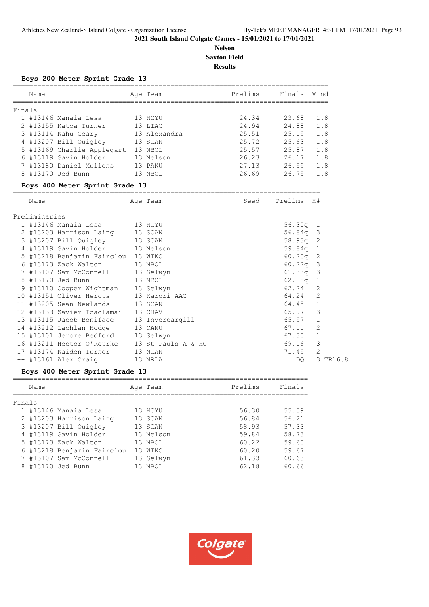# **Nelson Saxton Field Results**

#### **Boys 200 Meter Sprint Grade 13**

|        | Name |                            |    | Age Team     | Prelims | Finals | Wind |
|--------|------|----------------------------|----|--------------|---------|--------|------|
| Finals |      |                            |    |              |         |        |      |
|        |      | 1 #13146 Manaia Lesa       |    | 13 HCYU      | 24.34   | 23.68  | 1.8  |
|        |      | 2 #13155 Katoa Turner      |    | 13 LIAC      | 24.94   | 24.88  | 1.8  |
|        |      | 3 #13114 Kahu Geary        |    | 13 Alexandra | 25.51   | 25.19  | 1.8  |
|        |      | 4 #13207 Bill Quigley      |    | 13 SCAN      | 25.72   | 25.63  | 1.8  |
|        |      | 5 #13169 Charlie Applegart |    | 13 NBOL      | 25.57   | 25.87  | 1.8  |
|        |      | 6 #13119 Gavin Holder      |    | 13 Nelson    | 26.23   | 26.17  | 1.8  |
|        |      | 7 #13180 Daniel Mullens    |    | 13 PAKU      | 27.13   | 26.59  | 1.8  |
|        |      | 8 #13170 Jed Bunn          | 13 | NBOL         | 26.69   | 26.75  | 1.8  |
|        |      |                            |    |              |         |        |      |

# **Boys 400 Meter Sprint Grade 13**

|    | Name          | ============================                 | Age Team | Seed | Prelims H# |                |  |
|----|---------------|----------------------------------------------|----------|------|------------|----------------|--|
|    | Preliminaries |                                              |          |      |            |                |  |
|    |               | 1 #13146 Manaia Lesa 13 HCYU                 |          |      | $56.30q$ 1 |                |  |
|    |               | 2 #13203 Harrison Laing 13 SCAN              |          |      | $56.84q$ 3 |                |  |
|    |               | 3 #13207 Bill Quigley 13 SCAN                |          |      | $58.93q$ 2 |                |  |
|    |               | 4 #13119 Gavin Holder 13 Nelson              |          |      | $59.84q$ 1 |                |  |
|    |               | 5 #13218 Benjamin Fairclou 13 WTKC           |          |      | 60.20q     | -2             |  |
|    |               | 6 #13173 Zack Walton 13 NBOL                 |          |      | 60.22q     | 3              |  |
|    |               | 7 #13107 Sam McConnell 13 Selwyn             |          |      | 61.33q     | -3             |  |
|    |               | 8 #13170 Jed Bunn<br>13 NBOL                 |          |      | $62.18q$ 1 |                |  |
|    |               | 9 #13110 Cooper Wightman 13 Selwyn           |          |      | 62.24      | 2              |  |
|    |               | 10 #13151 Oliver Hercus 13 Karori AAC        |          |      | 64.24      | $\overline{2}$ |  |
|    |               | 11 #13205 Sean Newlands 13 SCAN              |          |      | 64.45      | $\mathbf{1}$   |  |
| 12 |               | #13133 Zavier Toaolamai- 13 CHAV             |          |      | 65.97      | 3              |  |
|    |               | 13 #13115 Jacob Boniface 13 Invercargill     |          |      | 65.97      |                |  |
|    |               | 14 #13212 Lachlan Hodge 13 CANU              |          |      | 67.11      | 2              |  |
|    |               | 15 #13101 Jerome Bedford 13 Selwyn           |          |      | 67.30      |                |  |
|    |               | 16 #13211 Hector O'Rourke 13 St Pauls A & HC |          |      | 69.16      | 3              |  |
| 17 |               | #13174 Kaiden Turner                         | 13 NCAN  |      | 71.49      | $\overline{2}$ |  |
|    |               | -- #13161 Alex Craig                         | 13 MRLA  |      | DO.        | 3 TR16.8       |  |
|    |               |                                              |          |      |            |                |  |

# **Boys 400 Meter Sprint Grade 13**

|        | Name |                            |    | Age Team  | Prelims | Finals |
|--------|------|----------------------------|----|-----------|---------|--------|
|        |      |                            |    |           |         |        |
| Finals |      |                            |    |           |         |        |
|        |      | 1 #13146 Manaia Lesa       |    | 13 HCYU   | 56.30   | 55.59  |
|        |      | 2 #13203 Harrison Laing    |    | 13 SCAN   | 56.84   | 56.21  |
|        |      | 3 #13207 Bill Quigley      |    | 13 SCAN   | 58.93   | 57.33  |
|        |      | 4 #13119 Gavin Holder      |    | 13 Nelson | 59.84   | 58.73  |
|        |      | 5 #13173 Zack Walton       |    | 13 NBOL   | 60.22   | 59.60  |
|        |      | 6 #13218 Benjamin Fairclou |    | 13 WTKC   | 60.20   | 59.67  |
|        |      | 7 #13107 Sam McConnell     |    | 13 Selwyn | 61.33   | 60.63  |
|        |      | 8 #13170 Jed Bunn          | 13 | NBOL      | 62.18   | 60.66  |

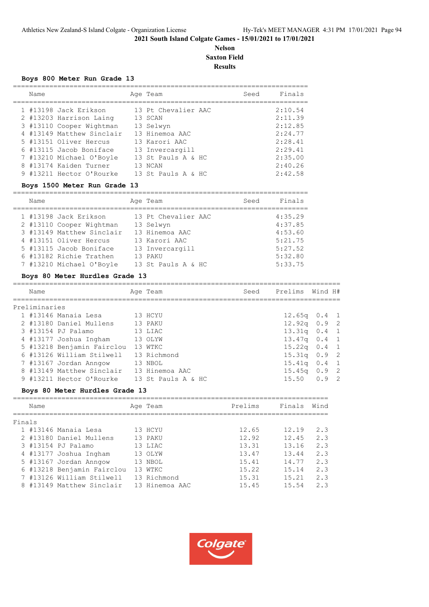# **Nelson Saxton Field Results**

=========================================================================

#### **Boys 800 Meter Run Grade 13**

| Name |                           | Age Team            | Seed | Finals  |
|------|---------------------------|---------------------|------|---------|
|      |                           |                     |      |         |
|      | 1 #13198 Jack Erikson     | 13 Pt Chevalier AAC |      | 2:10.54 |
|      | 2 #13203 Harrison Laing   | 13 SCAN             |      | 2:11.39 |
|      | 3 #13110 Cooper Wightman  | 13 Selwyn           |      | 2:12.85 |
|      | 4 #13149 Matthew Sinclair | 13 Hinemoa AAC      |      | 2:24.77 |
|      | 5 #13151 Oliver Hercus    | 13 Karori AAC       |      | 2:28.41 |
|      | 6 #13115 Jacob Boniface   | 13 Invercargill     |      | 2:29.41 |
|      | 7 #13210 Michael O'Boyle  | 13 St Pauls A & HC  |      | 2:35.00 |
|      | 8 #13174 Kaiden Turner    | 13 NCAN             |      | 2:40.26 |
|      | 9 #13211 Hector O'Rourke  | 13 St Pauls A & HC  |      | 2:42.58 |

#### **Boys 1500 Meter Run Grade 13**

| Name |                           | Age Team            | Seed | Finals  |
|------|---------------------------|---------------------|------|---------|
|      | 1 #13198 Jack Erikson     | 13 Pt Chevalier AAC |      | 4:35.29 |
|      | 2 #13110 Cooper Wightman  | 13 Selwyn           |      | 4:37.85 |
|      | 3 #13149 Matthew Sinclair | 13 Hinemoa AAC      |      | 4:53.60 |
|      | 4 #13151 Oliver Hercus    | 13 Karori AAC       |      | 5:21.75 |
|      | 5 #13115 Jacob Boniface   | 13 Invercargill     |      | 5:27.52 |
|      | 6 #13182 Richie Trathen   | 13 PAKU             |      | 5:32.80 |
|      | 7 #13210 Michael O'Boyle  | 13 St Pauls A & HC  |      | 5:33.75 |

# **Boys 80 Meter Hurdles Grade 13**

| Name                                     | Age Team           | Seed | Prelims         | Wind H# |  |
|------------------------------------------|--------------------|------|-----------------|---------|--|
| Preliminaries                            |                    |      |                 |         |  |
| 1 #13146 Manaia Lesa                     | 13 HCYU            |      | $12.65q$ 0.4 1  |         |  |
| 2 #13180 Daniel Mullens                  | 13 PAKU            |      | $12.92q$ 0.9 2  |         |  |
| 3 #13154 PJ Palamo                       | 13 LIAC            |      | $13.31q$ 0.4 1  |         |  |
| 4 #13177 Joshua Ingham                   | 13 OLYW            |      | $13.47q$ 0.4 1  |         |  |
| 5 #13218 Benjamin Fairclou               | 13 WTKC            |      | $15.22q$ 0.4 1  |         |  |
| 6 #13126 William Stilwell 13 Richmond    |                    |      | $15.31q$ 0.9 2  |         |  |
| 7 #13167 Jordan Anngow                   | 13 NBOL            |      | $15.41q$ 0.4 1  |         |  |
| 8 #13149 Matthew Sinclair 13 Hinemoa AAC |                    |      | $15.45q$ 0.9 2  |         |  |
| 9 #13211 Hector O'Rourke                 | 13 St Pauls A & HC |      | $15.50 \t 0.92$ |         |  |

=================================================================================

#### **Boys 80 Meter Hurdles Grade 13**

|        | Name |                            | Age Team       | Prelims | Finals | Wind |
|--------|------|----------------------------|----------------|---------|--------|------|
| Finals |      |                            |                |         |        |      |
|        |      | 1 #13146 Manaia Lesa       | 13 HCYU        | 12.65   | 12.19  | 2.3  |
|        |      | 2 #13180 Daniel Mullens    | 13 PAKU        | 12.92   | 12.45  | 2.3  |
|        |      | 3 #13154 PJ Palamo         | 13 LIAC        | 13.31   | 13.16  | 2.3  |
|        |      | 4 #13177 Joshua Ingham     | 13 OLYW        | 13.47   | 13.44  | 2.3  |
|        |      | 5 #13167 Jordan Anngow     | 13 NBOL        | 15.41   | 14.77  | 2.3  |
|        |      | 6 #13218 Benjamin Fairclou | 13 WTKC        | 15.22   | 15.14  | 2.3  |
|        |      | 7 #13126 William Stilwell  | 13 Richmond    | 15.31   | 15.21  | 2.3  |
|        |      | 8 #13149 Matthew Sinclair  | 13 Hinemoa AAC | 15.45   | 15.54  | 2.3  |
|        |      |                            |                |         |        |      |

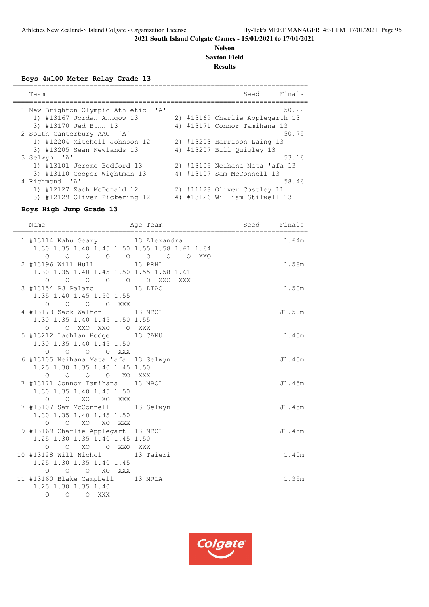# **Nelson Saxton Field Results**

#### **Boys 4x100 Meter Relay Grade 13**

| Team                            |              |    | Finals<br>Seed                  |
|---------------------------------|--------------|----|---------------------------------|
| 1 New Brighton Olympic Athletic | $\mathsf{A}$ |    | 50.22                           |
| 1) #13167 Jordan Anngow 13      |              |    | 2) #13169 Charlie Applegarth 13 |
| 3) #13170 Jed Bunn 13           |              |    | 4) #13171 Connor Tamihana 13    |
| 2 South Canterbury AAC 'A'      |              |    | 50.79                           |
| 1) #12204 Mitchell Johnson 12   |              |    | 2) #13203 Harrison Laing 13     |
| 3) #13205 Sean Newlands 13      |              |    | 4) #13207 Bill Ouigley 13       |
| 3 Selwyn 'A'                    |              |    | 53.16                           |
| 1) #13101 Jerome Bedford 13     |              |    | 2) #13105 Neihana Mata 'afa 13  |
| 3) #13110 Cooper Wightman 13    |              |    | 4) #13107 Sam McConnell 13      |
| 4 Richmond 'A'                  |              |    | 58.46                           |
| 1) #12127 Zach McDonald 12      |              |    | 2) #11128 Oliver Costley 11     |
| 3) #12129 Oliver Pickering 12   |              | 4) | #13126 William Stilwell 13      |

# **Boys High Jump Grade 13**

| Name                                                                                                                       | ===================<br>Age Team and Seed Finals |        |
|----------------------------------------------------------------------------------------------------------------------------|-------------------------------------------------|--------|
| 1 #13114 Kahu Geary 13 Alexandra<br>1.30 1.35 1.40 1.45 1.50 1.55 1.58 1.61 1.64                                           |                                                 | 1.64m  |
| 2 #13196 Will Hull 13 PRHL<br>1.30 1.35 1.40 1.45 1.50 1.55 1.58 1.61                                                      |                                                 | 1.58m  |
| $\begin{matrix} 0 & 0 & 0 & 0 & 0 & 0 & \text{XXO} \end{matrix}$<br>3 #13154 PJ Palamo 13 LIAC<br>1.35 1.40 1.45 1.50 1.55 | XXX                                             | 1.50m  |
| $O$ $O$ $O$ $O$ $XXX$<br>4 #13173 Zack Walton 13 NBOL                                                                      |                                                 | J1.50m |
| 1.30 1.35 1.40 1.45 1.50 1.55<br>O O XXO XXO O XXX<br>5 #13212 Lachlan Hodge 13 CANU                                       |                                                 | 1.45m  |
| 1.30 1.35 1.40 1.45 1.50<br>O O O XXX<br>$\circ$<br>6 #13105 Neihana Mata 'afa 13 Selwyn                                   |                                                 | J1.45m |
| 1.25 1.30 1.35 1.40 1.45 1.50<br>0 0 0 0 XO XXX                                                                            |                                                 |        |
| 7 #13171 Connor Tamihana 13 NBOL<br>1.30 1.35 1.40 1.45 1.50<br>O O XO XO XXX                                              |                                                 | J1.45m |
| 7 #13107 Sam McConnell 13 Selwyn<br>1.30 1.35 1.40 1.45 1.50                                                               |                                                 | J1.45m |
| O O XO XO XXX<br>9 #13169 Charlie Applegart 13 NBOL<br>1.25 1.30 1.35 1.40 1.45 1.50                                       |                                                 | J1.45m |
| O O XO O XXO XXX<br>10 #13128 Will Nichol 13 Taieri<br>1.25 1.30 1.35 1.40 1.45                                            |                                                 | 1.40m  |
| O O O XO XXX<br>11 #13160 Blake Campbell 13 MRLA<br>1.25 1.30 1.35 1.40                                                    |                                                 | 1.35m  |
| O O O XXX                                                                                                                  |                                                 |        |

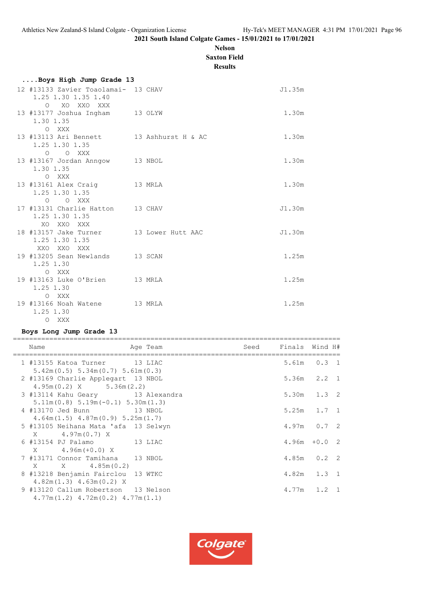# **Nelson**

**Saxton Field Results**

| Boys High Jump Grade 13                                                              |         |        |
|--------------------------------------------------------------------------------------|---------|--------|
| 12 #13133 Zavier Toaolamai- 13 CHAV<br>1.25 1.30 1.35 1.40<br>$\Omega$<br>XO XXO XXX |         | J1.35m |
| 13 #13177 Joshua Ingham 13 OLYW<br>1.30 1.35<br>O XXX                                |         | 1.30m  |
| 13 #13113 Ari Bennett 13 Ashhurst H & AC<br>1.25 1.30 1.35<br>$O$ $O$ XXX            |         | 1.30m  |
| 13 #13167 Jordan Anngow 13 NBOL<br>1.30 1.35<br>O XXX                                |         | 1.30m  |
| 13 #13161 Alex Craig 13 MRLA<br>1.25 1.30 1.35<br>O O XXX                            |         | 1.30m  |
| 17 #13131 Charlie Hatton 13 CHAV<br>1.25 1.30 1.35<br>XO XXO XXX                     |         | J1.30m |
| 18 #13157 Jake Turner 13 Lower Hutt AAC<br>1.25 1.30 1.35<br>XXO XXO XXX             |         | J1.30m |
| 19 #13205 Sean Newlands 13 SCAN<br>1.25 1.30<br>O XXX                                |         | 1.25m  |
| 19 #13163 Luke O'Brien 13 MRLA<br>1.25 1.30<br>O XXX                                 |         | 1.25m  |
| 19 #13166 Noah Watene<br>1.25 1.30                                                   | 13 MRLA | 1.25m  |

# **Boys Long Jump Grade 13**

O XXX

| Name<br>====================                                                                                | Age Team | Seed | Finals Wind H#  |
|-------------------------------------------------------------------------------------------------------------|----------|------|-----------------|
| 1 #13155 Katoa Turner 13 LIAC                                                                               |          |      | $5.61m$ $0.3$ 1 |
| $5.42m(0.5)$ $5.34m(0.7)$ $5.61m(0.3)$<br>2 #13169 Charlie Applegart 13 NBOL<br>$4.95m(0.2)$ X $5.36m(2.2)$ |          |      | $5.36m$ $2.2$ 1 |
| 3 #13114 Kahu Geary 13 Alexandra                                                                            |          |      | $5.30m$ $1.3$ 2 |
| $5.11m(0.8) 5.19m(-0.1) 5.30m(1.3)$<br>4 #13170 Jed Bunn 13 NBOL                                            |          |      | $5.25m$ $1.7$ 1 |
| $4.64m(1.5)$ $4.87m(0.9)$ $5.25m(1.7)$<br>5 #13105 Neihana Mata 'afa 13 Selwyn                              |          |      | $4.97m$ 0.7 2   |
| $X = 4.97m(0.7) X$<br>6 #13154 PJ Palamo 13 LIAC                                                            |          |      | $4.96m + 0.02$  |
| X 4.96m (+0.0) X<br>7 #13171 Connor Tamihana 13 NBOL                                                        |          |      | $4.85m$ 0.2 2   |
| $X \t X \t 4.85m(0.2)$<br>8 #13218 Benjamin Fairclou 13 WTKC                                                |          |      | $4.82m$ $1.3$ 1 |
| $4.82m(1.3)$ $4.63m(0.2)$ X<br>9 #13120 Callum Robertson 13 Nelson                                          |          |      | $4.77m$ 1.2 1   |
| $4.77m(1.2)$ $4.72m(0.2)$ $4.77m(1.1)$                                                                      |          |      |                 |

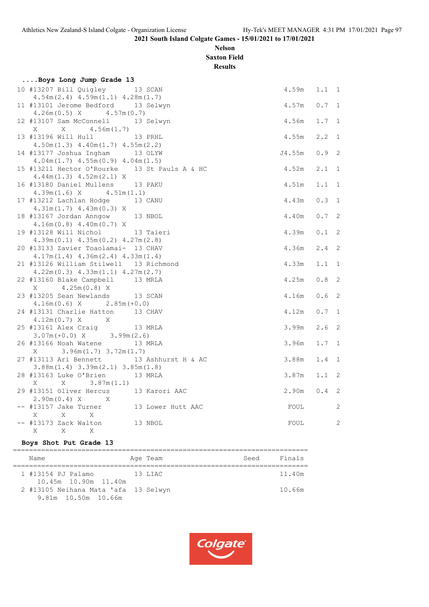# **Nelson Saxton Field**

**Results**

| Boys Long Jump Grade 13                                                  |                    |                 |                  |                |
|--------------------------------------------------------------------------|--------------------|-----------------|------------------|----------------|
| 10 #13207 Bill Quigley 13 SCAN<br>$4.54m(2.4)$ $4.59m(1.1)$ $4.28m(1.7)$ |                    | $4.59m$ $1.1$ 1 |                  |                |
| 11 #13101 Jerome Bedford 13 Selwyn                                       |                    | $4.57m$ 0.7 1   |                  |                |
| $4.26m(0.5)$ X $4.57m(0.7)$<br>12 #13107 Sam McConnell 13 Selwyn         |                    | 4.56m           | $1.7 \quad 1$    |                |
|                                                                          |                    |                 |                  |                |
| 13 #13196 Will Hull                                                      | 13 PRHL            | 4.55m           | 2.2              | $\overline{1}$ |
| $4.50m(1.3)$ $4.40m(1.7)$ $4.55m(2.2)$                                   |                    |                 |                  |                |
| 14 #13177 Joshua Ingham 13 OLYW                                          |                    | J4.55m          | $0.9$ 2          |                |
| $4.04m(1.7)$ $4.55m(0.9)$ $4.04m(1.5)$                                   |                    |                 |                  |                |
| 15 #13211 Hector O'Rourke 13 St Pauls A & HC                             |                    | 4.52m           | $2.1 \quad 1$    |                |
| $4.44m(1.3)$ $4.52m(2.1)$ X                                              |                    |                 |                  |                |
| 16 #13180 Daniel Mullens 13 PAKU                                         |                    | 4.51m           | $1.1 \quad 1$    |                |
| $4.39m(1.6)$ X $4.51m(1.1)$                                              |                    |                 |                  |                |
| 17 #13212 Lachlan Hodge 13 CANU                                          |                    | 4.43m           | 0.3 1            |                |
| $4.31m(1.7)$ $4.43m(0.3)$ X                                              |                    | 4.40m           | $0.7-2$          |                |
| 18 #13167 Jordan Anngow 13 NBOL<br>$4.16m(0.8)$ $4.40m(0.7)$ X           |                    |                 |                  |                |
| 19 #13128 Will Nichol                                                    | 13 Taieri          | 4.39m           | $0.1$ 2          |                |
| $4.39m(0.1)$ $4.35m(0.2)$ $4.27m(2.8)$                                   |                    |                 |                  |                |
| 20 #13133 Zavier Toaolamai- 13 CHAV                                      |                    | 4.36m           | $2.4$ 2          |                |
| $4.17m(1.4)$ $4.36m(2.4)$ $4.33m(1.4)$                                   |                    |                 |                  |                |
| 21 #13126 William Stilwell 13 Richmond                                   |                    | 4.33m           | $1.1 \quad 1$    |                |
| $4.22m(0.3)$ $4.33m(1.1)$ $4.27m(2.7)$                                   |                    |                 |                  |                |
| 22 #13160 Blake Campbell 13 MRLA                                         |                    | 4.25m           | $0.8$ 2          |                |
| $4.25m(0.8)$ X<br>X                                                      |                    |                 |                  |                |
| 23 #13205 Sean Newlands 13 SCAN                                          |                    | 4.16m           | 0.6              | 2              |
| $4.16m(0.6)$ X $2.85m(+0.0)$                                             |                    |                 |                  |                |
| 24 #13131 Charlie Hatton 13 CHAV                                         |                    | 4.12m           | $0.7 \quad 1$    |                |
| $4.12m(0.7) X$ X                                                         |                    |                 |                  |                |
| 25 #13161 Alex Craig 13 MRLA                                             |                    | 3.99m           | 2.6 <sub>2</sub> |                |
| $3.07m (+0.0) X$ 3.99m (2.6)                                             |                    |                 |                  |                |
| 26 #13166 Noah Watene 13 MRLA                                            |                    | 3.96m           | 1.7              | 1              |
| $3.96m(1.7)$ $3.72m(1.7)$<br>X                                           |                    |                 |                  |                |
| 27 #13113 Ari Bennett                                                    | 13 Ashhurst H & AC | 3.88m           | $1.4 \quad 1$    |                |
| $3.88m(1.4)$ $3.39m(2.1)$ $3.85m(1.8)$<br>28 #13163 Luke O'Brien         | 13 MRLA            | 3.87m           | $1.1 \quad 2$    |                |
| 3.87m(1.1)<br>X<br>X                                                     |                    |                 |                  |                |
| 29 #13151 Oliver Hercus 13 Karori AAC                                    |                    | 2.90m           | 0.4              | 2              |
| $2.90m(0.4) X$ X                                                         |                    |                 |                  |                |
| -- #13157 Jake Turner 13 Lower Hutt AAC                                  |                    | FOUL            |                  | 2              |
| $\mathbf{x}$<br>X<br>X                                                   |                    |                 |                  |                |
| -- #13173 Zack Walton 13 NBOL                                            |                    | FOUL            |                  | 2              |
| X<br>X<br>X                                                              |                    |                 |                  |                |
|                                                                          |                    |                 |                  |                |

# **Boys Shot Put Grade 13**

| Name                                                        | Age Team | Seed | Finals |
|-------------------------------------------------------------|----------|------|--------|
| 1 #13154 PJ Palamo<br>10.45m 10.90m 11.40m                  | 13 LIAC  |      | 11.40m |
| 2 #13105 Neihana Mata 'afa 13 Selwyn<br>9.81m 10.50m 10.66m |          |      | 10.66m |

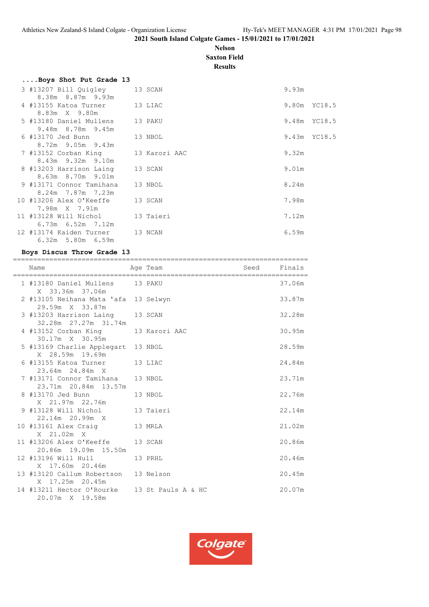# **Nelson Saxton Field**

**Results**

| 3 #13207 Bill Quigley 13 SCAN<br>8.38m 8.87m 9.93m |                                                                                                                                              | 9.93m                                                                                                                                                                                               |
|----------------------------------------------------|----------------------------------------------------------------------------------------------------------------------------------------------|-----------------------------------------------------------------------------------------------------------------------------------------------------------------------------------------------------|
|                                                    |                                                                                                                                              |                                                                                                                                                                                                     |
|                                                    |                                                                                                                                              |                                                                                                                                                                                                     |
|                                                    |                                                                                                                                              | 9.80m YC18.5                                                                                                                                                                                        |
|                                                    |                                                                                                                                              |                                                                                                                                                                                                     |
|                                                    |                                                                                                                                              | 9.48m YC18.5                                                                                                                                                                                        |
| 9.48m 8.78m 9.45m                                  |                                                                                                                                              |                                                                                                                                                                                                     |
|                                                    |                                                                                                                                              | 9.43m YC18.5                                                                                                                                                                                        |
| 8.72m 9.05m 9.43m                                  |                                                                                                                                              |                                                                                                                                                                                                     |
|                                                    |                                                                                                                                              | 9.32m                                                                                                                                                                                               |
| 8.43m 9.32m 9.10m                                  |                                                                                                                                              |                                                                                                                                                                                                     |
|                                                    |                                                                                                                                              | 9.01m                                                                                                                                                                                               |
| 8.63m 8.70m 9.01m                                  |                                                                                                                                              |                                                                                                                                                                                                     |
|                                                    |                                                                                                                                              | 8.24m                                                                                                                                                                                               |
| 8.24m 7.87m 7.23m                                  |                                                                                                                                              |                                                                                                                                                                                                     |
|                                                    |                                                                                                                                              | 7.98m                                                                                                                                                                                               |
| 7.98m X 7.91m                                      |                                                                                                                                              |                                                                                                                                                                                                     |
|                                                    |                                                                                                                                              | 7.12m                                                                                                                                                                                               |
| 6.73m 6.52m 7.12m                                  |                                                                                                                                              |                                                                                                                                                                                                     |
|                                                    |                                                                                                                                              | 6.59m                                                                                                                                                                                               |
| 6.32m 5.80m 6.59m                                  |                                                                                                                                              |                                                                                                                                                                                                     |
|                                                    | 8.83m X 9.80m<br>6 #13170 Jed Bunn<br>7 #13152 Corban King<br>8 #13203 Harrison Laing<br>9 #13171 Connor Tamihana<br>10 #13206 Alex O'Keeffe | 4 #13155 Katoa Turner 13 LIAC<br>5 #13180 Daniel Mullens 13 PAKU<br>13 NBOL<br>13 Karori AAC<br>13 SCAN<br>13 NBOL<br>13 SCAN<br>11 #13128 Will Nichol 13 Taieri<br>12 #13174 Kaiden Turner 13 NCAN |

# **Boys Discus Throw Grade 13**

| Name                                                            | Age Team | Seed Finals |        |
|-----------------------------------------------------------------|----------|-------------|--------|
| 1 #13180 Daniel Mullens 13 PAKU<br>X 33.36m 37.06m              |          |             | 37.06m |
| 2 #13105 Neihana Mata 'afa 13 Selwyn<br>29.59m X 33.87m         |          |             | 33.87m |
| 3 #13203 Harrison Laing 13 SCAN<br>32.28m 27.27m 31.74m         |          |             | 32.28m |
| 4 #13152 Corban King 13 Karori AAC<br>30.17m X 30.95m           |          |             | 30.95m |
| 5 #13169 Charlie Applegart 13 NBOL<br>X 28.59m 19.69m           |          |             | 28.59m |
| 6 #13155 Katoa Turner 13 LIAC<br>23.64m 24.84m X                |          |             | 24.84m |
| 7 #13171 Connor Tamihana 13 NBOL<br>23.71m 20.84m 13.57m        |          |             | 23.71m |
| 8 #13170 Jed Bunn 13 NBOL<br>X 21.97m 22.76m                    |          |             | 22.76m |
| 9 #13128 Will Nichol 13 Taieri<br>22.14m 20.99m X               |          |             | 22.14m |
| 10 #13161 Alex Craig 13 MRLA<br>X 21.02m X                      |          |             | 21.02m |
| 11 #13206 Alex O'Keeffe 13 SCAN<br>20.86m 19.09m 15.50m         |          |             | 20.86m |
| 12 #13196 Will Hull<br>X 17.60m 20.46m                          | 13 PRHL  |             | 20.46m |
| 13 #13120 Callum Robertson 13 Nelson<br>X 17.25m 20.45m         |          |             | 20.45m |
| 14 #13211 Hector O'Rourke 13 St Pauls A & HC<br>20.07m X 19.58m |          |             | 20.07m |

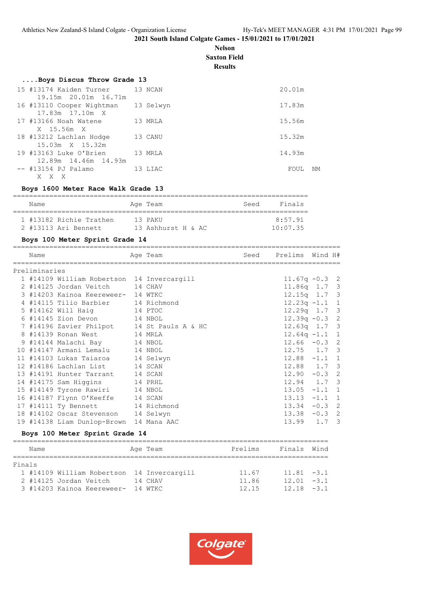**Nelson Saxton Field**

**Results**

| Boys Discus Throw Grade 13          |         |            |
|-------------------------------------|---------|------------|
| 15 #13174 Kaiden Turner 13 NCAN     |         | 20.01m     |
| 19.15m 20.01m 16.71m                |         |            |
| 16 #13110 Cooper Wightman 13 Selwyn |         | 17.83m     |
| 17.83m 17.10m X                     |         |            |
| 17 #13166 Noah Watene               | 13 MRLA | 15.56m     |
| X 15.56m X                          |         |            |
| 18 #13212 Lachlan Hodge             | 13 CANU | 15.32m     |
| 15.03m X 15.32m                     |         |            |
| 19 #13163 Luke O'Brien              | 13 MRLA | 14.93m     |
| 12.89m 14.46m 14.93m                |         |            |
| -- #13154 PJ Palamo                 | 13 LIAC | FOUL<br>NM |
| X<br>X<br>- X                       |         |            |

# **Boys 1600 Meter Race Walk Grade 13**

| Name |                         | Age Team           | Seed | Finals   |
|------|-------------------------|--------------------|------|----------|
|      |                         |                    |      |          |
|      | 1 #13182 Richie Trathen | 13 PAKU            |      | 8:57.91  |
|      | 2 #13113 Ari Bennett    | 13 Ashhurst H & AC |      | 10:07.35 |

# **Boys 100 Meter Sprint Grade 14**

| Name          |                                            | Age Team | Seed | Prelims          | Wind H# |                         |
|---------------|--------------------------------------------|----------|------|------------------|---------|-------------------------|
| Preliminaries |                                            |          |      |                  |         |                         |
|               | 1 #14109 William Robertson 14 Invercargill |          |      | $11.67q - 0.3$ 2 |         |                         |
|               | 2 #14125 Jordan Veitch 14 CHAV             |          |      | $11.86q$ 1.7 3   |         |                         |
|               | 3 #14203 Kainoa Keereweer- 14 WTKC         |          |      | $12.15q$ 1.7 3   |         |                         |
|               | 4 #14115 Tilio Barbier 14 Richmond         |          |      | $12.23q -1.1$ 1  |         |                         |
|               | 5 #14162 Will Haig 14 PTOC                 |          |      | $12.29q$ 1.7 3   |         |                         |
|               | 6 #14145 Zion Devon 14 NBOL                |          |      | $12.39q - 0.3$ 2 |         |                         |
|               | 7 #14196 Zavier Philpot 14 St Pauls A & HC |          |      | $12.63q$ 1.7 3   |         |                         |
|               | 8 #14139 Ronan West 14 MRLA                |          |      | $12.64q - 1.1$ 1 |         |                         |
|               | 9 #14144 Malachi Bay 14 NBOL               |          |      | $12.66 - 0.3$ 2  |         |                         |
|               | 10 #14147 Armani Lemalu 14 NBOL            |          |      | $12.75$ $1.7$ 3  |         |                         |
|               | 11 #14103 Lukas Taiaroa 14 Selwyn          |          |      | $12.88 - 1.1 1$  |         |                         |
|               | 12 #14186 Lachlan List 14 SCAN             |          |      | $12.88$ $1.7$ 3  |         |                         |
|               | 13 #14191 Hunter Tarrant 14 SCAN           |          |      | $12.90 - 0.3$ 2  |         |                         |
|               | 14 #14175 Sam Higgins 14 PRHL              |          |      | $12.94$ $1.7$ 3  |         |                         |
|               | 15 #14149 Tyrone Rawiri 14 NBOL            |          |      | $13.05 -1.1 1$   |         |                         |
|               | 16 #14187 Flynn O'Keeffe 14 SCAN           |          |      | $13.13 - 1.1 1$  |         |                         |
|               | 17 #14111 Ty Bennett 14 Richmond           |          |      | $13.34 -0.3$ 2   |         |                         |
|               | 18 #14102 Oscar Stevenson 14 Selwyn        |          |      | $13.38 - 0.3$ 2  |         |                         |
|               | 19 #14138 Liam Dunlop-Brown 14 Mana AAC    |          |      | 13.99            | 1.7     | $\overline{\mathbf{3}}$ |

# **Boys 100 Meter Sprint Grade 14**

|        | Name |                                            |  | Age Team | Prelims | Finals Wind   |  |  |  |  |
|--------|------|--------------------------------------------|--|----------|---------|---------------|--|--|--|--|
| Finals |      |                                            |  |          |         |               |  |  |  |  |
|        |      | 1 #14109 William Robertson 14 Invercargill |  |          | 11.67   | $11.81 - 3.1$ |  |  |  |  |
|        |      | 2 #14125 Jordan Veitch                     |  | 14 CHAV  | 11.86   | $12.01 - 3.1$ |  |  |  |  |
|        |      | 3 #14203 Kainoa Keereweer- 14 WTKC         |  |          | 12.15   | $12.18 - 3.1$ |  |  |  |  |

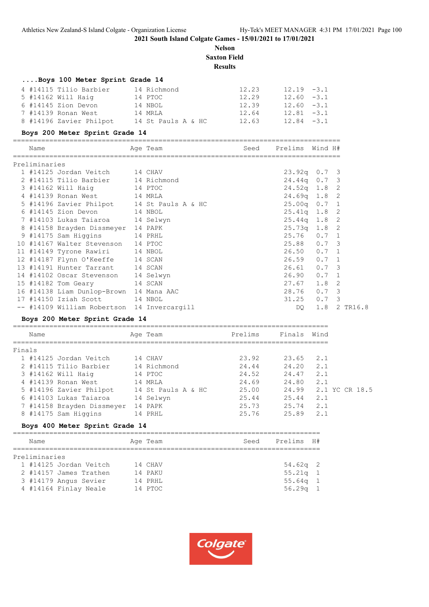**2021 South Island Colgate Games - 15/01/2021 to 17/01/2021**

**Nelson Saxton Field**

# **Results**

|        |               | Boys 100 Meter Sprint Grade 14                                                                                |             |         |                 |      |                |                |
|--------|---------------|---------------------------------------------------------------------------------------------------------------|-------------|---------|-----------------|------|----------------|----------------|
|        |               |                                                                                                               |             | 12.23   | $12.19 - 3.1$   |      |                |                |
|        |               | 4 #14115 Tilio Barbier 14 Richmond                                                                            |             | 12.29   | $12.60 - 3.1$   |      |                |                |
|        |               | 5 #14162 Will Haig             14 PTOC<br>6 #14145 Zion Devon           14 NBOL                               |             | 12.39   | $12.60 - 3.1$   |      |                |                |
|        |               | 7 #14139 Ronan West 14 MRLA                                                                                   |             | 12.64   |                 |      |                |                |
|        |               |                                                                                                               |             |         | $12.81 - 3.1$   |      |                |                |
|        |               | 8 #14196 Zavier Philpot 14 St Pauls A & HC 12.63 12.84 -3.1                                                   |             |         |                 |      |                |                |
|        |               | Boys 200 Meter Sprint Grade 14                                                                                |             |         |                 |      |                |                |
|        | Name          |                                                                                                               | Age Team    | Seed    | Prelims Wind H# |      |                |                |
|        | Preliminaries |                                                                                                               |             |         |                 |      |                |                |
|        |               | 1 #14125 Jordan Veitch                                                                                        | 14 CHAV     |         | $23.92q$ 0.7 3  |      |                |                |
|        |               | 2 #14115 Tilio Barbier 14 Richmond                                                                            |             |         | 24.44q 0.7 3    |      |                |                |
|        |               | 3 #14162 Will Haig 14 PTOC<br>4 #14139 Ronan West 14 MRLA                                                     |             |         | 24.52q 1.8 2    |      |                |                |
|        |               |                                                                                                               |             |         | 24.69q 1.8 2    |      |                |                |
|        |               | 5 #14196 Zavier Philpot 14 St Pauls A & HC                                                                    |             |         | $25.00q$ 0.7 1  |      |                |                |
|        |               | 6 #14145 Zion Devon 14 NBOL                                                                                   |             |         | $25.41q$ 1.8    |      | $\overline{2}$ |                |
|        |               | 7 #14103 Lukas Taiaroa 14 Selwyn                                                                              |             |         | 25.44q 1.8 2    |      |                |                |
|        |               |                                                                                                               |             |         | $25.73q$ 1.8    |      | $\overline{2}$ |                |
|        |               | 8 #14158 Brayden Dissmeyer 14 PAPK<br>9 #14175 Sam Higgins 14 PRHL<br>10 #14167 Walter Stevenson 14 PTOC      |             |         | $25.76$ 0.7 1   |      |                |                |
|        |               |                                                                                                               |             |         | 25.88 0.7 3     |      |                |                |
|        |               | 11 #14149 Tyrone Rawiri 14 NBOL                                                                               |             |         | $26.50$ $0.7$ 1 |      |                |                |
|        |               | 12 #14187 Flynn O'Keeffe 14 SCAN                                                                              |             |         | $26.59$ 0.7     |      | 1              |                |
|        |               | 13 #14191 Hunter Tarrant 14 SCAN                                                                              |             |         | 26.61 0.7 3     |      |                |                |
|        |               |                                                                                                               |             |         | 26.90 0.7 1     |      |                |                |
|        |               | 14 #14102 Oscar Stevenson 14 Selwyn<br>15 #14182 Tom Geary 14 SCAN<br>16 #14138 Liam Dunlop-Brown 14 Mana AAC |             |         | $27.67$ 1.8     |      | $\mathbf{2}$   |                |
|        |               |                                                                                                               |             |         | 28.76 0.7 3     |      |                |                |
|        |               | 17 #14150 Iziah Scott 14 NBOL                                                                                 |             |         | $31.25$ 0.7     |      | 3              |                |
|        |               | -- #14109 William Robertson 14 Invercargill                                                                   |             |         | DO              | 1.8  |                | 2 TR16.8       |
|        |               | Boys 200 Meter Sprint Grade 14                                                                                |             |         |                 |      |                |                |
|        | Name          |                                                                                                               | Age Team    | Prelims | Finals Wind     |      |                |                |
| Finals |               |                                                                                                               |             |         |                 |      |                |                |
|        |               | 1 #14125 Jordan Veitch                                                                                        | 14 CHAV     | 23.92   | 23.65           | 2.1  |                |                |
|        |               | 2 #14115 Tilio Barbier                                                                                        | 14 Richmond | 24.44   | 24.20           | 2.1  |                |                |
|        |               | 3 #14162 Will Haig                                                                                            | 14 PTOC     | 24.52   | 24.47 2.1       |      |                |                |
|        |               | 4 #14139 Ronan West                                                                                           | 14 MRLA     | 24.69   | 24.80 2.1       |      |                |                |
|        |               | 5 #14196 Zavier Philpot 14 St Pauls A & HC                                                                    |             | 25.00   | 24.99           |      |                | 2.1 YC CR 18.5 |
|        |               | 6 #14103 Lukas Taiaroa                                                                                        | 14 Selwyn   | 25.44   | 25.44           | 2.1  |                |                |
|        |               | 7 #14158 Brayden Dissmeyer 14 PAPK                                                                            |             | 25.73   | 25.74           | 2.1  |                |                |
|        |               | 8 #14175 Sam Higgins                                                                                          | 14 PRHL     | 25.76   | 25.89           | 2.1  |                |                |
|        |               | Boys 400 Meter Sprint Grade 14                                                                                |             |         |                 |      |                |                |
|        | Name          |                                                                                                               | Age Team    | Seed    | Prelims         | - H# |                |                |
|        | Preliminaries |                                                                                                               |             |         |                 |      |                |                |
|        |               | 1 #14125 Jordan Veitch                                                                                        | 14 CHAV     |         | $54.62q$ 2      |      |                |                |
|        |               | 2 #14157 James Trathen                                                                                        | 14 PAKU     |         | 55.21q          | 1    |                |                |
|        |               | 3 #14179 Angus Sevier                                                                                         | 14 PRHL     |         | 55.64q          | 1    |                |                |
|        |               | 4 #14164 Finlay Neale                                                                                         | 14 PTOC     |         | 56.29q          | 1    |                |                |

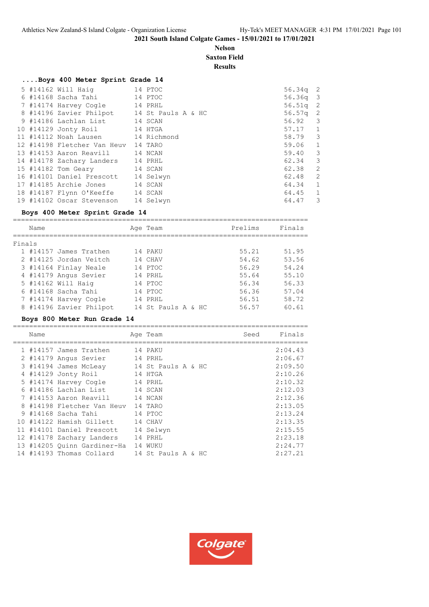# **Nelson Saxton Field**

**Results**

# **....Boys 400 Meter Sprint Grade 14**

|  | 5 #14162 Will Haig                         | 14 PTOC   | $56.34q$ 2 |                         |
|--|--------------------------------------------|-----------|------------|-------------------------|
|  | 6 #14168 Sacha Tahi 14 PTOC                |           | $56.36q$ 3 |                         |
|  | 7 #14174 Harvey Cogle 14 PRHL              |           | $56.51q$ 2 |                         |
|  | 8 #14196 Zavier Philpot 14 St Pauls A & HC |           | $56.57q$ 2 |                         |
|  | 9 #14186 Lachlan List 14 SCAN              |           | $56.92$ 3  |                         |
|  | 10 #14129 Jonty Roil 14 HTGA               |           | $57.17$ 1  |                         |
|  | 11 #14112 Noah Lausen 14 Richmond          |           | 58.79 3    |                         |
|  | 12 #14198 Fletcher Van Heuv 14 TARO        |           | 59.06 1    |                         |
|  | 13 #14153 Aaron Reavill 14 NCAN            |           | 59.40      | $\overline{\mathbf{3}}$ |
|  | 14 #14178 Zachary Landers 14 PRHL          |           | 62.34      | $\overline{\mathbf{3}}$ |
|  | 15 #14182 Tom Geary 14 SCAN                |           | 62.38      | 2                       |
|  | 16 #14101 Daniel Prescott 14 Selwyn        |           | 62.48      | $\overline{2}$          |
|  | 17 #14185 Archie Jones 14 SCAN             |           | 64.34      | $\overline{1}$          |
|  | 18 #14187 Flynn O'Keeffe 14 SCAN           |           | 64.45      | $\overline{1}$          |
|  | 19 #14102 Oscar Stevenson                  | 14 Selwyn | 64.47      | -3                      |

# **Boys 400 Meter Sprint Grade 14**

|        | Name |                         | Age Team           | Prelims | Finals |
|--------|------|-------------------------|--------------------|---------|--------|
| Finals |      |                         |                    |         |        |
|        |      | 1 #14157 James Trathen  | 14 PAKU            | 55.21   | 51.95  |
|        |      | 2 #14125 Jordan Veitch  | 14 CHAV            | 54.62   | 53.56  |
|        |      | 3 #14164 Finlay Neale   | 14 PTOC            | 56.29   | 54.24  |
|        |      | 4 #14179 Angus Sevier   | 14 PRHL            | 55.64   | 55.10  |
|        |      | 5 #14162 Will Haig      | 14 PTOC            | 56.34   | 56.33  |
|        |      | 6 #14168 Sacha Tahi     | 14 PTOC            | 56.36   | 57.04  |
|        |      | 7 #14174 Harvey Cogle   | 14 PRHL            | 56.51   | 58.72  |
|        |      | 8 #14196 Zavier Philpot | 14 St Pauls A & HC | 56.57   | 60.61  |
|        |      |                         |                    |         |        |

#### **Boys 800 Meter Run Grade 14**

|     | Name |                               | Age Team           | Seed | Finals  |
|-----|------|-------------------------------|--------------------|------|---------|
|     |      | 1 #14157 James Trathen        | 14 PAKU            |      | 2:04.43 |
|     |      | 2 #14179 Angus Sevier         | 14 PRHL            |      | 2:06.67 |
|     |      | 3 #14194 James McLeay         | 14 St Pauls A & HC |      | 2:09.50 |
|     |      | 4 #14129 Jonty Roil           | 14 HTGA            |      | 2:10.26 |
|     |      | 5 #14174 Harvey Cogle 14 PRHL |                    |      | 2:10.32 |
|     |      | 6 #14186 Lachlan List 14 SCAN |                    |      | 2:12.03 |
|     |      | 7 #14153 Aaron Reavill        | 14 NCAN            |      | 2:12.36 |
|     |      | 8 #14198 Fletcher Van Heuv    | 14 TARO            |      | 2:13.05 |
|     |      | 9 #14168 Sacha Tahi           | 14 PTOC            |      | 2:13.24 |
| 1 O |      | #14122 Hamish Gillett         | 14 CHAV            |      | 2:13.35 |
| 11  |      | #14101 Daniel Prescott        | 14 Selwyn          |      | 2:15.55 |
|     |      | 12 #14178 Zachary Landers     | 14 PRHL            |      | 2:23.18 |
|     |      | 13 #14205 Ouinn Gardiner-Ha   | 14 WUKU            |      | 2:24.77 |
|     |      | 14 #14193 Thomas Collard      | 14 St Pauls A & HC |      | 2:27.21 |

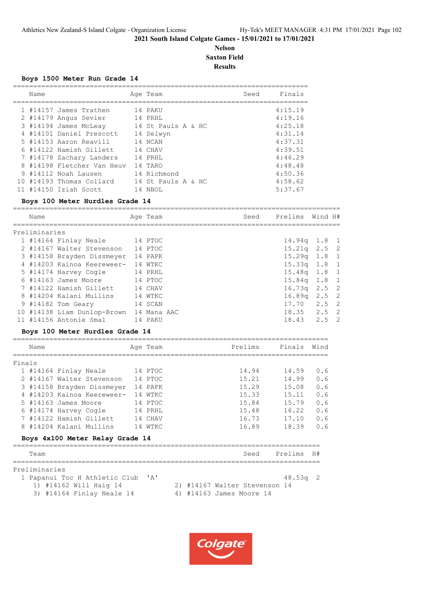# **Nelson Saxton Field Results**

#### **Boys 1500 Meter Run Grade 14**

| Name |                            | Age Team           | Seed | Finals  |
|------|----------------------------|--------------------|------|---------|
|      | 1 #14157 James Trathen     | 14 PAKU            |      | 4:15.19 |
|      | 2 #14179 Angus Sevier      | 14 PRHL            |      | 4:19.16 |
|      | 3 #14194 James McLeay      | 14 St Pauls A & HC |      | 4:25.18 |
|      | 4 #14101 Daniel Prescott   | 14 Selwyn          |      | 4:31.14 |
|      | 5 #14153 Aaron Reavill     | 14 NCAN            |      | 4:37.31 |
|      | 6 #14122 Hamish Gillett    | 14 CHAV            |      | 4:39.51 |
|      | 7 #14178 Zachary Landers   | 14 PRHT.           |      | 4:46.29 |
|      | 8 #14198 Fletcher Van Heuv | 14 TARO            |      | 4:48.48 |
|      | 9 #14112 Noah Lausen       | 14 Richmond        |      | 4:50.36 |
|      | 10 #14193 Thomas Collard   | 14 St Pauls A & HC |      | 4:58.62 |
|      | $11$ #14150 Iziah Scott    | 14 NBOL            |      | 5:37.67 |

# **Boys 100 Meter Hurdles Grade 14**

|        | Name                            |                                                         |  | Age Team |                               | Seed    | Prelims Wind H# |               |                |  |  |
|--------|---------------------------------|---------------------------------------------------------|--|----------|-------------------------------|---------|-----------------|---------------|----------------|--|--|
|        | Preliminaries                   |                                                         |  |          |                               |         |                 |               |                |  |  |
|        |                                 | 1 #14164 Finlay Neale 14 PTOC                           |  |          |                               |         | $14.94q$ 1.8 1  |               |                |  |  |
|        |                                 | 2 #14167 Walter Stevenson 14 PTOC                       |  |          |                               |         | 15.21q 2.5 2    |               |                |  |  |
|        |                                 | 3 #14158 Brayden Dissmeyer 14 PAPK                      |  |          |                               |         | 15.29q          | $1.8 \quad 1$ |                |  |  |
|        |                                 | 4 #14203 Kainoa Keereweer- 14 WTKC                      |  |          |                               |         | 15.33q          | 1.8 1         |                |  |  |
|        |                                 | 5 #14174 Harvey Cogle 14 PRHL                           |  |          |                               |         | 15.48q          | 1.8           | $\mathbf{1}$   |  |  |
|        |                                 | 6 #14163 James Moore 14 PTOC                            |  |          |                               |         | 15.84q          | 1.8           | $\mathbf{1}$   |  |  |
|        |                                 | 7 #14122 Hamish Gillett 14 CHAV                         |  |          |                               |         | $16.73q$ 2.5    |               | $\overline{c}$ |  |  |
|        |                                 | 8 #14204 Kalani Mullins 14 WTKC                         |  |          |                               |         | $16.89q$ 2.5    |               | $\overline{c}$ |  |  |
|        |                                 | 9 #14182 Tom Geary<br>14 SCAN                           |  |          |                               |         | $17.70$ 2.5     |               | $\overline{c}$ |  |  |
|        |                                 | 10 #14138 Liam Dunlop-Brown 14 Mana AAC                 |  |          |                               |         | $18.35$ $2.5$   |               | $\overline{c}$ |  |  |
|        |                                 | 11 #14156 Antonie Smal                                  |  | 14 PAKU  |                               |         | $18.43$ $2.5$   |               | $\overline{c}$ |  |  |
|        | Boys 100 Meter Hurdles Grade 14 |                                                         |  |          |                               |         |                 |               |                |  |  |
|        | Name                            |                                                         |  | Age Team |                               | Prelims | Finals Wind     |               |                |  |  |
| Finals |                                 |                                                         |  |          |                               |         |                 |               |                |  |  |
|        |                                 | 1 #14164 Finlay Neale<br>14 PTOC                        |  |          |                               | 14.94   | 14.59           | 0.6           |                |  |  |
|        |                                 | 2 #14167 Walter Stevenson 14 PTOC                       |  |          |                               | 15.21   | 14.99           | 0.6           |                |  |  |
|        |                                 | 3 #14158 Brayden Dissmeyer 14 PAPK                      |  |          |                               | 15.29   | 15.08           | 0.6           |                |  |  |
|        |                                 | 4 #14203 Kainoa Keereweer- 14 WTKC                      |  |          |                               | 15.33   | 15.11           | 0.6           |                |  |  |
|        |                                 | 5 #14163 James Moore 14 PTOC                            |  |          |                               | 15.84   | 15.79           | 0.6           |                |  |  |
|        |                                 | 6 #14174 Harvey Cogle 14 PRHL                           |  |          |                               | 15.48   | 16.22           | 0.6           |                |  |  |
|        |                                 | 7 #14122 Hamish Gillett                                 |  | 14 CHAV  |                               | 16.73   | 17.10           | 0.6           |                |  |  |
|        |                                 | 8 #14204 Kalani Mullins                                 |  | 14 WTKC  |                               | 16.89   | 18.39           | 0.6           |                |  |  |
|        |                                 | Boys 4x100 Meter Relay Grade 14                         |  |          |                               |         |                 |               |                |  |  |
|        | Team                            |                                                         |  |          |                               | Seed    | Prelims         | H#            |                |  |  |
|        | Preliminaries                   | 1 Papanui Toc H Athletic Club<br>1) #14162 Will Haig 14 |  | ' A'     | 2) #14167 Walter Stevenson 14 |         | $48.53q$ 2      |               |                |  |  |

3) #14164 Finlay Neale 14 4) #14163 James Moore 14

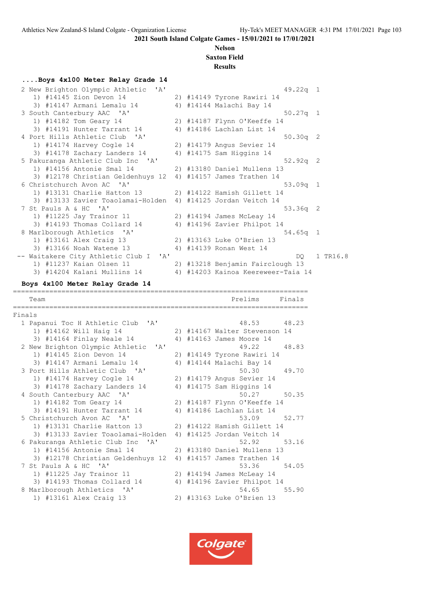#### **Nelson Saxton Field**

# **Results**

**....Boys 4x100 Meter Relay Grade 14** 2 New Brighton Olympic Athletic 'A' 49.22q 1<br>
1) #14145 Zion Devon 14 2) #14149 Tyrone Rawiri 14 1) #14145 Zion Devon 14 2) #14149 Tyrone Rawiri 14 3) #14147 Armani Lemalu 14 4) #14144 Malachi Bay 14 3 South Canterbury AAC 'A' 50.27q 1 1) #14182 Tom Geary 14 2) #14187 Flynn O'Keeffe 14 3) #14191 Hunter Tarrant 14 4) #14186 Lachlan List 14 4 Port Hills Athletic Club 'A' 50.30q 2 1) #14174 Harvey Cogle 14 2) #14179 Angus Sevier 14 3) #14178 Zachary Landers 14 4) #14175 Sam Higgins 14 5 Pakuranga Athletic Club Inc 'A' 52.92q 2 1) #14156 Antonie Smal 14 2) #13180 Daniel Mullens 13 3) #12178 Christian Geldenhuys 12 4) #14157 James Trathen 14 6 Christchurch Avon AC 'A' 53.09q 1 1) #13131 Charlie Hatton 13 2) #14122 Hamish Gillett 14 3) #13133 Zavier Toaolamai-Holden 4) #14125 Jordan Veitch 14 7 St Pauls A & HC 'A' 53.36q 2<br>1) #11225 Jay Trainor 11 2) #14194 James McLeay 14 1) #11225 Jay Trainor 11 2) #14194 James McLeay 14 3) #14193 Thomas Collard 14 4) #14196 Zavier Philpot 14 8 Marlborough Athletics 'A' 54.65q 1 1) #13161 Alex Craig 13 2) #13163 Luke O'Brien 13 3) #13166 Noah Watene 13 4) #14139 Ronan West 14 -- Waitakere City Athletic Club I 'A' DQ 1 TR16.8 1) #11237 Kaian Olsen 11 2) #13218 Benjamin Fairclough 13 3) #14204 Kalani Mullins 14 4) #14203 Kainoa Keereweer-Taia 14 **Boys 4x100 Meter Relay Grade 14** ========================================================================= Team Prelims Finals ========================================================================= Finals 1 Papanui Toc H Athletic Club 'A' 48.53 48.23 1) #14162 Will Haig 14 2) #14167 Walter Stevenson 14 3) #14164 Finlay Neale 14 4) #14163 James Moore 14 2 New Brighton Olympic Athletic 'A' 49.22 48.83 1) #14145 Zion Devon 14 2) #14149 Tyrone Rawiri 14 3) #14147 Armani Lemalu 14 4) #14144 Malachi Bay 14 3 Port Hills Athletic Club 'A' 50.30 49.70 1) #14174 Harvey Cogle 14 2) #14179 Angus Sevier 14 3) #14178 Zachary Landers 14 4) #14175 Sam Higgins 14 4 South Canterbury AAC 'A' 50.27 50.35 1) #14182 Tom Geary 14 2) #14187 Flynn O'Keeffe 14 3) #14191 Hunter Tarrant 14 4) #14186 Lachlan List 14 5 Christchurch Avon AC 'A' 53.09 52.77 1) #13131 Charlie Hatton 13 2) #14122 Hamish Gillett 14 3) #13133 Zavier Toaolamai-Holden 4) #14125 Jordan Veitch 14 6 Pakuranga Athletic Club Inc 'A' 52.92 53.16 1) #14156 Antonie Smal 14 2) #13180 Daniel Mullens 13 3) #12178 Christian Geldenhuys 12 4) #14157 James Trathen 14 7 St Pauls A & HC 'A' 53.36 54.05 1) #11225 Jay Trainor 11 2) #14194 James McLeay 14 3) #14193 Thomas Collard 14 4) #14196 Zavier Philpot 14 8 Marlborough Athletics 'A' 54.65 55.90 1) #13161 Alex Craig 13 2) #13163 Luke O'Brien 13

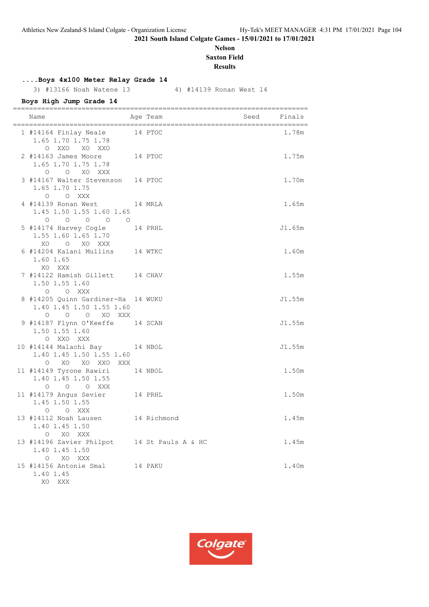# **Nelson Saxton Field**

**Results**

# **....Boys 4x100 Meter Relay Grade 14**

3) #13166 Noah Watene 13 4) #14139 Ronan West 14

# **Boys High Jump Grade 14**

| Name                                                                                                       | ============<br>Age Team | Seed | ========<br>Finals |
|------------------------------------------------------------------------------------------------------------|--------------------------|------|--------------------|
| 1 #14164 Finlay Neale 14 PTOC<br>1.65 1.70 1.75 1.78<br>O XXO XO XXO                                       |                          |      | 1.78m              |
| 2 #14163 James Moore<br>1.65 1.70 1.75 1.78<br>O O XO XXX                                                  | 14 PTOC                  |      | 1.75m              |
| 3 #14167 Walter Stevenson 14 PTOC<br>1.65 1.70 1.75<br>O O XXX                                             |                          |      | 1.70m              |
| 4 #14139 Ronan West 14 MRLA<br>1.45 1.50 1.55 1.60 1.65<br>$\begin{matrix} 0 & 0 & 0 & 0 & 0 \end{matrix}$ |                          |      | 1.65m              |
| 5 #14174 Harvey Cogle 14 PRHL<br>1.55 1.60 1.65 1.70<br>XO O XO XXX                                        |                          |      | J1.65m             |
| 6 #14204 Kalani Mullins 14 WTKC<br>1.60 1.65<br>XO XXX                                                     |                          |      | 1.60m              |
| 7 #14122 Hamish Gillett 14 CHAV<br>1.50 1.55 1.60<br>O O XXX                                               |                          |      | 1.55m              |
| 8 #14205 Quinn Gardiner-Ha 14 WUKU<br>1.40 1.45 1.50 1.55 1.60<br>O O O XO XXX                             |                          |      | J1.55m             |
| 9 #14187 Flynn O'Keeffe 14 SCAN<br>1.50 1.55 1.60<br>O XXO XXX                                             |                          |      | J1.55m             |
| 10 #14144 Malachi Bay 14 NBOL<br>1.40 1.45 1.50 1.55 1.60<br>O XO XO XXO XXX                               |                          |      | J1.55m             |
| 11 #14149 Tyrone Rawiri<br>1.40 1.45 1.50 1.55<br>O O O XXX                                                | 14 NBOL                  |      | 1.50m              |
| 14 PRHL<br>11 #14179 Angus Sevier<br>1.45 1.50 1.55<br>O O XXX                                             |                          |      | 1.50m              |
| 13 #14112 Noah Lausen 14 Richmond<br>1.40 1.45 1.50<br>O XO XXX                                            |                          |      | 1.45m              |
| 13 #14196 Zavier Philpot 14 St Pauls A & HC<br>1.40 1.45 1.50<br>O XO XXX                                  |                          |      | 1.45m              |
| 15 #14156 Antonie Smal<br>1.40 1.45<br>XO XXX                                                              | 14 PAKU                  |      | 1.40m              |

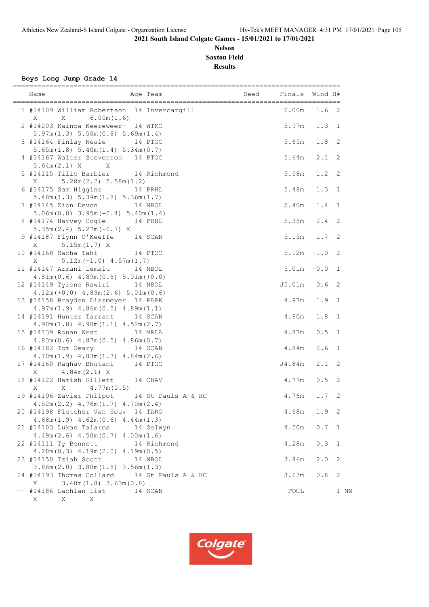# **Nelson Saxton Field Results**

**Boys Long Jump Grade 14**

| Name                                                                                                            |         | Age Team and Seed Finals Wind H# |                                |                  |              |
|-----------------------------------------------------------------------------------------------------------------|---------|----------------------------------|--------------------------------|------------------|--------------|
| 1 #14109 William Robertson 14 Invercargill<br>6.00m(1.6)<br>X<br>$\mathbf{X}$                                   |         |                                  | 6.00m                          | 1.6 <sub>2</sub> |              |
| 2 #14203 Kainoa Keereweer- 14 WTKC<br>5.97m(1.3) 5.50m(0.8) 5.69m(1.4)                                          |         |                                  | 5.97m                          | $1.3 \quad 1$    |              |
| 3 #14164 Finlay Neale<br>5.65m(1.8) 5.40m(1.4) 5.34m(0.7)                                                       | 14 PTOC |                                  | 5.65m                          | 1.8              | 2            |
| 4 #14167 Walter Stevenson 14 PTOC<br>$5.64m(2.1)$ X X                                                           |         |                                  | 5.64m                          | 2.1              | 2            |
| 5 #14115 Tilio Barbier 14 Richmond<br>$X = 5.28m(2.2) 5.58m(1.2)$                                               |         |                                  | 5.58m                          | 1.2              | 2            |
| 6 #14175 Sam Higgins 14 PRHL<br>5.48m(1.3) 5.34m(1.8) 5.36m(1.7)                                                |         |                                  | 5.48m                          | 1.3              | $\mathbf{1}$ |
| 7 #14145 Zion Devon 14 NBOL<br>$5.06m(0.8)$ 3.95m $(-0.4)$ 5.40m $(1.4)$                                        |         |                                  | 5.40m                          | 1.4              | 1            |
| 8 #14174 Harvey Cogle 14 PRHL<br>$5.35m(2.4) 5.27m(-0.7) X$<br>9 #14187 Flynn O'Keeffe 14 SCAN                  |         |                                  | 5.35m                          | 2.4              | 2<br>2       |
| $5.15m(1.7)$ X<br>X<br>10 #14168 Sacha Tahi<br>14 PTOC                                                          |         |                                  | $5.15m$ $1.7$<br>$5.12m - 1.0$ |                  | 2            |
| $5.12m(-1.0)$ 4.57 $m(1.7)$<br>X<br>11 #14147 Armani Lemalu 14 NBOL                                             |         |                                  | $5.01m + 0.0$                  |                  | $\mathbf{1}$ |
| $4.81m(0.6)$ $4.89m(0.8)$ $5.01m(+0.0)$<br>12 #14149 Tyrone Rawiri 14 NBOL                                      |         |                                  | J5.01m                         | 0.6              | 2            |
| $4.12m (+0.0)$ $4.89m (2.6)$ $5.01m (0.6)$<br>13 #14158 Brayden Dissmeyer 14 PAPK                               |         |                                  | 4.97m                          | 1.9              | 1            |
| $4.97m(1.9)$ $4.86m(0.5)$ $4.89m(1.1)$<br>14 #14191 Hunter Tarrant 14 SCAN                                      |         |                                  | 4.90m                          | $1\,.8$          | $\mathbf{1}$ |
| $4.90m(1.8)$ $4.90m(1.1)$ $4.52m(2.7)$<br>15 #14139 Ronan West                                                  |         | 14 MRLA                          | 4.87m                          | 0.5              | $\mathbf{1}$ |
| $4.83m(0.6)$ $4.87m(0.5)$ $4.86m(0.7)$<br>16 #14182 Tom Geary<br>14 SCAN                                        |         |                                  | 4.84m                          | 2.6              | 1            |
| $4.70m(1.9)$ $4.83m(1.3)$ $4.84m(2.6)$<br>17 #14160 Raghav Bhutani 14 PTOC                                      |         |                                  | J4.84m                         | 2.1              | 2            |
| X 4.84m (2.1) X<br>18 #14122 Hamish Gillett 14 CHAV                                                             |         |                                  | 4.77m                          | 0.5              | 2            |
| $X = 4.77m(0.5)$<br>X.<br>19 #14196 Zavier Philpot 14 St Pauls A & HC<br>$4.52m(2.2)$ $4.76m(1.7)$ $4.70m(2.4)$ |         |                                  | 4.76m                          | 1.7              | 2            |
| 20 #14198 Fletcher Van Heuv 14 TARO<br>$4.68m(1.9)$ $4.62m(0.6)$ $4.44m(1.3)$                                   |         |                                  | 4.68m                          | 1.9              | 2            |
| 21 #14103 Lukas Taiaroa<br>$4.49m(2.6)$ $4.50m(0.7)$ $4.00m(1.6)$                                               |         | 14 Selwyn                        | 4.50m                          | 0.7              | 1            |
| 22 #14111 Ty Bennett<br>$4.28m(0.3)$ $4.19m(2.0)$ $4.19m(0.5)$                                                  |         | 14 Richmond                      | 4.28m                          | 0.3              | 1            |
| 23 #14150 Iziah Scott<br>$3.86m(2.0)$ $3.80m(1.8)$ $3.56m(1.3)$                                                 |         | 14 NBOL                          | 3.86m                          | 2.0              | 2            |
| 24 #14193 Thomas Collard<br>$3.48m(1.8)$ $3.63m(0.8)$<br>X                                                      |         | 14 St Pauls A & HC               | 3.63m                          | 0.8              | 2            |
| -- #14186 Lachlan List<br>X<br>Χ<br>Χ                                                                           |         | 14 SCAN                          | FOUL                           |                  | 1 NM         |

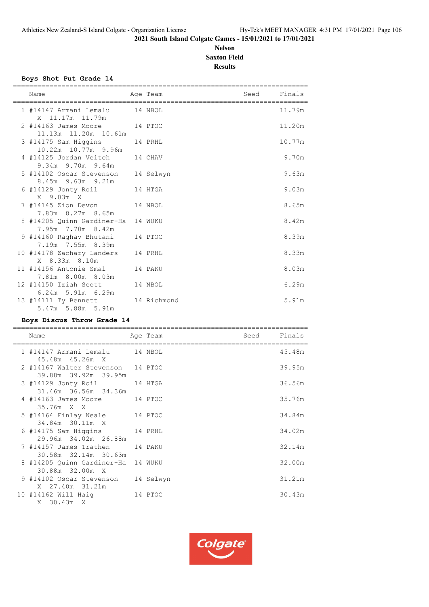# **Nelson Saxton Field Results**

#### **Boys Shot Put Grade 14**

| Name                                                    | Age Team  | Seed Finals |        |
|---------------------------------------------------------|-----------|-------------|--------|
| 1 #14147 Armani Lemalu 14 NBOL<br>X 11.17m 11.79m       |           |             | 11.79m |
| 2 #14163 James Moore 14 PTOC<br>11.13m  11.20m  10.61m  |           |             | 11.20m |
| 3 #14175 Sam Higgins 14 PRHL<br>10.22m 10.77m 9.96m     |           |             | 10.77m |
| 4 #14125 Jordan Veitch 14 CHAV<br>9.34m 9.70m 9.64m     |           |             | 9.70m  |
| 5 #14102 Oscar Stevenson<br>8.45m 9.63m 9.21m           | 14 Selwyn |             | 9.63m  |
| 6 #14129 Jonty Roil 14 HTGA<br>X 9.03m X                |           |             | 9.03m  |
| 7 #14145 Zion Devon 14 NBOL<br>7.83m 8.27m 8.65m        |           |             | 8.65m  |
| 8 #14205 Ouinn Gardiner-Ha 14 WUKU<br>7.95m 7.70m 8.42m |           |             | 8.42m  |
| 9 #14160 Raghav Bhutani 14 PTOC<br>7.19m 7.55m 8.39m    |           |             | 8.39m  |
| 10 #14178 Zachary Landers 14 PRHL<br>X 8.33m 8.10m      |           |             | 8.33m  |
| 11 #14156 Antonie Smal 14 PAKU<br>7.81m 8.00m 8.03m     |           |             | 8.03m  |
| 12 #14150 Iziah Scott<br>6.24m 5.91m 6.29m              | 14 NBOL   |             | 6.29m  |
| 13 #14111 Ty Bennett 14 Richmond<br>5.47m 5.88m 5.91m   |           |             | 5.91m  |

# **Boys Discus Throw Grade 14**

| Name                                                            | Age Team | Seed | Finals |
|-----------------------------------------------------------------|----------|------|--------|
| 1 #14147 Armani Lemalu 14 NBOL<br>45.48m  45.26m  X             |          |      | 45.48m |
| 2 #14167 Walter Stevenson 14 PTOC<br>39.88m 39.92m 39.95m       |          |      | 39.95m |
| 3 #14129 Jonty Roil 14 HTGA<br>31.46m 36.56m 34.36m             |          |      | 36.56m |
| 4 #14163 James Moore 14 PTOC<br>35.76m X X                      |          |      | 35.76m |
| 5 #14164 Finlay Neale 14 PTOC                                   |          |      | 34.84m |
| 34.84m 30.11m X<br>6 #14175 Sam Higgins 14 PRHL                 |          |      | 34.02m |
| 29.96m 34.02m 26.88m<br>7 #14157 James Trathen 14 PAKU          |          |      | 32.14m |
| 30.58m 32.14m 30.63m<br>8 #14205 Quinn Gardiner-Ha 14 WUKU      |          |      | 32.00m |
| 30.88m 32.00m X<br>9 #14102 Oscar Stevenson 14 Selwyn           |          |      | 31.21m |
| X 27.40m 31.21m<br>10 #14162 Will Haig<br>14 PTOC<br>X 30.43m X |          |      | 30.43m |

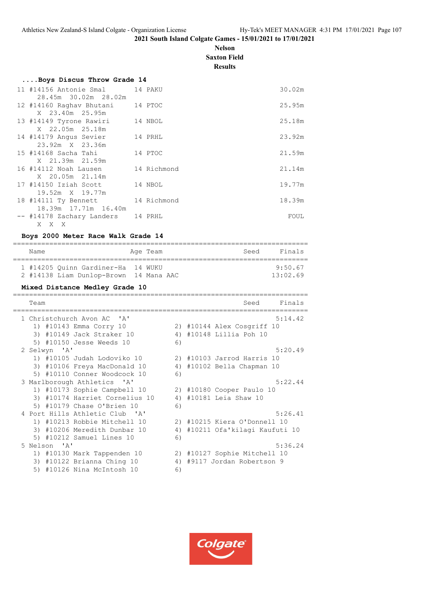# **Nelson Saxton Field Results**

| Boys Discus Throw Grade 14 |  |  |
|----------------------------|--|--|
|                            |  |  |

| 11 #14156 Antonie Smal 14 PAKU<br>28.45m 30.02m 28.02m             |             | 30.02m |
|--------------------------------------------------------------------|-------------|--------|
| 12 #14160 Raghav Bhutani<br>X 23.40m 25.95m                        | 14 PTOC     | 25.95m |
| 13 #14149 Tyrone Rawiri<br>X 22.05m 25.18m                         | 14 NBOL     | 25.18m |
| 14 #14179 Angus Sevier<br>23.92m X 23.36m                          | 14 PRHL     | 23.92m |
| 15 #14168 Sacha Tahi                                               | 14 PTOC     | 21.59m |
| X 21.39m 21.59m<br>16 #14112 Noah Lausen                           | 14 Richmond | 21.14m |
| X 20.05m 21.14m<br>17 #14150 Iziah Scott                           | 14 NBOL     | 19.77m |
| 19.52m X 19.77m<br>18 #14111 Ty Bennett 14 Richmond                |             | 18.39m |
| 18.39m 17.71m 16.40m<br>-- #14178 Zachary Landers 14 PRHL<br>X X X |             | FOUL   |
|                                                                    |             |        |

#### **Boys 2000 Meter Race Walk Grade 14**

| Name |                                                                              | Age Team | Seed | Finals              |
|------|------------------------------------------------------------------------------|----------|------|---------------------|
|      | 1 #14205 Ouinn Gardiner-Ha 14 WUKU<br>2 #14138 Liam Dunlop-Brown 14 Mana AAC |          |      | 9:50.67<br>13:02.69 |

#### **Mixed Distance Medley Grade 10**

| Team                           |    | Finals<br>Seed               |
|--------------------------------|----|------------------------------|
| 1 Christchurch Avon AC 'A'     |    | 5:14.42                      |
| 1) #10143 Emma Corry 10        |    | 2) #10144 Alex Cosgriff 10   |
| 3) #10149 Jack Straker 10      | 4) | #10148 Lillia Poh 10         |
| 5) #10150 Jesse Weeds 10       | 6) |                              |
| 2 Selwyn 'A'                   |    | 5:20.49                      |
| 1) #10105 Judah Lodoviko 10    |    | 2) #10103 Jarrod Harris 10   |
| 3) #10106 Freya MacDonald 10   | 4) | #10102 Bella Chapman 10      |
| 5) #10110 Conner Woodcock 10   | 6) |                              |
| 3 Marlborough Athletics 'A'    |    | 5:22.44                      |
| 1) #10173 Sophie Campbell 10   |    | 2) #10180 Cooper Paulo 10    |
| 3) #10174 Harriet Cornelius 10 | 4) | #10181 Leia Shaw 10          |
| 5) #10179 Chase O'Brien 10     | 6) |                              |
| 4 Port Hills Athletic Club 'A' |    | 5:26.41                      |
| 1) #10213 Robbie Mitchell 10   |    | 2) #10215 Kiera O'Donnell 10 |
| 3) #10206 Meredith Dunbar 10   | 4) | #10211 Ofa'kilagi Kaufuti 10 |
| 5) #10212 Samuel Lines 10      | 6) |                              |
| 5 Nelson 'A'                   |    | 5:36.24                      |
| 1) #10130 Mark Tappenden 10    |    | 2) #10127 Sophie Mitchell 10 |
| 3) #10122 Brianna Ching 10     | 4) | #9117 Jordan Robertson 9     |
| #10126 Nina McIntosh 10<br>5)  | 6) |                              |

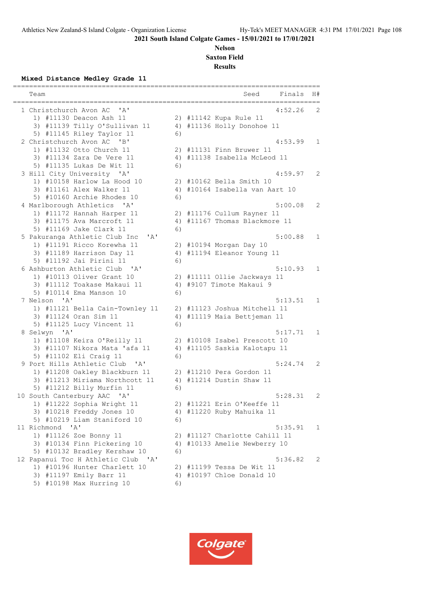# **Nelson Saxton Field Results**

**Mixed Distance Medley Grade 11**

| Team                                                    |    | Finals<br>Seed                 | H#           |  |  |
|---------------------------------------------------------|----|--------------------------------|--------------|--|--|
| 1 Christchurch Avon AC<br>' A'<br>4:52.26               |    |                                |              |  |  |
| 1) #11130 Deacon Ash 11                                 |    | 2) #11142 Kupa Rule 11         | 2            |  |  |
| 3) #11139 Tilly O'Sullivan 11                           |    | 4) #11136 Holly Donohoe 11     |              |  |  |
| 5) #11145 Riley Taylor 11                               | 6) |                                |              |  |  |
| 2 Christchurch Avon AC<br>$'$ B $'$                     |    | 4:53.99                        | $\mathbf{1}$ |  |  |
| 1) #11132 Otto Church 11                                |    | 2) #11131 Finn Bruwer 11       |              |  |  |
| 3) #11134 Zara De Vere 11                               |    | 4) #11138 Isabella McLeod 11   |              |  |  |
| 5) #11135 Lukas De Wit 11                               | 6) |                                |              |  |  |
| 3 Hill City University 'A'                              |    | 4:59.97                        | 2            |  |  |
| 1) #10158 Harlow La Hood 10                             |    | 2) #10162 Bella Smith 10       |              |  |  |
| 3) #11161 Alex Walker 11                                |    | 4) #10164 Isabella van Aart 10 |              |  |  |
| 5) #10160 Archie Rhodes 10                              | 6) |                                |              |  |  |
| 4 Marlborough Athletics 'A'                             |    | 5:00.08                        | 2            |  |  |
| 1) #11172 Hannah Harper 11                              |    | 2) #11176 Cullum Rayner 11     |              |  |  |
| 3) #11175 Ava Marcroft 11                               |    | 4) #11167 Thomas Blackmore 11  |              |  |  |
| 5) #11169 Jake Clark 11                                 | 6) |                                |              |  |  |
| 5 Pakuranga Athletic Club Inc<br>' A'                   |    | 5:00.88                        | $\mathbf{1}$ |  |  |
| 1) #11191 Ricco Korewha 11                              |    | 2) #10194 Morgan Day 10        |              |  |  |
| 3) #11189 Harrison Day 11                               |    | 4) #11194 Eleanor Young 11     |              |  |  |
| 5) #11192 Jai Pirini 11                                 | 6) |                                |              |  |  |
| 6 Ashburton Athletic Club<br>' A'                       |    | 5:10.93                        | 1            |  |  |
| 1) #10113 Oliver Grant 10                               |    | 2) #11111 Ollie Jackways 11    |              |  |  |
| 3) #11112 Toakase Makaui 11                             |    | 4) #9107 Timote Makaui 9       |              |  |  |
| 5) #10114 Ema Manson 10                                 | 6) |                                |              |  |  |
| 7 Nelson 'A'                                            |    | 5:13.51                        | 1            |  |  |
| 1) #11121 Bella Cain-Townley 11                         |    | 2) #11123 Joshua Mitchell 11   |              |  |  |
| 3) #11124 Oran Sim 11                                   |    | 4) #11119 Maia Bettjeman 11    |              |  |  |
| 5) #11125 Lucy Vincent 11                               | 6) |                                |              |  |  |
| 8 Selwyn 'A'                                            |    | 5:17.71                        | $\mathbf{1}$ |  |  |
| 1) #11108 Keira O'Reilly 11                             |    | 2) #10108 Isabel Prescott 10   |              |  |  |
| 3) #11107 Nikora Mata 'afa 11                           |    | 4) #11105 Saskia Kalotapu 11   |              |  |  |
| 5) #11102 Eli Craig 11                                  | 6) |                                |              |  |  |
| 9 Port Hills Athletic Club<br>$^{\prime}$ A $^{\prime}$ |    | 5:24.74                        | 2            |  |  |
| 1) #11208 Oakley Blackburn 11                           |    | 2) #11210 Pera Gordon 11       |              |  |  |
| 3) #11213 Miriama Northcott 11                          |    | 4) #11214 Dustin Shaw 11       |              |  |  |
| 5) #11212 Billy Murfin 11                               | 6) |                                |              |  |  |
| 10 South Canterbury AAC 'A'                             |    | 5:28.31                        | 2            |  |  |
| 1) #11222 Sophia Wright 11                              |    | 2) #11221 Erin O'Keeffe 11     |              |  |  |
| 3) #10218 Freddy Jones 10                               |    | 4) #11220 Ruby Mahuika 11      |              |  |  |
| 5) #10219 Liam Staniford 10                             | 6) |                                |              |  |  |
| 11 Richmond 'A'                                         |    | 5:35.91                        | 1            |  |  |
| 1) #11126 Zoe Bonny 11                                  |    | 2) #11127 Charlotte Cahill 11  |              |  |  |
| 3) #10134 Finn Pickering 10                             |    | 4) #10133 Amelie Newberry 10   |              |  |  |
| 5) #10132 Bradley Kershaw 10                            | 6) |                                |              |  |  |
| 12 Papanui Toc H Athletic Club 'A'                      |    | 5:36.82                        | 2            |  |  |
| 1) #10196 Hunter Charlett 10                            |    | 2) #11199 Tessa De Wit 11      |              |  |  |
| 3) #11197 Emily Barr 11                                 |    | 4) #10197 Chloe Donald 10      |              |  |  |
| 5) #10198 Max Hurring 10                                | 6) |                                |              |  |  |
|                                                         |    |                                |              |  |  |

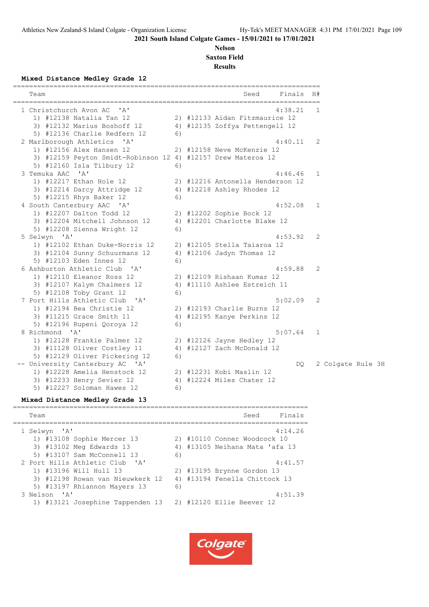============================================================================

**2021 South Island Colgate Games - 15/01/2021 to 17/01/2021**

#### **Nelson Saxton Field**

**Results**

**Mixed Distance Medley Grade 12**

| Team                                                         |    | Finals H#<br>Seed<br>===========================        |              |                   |
|--------------------------------------------------------------|----|---------------------------------------------------------|--------------|-------------------|
| 1 Christchurch Avon AC<br>$\mathsf{A}$                       |    | 4:38.21                                                 | 1            |                   |
| 1) #12138 Natalia Tan 12                                     |    | 2) #12133 Aidan Fitzmaurice 12                          |              |                   |
| 3) #12132 Marius Boshoff 12                                  |    | 4) #12135 Zoffya Pettengell 12                          |              |                   |
| 5) #12136 Charlie Redfern 12                                 | 6) |                                                         |              |                   |
| 2 Marlborough Athletics 'A'                                  |    | 4:40.11                                                 | 2            |                   |
| 1) #12156 Alex Hansen 12                                     |    | 2) #12158 Neve McKenzie 12                              |              |                   |
| 3) #12159 Peyton Smidt-Robinson 12 4) #12157 Drew Materoa 12 |    |                                                         |              |                   |
| 5) #12160 Isla Tilbury 12                                    | 6) |                                                         |              |                   |
| 3 Temuka AAC 'A'                                             |    | 4:46.46                                                 | 1            |                   |
| 1) #12217 Ethan Hole 12                                      |    | 2) #12216 Antonella Henderson 12                        |              |                   |
| 3) #12214 Darcy Attridge 12                                  |    | 4) #12218 Ashley Rhodes 12                              |              |                   |
| 5) #12215 Rhys Baker 12                                      | 6) |                                                         |              |                   |
| 4 South Canterbury AAC 'A'                                   |    | 4:52.08                                                 | 1            |                   |
| 1) #12207 Dalton Todd 12                                     |    | 2) #12202 Sophie Bock 12                                |              |                   |
| 3) #12204 Mitchell Johnson 12                                |    | 4) #12201 Charlotte Blake 12                            |              |                   |
| 5) #12208 Sienna Wright 12                                   | 6) |                                                         |              |                   |
| 5 Selwyn 'A'                                                 |    | 4:53.92                                                 | 2            |                   |
| 1) #12102 Ethan Duke-Norris 12                               |    | 2) #12105 Stella Taiaroa 12                             |              |                   |
| 3) #12104 Sunny Schuurmans 12                                |    | 4) #12106 Jadyn Thomas 12                               |              |                   |
| 5) #12103 Eden Innes 12                                      | 6) |                                                         |              |                   |
| 6 Ashburton Athletic Club<br>' A'                            |    | 4:59.88                                                 | 2            |                   |
| 1) #12110 Eleanor Ross 12                                    |    | 2) #12109 Rishaan Kumar 12                              |              |                   |
| 3) #12107 Kalym Chalmers 12                                  |    | 4) #11110 Ashlee Estreich 11                            |              |                   |
| 5) #12108 Toby Grant 12                                      | 6) |                                                         |              |                   |
| 7 Port Hills Athletic Club<br>$\mathsf{A}$                   |    | 5:02.09                                                 | 2            |                   |
| 1) #12194 Bea Christie 12                                    |    | 2) #12193 Charlie Burns 12                              |              |                   |
| 3) #11215 Grace Smith 11                                     | 6) | 4) #12195 Kanye Perkins 12                              |              |                   |
| 5) #12196 Rupeni Qoroya 12<br>8 Richmond 'A'                 |    | 5:07.64                                                 | $\mathbf{1}$ |                   |
|                                                              |    |                                                         |              |                   |
| 1) #12128 Frankie Palmer 12                                  |    | 2) #12126 Jayne Hedley 12<br>4) #12127 Zach McDonald 12 |              |                   |
| 3) #11128 Oliver Costley 11<br>5) #12129 Oliver Pickering 12 | 6) |                                                         |              |                   |
| -- University Canterbury AC 'A'                              |    | DQ.                                                     |              | 2 Colgate Rule 3H |
| 1) #12228 Amelia Henstock 12                                 |    | 2) #12231 Kobi Maslin 12                                |              |                   |
| 3) #12233 Henry Sevier 12                                    |    | 4) #12224 Miles Chater 12                               |              |                   |
| 5) #12227 Soloman Hawes 12                                   | 6) |                                                         |              |                   |
|                                                              |    |                                                         |              |                   |

#### **Mixed Distance Medley Grade 13**

========================================================================= Team Seed Finals ========================================================================= 1 Selwyn 'A' 4:14.26 1) #13108 Sophie Mercer 13 2) #10110 Conner Woodcock 10 3) #13102 Meg Edwards 13 4) #13105 Neihana Mata 'afa 13 5) #13107 Sam McConnell 13 6) 2 Port Hills Athletic Club 'A' 4:41.57 1) #13196 Will Hull 13 2) #13195 Brynne Gordon 13 3) #12198 Rowan van Nieuwkerk 12 4) #13194 Fenella Chittock 13 5) #13197 Rhiannon Mayers 13 6) 3 Nelson 'A' 4:51.39 1) #13121 Josephine Tappenden 13 2) #12120 Ellie Beever 12

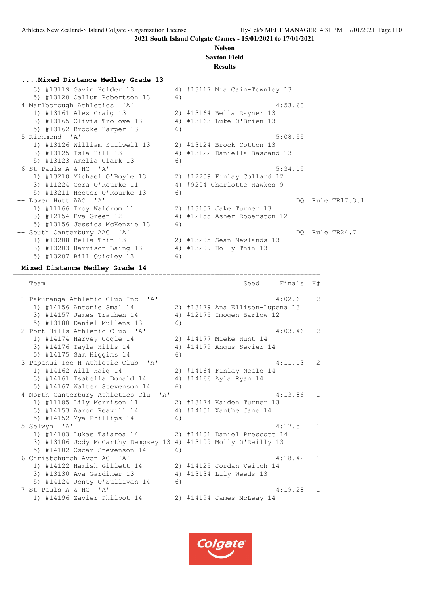**2021 South Island Colgate Games - 15/01/2021 to 17/01/2021**

### **Nelson**

# **Saxton Field**

## **Results**

| Mixed Distance Medley Grade 13 |    |                               |                  |
|--------------------------------|----|-------------------------------|------------------|
| 3) #13119 Gavin Holder 13      |    | 4) #13117 Mia Cain-Townley 13 |                  |
| 5) #13120 Callum Robertson 13  | 6) |                               |                  |
| 4 Marlborough Athletics 'A'    |    | 4:53.60                       |                  |
| 1) #13161 Alex Craig 13        |    | 2) #13164 Bella Rayner 13     |                  |
| 3) #13165 Olivia Trolove 13    |    | 4) #13163 Luke O'Brien 13     |                  |
| 5) #13162 Brooke Harper 13     | 6) |                               |                  |
| 5 Richmond 'A'                 |    | 5:08.55                       |                  |
| 1) #13126 William Stilwell 13  |    | 2) #13124 Brock Cotton 13     |                  |
|                                |    |                               |                  |
| 3) #13125 Isla Hill 13         |    | 4) #13122 Daniella Bascand 13 |                  |
| 5) #13123 Amelia Clark 13      | 6) |                               |                  |
| 6 St Pauls A & HC 'A'          |    | 5:34.19                       |                  |
| 1) #13210 Michael O'Boyle 13   |    | 2) #12209 Finlay Collard 12   |                  |
| 3) #11224 Cora O'Rourke 11     |    | 4) #9204 Charlotte Hawkes 9   |                  |
| 5) #13211 Hector O'Rourke 13   | 6) |                               |                  |
| -- Lower Hutt AAC 'A'          |    |                               | DO Rule TR17.3.1 |
| 1) #11166 Troy Waldrom 11      |    | 2) #13157 Jake Turner 13      |                  |
| 3) #12154 Eva Green 12         |    | 4) #12155 Asher Roberston 12  |                  |
| 5) #13156 Jessica McKenzie 13  | 6) |                               |                  |
| -- South Canterbury AAC 'A'    |    |                               | DO Rule TR24.7   |
| 1) #13208 Bella Thin 13        |    | 2) #13205 Sean Newlands 13    |                  |
|                                |    |                               |                  |
| 3) #13203 Harrison Laing 13    |    | 4) #13209 Holly Thin 13       |                  |
| 5) #13207 Bill Quigley 13      | 6) |                               |                  |

#### **Mixed Distance Medley Grade 14**

============================================================================ Team Seed Finals H# ============================================================================ 1 Pakuranga Athletic Club Inc 'A' 4:02.61 2 1) #14156 Antonie Smal 14 2) #13179 Ana Ellison-Lupena 13 3) #14157 James Trathen 14 4) #12175 Imogen Barlow 12 5) #13180 Daniel Mullens 13 6) 2 Port Hills Athletic Club 'A' 4:03.46 2 1) #14174 Harvey Cogle 14 2) #14177 Mieke Hunt 14 3) #14176 Tayla Hills 14 4) #14179 Angus Sevier 14 5) #14175 Sam Higgins 14 6) 3 Papanui Toc H Athletic Club 'A' 4:11.13 2 1) #14162 Will Haig 14 2) #14164 Finlay Neale 14 3) #14161 Isabella Donald 14 4) #14166 Ayla Ryan 14 5) #14167 Walter Stevenson 14 6) 4 North Canterbury Athletics Clu 'A' 4:13.86 1 1) #11185 Lily Morrison 11 2) #13174 Kaiden Turner 13 3) #14153 Aaron Reavill 14 4) #14151 Xanthe Jane 14 5) #14152 Mya Phillips 14 (6)<br>5 Selwyn 'A' 5 Selwyn 'A' 4:17.51 1 1) #14103 Lukas Taiaroa 14 2) #14101 Daniel Prescott 14

3) #13106 Jody McCarthy Dempsey 13 4) #13109 Molly O'Reilly 13

 1) #14122 Hamish Gillett 14 2) #14125 Jordan Veitch 14 3) #13130 Ava Gardiner 13 4) #13134 Lily Weeds 13

1) #14196 Zavier Philpot 14 2) #14194 James McLeay 14

6 Christchurch Avon AC 'A' 4:18.42 1

7 St Pauls A & HC 'A' 4:19.28 1

Colgate®

5) #14102 Oscar Stevenson 14 6)<br>6 Christchurch Avon AC 'A'

5) #14124 Jonty O'Sullivan 14 6)